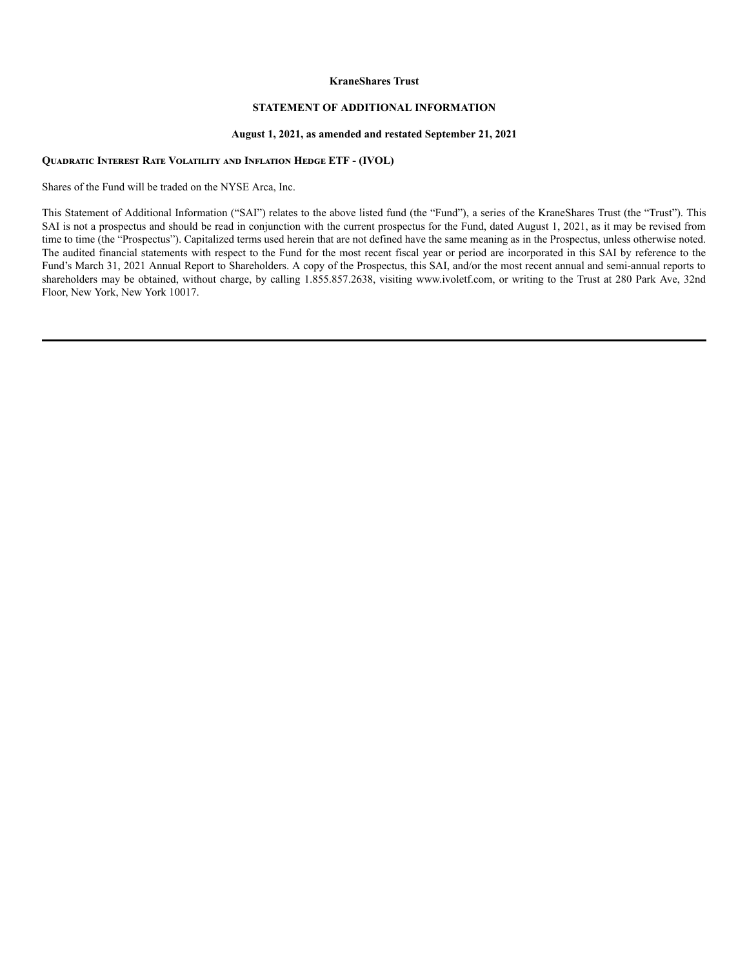## **KraneShares Trust**

# **STATEMENT OF ADDITIONAL INFORMATION**

## **August 1, 2021, as amended and restated September 21, 2021**

## **Quadratic Interest Rate Volatility and Inflation Hedge ETF - (IVOL)**

Shares of the Fund will be traded on the NYSE Arca, Inc.

This Statement of Additional Information ("SAI") relates to the above listed fund (the "Fund"), a series of the KraneShares Trust (the "Trust"). This SAI is not a prospectus and should be read in conjunction with the current prospectus for the Fund, dated August 1, 2021, as it may be revised from time to time (the "Prospectus"). Capitalized terms used herein that are not defined have the same meaning as in the Prospectus, unless otherwise noted. The audited financial statements with respect to the Fund for the most recent fiscal year or period are incorporated in this SAI by reference to the Fund's March 31, 2021 Annual Report to Shareholders. A copy of the Prospectus, this SAI, and/or the most recent annual and semi-annual reports to shareholders may be obtained, without charge, by calling 1.855.857.2638, visiting www.ivoletf.com, or writing to the Trust at 280 Park Ave, 32nd Floor, New York, New York 10017.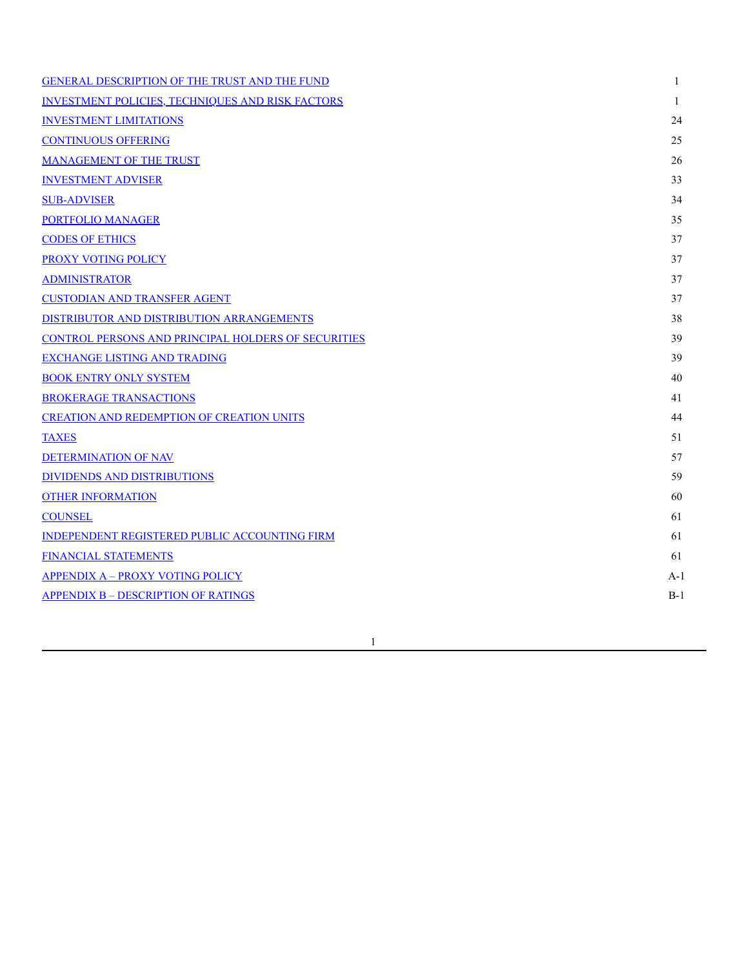| GENERAL DESCRIPTION OF THE TRUST AND THE FUND           | 1     |
|---------------------------------------------------------|-------|
| <b>INVESTMENT POLICIES, TECHNIQUES AND RISK FACTORS</b> | 1     |
| <b>INVESTMENT LIMITATIONS</b>                           | 24    |
| <b>CONTINUOUS OFFERING</b>                              | 25    |
| <b>MANAGEMENT OF THE TRUST</b>                          | 26    |
| <b>INVESTMENT ADVISER</b>                               | 33    |
| <b>SUB-ADVISER</b>                                      | 34    |
| PORTFOLIO MANAGER                                       | 35    |
| <b>CODES OF ETHICS</b>                                  | 37    |
| <b>PROXY VOTING POLICY</b>                              | 37    |
| <b>ADMINISTRATOR</b>                                    | 37    |
| <b>CUSTODIAN AND TRANSFER AGENT</b>                     | 37    |
| DISTRIBUTOR AND DISTRIBUTION ARRANGEMENTS               | 38    |
| CONTROL PERSONS AND PRINCIPAL HOLDERS OF SECURITIES     | 39    |
| <b>EXCHANGE LISTING AND TRADING</b>                     | 39    |
| <b>BOOK ENTRY ONLY SYSTEM</b>                           | 40    |
| <b>BROKERAGE TRANSACTIONS</b>                           | 41    |
| <b>CREATION AND REDEMPTION OF CREATION UNITS</b>        | 44    |
| <b>TAXES</b>                                            | 51    |
| <b>DETERMINATION OF NAV</b>                             | 57    |
| <b>DIVIDENDS AND DISTRIBUTIONS</b>                      | 59    |
| <b>OTHER INFORMATION</b>                                | 60    |
| <b>COUNSEL</b>                                          | 61    |
| <b>INDEPENDENT REGISTERED PUBLIC ACCOUNTING FIRM</b>    | 61    |
| <b>FINANCIAL STATEMENTS</b>                             | 61    |
| <b>APPENDIX A - PROXY VOTING POLICY</b>                 | A-1   |
| <b>APPENDIX B - DESCRIPTION OF RATINGS</b>              | $B-1$ |
|                                                         |       |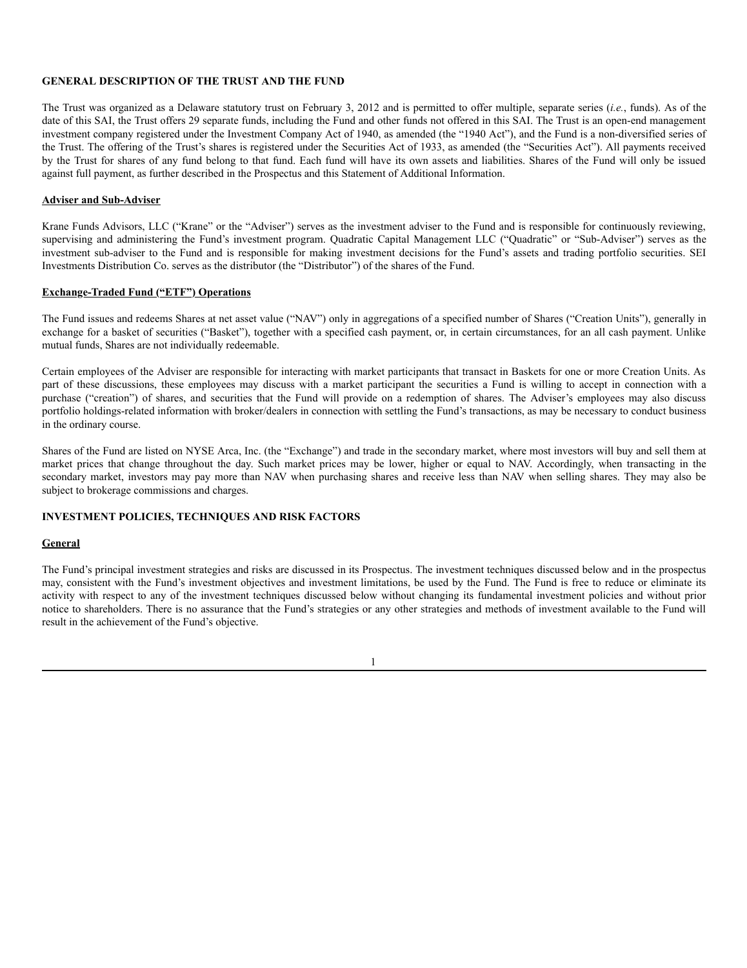# **GENERAL DESCRIPTION OF THE TRUST AND THE FUND**

The Trust was organized as a Delaware statutory trust on February 3, 2012 and is permitted to offer multiple, separate series (*i.e.*, funds). As of the date of this SAI, the Trust offers 29 separate funds, including the Fund and other funds not offered in this SAI. The Trust is an open-end management investment company registered under the Investment Company Act of 1940, as amended (the "1940 Act"), and the Fund is a non-diversified series of the Trust. The offering of the Trust's shares is registered under the Securities Act of 1933, as amended (the "Securities Act"). All payments received by the Trust for shares of any fund belong to that fund. Each fund will have its own assets and liabilities. Shares of the Fund will only be issued against full payment, as further described in the Prospectus and this Statement of Additional Information.

## **Adviser and Sub-Adviser**

Krane Funds Advisors, LLC ("Krane" or the "Adviser") serves as the investment adviser to the Fund and is responsible for continuously reviewing, supervising and administering the Fund's investment program. Quadratic Capital Management LLC ("Quadratic" or "Sub-Adviser") serves as the investment sub-adviser to the Fund and is responsible for making investment decisions for the Fund's assets and trading portfolio securities. SEI Investments Distribution Co. serves as the distributor (the "Distributor") of the shares of the Fund.

#### **Exchange-Traded Fund ("ETF") Operations**

The Fund issues and redeems Shares at net asset value ("NAV") only in aggregations of a specified number of Shares ("Creation Units"), generally in exchange for a basket of securities ("Basket"), together with a specified cash payment, or, in certain circumstances, for an all cash payment. Unlike mutual funds, Shares are not individually redeemable.

Certain employees of the Adviser are responsible for interacting with market participants that transact in Baskets for one or more Creation Units. As part of these discussions, these employees may discuss with a market participant the securities a Fund is willing to accept in connection with a purchase ("creation") of shares, and securities that the Fund will provide on a redemption of shares. The Adviser's employees may also discuss portfolio holdings-related information with broker/dealers in connection with settling the Fund's transactions, as may be necessary to conduct business in the ordinary course.

Shares of the Fund are listed on NYSE Arca, Inc. (the "Exchange") and trade in the secondary market, where most investors will buy and sell them at market prices that change throughout the day. Such market prices may be lower, higher or equal to NAV. Accordingly, when transacting in the secondary market, investors may pay more than NAV when purchasing shares and receive less than NAV when selling shares. They may also be subject to brokerage commissions and charges.

# <span id="page-2-0"></span>**INVESTMENT POLICIES, TECHNIQUES AND RISK FACTORS**

## **General**

The Fund's principal investment strategies and risks are discussed in its Prospectus. The investment techniques discussed below and in the prospectus may, consistent with the Fund's investment objectives and investment limitations, be used by the Fund. The Fund is free to reduce or eliminate its activity with respect to any of the investment techniques discussed below without changing its fundamental investment policies and without prior notice to shareholders. There is no assurance that the Fund's strategies or any other strategies and methods of investment available to the Fund will result in the achievement of the Fund's objective.

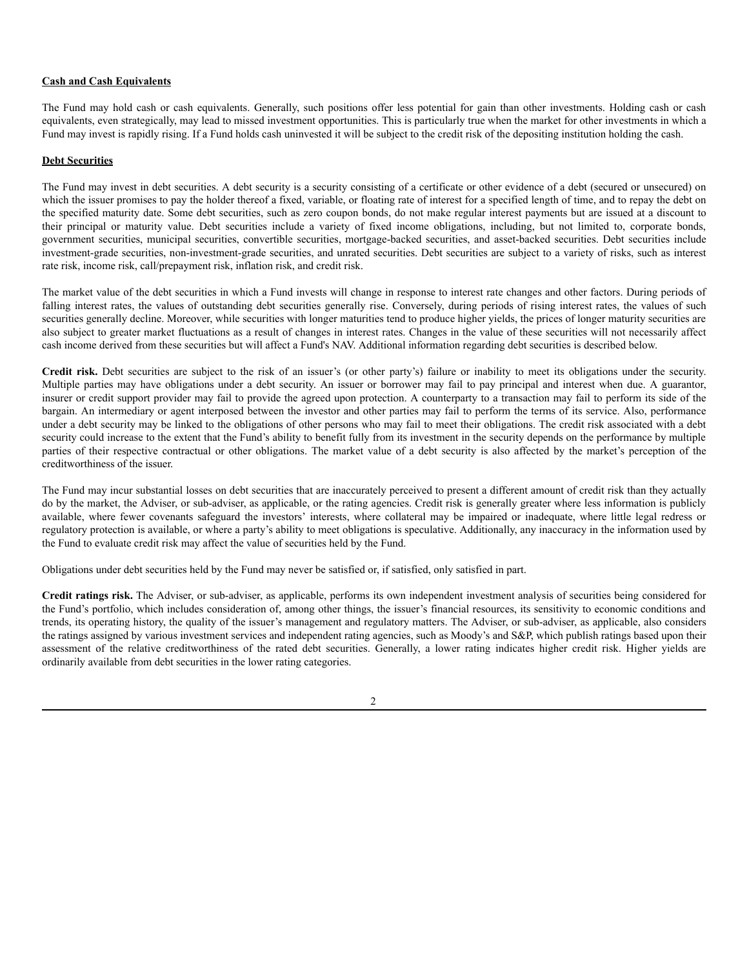## **Cash and Cash Equivalents**

The Fund may hold cash or cash equivalents. Generally, such positions offer less potential for gain than other investments. Holding cash or cash equivalents, even strategically, may lead to missed investment opportunities. This is particularly true when the market for other investments in which a Fund may invest is rapidly rising. If a Fund holds cash uninvested it will be subject to the credit risk of the depositing institution holding the cash.

## **Debt Securities**

The Fund may invest in debt securities. A debt security is a security consisting of a certificate or other evidence of a debt (secured or unsecured) on which the issuer promises to pay the holder thereof a fixed, variable, or floating rate of interest for a specified length of time, and to repay the debt on the specified maturity date. Some debt securities, such as zero coupon bonds, do not make regular interest payments but are issued at a discount to their principal or maturity value. Debt securities include a variety of fixed income obligations, including, but not limited to, corporate bonds, government securities, municipal securities, convertible securities, mortgage-backed securities, and asset-backed securities. Debt securities include investment-grade securities, non-investment-grade securities, and unrated securities. Debt securities are subject to a variety of risks, such as interest rate risk, income risk, call/prepayment risk, inflation risk, and credit risk.

The market value of the debt securities in which a Fund invests will change in response to interest rate changes and other factors. During periods of falling interest rates, the values of outstanding debt securities generally rise. Conversely, during periods of rising interest rates, the values of such securities generally decline. Moreover, while securities with longer maturities tend to produce higher yields, the prices of longer maturity securities are also subject to greater market fluctuations as a result of changes in interest rates. Changes in the value of these securities will not necessarily affect cash income derived from these securities but will affect a Fund's NAV. Additional information regarding debt securities is described below.

**Credit risk.** Debt securities are subject to the risk of an issuer's (or other party's) failure or inability to meet its obligations under the security. Multiple parties may have obligations under a debt security. An issuer or borrower may fail to pay principal and interest when due. A guarantor, insurer or credit support provider may fail to provide the agreed upon protection. A counterparty to a transaction may fail to perform its side of the bargain. An intermediary or agent interposed between the investor and other parties may fail to perform the terms of its service. Also, performance under a debt security may be linked to the obligations of other persons who may fail to meet their obligations. The credit risk associated with a debt security could increase to the extent that the Fund's ability to benefit fully from its investment in the security depends on the performance by multiple parties of their respective contractual or other obligations. The market value of a debt security is also affected by the market's perception of the creditworthiness of the issuer.

The Fund may incur substantial losses on debt securities that are inaccurately perceived to present a different amount of credit risk than they actually do by the market, the Adviser, or sub-adviser, as applicable, or the rating agencies. Credit risk is generally greater where less information is publicly available, where fewer covenants safeguard the investors' interests, where collateral may be impaired or inadequate, where little legal redress or regulatory protection is available, or where a party's ability to meet obligations is speculative. Additionally, any inaccuracy in the information used by the Fund to evaluate credit risk may affect the value of securities held by the Fund.

Obligations under debt securities held by the Fund may never be satisfied or, if satisfied, only satisfied in part.

**Credit ratings risk.** The Adviser, or sub-adviser, as applicable, performs its own independent investment analysis of securities being considered for the Fund's portfolio, which includes consideration of, among other things, the issuer's financial resources, its sensitivity to economic conditions and trends, its operating history, the quality of the issuer's management and regulatory matters. The Adviser, or sub-adviser, as applicable, also considers the ratings assigned by various investment services and independent rating agencies, such as Moody's and S&P, which publish ratings based upon their assessment of the relative creditworthiness of the rated debt securities. Generally, a lower rating indicates higher credit risk. Higher yields are ordinarily available from debt securities in the lower rating categories.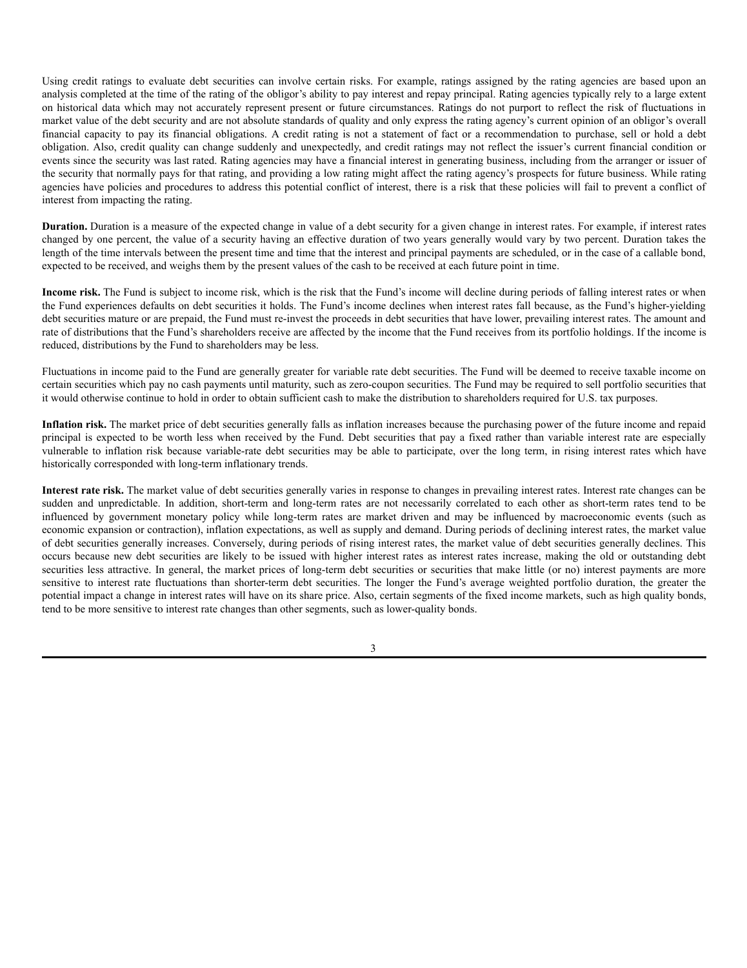Using credit ratings to evaluate debt securities can involve certain risks. For example, ratings assigned by the rating agencies are based upon an analysis completed at the time of the rating of the obligor's ability to pay interest and repay principal. Rating agencies typically rely to a large extent on historical data which may not accurately represent present or future circumstances. Ratings do not purport to reflect the risk of fluctuations in market value of the debt security and are not absolute standards of quality and only express the rating agency's current opinion of an obligor's overall financial capacity to pay its financial obligations. A credit rating is not a statement of fact or a recommendation to purchase, sell or hold a debt obligation. Also, credit quality can change suddenly and unexpectedly, and credit ratings may not reflect the issuer's current financial condition or events since the security was last rated. Rating agencies may have a financial interest in generating business, including from the arranger or issuer of the security that normally pays for that rating, and providing a low rating might affect the rating agency's prospects for future business. While rating agencies have policies and procedures to address this potential conflict of interest, there is a risk that these policies will fail to prevent a conflict of interest from impacting the rating.

**Duration.** Duration is a measure of the expected change in value of a debt security for a given change in interest rates. For example, if interest rates changed by one percent, the value of a security having an effective duration of two years generally would vary by two percent. Duration takes the length of the time intervals between the present time and time that the interest and principal payments are scheduled, or in the case of a callable bond, expected to be received, and weighs them by the present values of the cash to be received at each future point in time.

**Income risk.** The Fund is subject to income risk, which is the risk that the Fund's income will decline during periods of falling interest rates or when the Fund experiences defaults on debt securities it holds. The Fund's income declines when interest rates fall because, as the Fund's higher-yielding debt securities mature or are prepaid, the Fund must re-invest the proceeds in debt securities that have lower, prevailing interest rates. The amount and rate of distributions that the Fund's shareholders receive are affected by the income that the Fund receives from its portfolio holdings. If the income is reduced, distributions by the Fund to shareholders may be less.

Fluctuations in income paid to the Fund are generally greater for variable rate debt securities. The Fund will be deemed to receive taxable income on certain securities which pay no cash payments until maturity, such as zero-coupon securities. The Fund may be required to sell portfolio securities that it would otherwise continue to hold in order to obtain sufficient cash to make the distribution to shareholders required for U.S. tax purposes.

**Inflation risk.** The market price of debt securities generally falls as inflation increases because the purchasing power of the future income and repaid principal is expected to be worth less when received by the Fund. Debt securities that pay a fixed rather than variable interest rate are especially vulnerable to inflation risk because variable-rate debt securities may be able to participate, over the long term, in rising interest rates which have historically corresponded with long-term inflationary trends.

**Interest rate risk.** The market value of debt securities generally varies in response to changes in prevailing interest rates. Interest rate changes can be sudden and unpredictable. In addition, short-term and long-term rates are not necessarily correlated to each other as short-term rates tend to be influenced by government monetary policy while long-term rates are market driven and may be influenced by macroeconomic events (such as economic expansion or contraction), inflation expectations, as well as supply and demand. During periods of declining interest rates, the market value of debt securities generally increases. Conversely, during periods of rising interest rates, the market value of debt securities generally declines. This occurs because new debt securities are likely to be issued with higher interest rates as interest rates increase, making the old or outstanding debt securities less attractive. In general, the market prices of long-term debt securities or securities that make little (or no) interest payments are more sensitive to interest rate fluctuations than shorter-term debt securities. The longer the Fund's average weighted portfolio duration, the greater the potential impact a change in interest rates will have on its share price. Also, certain segments of the fixed income markets, such as high quality bonds, tend to be more sensitive to interest rate changes than other segments, such as lower-quality bonds.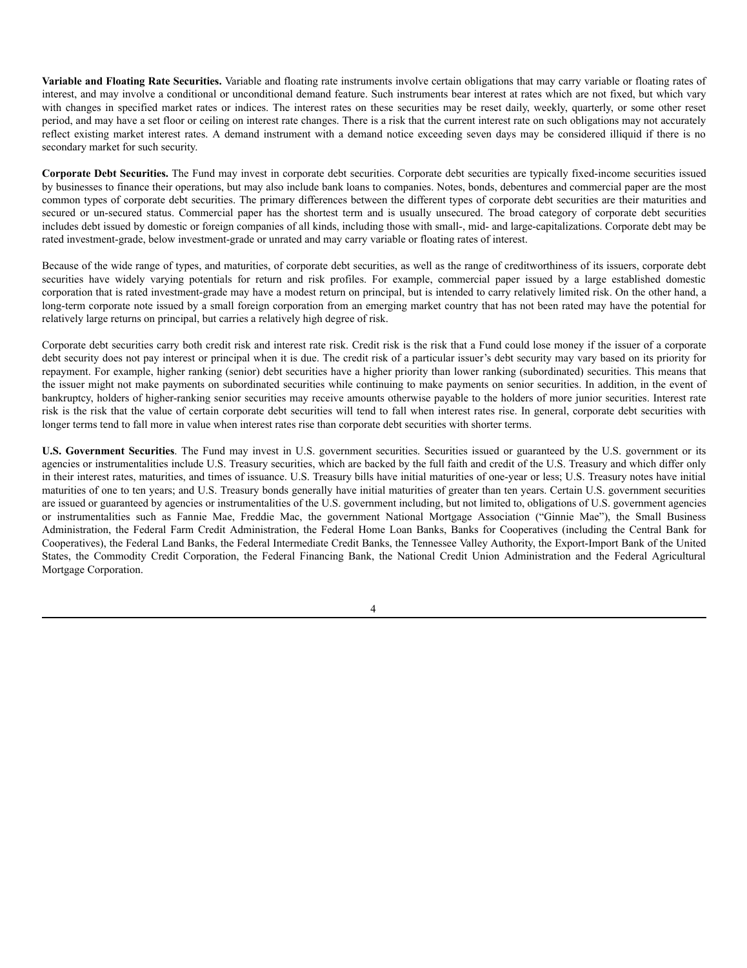**Variable and Floating Rate Securities.** Variable and floating rate instruments involve certain obligations that may carry variable or floating rates of interest, and may involve a conditional or unconditional demand feature. Such instruments bear interest at rates which are not fixed, but which vary with changes in specified market rates or indices. The interest rates on these securities may be reset daily, weekly, quarterly, or some other reset period, and may have a set floor or ceiling on interest rate changes. There is a risk that the current interest rate on such obligations may not accurately reflect existing market interest rates. A demand instrument with a demand notice exceeding seven days may be considered illiquid if there is no secondary market for such security.

**Corporate Debt Securities.** The Fund may invest in corporate debt securities. Corporate debt securities are typically fixed-income securities issued by businesses to finance their operations, but may also include bank loans to companies. Notes, bonds, debentures and commercial paper are the most common types of corporate debt securities. The primary differences between the different types of corporate debt securities are their maturities and secured or un-secured status. Commercial paper has the shortest term and is usually unsecured. The broad category of corporate debt securities includes debt issued by domestic or foreign companies of all kinds, including those with small-, mid- and large-capitalizations. Corporate debt may be rated investment-grade, below investment-grade or unrated and may carry variable or floating rates of interest.

Because of the wide range of types, and maturities, of corporate debt securities, as well as the range of creditworthiness of its issuers, corporate debt securities have widely varying potentials for return and risk profiles. For example, commercial paper issued by a large established domestic corporation that is rated investment-grade may have a modest return on principal, but is intended to carry relatively limited risk. On the other hand, a long-term corporate note issued by a small foreign corporation from an emerging market country that has not been rated may have the potential for relatively large returns on principal, but carries a relatively high degree of risk.

Corporate debt securities carry both credit risk and interest rate risk. Credit risk is the risk that a Fund could lose money if the issuer of a corporate debt security does not pay interest or principal when it is due. The credit risk of a particular issuer's debt security may vary based on its priority for repayment. For example, higher ranking (senior) debt securities have a higher priority than lower ranking (subordinated) securities. This means that the issuer might not make payments on subordinated securities while continuing to make payments on senior securities. In addition, in the event of bankruptcy, holders of higher-ranking senior securities may receive amounts otherwise payable to the holders of more junior securities. Interest rate risk is the risk that the value of certain corporate debt securities will tend to fall when interest rates rise. In general, corporate debt securities with longer terms tend to fall more in value when interest rates rise than corporate debt securities with shorter terms.

**U.S. Government Securities**. The Fund may invest in U.S. government securities. Securities issued or guaranteed by the U.S. government or its agencies or instrumentalities include U.S. Treasury securities, which are backed by the full faith and credit of the U.S. Treasury and which differ only in their interest rates, maturities, and times of issuance. U.S. Treasury bills have initial maturities of one-year or less; U.S. Treasury notes have initial maturities of one to ten years; and U.S. Treasury bonds generally have initial maturities of greater than ten years. Certain U.S. government securities are issued or guaranteed by agencies or instrumentalities of the U.S. government including, but not limited to, obligations of U.S. government agencies or instrumentalities such as Fannie Mae, Freddie Mac, the government National Mortgage Association ("Ginnie Mae"), the Small Business Administration, the Federal Farm Credit Administration, the Federal Home Loan Banks, Banks for Cooperatives (including the Central Bank for Cooperatives), the Federal Land Banks, the Federal Intermediate Credit Banks, the Tennessee Valley Authority, the Export-Import Bank of the United States, the Commodity Credit Corporation, the Federal Financing Bank, the National Credit Union Administration and the Federal Agricultural Mortgage Corporation.

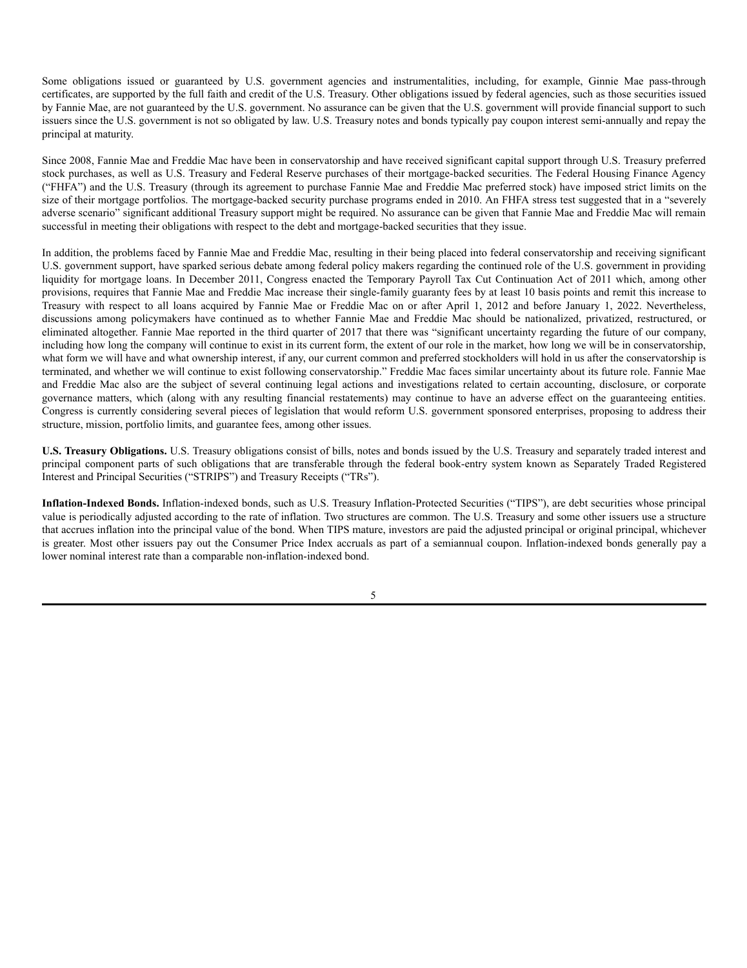Some obligations issued or guaranteed by U.S. government agencies and instrumentalities, including, for example, Ginnie Mae pass-through certificates, are supported by the full faith and credit of the U.S. Treasury. Other obligations issued by federal agencies, such as those securities issued by Fannie Mae, are not guaranteed by the U.S. government. No assurance can be given that the U.S. government will provide financial support to such issuers since the U.S. government is not so obligated by law. U.S. Treasury notes and bonds typically pay coupon interest semi-annually and repay the principal at maturity.

Since 2008, Fannie Mae and Freddie Mac have been in conservatorship and have received significant capital support through U.S. Treasury preferred stock purchases, as well as U.S. Treasury and Federal Reserve purchases of their mortgage-backed securities. The Federal Housing Finance Agency ("FHFA") and the U.S. Treasury (through its agreement to purchase Fannie Mae and Freddie Mac preferred stock) have imposed strict limits on the size of their mortgage portfolios. The mortgage-backed security purchase programs ended in 2010. An FHFA stress test suggested that in a "severely adverse scenario" significant additional Treasury support might be required. No assurance can be given that Fannie Mae and Freddie Mac will remain successful in meeting their obligations with respect to the debt and mortgage-backed securities that they issue.

In addition, the problems faced by Fannie Mae and Freddie Mac, resulting in their being placed into federal conservatorship and receiving significant U.S. government support, have sparked serious debate among federal policy makers regarding the continued role of the U.S. government in providing liquidity for mortgage loans. In December 2011, Congress enacted the Temporary Payroll Tax Cut Continuation Act of 2011 which, among other provisions, requires that Fannie Mae and Freddie Mac increase their single-family guaranty fees by at least 10 basis points and remit this increase to Treasury with respect to all loans acquired by Fannie Mae or Freddie Mac on or after April 1, 2012 and before January 1, 2022. Nevertheless, discussions among policymakers have continued as to whether Fannie Mae and Freddie Mac should be nationalized, privatized, restructured, or eliminated altogether. Fannie Mae reported in the third quarter of 2017 that there was "significant uncertainty regarding the future of our company, including how long the company will continue to exist in its current form, the extent of our role in the market, how long we will be in conservatorship, what form we will have and what ownership interest, if any, our current common and preferred stockholders will hold in us after the conservatorship is terminated, and whether we will continue to exist following conservatorship." Freddie Mac faces similar uncertainty about its future role. Fannie Mae and Freddie Mac also are the subject of several continuing legal actions and investigations related to certain accounting, disclosure, or corporate governance matters, which (along with any resulting financial restatements) may continue to have an adverse effect on the guaranteeing entities. Congress is currently considering several pieces of legislation that would reform U.S. government sponsored enterprises, proposing to address their structure, mission, portfolio limits, and guarantee fees, among other issues.

**U.S. Treasury Obligations.** U.S. Treasury obligations consist of bills, notes and bonds issued by the U.S. Treasury and separately traded interest and principal component parts of such obligations that are transferable through the federal book-entry system known as Separately Traded Registered Interest and Principal Securities ("STRIPS") and Treasury Receipts ("TRs").

**Inflation-Indexed Bonds.** Inflation-indexed bonds, such as U.S. Treasury Inflation-Protected Securities ("TIPS"), are debt securities whose principal value is periodically adjusted according to the rate of inflation. Two structures are common. The U.S. Treasury and some other issuers use a structure that accrues inflation into the principal value of the bond. When TIPS mature, investors are paid the adjusted principal or original principal, whichever is greater. Most other issuers pay out the Consumer Price Index accruals as part of a semiannual coupon. Inflation-indexed bonds generally pay a lower nominal interest rate than a comparable non-inflation-indexed bond.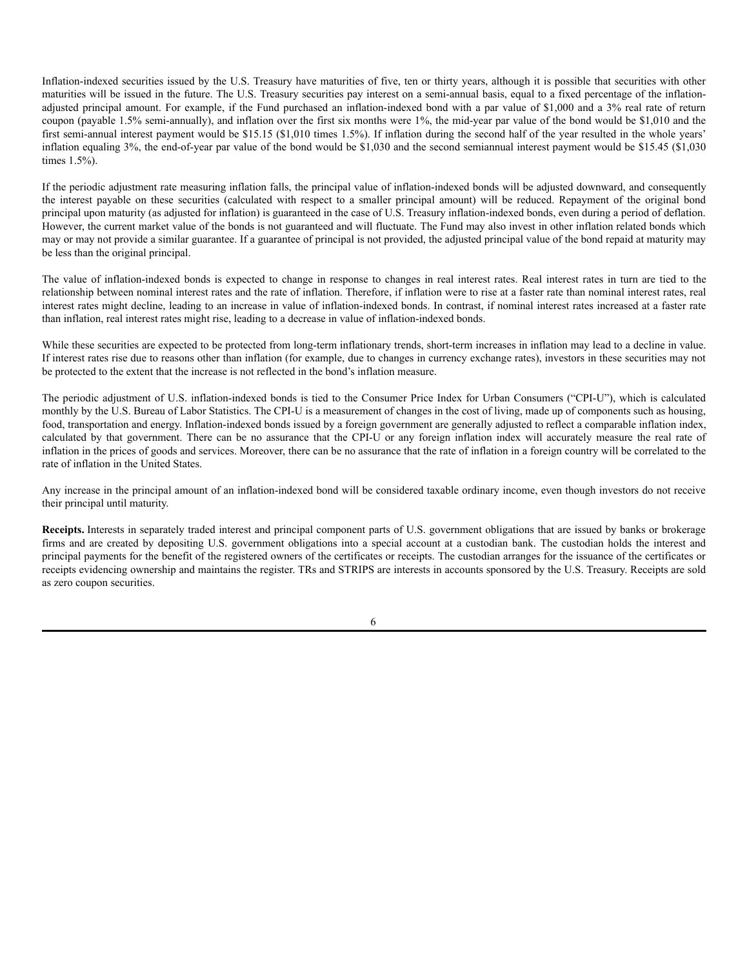Inflation-indexed securities issued by the U.S. Treasury have maturities of five, ten or thirty years, although it is possible that securities with other maturities will be issued in the future. The U.S. Treasury securities pay interest on a semi-annual basis, equal to a fixed percentage of the inflationadjusted principal amount. For example, if the Fund purchased an inflation-indexed bond with a par value of \$1,000 and a 3% real rate of return coupon (payable 1.5% semi-annually), and inflation over the first six months were 1%, the mid-year par value of the bond would be \$1,010 and the first semi-annual interest payment would be \$15.15 (\$1,010 times 1.5%). If inflation during the second half of the year resulted in the whole years' inflation equaling 3%, the end-of-year par value of the bond would be \$1,030 and the second semiannual interest payment would be \$15.45 (\$1,030 times 1.5%).

If the periodic adjustment rate measuring inflation falls, the principal value of inflation-indexed bonds will be adjusted downward, and consequently the interest payable on these securities (calculated with respect to a smaller principal amount) will be reduced. Repayment of the original bond principal upon maturity (as adjusted for inflation) is guaranteed in the case of U.S. Treasury inflation-indexed bonds, even during a period of deflation. However, the current market value of the bonds is not guaranteed and will fluctuate. The Fund may also invest in other inflation related bonds which may or may not provide a similar guarantee. If a guarantee of principal is not provided, the adjusted principal value of the bond repaid at maturity may be less than the original principal.

The value of inflation-indexed bonds is expected to change in response to changes in real interest rates. Real interest rates in turn are tied to the relationship between nominal interest rates and the rate of inflation. Therefore, if inflation were to rise at a faster rate than nominal interest rates, real interest rates might decline, leading to an increase in value of inflation-indexed bonds. In contrast, if nominal interest rates increased at a faster rate than inflation, real interest rates might rise, leading to a decrease in value of inflation-indexed bonds.

While these securities are expected to be protected from long-term inflationary trends, short-term increases in inflation may lead to a decline in value. If interest rates rise due to reasons other than inflation (for example, due to changes in currency exchange rates), investors in these securities may not be protected to the extent that the increase is not reflected in the bond's inflation measure.

The periodic adjustment of U.S. inflation-indexed bonds is tied to the Consumer Price Index for Urban Consumers ("CPI-U"), which is calculated monthly by the U.S. Bureau of Labor Statistics. The CPI-U is a measurement of changes in the cost of living, made up of components such as housing, food, transportation and energy. Inflation-indexed bonds issued by a foreign government are generally adjusted to reflect a comparable inflation index, calculated by that government. There can be no assurance that the CPI-U or any foreign inflation index will accurately measure the real rate of inflation in the prices of goods and services. Moreover, there can be no assurance that the rate of inflation in a foreign country will be correlated to the rate of inflation in the United States.

Any increase in the principal amount of an inflation-indexed bond will be considered taxable ordinary income, even though investors do not receive their principal until maturity.

**Receipts.** Interests in separately traded interest and principal component parts of U.S. government obligations that are issued by banks or brokerage firms and are created by depositing U.S. government obligations into a special account at a custodian bank. The custodian holds the interest and principal payments for the benefit of the registered owners of the certificates or receipts. The custodian arranges for the issuance of the certificates or receipts evidencing ownership and maintains the register. TRs and STRIPS are interests in accounts sponsored by the U.S. Treasury. Receipts are sold as zero coupon securities.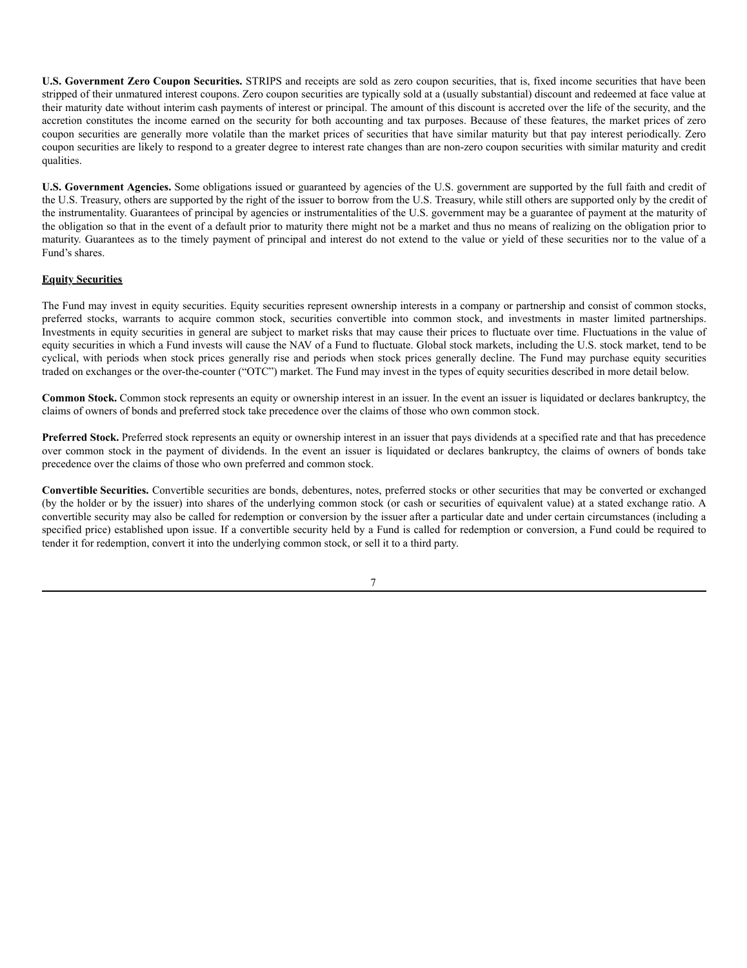**U.S. Government Zero Coupon Securities.** STRIPS and receipts are sold as zero coupon securities, that is, fixed income securities that have been stripped of their unmatured interest coupons. Zero coupon securities are typically sold at a (usually substantial) discount and redeemed at face value at their maturity date without interim cash payments of interest or principal. The amount of this discount is accreted over the life of the security, and the accretion constitutes the income earned on the security for both accounting and tax purposes. Because of these features, the market prices of zero coupon securities are generally more volatile than the market prices of securities that have similar maturity but that pay interest periodically. Zero coupon securities are likely to respond to a greater degree to interest rate changes than are non-zero coupon securities with similar maturity and credit qualities.

**U.S. Government Agencies.** Some obligations issued or guaranteed by agencies of the U.S. government are supported by the full faith and credit of the U.S. Treasury, others are supported by the right of the issuer to borrow from the U.S. Treasury, while still others are supported only by the credit of the instrumentality. Guarantees of principal by agencies or instrumentalities of the U.S. government may be a guarantee of payment at the maturity of the obligation so that in the event of a default prior to maturity there might not be a market and thus no means of realizing on the obligation prior to maturity. Guarantees as to the timely payment of principal and interest do not extend to the value or yield of these securities nor to the value of a Fund's shares.

# **Equity Securities**

The Fund may invest in equity securities. Equity securities represent ownership interests in a company or partnership and consist of common stocks, preferred stocks, warrants to acquire common stock, securities convertible into common stock, and investments in master limited partnerships. Investments in equity securities in general are subject to market risks that may cause their prices to fluctuate over time. Fluctuations in the value of equity securities in which a Fund invests will cause the NAV of a Fund to fluctuate. Global stock markets, including the U.S. stock market, tend to be cyclical, with periods when stock prices generally rise and periods when stock prices generally decline. The Fund may purchase equity securities traded on exchanges or the over-the-counter ("OTC") market. The Fund may invest in the types of equity securities described in more detail below.

**Common Stock.** Common stock represents an equity or ownership interest in an issuer. In the event an issuer is liquidated or declares bankruptcy, the claims of owners of bonds and preferred stock take precedence over the claims of those who own common stock.

**Preferred Stock.** Preferred stock represents an equity or ownership interest in an issuer that pays dividends at a specified rate and that has precedence over common stock in the payment of dividends. In the event an issuer is liquidated or declares bankruptcy, the claims of owners of bonds take precedence over the claims of those who own preferred and common stock.

**Convertible Securities.** Convertible securities are bonds, debentures, notes, preferred stocks or other securities that may be converted or exchanged (by the holder or by the issuer) into shares of the underlying common stock (or cash or securities of equivalent value) at a stated exchange ratio. A convertible security may also be called for redemption or conversion by the issuer after a particular date and under certain circumstances (including a specified price) established upon issue. If a convertible security held by a Fund is called for redemption or conversion, a Fund could be required to tender it for redemption, convert it into the underlying common stock, or sell it to a third party.

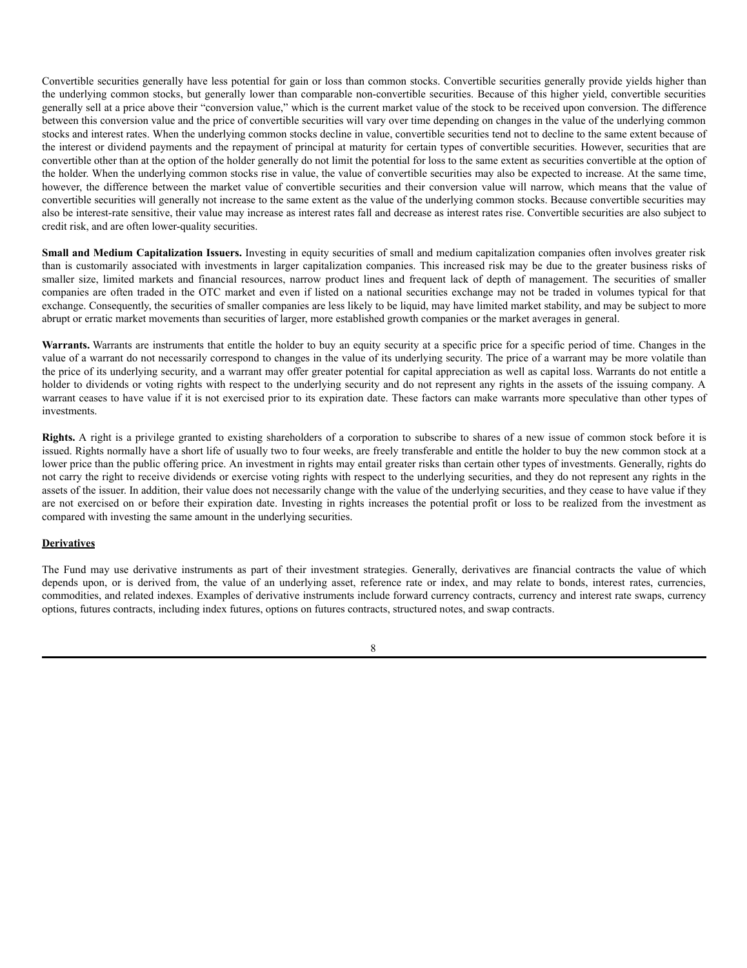Convertible securities generally have less potential for gain or loss than common stocks. Convertible securities generally provide yields higher than the underlying common stocks, but generally lower than comparable non-convertible securities. Because of this higher yield, convertible securities generally sell at a price above their "conversion value," which is the current market value of the stock to be received upon conversion. The difference between this conversion value and the price of convertible securities will vary over time depending on changes in the value of the underlying common stocks and interest rates. When the underlying common stocks decline in value, convertible securities tend not to decline to the same extent because of the interest or dividend payments and the repayment of principal at maturity for certain types of convertible securities. However, securities that are convertible other than at the option of the holder generally do not limit the potential for loss to the same extent as securities convertible at the option of the holder. When the underlying common stocks rise in value, the value of convertible securities may also be expected to increase. At the same time, however, the difference between the market value of convertible securities and their conversion value will narrow, which means that the value of convertible securities will generally not increase to the same extent as the value of the underlying common stocks. Because convertible securities may also be interest-rate sensitive, their value may increase as interest rates fall and decrease as interest rates rise. Convertible securities are also subject to credit risk, and are often lower-quality securities.

**Small and Medium Capitalization Issuers.** Investing in equity securities of small and medium capitalization companies often involves greater risk than is customarily associated with investments in larger capitalization companies. This increased risk may be due to the greater business risks of smaller size, limited markets and financial resources, narrow product lines and frequent lack of depth of management. The securities of smaller companies are often traded in the OTC market and even if listed on a national securities exchange may not be traded in volumes typical for that exchange. Consequently, the securities of smaller companies are less likely to be liquid, may have limited market stability, and may be subject to more abrupt or erratic market movements than securities of larger, more established growth companies or the market averages in general.

**Warrants.** Warrants are instruments that entitle the holder to buy an equity security at a specific price for a specific period of time. Changes in the value of a warrant do not necessarily correspond to changes in the value of its underlying security. The price of a warrant may be more volatile than the price of its underlying security, and a warrant may offer greater potential for capital appreciation as well as capital loss. Warrants do not entitle a holder to dividends or voting rights with respect to the underlying security and do not represent any rights in the assets of the issuing company. A warrant ceases to have value if it is not exercised prior to its expiration date. These factors can make warrants more speculative than other types of investments.

**Rights.** A right is a privilege granted to existing shareholders of a corporation to subscribe to shares of a new issue of common stock before it is issued. Rights normally have a short life of usually two to four weeks, are freely transferable and entitle the holder to buy the new common stock at a lower price than the public offering price. An investment in rights may entail greater risks than certain other types of investments. Generally, rights do not carry the right to receive dividends or exercise voting rights with respect to the underlying securities, and they do not represent any rights in the assets of the issuer. In addition, their value does not necessarily change with the value of the underlying securities, and they cease to have value if they are not exercised on or before their expiration date. Investing in rights increases the potential profit or loss to be realized from the investment as compared with investing the same amount in the underlying securities.

## **Derivatives**

The Fund may use derivative instruments as part of their investment strategies. Generally, derivatives are financial contracts the value of which depends upon, or is derived from, the value of an underlying asset, reference rate or index, and may relate to bonds, interest rates, currencies, commodities, and related indexes. Examples of derivative instruments include forward currency contracts, currency and interest rate swaps, currency options, futures contracts, including index futures, options on futures contracts, structured notes, and swap contracts.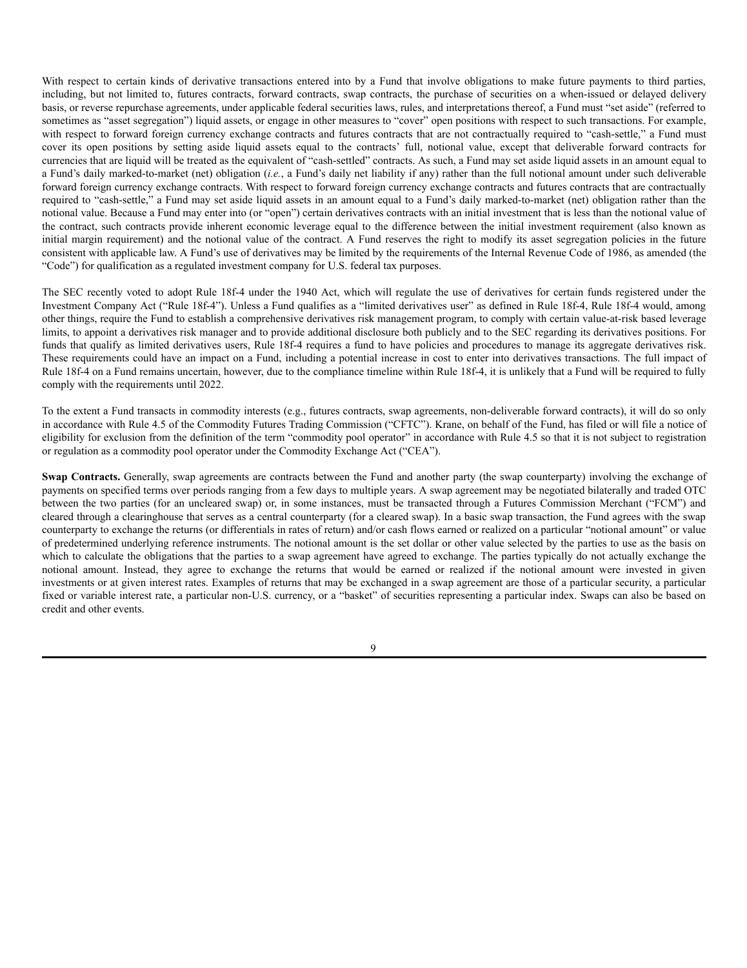With respect to certain kinds of derivative transactions entered into by a Fund that involve obligations to make future payments to third parties, including, but not limited to, futures contracts, forward contracts, swap contracts, the purchase of securities on a when-issued or delayed delivery basis, or reverse repurchase agreements, under applicable federal securities laws, rules, and interpretations thereof, a Fund must "set aside" (referred to sometimes as "asset segregation") liquid assets, or engage in other measures to "cover" open positions with respect to such transactions. For example, with respect to forward foreign currency exchange contracts and futures contracts that are not contractually required to "cash-settle," a Fund must cover its open positions by setting aside liquid assets equal to the contracts' full, notional value, except that deliverable forward contracts for currencies that are liquid will be treated as the equivalent of "cash-settled" contracts. As such, a Fund may set aside liquid assets in an amount equal to a Fund's daily marked-to-market (net) obligation (*i.e.*, a Fund's daily net liability if any) rather than the full notional amount under such deliverable forward foreign currency exchange contracts. With respect to forward foreign currency exchange contracts and futures contracts that are contractually required to "cash-settle," a Fund may set aside liquid assets in an amount equal to a Fund's daily marked-to-market (net) obligation rather than the notional value. Because a Fund may enter into (or "open") certain derivatives contracts with an initial investment that is less than the notional value of the contract, such contracts provide inherent economic leverage equal to the difference between the initial investment requirement (also known as initial margin requirement) and the notional value of the contract. A Fund reserves the right to modify its asset segregation policies in the future consistent with applicable law. A Fund's use of derivatives may be limited by the requirements of the Internal Revenue Code of 1986, as amended (the "Code") for qualification as a regulated investment company for U.S. federal tax purposes.

The SEC recently voted to adopt Rule 18f-4 under the 1940 Act, which will regulate the use of derivatives for certain funds registered under the Investment Company Act ("Rule 18f-4"). Unless a Fund qualifies as a "limited derivatives user" as defined in Rule 18f-4, Rule 18f-4 would, among other things, require the Fund to establish a comprehensive derivatives risk management program, to comply with certain value-at-risk based leverage limits, to appoint a derivatives risk manager and to provide additional disclosure both publicly and to the SEC regarding its derivatives positions. For funds that qualify as limited derivatives users, Rule 18f-4 requires a fund to have policies and procedures to manage its aggregate derivatives risk. These requirements could have an impact on a Fund, including a potential increase in cost to enter into derivatives transactions. The full impact of Rule 18f-4 on a Fund remains uncertain, however, due to the compliance timeline within Rule 18f-4, it is unlikely that a Fund will be required to fully comply with the requirements until 2022.

To the extent a Fund transacts in commodity interests (e.g., futures contracts, swap agreements, non-deliverable forward contracts), it will do so only in accordance with Rule 4.5 of the Commodity Futures Trading Commission ("CFTC"). Krane, on behalf of the Fund, has filed or will file a notice of eligibility for exclusion from the definition of the term "commodity pool operator" in accordance with Rule 4.5 so that it is not subject to registration or regulation as a commodity pool operator under the Commodity Exchange Act ("CEA").

**Swap Contracts.** Generally, swap agreements are contracts between the Fund and another party (the swap counterparty) involving the exchange of payments on specified terms over periods ranging from a few days to multiple years. A swap agreement may be negotiated bilaterally and traded OTC between the two parties (for an uncleared swap) or, in some instances, must be transacted through a Futures Commission Merchant ("FCM") and cleared through a clearinghouse that serves as a central counterparty (for a cleared swap). In a basic swap transaction, the Fund agrees with the swap counterparty to exchange the returns (or differentials in rates of return) and/or cash flows earned or realized on a particular "notional amount" or value of predetermined underlying reference instruments. The notional amount is the set dollar or other value selected by the parties to use as the basis on which to calculate the obligations that the parties to a swap agreement have agreed to exchange. The parties typically do not actually exchange the notional amount. Instead, they agree to exchange the returns that would be earned or realized if the notional amount were invested in given investments or at given interest rates. Examples of returns that may be exchanged in a swap agreement are those of a particular security, a particular fixed or variable interest rate, a particular non-U.S. currency, or a "basket" of securities representing a particular index. Swaps can also be based on credit and other events.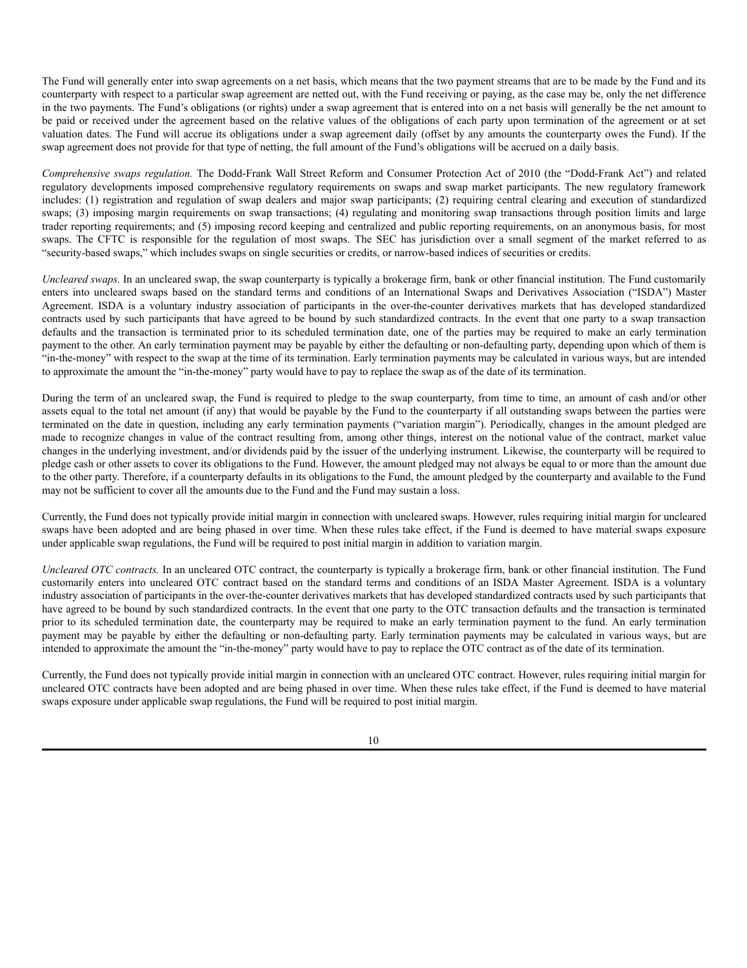The Fund will generally enter into swap agreements on a net basis, which means that the two payment streams that are to be made by the Fund and its counterparty with respect to a particular swap agreement are netted out, with the Fund receiving or paying, as the case may be, only the net difference in the two payments. The Fund's obligations (or rights) under a swap agreement that is entered into on a net basis will generally be the net amount to be paid or received under the agreement based on the relative values of the obligations of each party upon termination of the agreement or at set valuation dates. The Fund will accrue its obligations under a swap agreement daily (offset by any amounts the counterparty owes the Fund). If the swap agreement does not provide for that type of netting, the full amount of the Fund's obligations will be accrued on a daily basis.

*Comprehensive swaps regulation.* The Dodd-Frank Wall Street Reform and Consumer Protection Act of 2010 (the "Dodd-Frank Act") and related regulatory developments imposed comprehensive regulatory requirements on swaps and swap market participants. The new regulatory framework includes: (1) registration and regulation of swap dealers and major swap participants; (2) requiring central clearing and execution of standardized swaps; (3) imposing margin requirements on swap transactions; (4) regulating and monitoring swap transactions through position limits and large trader reporting requirements; and (5) imposing record keeping and centralized and public reporting requirements, on an anonymous basis, for most swaps. The CFTC is responsible for the regulation of most swaps. The SEC has jurisdiction over a small segment of the market referred to as "security-based swaps," which includes swaps on single securities or credits, or narrow-based indices of securities or credits.

*Uncleared swaps.* In an uncleared swap, the swap counterparty is typically a brokerage firm, bank or other financial institution. The Fund customarily enters into uncleared swaps based on the standard terms and conditions of an International Swaps and Derivatives Association ("ISDA") Master Agreement. ISDA is a voluntary industry association of participants in the over-the-counter derivatives markets that has developed standardized contracts used by such participants that have agreed to be bound by such standardized contracts. In the event that one party to a swap transaction defaults and the transaction is terminated prior to its scheduled termination date, one of the parties may be required to make an early termination payment to the other. An early termination payment may be payable by either the defaulting or non-defaulting party, depending upon which of them is "in-the-money" with respect to the swap at the time of its termination. Early termination payments may be calculated in various ways, but are intended to approximate the amount the "in-the-money" party would have to pay to replace the swap as of the date of its termination.

During the term of an uncleared swap, the Fund is required to pledge to the swap counterparty, from time to time, an amount of cash and/or other assets equal to the total net amount (if any) that would be payable by the Fund to the counterparty if all outstanding swaps between the parties were terminated on the date in question, including any early termination payments ("variation margin"). Periodically, changes in the amount pledged are made to recognize changes in value of the contract resulting from, among other things, interest on the notional value of the contract, market value changes in the underlying investment, and/or dividends paid by the issuer of the underlying instrument. Likewise, the counterparty will be required to pledge cash or other assets to cover its obligations to the Fund. However, the amount pledged may not always be equal to or more than the amount due to the other party. Therefore, if a counterparty defaults in its obligations to the Fund, the amount pledged by the counterparty and available to the Fund may not be sufficient to cover all the amounts due to the Fund and the Fund may sustain a loss.

Currently, the Fund does not typically provide initial margin in connection with uncleared swaps. However, rules requiring initial margin for uncleared swaps have been adopted and are being phased in over time. When these rules take effect, if the Fund is deemed to have material swaps exposure under applicable swap regulations, the Fund will be required to post initial margin in addition to variation margin.

*Uncleared OTC contracts.* In an uncleared OTC contract, the counterparty is typically a brokerage firm, bank or other financial institution. The Fund customarily enters into uncleared OTC contract based on the standard terms and conditions of an ISDA Master Agreement. ISDA is a voluntary industry association of participants in the over-the-counter derivatives markets that has developed standardized contracts used by such participants that have agreed to be bound by such standardized contracts. In the event that one party to the OTC transaction defaults and the transaction is terminated prior to its scheduled termination date, the counterparty may be required to make an early termination payment to the fund. An early termination payment may be payable by either the defaulting or non-defaulting party. Early termination payments may be calculated in various ways, but are intended to approximate the amount the "in-the-money" party would have to pay to replace the OTC contract as of the date of its termination.

Currently, the Fund does not typically provide initial margin in connection with an uncleared OTC contract. However, rules requiring initial margin for uncleared OTC contracts have been adopted and are being phased in over time. When these rules take effect, if the Fund is deemed to have material swaps exposure under applicable swap regulations, the Fund will be required to post initial margin.

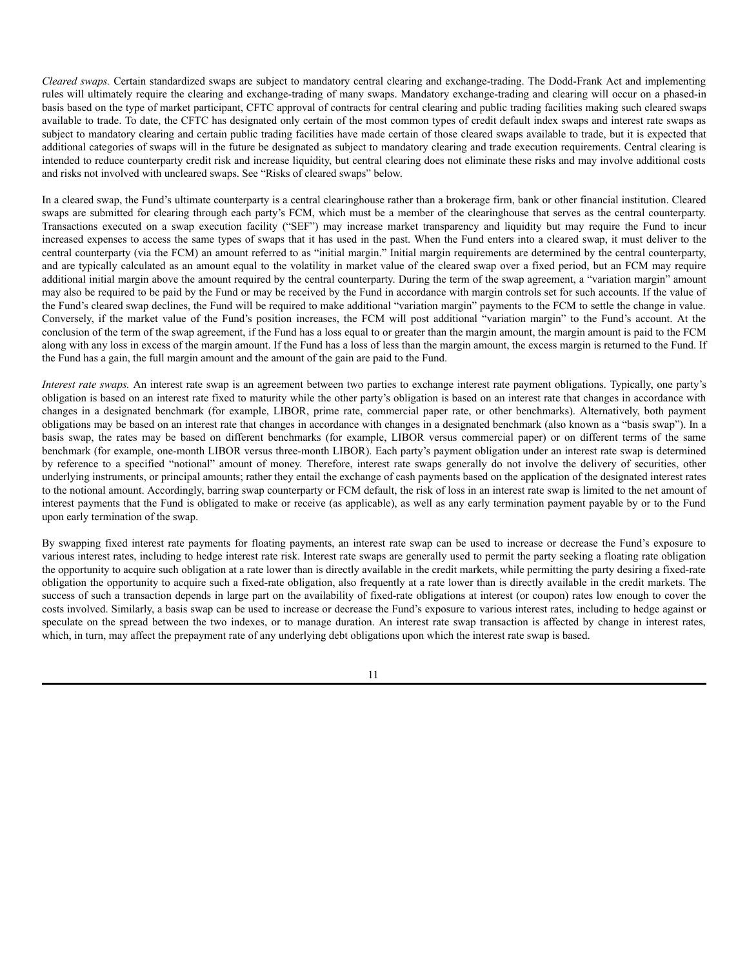*Cleared swaps.* Certain standardized swaps are subject to mandatory central clearing and exchange-trading. The Dodd-Frank Act and implementing rules will ultimately require the clearing and exchange-trading of many swaps. Mandatory exchange-trading and clearing will occur on a phased-in basis based on the type of market participant, CFTC approval of contracts for central clearing and public trading facilities making such cleared swaps available to trade. To date, the CFTC has designated only certain of the most common types of credit default index swaps and interest rate swaps as subject to mandatory clearing and certain public trading facilities have made certain of those cleared swaps available to trade, but it is expected that additional categories of swaps will in the future be designated as subject to mandatory clearing and trade execution requirements. Central clearing is intended to reduce counterparty credit risk and increase liquidity, but central clearing does not eliminate these risks and may involve additional costs and risks not involved with uncleared swaps. See "Risks of cleared swaps" below.

In a cleared swap, the Fund's ultimate counterparty is a central clearinghouse rather than a brokerage firm, bank or other financial institution. Cleared swaps are submitted for clearing through each party's FCM, which must be a member of the clearinghouse that serves as the central counterparty. Transactions executed on a swap execution facility ("SEF") may increase market transparency and liquidity but may require the Fund to incur increased expenses to access the same types of swaps that it has used in the past. When the Fund enters into a cleared swap, it must deliver to the central counterparty (via the FCM) an amount referred to as "initial margin." Initial margin requirements are determined by the central counterparty, and are typically calculated as an amount equal to the volatility in market value of the cleared swap over a fixed period, but an FCM may require additional initial margin above the amount required by the central counterparty. During the term of the swap agreement, a "variation margin" amount may also be required to be paid by the Fund or may be received by the Fund in accordance with margin controls set for such accounts. If the value of the Fund's cleared swap declines, the Fund will be required to make additional "variation margin" payments to the FCM to settle the change in value. Conversely, if the market value of the Fund's position increases, the FCM will post additional "variation margin" to the Fund's account. At the conclusion of the term of the swap agreement, if the Fund has a loss equal to or greater than the margin amount, the margin amount is paid to the FCM along with any loss in excess of the margin amount. If the Fund has a loss of less than the margin amount, the excess margin is returned to the Fund. If the Fund has a gain, the full margin amount and the amount of the gain are paid to the Fund.

*Interest rate swaps*. An interest rate swap is an agreement between two parties to exchange interest rate payment obligations. Typically, one party's obligation is based on an interest rate fixed to maturity while the other party's obligation is based on an interest rate that changes in accordance with changes in a designated benchmark (for example, LIBOR, prime rate, commercial paper rate, or other benchmarks). Alternatively, both payment obligations may be based on an interest rate that changes in accordance with changes in a designated benchmark (also known as a "basis swap"). In a basis swap, the rates may be based on different benchmarks (for example, LIBOR versus commercial paper) or on different terms of the same benchmark (for example, one-month LIBOR versus three-month LIBOR). Each party's payment obligation under an interest rate swap is determined by reference to a specified "notional" amount of money. Therefore, interest rate swaps generally do not involve the delivery of securities, other underlying instruments, or principal amounts; rather they entail the exchange of cash payments based on the application of the designated interest rates to the notional amount. Accordingly, barring swap counterparty or FCM default, the risk of loss in an interest rate swap is limited to the net amount of interest payments that the Fund is obligated to make or receive (as applicable), as well as any early termination payment payable by or to the Fund upon early termination of the swap.

By swapping fixed interest rate payments for floating payments, an interest rate swap can be used to increase or decrease the Fund's exposure to various interest rates, including to hedge interest rate risk. Interest rate swaps are generally used to permit the party seeking a floating rate obligation the opportunity to acquire such obligation at a rate lower than is directly available in the credit markets, while permitting the party desiring a fixed-rate obligation the opportunity to acquire such a fixed-rate obligation, also frequently at a rate lower than is directly available in the credit markets. The success of such a transaction depends in large part on the availability of fixed-rate obligations at interest (or coupon) rates low enough to cover the costs involved. Similarly, a basis swap can be used to increase or decrease the Fund's exposure to various interest rates, including to hedge against or speculate on the spread between the two indexes, or to manage duration. An interest rate swap transaction is affected by change in interest rates, which, in turn, may affect the prepayment rate of any underlying debt obligations upon which the interest rate swap is based.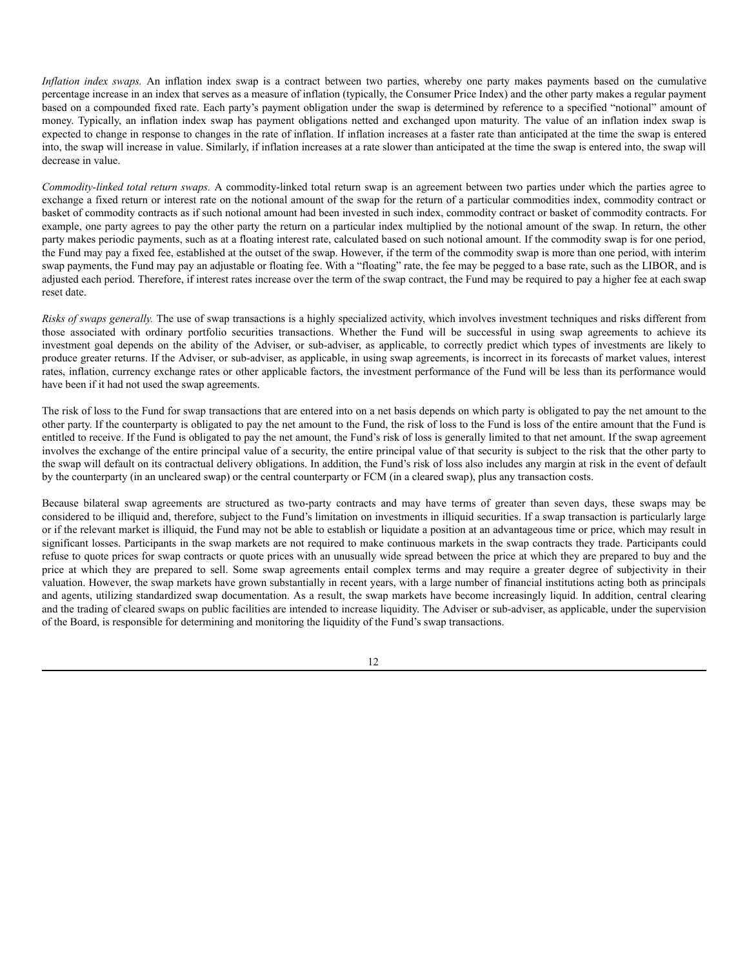*Inflation index swaps.* An inflation index swap is a contract between two parties, whereby one party makes payments based on the cumulative percentage increase in an index that serves as a measure of inflation (typically, the Consumer Price Index) and the other party makes a regular payment based on a compounded fixed rate. Each party's payment obligation under the swap is determined by reference to a specified "notional" amount of money. Typically, an inflation index swap has payment obligations netted and exchanged upon maturity. The value of an inflation index swap is expected to change in response to changes in the rate of inflation. If inflation increases at a faster rate than anticipated at the time the swap is entered into, the swap will increase in value. Similarly, if inflation increases at a rate slower than anticipated at the time the swap is entered into, the swap will decrease in value.

*Commodity-linked total return swaps.* A commodity-linked total return swap is an agreement between two parties under which the parties agree to exchange a fixed return or interest rate on the notional amount of the swap for the return of a particular commodities index, commodity contract or basket of commodity contracts as if such notional amount had been invested in such index, commodity contract or basket of commodity contracts. For example, one party agrees to pay the other party the return on a particular index multiplied by the notional amount of the swap. In return, the other party makes periodic payments, such as at a floating interest rate, calculated based on such notional amount. If the commodity swap is for one period, the Fund may pay a fixed fee, established at the outset of the swap. However, if the term of the commodity swap is more than one period, with interim swap payments, the Fund may pay an adjustable or floating fee. With a "floating" rate, the fee may be pegged to a base rate, such as the LIBOR, and is adjusted each period. Therefore, if interest rates increase over the term of the swap contract, the Fund may be required to pay a higher fee at each swap reset date.

*Risks of swaps generally.* The use of swap transactions is a highly specialized activity, which involves investment techniques and risks different from those associated with ordinary portfolio securities transactions. Whether the Fund will be successful in using swap agreements to achieve its investment goal depends on the ability of the Adviser, or sub-adviser, as applicable, to correctly predict which types of investments are likely to produce greater returns. If the Adviser, or sub-adviser, as applicable, in using swap agreements, is incorrect in its forecasts of market values, interest rates, inflation, currency exchange rates or other applicable factors, the investment performance of the Fund will be less than its performance would have been if it had not used the swap agreements.

The risk of loss to the Fund for swap transactions that are entered into on a net basis depends on which party is obligated to pay the net amount to the other party. If the counterparty is obligated to pay the net amount to the Fund, the risk of loss to the Fund is loss of the entire amount that the Fund is entitled to receive. If the Fund is obligated to pay the net amount, the Fund's risk of loss is generally limited to that net amount. If the swap agreement involves the exchange of the entire principal value of a security, the entire principal value of that security is subject to the risk that the other party to the swap will default on its contractual delivery obligations. In addition, the Fund's risk of loss also includes any margin at risk in the event of default by the counterparty (in an uncleared swap) or the central counterparty or FCM (in a cleared swap), plus any transaction costs.

Because bilateral swap agreements are structured as two-party contracts and may have terms of greater than seven days, these swaps may be considered to be illiquid and, therefore, subject to the Fund's limitation on investments in illiquid securities. If a swap transaction is particularly large or if the relevant market is illiquid, the Fund may not be able to establish or liquidate a position at an advantageous time or price, which may result in significant losses. Participants in the swap markets are not required to make continuous markets in the swap contracts they trade. Participants could refuse to quote prices for swap contracts or quote prices with an unusually wide spread between the price at which they are prepared to buy and the price at which they are prepared to sell. Some swap agreements entail complex terms and may require a greater degree of subjectivity in their valuation. However, the swap markets have grown substantially in recent years, with a large number of financial institutions acting both as principals and agents, utilizing standardized swap documentation. As a result, the swap markets have become increasingly liquid. In addition, central clearing and the trading of cleared swaps on public facilities are intended to increase liquidity. The Adviser or sub-adviser, as applicable, under the supervision of the Board, is responsible for determining and monitoring the liquidity of the Fund's swap transactions.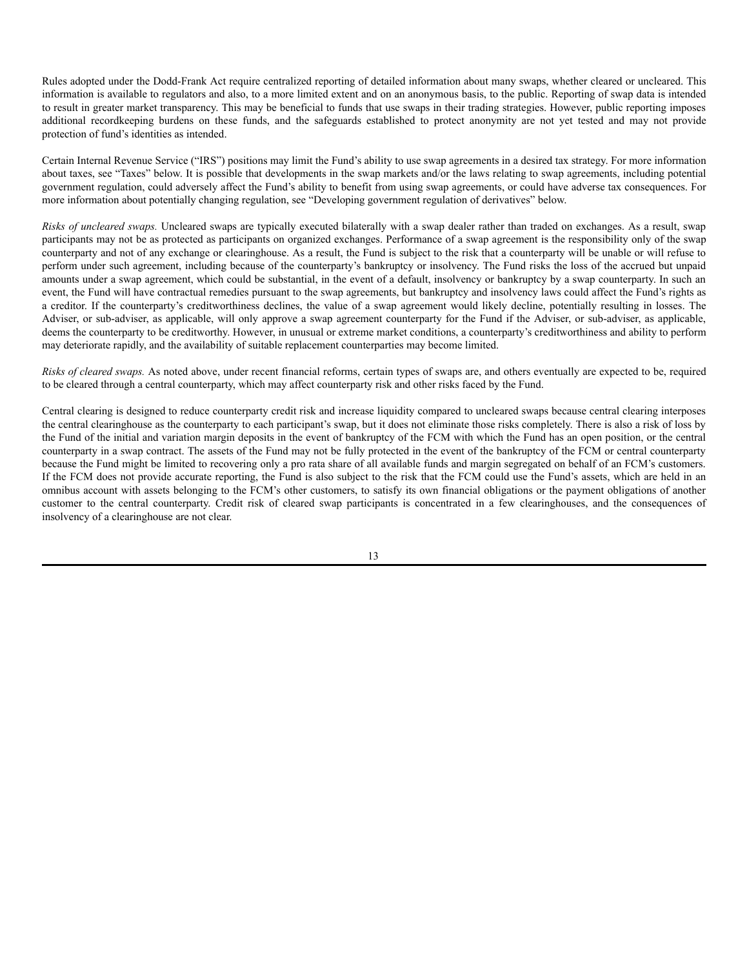Rules adopted under the Dodd-Frank Act require centralized reporting of detailed information about many swaps, whether cleared or uncleared. This information is available to regulators and also, to a more limited extent and on an anonymous basis, to the public. Reporting of swap data is intended to result in greater market transparency. This may be beneficial to funds that use swaps in their trading strategies. However, public reporting imposes additional recordkeeping burdens on these funds, and the safeguards established to protect anonymity are not yet tested and may not provide protection of fund's identities as intended.

Certain Internal Revenue Service ("IRS") positions may limit the Fund's ability to use swap agreements in a desired tax strategy. For more information about taxes, see "Taxes" below. It is possible that developments in the swap markets and/or the laws relating to swap agreements, including potential government regulation, could adversely affect the Fund's ability to benefit from using swap agreements, or could have adverse tax consequences. For more information about potentially changing regulation, see "Developing government regulation of derivatives" below.

*Risks of uncleared swaps.* Uncleared swaps are typically executed bilaterally with a swap dealer rather than traded on exchanges. As a result, swap participants may not be as protected as participants on organized exchanges. Performance of a swap agreement is the responsibility only of the swap counterparty and not of any exchange or clearinghouse. As a result, the Fund is subject to the risk that a counterparty will be unable or will refuse to perform under such agreement, including because of the counterparty's bankruptcy or insolvency. The Fund risks the loss of the accrued but unpaid amounts under a swap agreement, which could be substantial, in the event of a default, insolvency or bankruptcy by a swap counterparty. In such an event, the Fund will have contractual remedies pursuant to the swap agreements, but bankruptcy and insolvency laws could affect the Fund's rights as a creditor. If the counterparty's creditworthiness declines, the value of a swap agreement would likely decline, potentially resulting in losses. The Adviser, or sub-adviser, as applicable, will only approve a swap agreement counterparty for the Fund if the Adviser, or sub-adviser, as applicable, deems the counterparty to be creditworthy. However, in unusual or extreme market conditions, a counterparty's creditworthiness and ability to perform may deteriorate rapidly, and the availability of suitable replacement counterparties may become limited.

*Risks of cleared swaps.* As noted above, under recent financial reforms, certain types of swaps are, and others eventually are expected to be, required to be cleared through a central counterparty, which may affect counterparty risk and other risks faced by the Fund.

Central clearing is designed to reduce counterparty credit risk and increase liquidity compared to uncleared swaps because central clearing interposes the central clearinghouse as the counterparty to each participant's swap, but it does not eliminate those risks completely. There is also a risk of loss by the Fund of the initial and variation margin deposits in the event of bankruptcy of the FCM with which the Fund has an open position, or the central counterparty in a swap contract. The assets of the Fund may not be fully protected in the event of the bankruptcy of the FCM or central counterparty because the Fund might be limited to recovering only a pro rata share of all available funds and margin segregated on behalf of an FCM's customers. If the FCM does not provide accurate reporting, the Fund is also subject to the risk that the FCM could use the Fund's assets, which are held in an omnibus account with assets belonging to the FCM's other customers, to satisfy its own financial obligations or the payment obligations of another customer to the central counterparty. Credit risk of cleared swap participants is concentrated in a few clearinghouses, and the consequences of insolvency of a clearinghouse are not clear.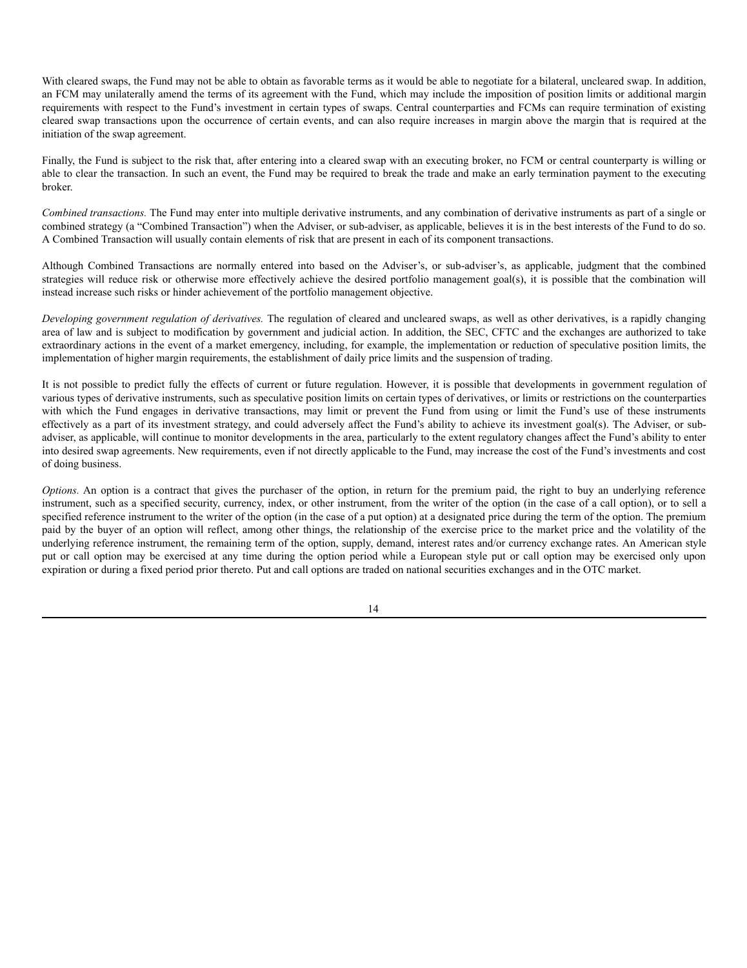With cleared swaps, the Fund may not be able to obtain as favorable terms as it would be able to negotiate for a bilateral, uncleared swap. In addition, an FCM may unilaterally amend the terms of its agreement with the Fund, which may include the imposition of position limits or additional margin requirements with respect to the Fund's investment in certain types of swaps. Central counterparties and FCMs can require termination of existing cleared swap transactions upon the occurrence of certain events, and can also require increases in margin above the margin that is required at the initiation of the swap agreement.

Finally, the Fund is subject to the risk that, after entering into a cleared swap with an executing broker, no FCM or central counterparty is willing or able to clear the transaction. In such an event, the Fund may be required to break the trade and make an early termination payment to the executing broker.

*Combined transactions.* The Fund may enter into multiple derivative instruments, and any combination of derivative instruments as part of a single or combined strategy (a "Combined Transaction") when the Adviser, or sub-adviser, as applicable, believes it is in the best interests of the Fund to do so. A Combined Transaction will usually contain elements of risk that are present in each of its component transactions.

Although Combined Transactions are normally entered into based on the Adviser's, or sub-adviser's, as applicable, judgment that the combined strategies will reduce risk or otherwise more effectively achieve the desired portfolio management goal(s), it is possible that the combination will instead increase such risks or hinder achievement of the portfolio management objective.

*Developing government regulation of derivatives.* The regulation of cleared and uncleared swaps, as well as other derivatives, is a rapidly changing area of law and is subject to modification by government and judicial action. In addition, the SEC, CFTC and the exchanges are authorized to take extraordinary actions in the event of a market emergency, including, for example, the implementation or reduction of speculative position limits, the implementation of higher margin requirements, the establishment of daily price limits and the suspension of trading.

It is not possible to predict fully the effects of current or future regulation. However, it is possible that developments in government regulation of various types of derivative instruments, such as speculative position limits on certain types of derivatives, or limits or restrictions on the counterparties with which the Fund engages in derivative transactions, may limit or prevent the Fund from using or limit the Fund's use of these instruments effectively as a part of its investment strategy, and could adversely affect the Fund's ability to achieve its investment goal(s). The Adviser, or subadviser, as applicable, will continue to monitor developments in the area, particularly to the extent regulatory changes affect the Fund's ability to enter into desired swap agreements. New requirements, even if not directly applicable to the Fund, may increase the cost of the Fund's investments and cost of doing business.

*Options.* An option is a contract that gives the purchaser of the option, in return for the premium paid, the right to buy an underlying reference instrument, such as a specified security, currency, index, or other instrument, from the writer of the option (in the case of a call option), or to sell a specified reference instrument to the writer of the option (in the case of a put option) at a designated price during the term of the option. The premium paid by the buyer of an option will reflect, among other things, the relationship of the exercise price to the market price and the volatility of the underlying reference instrument, the remaining term of the option, supply, demand, interest rates and/or currency exchange rates. An American style put or call option may be exercised at any time during the option period while a European style put or call option may be exercised only upon expiration or during a fixed period prior thereto. Put and call options are traded on national securities exchanges and in the OTC market.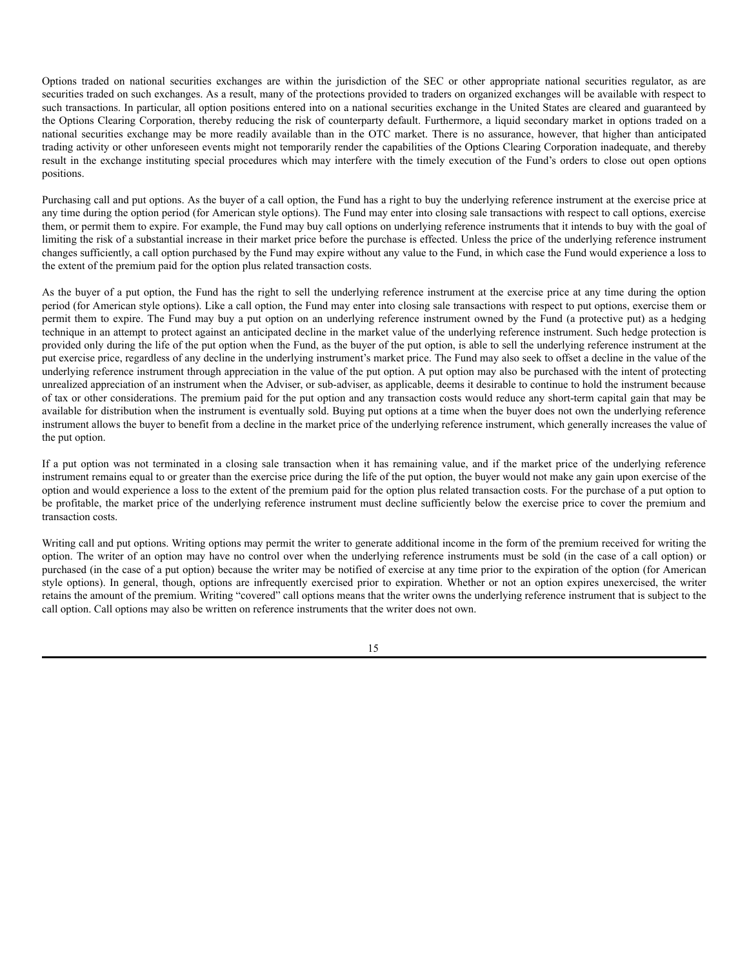Options traded on national securities exchanges are within the jurisdiction of the SEC or other appropriate national securities regulator, as are securities traded on such exchanges. As a result, many of the protections provided to traders on organized exchanges will be available with respect to such transactions. In particular, all option positions entered into on a national securities exchange in the United States are cleared and guaranteed by the Options Clearing Corporation, thereby reducing the risk of counterparty default. Furthermore, a liquid secondary market in options traded on a national securities exchange may be more readily available than in the OTC market. There is no assurance, however, that higher than anticipated trading activity or other unforeseen events might not temporarily render the capabilities of the Options Clearing Corporation inadequate, and thereby result in the exchange instituting special procedures which may interfere with the timely execution of the Fund's orders to close out open options positions.

Purchasing call and put options. As the buyer of a call option, the Fund has a right to buy the underlying reference instrument at the exercise price at any time during the option period (for American style options). The Fund may enter into closing sale transactions with respect to call options, exercise them, or permit them to expire. For example, the Fund may buy call options on underlying reference instruments that it intends to buy with the goal of limiting the risk of a substantial increase in their market price before the purchase is effected. Unless the price of the underlying reference instrument changes sufficiently, a call option purchased by the Fund may expire without any value to the Fund, in which case the Fund would experience a loss to the extent of the premium paid for the option plus related transaction costs.

As the buyer of a put option, the Fund has the right to sell the underlying reference instrument at the exercise price at any time during the option period (for American style options). Like a call option, the Fund may enter into closing sale transactions with respect to put options, exercise them or permit them to expire. The Fund may buy a put option on an underlying reference instrument owned by the Fund (a protective put) as a hedging technique in an attempt to protect against an anticipated decline in the market value of the underlying reference instrument. Such hedge protection is provided only during the life of the put option when the Fund, as the buyer of the put option, is able to sell the underlying reference instrument at the put exercise price, regardless of any decline in the underlying instrument's market price. The Fund may also seek to offset a decline in the value of the underlying reference instrument through appreciation in the value of the put option. A put option may also be purchased with the intent of protecting unrealized appreciation of an instrument when the Adviser, or sub-adviser, as applicable, deems it desirable to continue to hold the instrument because of tax or other considerations. The premium paid for the put option and any transaction costs would reduce any short-term capital gain that may be available for distribution when the instrument is eventually sold. Buying put options at a time when the buyer does not own the underlying reference instrument allows the buyer to benefit from a decline in the market price of the underlying reference instrument, which generally increases the value of the put option.

If a put option was not terminated in a closing sale transaction when it has remaining value, and if the market price of the underlying reference instrument remains equal to or greater than the exercise price during the life of the put option, the buyer would not make any gain upon exercise of the option and would experience a loss to the extent of the premium paid for the option plus related transaction costs. For the purchase of a put option to be profitable, the market price of the underlying reference instrument must decline sufficiently below the exercise price to cover the premium and transaction costs.

Writing call and put options. Writing options may permit the writer to generate additional income in the form of the premium received for writing the option. The writer of an option may have no control over when the underlying reference instruments must be sold (in the case of a call option) or purchased (in the case of a put option) because the writer may be notified of exercise at any time prior to the expiration of the option (for American style options). In general, though, options are infrequently exercised prior to expiration. Whether or not an option expires unexercised, the writer retains the amount of the premium. Writing "covered" call options means that the writer owns the underlying reference instrument that is subject to the call option. Call options may also be written on reference instruments that the writer does not own.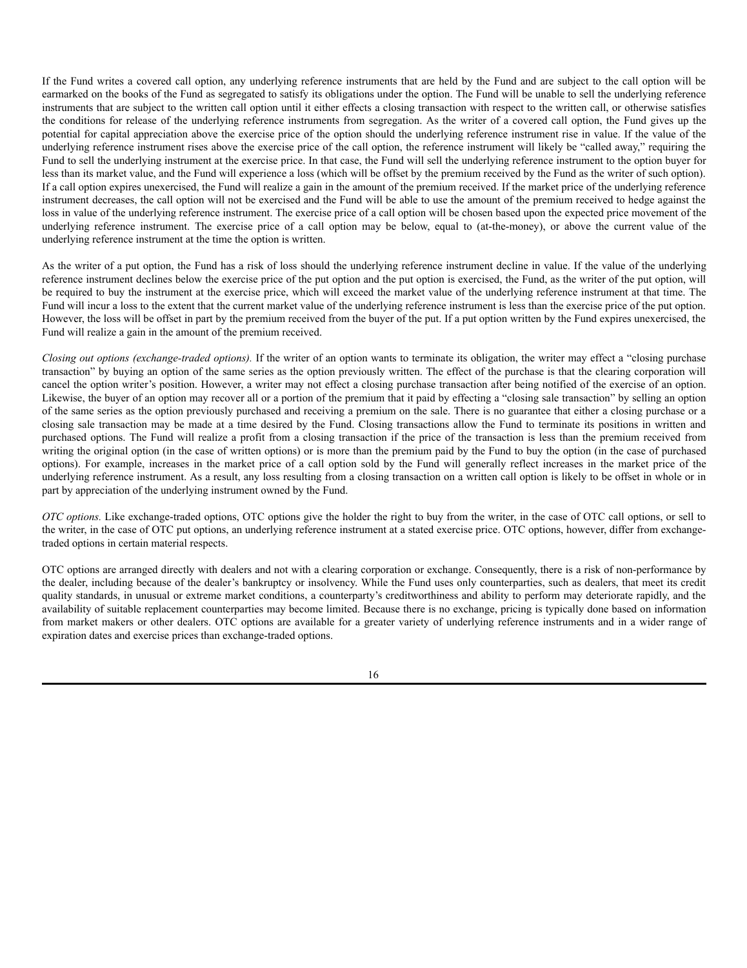If the Fund writes a covered call option, any underlying reference instruments that are held by the Fund and are subject to the call option will be earmarked on the books of the Fund as segregated to satisfy its obligations under the option. The Fund will be unable to sell the underlying reference instruments that are subject to the written call option until it either effects a closing transaction with respect to the written call, or otherwise satisfies the conditions for release of the underlying reference instruments from segregation. As the writer of a covered call option, the Fund gives up the potential for capital appreciation above the exercise price of the option should the underlying reference instrument rise in value. If the value of the underlying reference instrument rises above the exercise price of the call option, the reference instrument will likely be "called away," requiring the Fund to sell the underlying instrument at the exercise price. In that case, the Fund will sell the underlying reference instrument to the option buyer for less than its market value, and the Fund will experience a loss (which will be offset by the premium received by the Fund as the writer of such option). If a call option expires unexercised, the Fund will realize a gain in the amount of the premium received. If the market price of the underlying reference instrument decreases, the call option will not be exercised and the Fund will be able to use the amount of the premium received to hedge against the loss in value of the underlying reference instrument. The exercise price of a call option will be chosen based upon the expected price movement of the underlying reference instrument. The exercise price of a call option may be below, equal to (at-the-money), or above the current value of the underlying reference instrument at the time the option is written.

As the writer of a put option, the Fund has a risk of loss should the underlying reference instrument decline in value. If the value of the underlying reference instrument declines below the exercise price of the put option and the put option is exercised, the Fund, as the writer of the put option, will be required to buy the instrument at the exercise price, which will exceed the market value of the underlying reference instrument at that time. The Fund will incur a loss to the extent that the current market value of the underlying reference instrument is less than the exercise price of the put option. However, the loss will be offset in part by the premium received from the buyer of the put. If a put option written by the Fund expires unexercised, the Fund will realize a gain in the amount of the premium received.

*Closing out options (exchange-traded options).* If the writer of an option wants to terminate its obligation, the writer may effect a "closing purchase transaction" by buying an option of the same series as the option previously written. The effect of the purchase is that the clearing corporation will cancel the option writer's position. However, a writer may not effect a closing purchase transaction after being notified of the exercise of an option. Likewise, the buyer of an option may recover all or a portion of the premium that it paid by effecting a "closing sale transaction" by selling an option of the same series as the option previously purchased and receiving a premium on the sale. There is no guarantee that either a closing purchase or a closing sale transaction may be made at a time desired by the Fund. Closing transactions allow the Fund to terminate its positions in written and purchased options. The Fund will realize a profit from a closing transaction if the price of the transaction is less than the premium received from writing the original option (in the case of written options) or is more than the premium paid by the Fund to buy the option (in the case of purchased options). For example, increases in the market price of a call option sold by the Fund will generally reflect increases in the market price of the underlying reference instrument. As a result, any loss resulting from a closing transaction on a written call option is likely to be offset in whole or in part by appreciation of the underlying instrument owned by the Fund.

*OTC options.* Like exchange-traded options, OTC options give the holder the right to buy from the writer, in the case of OTC call options, or sell to the writer, in the case of OTC put options, an underlying reference instrument at a stated exercise price. OTC options, however, differ from exchangetraded options in certain material respects.

OTC options are arranged directly with dealers and not with a clearing corporation or exchange. Consequently, there is a risk of non-performance by the dealer, including because of the dealer's bankruptcy or insolvency. While the Fund uses only counterparties, such as dealers, that meet its credit quality standards, in unusual or extreme market conditions, a counterparty's creditworthiness and ability to perform may deteriorate rapidly, and the availability of suitable replacement counterparties may become limited. Because there is no exchange, pricing is typically done based on information from market makers or other dealers. OTC options are available for a greater variety of underlying reference instruments and in a wider range of expiration dates and exercise prices than exchange-traded options.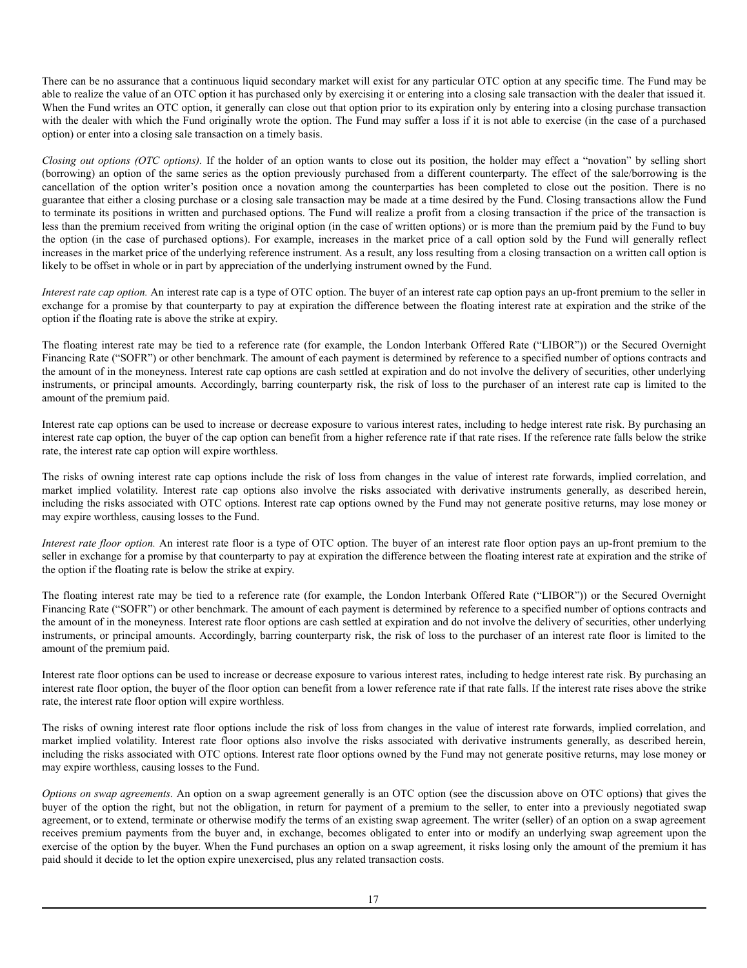There can be no assurance that a continuous liquid secondary market will exist for any particular OTC option at any specific time. The Fund may be able to realize the value of an OTC option it has purchased only by exercising it or entering into a closing sale transaction with the dealer that issued it. When the Fund writes an OTC option, it generally can close out that option prior to its expiration only by entering into a closing purchase transaction with the dealer with which the Fund originally wrote the option. The Fund may suffer a loss if it is not able to exercise (in the case of a purchased option) or enter into a closing sale transaction on a timely basis.

*Closing out options (OTC options).* If the holder of an option wants to close out its position, the holder may effect a "novation" by selling short (borrowing) an option of the same series as the option previously purchased from a different counterparty. The effect of the sale/borrowing is the cancellation of the option writer's position once a novation among the counterparties has been completed to close out the position. There is no guarantee that either a closing purchase or a closing sale transaction may be made at a time desired by the Fund. Closing transactions allow the Fund to terminate its positions in written and purchased options. The Fund will realize a profit from a closing transaction if the price of the transaction is less than the premium received from writing the original option (in the case of written options) or is more than the premium paid by the Fund to buy the option (in the case of purchased options). For example, increases in the market price of a call option sold by the Fund will generally reflect increases in the market price of the underlying reference instrument. As a result, any loss resulting from a closing transaction on a written call option is likely to be offset in whole or in part by appreciation of the underlying instrument owned by the Fund.

*Interest rate cap option.* An interest rate cap is a type of OTC option. The buyer of an interest rate cap option pays an up-front premium to the seller in exchange for a promise by that counterparty to pay at expiration the difference between the floating interest rate at expiration and the strike of the option if the floating rate is above the strike at expiry.

The floating interest rate may be tied to a reference rate (for example, the London Interbank Offered Rate ("LIBOR")) or the Secured Overnight Financing Rate ("SOFR") or other benchmark. The amount of each payment is determined by reference to a specified number of options contracts and the amount of in the moneyness. Interest rate cap options are cash settled at expiration and do not involve the delivery of securities, other underlying instruments, or principal amounts. Accordingly, barring counterparty risk, the risk of loss to the purchaser of an interest rate cap is limited to the amount of the premium paid.

Interest rate cap options can be used to increase or decrease exposure to various interest rates, including to hedge interest rate risk. By purchasing an interest rate cap option, the buyer of the cap option can benefit from a higher reference rate if that rate rises. If the reference rate falls below the strike rate, the interest rate cap option will expire worthless.

The risks of owning interest rate cap options include the risk of loss from changes in the value of interest rate forwards, implied correlation, and market implied volatility. Interest rate cap options also involve the risks associated with derivative instruments generally, as described herein, including the risks associated with OTC options. Interest rate cap options owned by the Fund may not generate positive returns, may lose money or may expire worthless, causing losses to the Fund.

*Interest rate floor option.* An interest rate floor is a type of OTC option. The buyer of an interest rate floor option pays an up-front premium to the seller in exchange for a promise by that counterparty to pay at expiration the difference between the floating interest rate at expiration and the strike of the option if the floating rate is below the strike at expiry.

The floating interest rate may be tied to a reference rate (for example, the London Interbank Offered Rate ("LIBOR")) or the Secured Overnight Financing Rate ("SOFR") or other benchmark. The amount of each payment is determined by reference to a specified number of options contracts and the amount of in the moneyness. Interest rate floor options are cash settled at expiration and do not involve the delivery of securities, other underlying instruments, or principal amounts. Accordingly, barring counterparty risk, the risk of loss to the purchaser of an interest rate floor is limited to the amount of the premium paid.

Interest rate floor options can be used to increase or decrease exposure to various interest rates, including to hedge interest rate risk. By purchasing an interest rate floor option, the buyer of the floor option can benefit from a lower reference rate if that rate falls. If the interest rate rises above the strike rate, the interest rate floor option will expire worthless.

The risks of owning interest rate floor options include the risk of loss from changes in the value of interest rate forwards, implied correlation, and market implied volatility. Interest rate floor options also involve the risks associated with derivative instruments generally, as described herein, including the risks associated with OTC options. Interest rate floor options owned by the Fund may not generate positive returns, may lose money or may expire worthless, causing losses to the Fund.

*Options on swap agreements.* An option on a swap agreement generally is an OTC option (see the discussion above on OTC options) that gives the buyer of the option the right, but not the obligation, in return for payment of a premium to the seller, to enter into a previously negotiated swap agreement, or to extend, terminate or otherwise modify the terms of an existing swap agreement. The writer (seller) of an option on a swap agreement receives premium payments from the buyer and, in exchange, becomes obligated to enter into or modify an underlying swap agreement upon the exercise of the option by the buyer. When the Fund purchases an option on a swap agreement, it risks losing only the amount of the premium it has paid should it decide to let the option expire unexercised, plus any related transaction costs.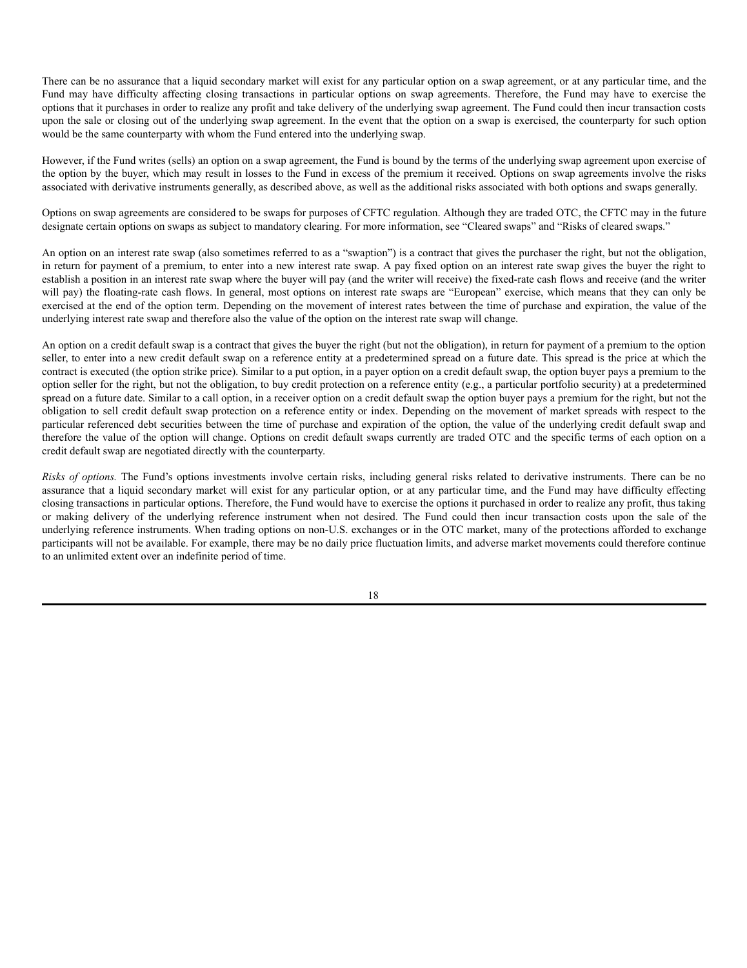There can be no assurance that a liquid secondary market will exist for any particular option on a swap agreement, or at any particular time, and the Fund may have difficulty affecting closing transactions in particular options on swap agreements. Therefore, the Fund may have to exercise the options that it purchases in order to realize any profit and take delivery of the underlying swap agreement. The Fund could then incur transaction costs upon the sale or closing out of the underlying swap agreement. In the event that the option on a swap is exercised, the counterparty for such option would be the same counterparty with whom the Fund entered into the underlying swap.

However, if the Fund writes (sells) an option on a swap agreement, the Fund is bound by the terms of the underlying swap agreement upon exercise of the option by the buyer, which may result in losses to the Fund in excess of the premium it received. Options on swap agreements involve the risks associated with derivative instruments generally, as described above, as well as the additional risks associated with both options and swaps generally.

Options on swap agreements are considered to be swaps for purposes of CFTC regulation. Although they are traded OTC, the CFTC may in the future designate certain options on swaps as subject to mandatory clearing. For more information, see "Cleared swaps" and "Risks of cleared swaps."

An option on an interest rate swap (also sometimes referred to as a "swaption") is a contract that gives the purchaser the right, but not the obligation, in return for payment of a premium, to enter into a new interest rate swap. A pay fixed option on an interest rate swap gives the buyer the right to establish a position in an interest rate swap where the buyer will pay (and the writer will receive) the fixed-rate cash flows and receive (and the writer will pay) the floating-rate cash flows. In general, most options on interest rate swaps are "European" exercise, which means that they can only be exercised at the end of the option term. Depending on the movement of interest rates between the time of purchase and expiration, the value of the underlying interest rate swap and therefore also the value of the option on the interest rate swap will change.

An option on a credit default swap is a contract that gives the buyer the right (but not the obligation), in return for payment of a premium to the option seller, to enter into a new credit default swap on a reference entity at a predetermined spread on a future date. This spread is the price at which the contract is executed (the option strike price). Similar to a put option, in a payer option on a credit default swap, the option buyer pays a premium to the option seller for the right, but not the obligation, to buy credit protection on a reference entity (e.g., a particular portfolio security) at a predetermined spread on a future date. Similar to a call option, in a receiver option on a credit default swap the option buyer pays a premium for the right, but not the obligation to sell credit default swap protection on a reference entity or index. Depending on the movement of market spreads with respect to the particular referenced debt securities between the time of purchase and expiration of the option, the value of the underlying credit default swap and therefore the value of the option will change. Options on credit default swaps currently are traded OTC and the specific terms of each option on a credit default swap are negotiated directly with the counterparty.

*Risks of options.* The Fund's options investments involve certain risks, including general risks related to derivative instruments. There can be no assurance that a liquid secondary market will exist for any particular option, or at any particular time, and the Fund may have difficulty effecting closing transactions in particular options. Therefore, the Fund would have to exercise the options it purchased in order to realize any profit, thus taking or making delivery of the underlying reference instrument when not desired. The Fund could then incur transaction costs upon the sale of the underlying reference instruments. When trading options on non-U.S. exchanges or in the OTC market, many of the protections afforded to exchange participants will not be available. For example, there may be no daily price fluctuation limits, and adverse market movements could therefore continue to an unlimited extent over an indefinite period of time.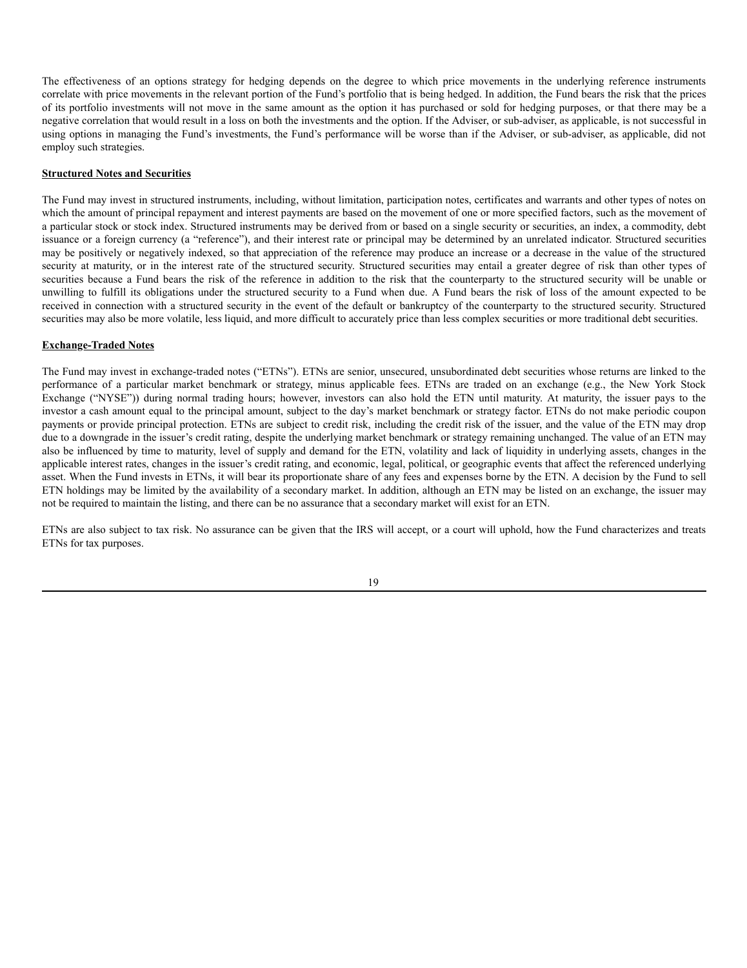The effectiveness of an options strategy for hedging depends on the degree to which price movements in the underlying reference instruments correlate with price movements in the relevant portion of the Fund's portfolio that is being hedged. In addition, the Fund bears the risk that the prices of its portfolio investments will not move in the same amount as the option it has purchased or sold for hedging purposes, or that there may be a negative correlation that would result in a loss on both the investments and the option. If the Adviser, or sub-adviser, as applicable, is not successful in using options in managing the Fund's investments, the Fund's performance will be worse than if the Adviser, or sub-adviser, as applicable, did not employ such strategies.

## **Structured Notes and Securities**

The Fund may invest in structured instruments, including, without limitation, participation notes, certificates and warrants and other types of notes on which the amount of principal repayment and interest payments are based on the movement of one or more specified factors, such as the movement of a particular stock or stock index. Structured instruments may be derived from or based on a single security or securities, an index, a commodity, debt issuance or a foreign currency (a "reference"), and their interest rate or principal may be determined by an unrelated indicator. Structured securities may be positively or negatively indexed, so that appreciation of the reference may produce an increase or a decrease in the value of the structured security at maturity, or in the interest rate of the structured security. Structured securities may entail a greater degree of risk than other types of securities because a Fund bears the risk of the reference in addition to the risk that the counterparty to the structured security will be unable or unwilling to fulfill its obligations under the structured security to a Fund when due. A Fund bears the risk of loss of the amount expected to be received in connection with a structured security in the event of the default or bankruptcy of the counterparty to the structured security. Structured securities may also be more volatile, less liquid, and more difficult to accurately price than less complex securities or more traditional debt securities.

#### **Exchange-Traded Notes**

The Fund may invest in exchange-traded notes ("ETNs"). ETNs are senior, unsecured, unsubordinated debt securities whose returns are linked to the performance of a particular market benchmark or strategy, minus applicable fees. ETNs are traded on an exchange (e.g., the New York Stock Exchange ("NYSE")) during normal trading hours; however, investors can also hold the ETN until maturity. At maturity, the issuer pays to the investor a cash amount equal to the principal amount, subject to the day's market benchmark or strategy factor. ETNs do not make periodic coupon payments or provide principal protection. ETNs are subject to credit risk, including the credit risk of the issuer, and the value of the ETN may drop due to a downgrade in the issuer's credit rating, despite the underlying market benchmark or strategy remaining unchanged. The value of an ETN may also be influenced by time to maturity, level of supply and demand for the ETN, volatility and lack of liquidity in underlying assets, changes in the applicable interest rates, changes in the issuer's credit rating, and economic, legal, political, or geographic events that affect the referenced underlying asset. When the Fund invests in ETNs, it will bear its proportionate share of any fees and expenses borne by the ETN. A decision by the Fund to sell ETN holdings may be limited by the availability of a secondary market. In addition, although an ETN may be listed on an exchange, the issuer may not be required to maintain the listing, and there can be no assurance that a secondary market will exist for an ETN.

ETNs are also subject to tax risk. No assurance can be given that the IRS will accept, or a court will uphold, how the Fund characterizes and treats ETNs for tax purposes.

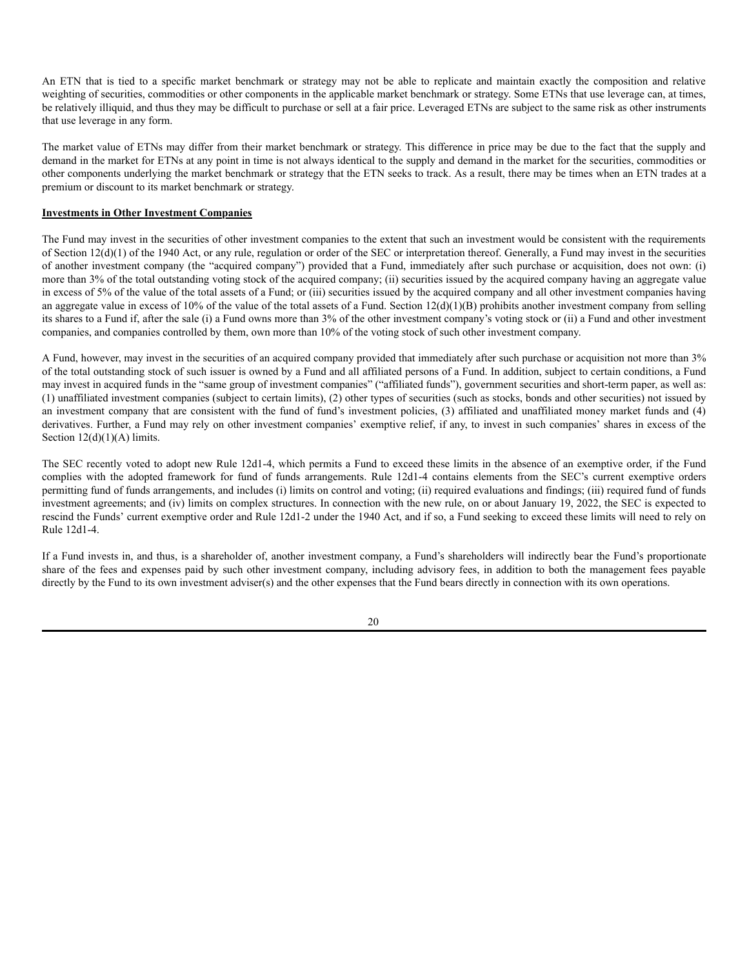An ETN that is tied to a specific market benchmark or strategy may not be able to replicate and maintain exactly the composition and relative weighting of securities, commodities or other components in the applicable market benchmark or strategy. Some ETNs that use leverage can, at times, be relatively illiquid, and thus they may be difficult to purchase or sell at a fair price. Leveraged ETNs are subject to the same risk as other instruments that use leverage in any form.

The market value of ETNs may differ from their market benchmark or strategy. This difference in price may be due to the fact that the supply and demand in the market for ETNs at any point in time is not always identical to the supply and demand in the market for the securities, commodities or other components underlying the market benchmark or strategy that the ETN seeks to track. As a result, there may be times when an ETN trades at a premium or discount to its market benchmark or strategy.

## **Investments in Other Investment Companies**

The Fund may invest in the securities of other investment companies to the extent that such an investment would be consistent with the requirements of Section 12(d)(1) of the 1940 Act, or any rule, regulation or order of the SEC or interpretation thereof. Generally, a Fund may invest in the securities of another investment company (the "acquired company") provided that a Fund, immediately after such purchase or acquisition, does not own: (i) more than 3% of the total outstanding voting stock of the acquired company; (ii) securities issued by the acquired company having an aggregate value in excess of 5% of the value of the total assets of a Fund; or (iii) securities issued by the acquired company and all other investment companies having an aggregate value in excess of 10% of the value of the total assets of a Fund. Section  $12(d)(1)(B)$  prohibits another investment company from selling its shares to a Fund if, after the sale (i) a Fund owns more than 3% of the other investment company's voting stock or (ii) a Fund and other investment companies, and companies controlled by them, own more than 10% of the voting stock of such other investment company.

A Fund, however, may invest in the securities of an acquired company provided that immediately after such purchase or acquisition not more than 3% of the total outstanding stock of such issuer is owned by a Fund and all affiliated persons of a Fund. In addition, subject to certain conditions, a Fund may invest in acquired funds in the "same group of investment companies" ("affiliated funds"), government securities and short-term paper, as well as: (1) unaffiliated investment companies (subject to certain limits), (2) other types of securities (such as stocks, bonds and other securities) not issued by an investment company that are consistent with the fund of fund's investment policies, (3) affiliated and unaffiliated money market funds and (4) derivatives. Further, a Fund may rely on other investment companies' exemptive relief, if any, to invest in such companies' shares in excess of the Section  $12(d)(1)(A)$  limits.

The SEC recently voted to adopt new Rule 12d1-4, which permits a Fund to exceed these limits in the absence of an exemptive order, if the Fund complies with the adopted framework for fund of funds arrangements. Rule 12d1-4 contains elements from the SEC's current exemptive orders permitting fund of funds arrangements, and includes (i) limits on control and voting; (ii) required evaluations and findings; (iii) required fund of funds investment agreements; and (iv) limits on complex structures. In connection with the new rule, on or about January 19, 2022, the SEC is expected to rescind the Funds' current exemptive order and Rule 12d1-2 under the 1940 Act, and if so, a Fund seeking to exceed these limits will need to rely on Rule 12d1-4.

If a Fund invests in, and thus, is a shareholder of, another investment company, a Fund's shareholders will indirectly bear the Fund's proportionate share of the fees and expenses paid by such other investment company, including advisory fees, in addition to both the management fees payable directly by the Fund to its own investment adviser(s) and the other expenses that the Fund bears directly in connection with its own operations.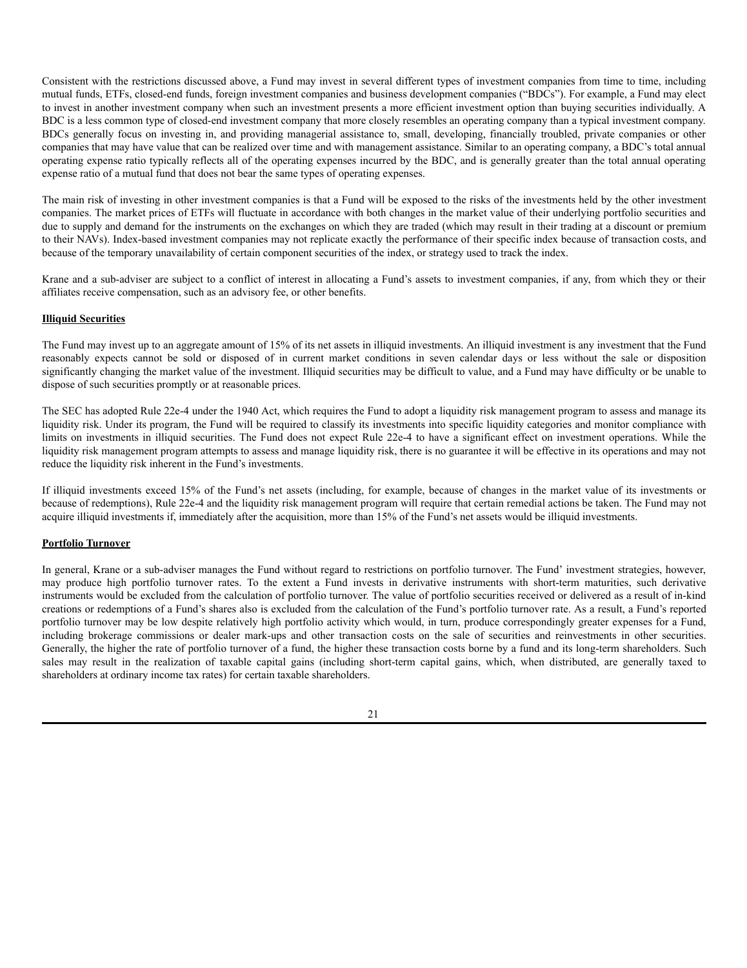Consistent with the restrictions discussed above, a Fund may invest in several different types of investment companies from time to time, including mutual funds, ETFs, closed-end funds, foreign investment companies and business development companies ("BDCs"). For example, a Fund may elect to invest in another investment company when such an investment presents a more efficient investment option than buying securities individually. A BDC is a less common type of closed-end investment company that more closely resembles an operating company than a typical investment company. BDCs generally focus on investing in, and providing managerial assistance to, small, developing, financially troubled, private companies or other companies that may have value that can be realized over time and with management assistance. Similar to an operating company, a BDC's total annual operating expense ratio typically reflects all of the operating expenses incurred by the BDC, and is generally greater than the total annual operating expense ratio of a mutual fund that does not bear the same types of operating expenses.

The main risk of investing in other investment companies is that a Fund will be exposed to the risks of the investments held by the other investment companies. The market prices of ETFs will fluctuate in accordance with both changes in the market value of their underlying portfolio securities and due to supply and demand for the instruments on the exchanges on which they are traded (which may result in their trading at a discount or premium to their NAVs). Index-based investment companies may not replicate exactly the performance of their specific index because of transaction costs, and because of the temporary unavailability of certain component securities of the index, or strategy used to track the index.

Krane and a sub-adviser are subject to a conflict of interest in allocating a Fund's assets to investment companies, if any, from which they or their affiliates receive compensation, such as an advisory fee, or other benefits.

## **Illiquid Securities**

The Fund may invest up to an aggregate amount of 15% of its net assets in illiquid investments. An illiquid investment is any investment that the Fund reasonably expects cannot be sold or disposed of in current market conditions in seven calendar days or less without the sale or disposition significantly changing the market value of the investment. Illiquid securities may be difficult to value, and a Fund may have difficulty or be unable to dispose of such securities promptly or at reasonable prices.

The SEC has adopted Rule 22e-4 under the 1940 Act, which requires the Fund to adopt a liquidity risk management program to assess and manage its liquidity risk. Under its program, the Fund will be required to classify its investments into specific liquidity categories and monitor compliance with limits on investments in illiquid securities. The Fund does not expect Rule 22e-4 to have a significant effect on investment operations. While the liquidity risk management program attempts to assess and manage liquidity risk, there is no guarantee it will be effective in its operations and may not reduce the liquidity risk inherent in the Fund's investments.

If illiquid investments exceed 15% of the Fund's net assets (including, for example, because of changes in the market value of its investments or because of redemptions), Rule 22e-4 and the liquidity risk management program will require that certain remedial actions be taken. The Fund may not acquire illiquid investments if, immediately after the acquisition, more than 15% of the Fund's net assets would be illiquid investments.

## **Portfolio Turnover**

In general, Krane or a sub-adviser manages the Fund without regard to restrictions on portfolio turnover. The Fund' investment strategies, however, may produce high portfolio turnover rates. To the extent a Fund invests in derivative instruments with short-term maturities, such derivative instruments would be excluded from the calculation of portfolio turnover. The value of portfolio securities received or delivered as a result of in-kind creations or redemptions of a Fund's shares also is excluded from the calculation of the Fund's portfolio turnover rate. As a result, a Fund's reported portfolio turnover may be low despite relatively high portfolio activity which would, in turn, produce correspondingly greater expenses for a Fund, including brokerage commissions or dealer mark-ups and other transaction costs on the sale of securities and reinvestments in other securities. Generally, the higher the rate of portfolio turnover of a fund, the higher these transaction costs borne by a fund and its long-term shareholders. Such sales may result in the realization of taxable capital gains (including short-term capital gains, which, when distributed, are generally taxed to shareholders at ordinary income tax rates) for certain taxable shareholders.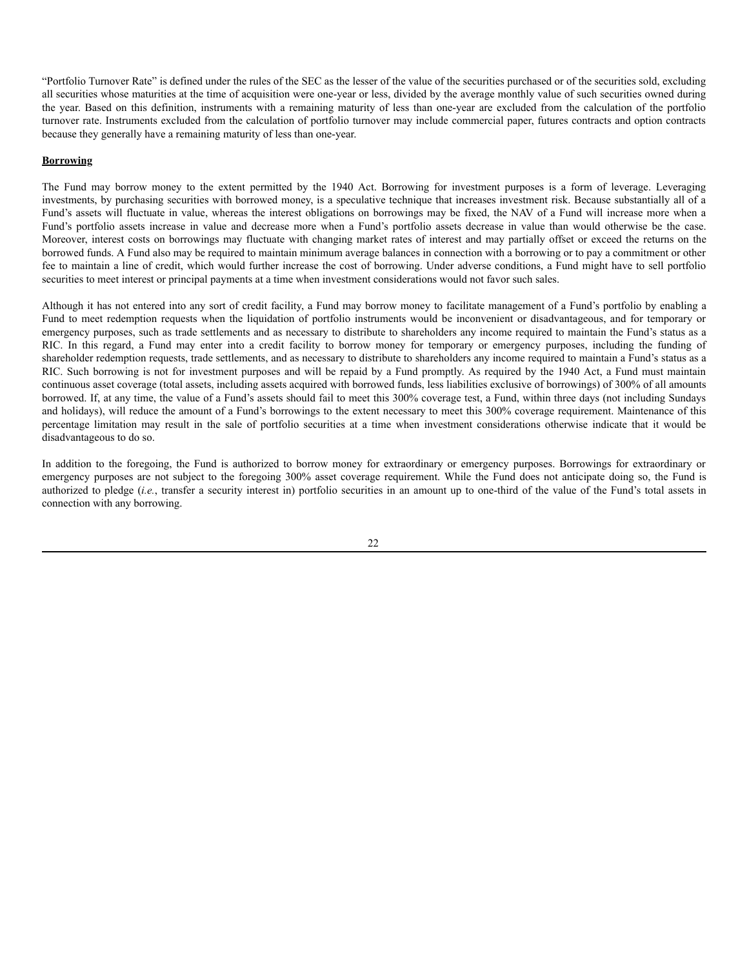"Portfolio Turnover Rate" is defined under the rules of the SEC as the lesser of the value of the securities purchased or of the securities sold, excluding all securities whose maturities at the time of acquisition were one-year or less, divided by the average monthly value of such securities owned during the year. Based on this definition, instruments with a remaining maturity of less than one-year are excluded from the calculation of the portfolio turnover rate. Instruments excluded from the calculation of portfolio turnover may include commercial paper, futures contracts and option contracts because they generally have a remaining maturity of less than one-year.

## **Borrowing**

The Fund may borrow money to the extent permitted by the 1940 Act. Borrowing for investment purposes is a form of leverage. Leveraging investments, by purchasing securities with borrowed money, is a speculative technique that increases investment risk. Because substantially all of a Fund's assets will fluctuate in value, whereas the interest obligations on borrowings may be fixed, the NAV of a Fund will increase more when a Fund's portfolio assets increase in value and decrease more when a Fund's portfolio assets decrease in value than would otherwise be the case. Moreover, interest costs on borrowings may fluctuate with changing market rates of interest and may partially offset or exceed the returns on the borrowed funds. A Fund also may be required to maintain minimum average balances in connection with a borrowing or to pay a commitment or other fee to maintain a line of credit, which would further increase the cost of borrowing. Under adverse conditions, a Fund might have to sell portfolio securities to meet interest or principal payments at a time when investment considerations would not favor such sales.

Although it has not entered into any sort of credit facility, a Fund may borrow money to facilitate management of a Fund's portfolio by enabling a Fund to meet redemption requests when the liquidation of portfolio instruments would be inconvenient or disadvantageous, and for temporary or emergency purposes, such as trade settlements and as necessary to distribute to shareholders any income required to maintain the Fund's status as a RIC. In this regard, a Fund may enter into a credit facility to borrow money for temporary or emergency purposes, including the funding of shareholder redemption requests, trade settlements, and as necessary to distribute to shareholders any income required to maintain a Fund's status as a RIC. Such borrowing is not for investment purposes and will be repaid by a Fund promptly. As required by the 1940 Act, a Fund must maintain continuous asset coverage (total assets, including assets acquired with borrowed funds, less liabilities exclusive of borrowings) of 300% of all amounts borrowed. If, at any time, the value of a Fund's assets should fail to meet this 300% coverage test, a Fund, within three days (not including Sundays and holidays), will reduce the amount of a Fund's borrowings to the extent necessary to meet this 300% coverage requirement. Maintenance of this percentage limitation may result in the sale of portfolio securities at a time when investment considerations otherwise indicate that it would be disadvantageous to do so.

In addition to the foregoing, the Fund is authorized to borrow money for extraordinary or emergency purposes. Borrowings for extraordinary or emergency purposes are not subject to the foregoing 300% asset coverage requirement. While the Fund does not anticipate doing so, the Fund is authorized to pledge *(i.e.*, transfer a security interest in) portfolio securities in an amount up to one-third of the value of the Fund's total assets in connection with any borrowing.

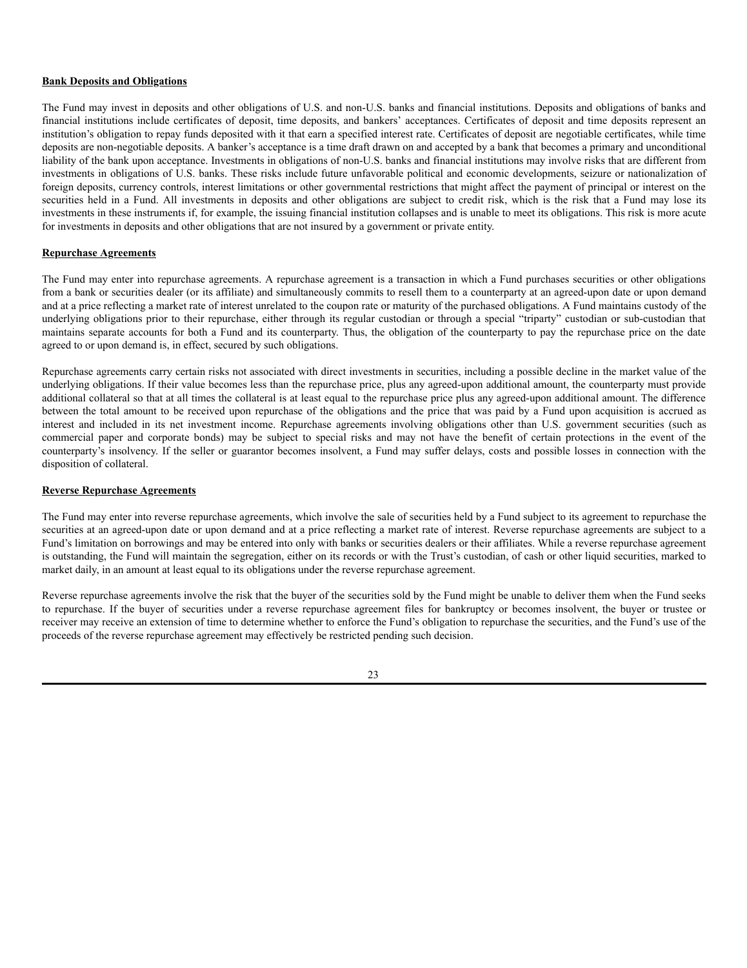## **Bank Deposits and Obligations**

The Fund may invest in deposits and other obligations of U.S. and non-U.S. banks and financial institutions. Deposits and obligations of banks and financial institutions include certificates of deposit, time deposits, and bankers' acceptances. Certificates of deposit and time deposits represent an institution's obligation to repay funds deposited with it that earn a specified interest rate. Certificates of deposit are negotiable certificates, while time deposits are non-negotiable deposits. A banker's acceptance is a time draft drawn on and accepted by a bank that becomes a primary and unconditional liability of the bank upon acceptance. Investments in obligations of non-U.S. banks and financial institutions may involve risks that are different from investments in obligations of U.S. banks. These risks include future unfavorable political and economic developments, seizure or nationalization of foreign deposits, currency controls, interest limitations or other governmental restrictions that might affect the payment of principal or interest on the securities held in a Fund. All investments in deposits and other obligations are subject to credit risk, which is the risk that a Fund may lose its investments in these instruments if, for example, the issuing financial institution collapses and is unable to meet its obligations. This risk is more acute for investments in deposits and other obligations that are not insured by a government or private entity.

#### **Repurchase Agreements**

The Fund may enter into repurchase agreements. A repurchase agreement is a transaction in which a Fund purchases securities or other obligations from a bank or securities dealer (or its affiliate) and simultaneously commits to resell them to a counterparty at an agreed-upon date or upon demand and at a price reflecting a market rate of interest unrelated to the coupon rate or maturity of the purchased obligations. A Fund maintains custody of the underlying obligations prior to their repurchase, either through its regular custodian or through a special "triparty" custodian or sub-custodian that maintains separate accounts for both a Fund and its counterparty. Thus, the obligation of the counterparty to pay the repurchase price on the date agreed to or upon demand is, in effect, secured by such obligations.

Repurchase agreements carry certain risks not associated with direct investments in securities, including a possible decline in the market value of the underlying obligations. If their value becomes less than the repurchase price, plus any agreed-upon additional amount, the counterparty must provide additional collateral so that at all times the collateral is at least equal to the repurchase price plus any agreed-upon additional amount. The difference between the total amount to be received upon repurchase of the obligations and the price that was paid by a Fund upon acquisition is accrued as interest and included in its net investment income. Repurchase agreements involving obligations other than U.S. government securities (such as commercial paper and corporate bonds) may be subject to special risks and may not have the benefit of certain protections in the event of the counterparty's insolvency. If the seller or guarantor becomes insolvent, a Fund may suffer delays, costs and possible losses in connection with the disposition of collateral.

#### **Reverse Repurchase Agreements**

The Fund may enter into reverse repurchase agreements, which involve the sale of securities held by a Fund subject to its agreement to repurchase the securities at an agreed-upon date or upon demand and at a price reflecting a market rate of interest. Reverse repurchase agreements are subject to a Fund's limitation on borrowings and may be entered into only with banks or securities dealers or their affiliates. While a reverse repurchase agreement is outstanding, the Fund will maintain the segregation, either on its records or with the Trust's custodian, of cash or other liquid securities, marked to market daily, in an amount at least equal to its obligations under the reverse repurchase agreement.

Reverse repurchase agreements involve the risk that the buyer of the securities sold by the Fund might be unable to deliver them when the Fund seeks to repurchase. If the buyer of securities under a reverse repurchase agreement files for bankruptcy or becomes insolvent, the buyer or trustee or receiver may receive an extension of time to determine whether to enforce the Fund's obligation to repurchase the securities, and the Fund's use of the proceeds of the reverse repurchase agreement may effectively be restricted pending such decision.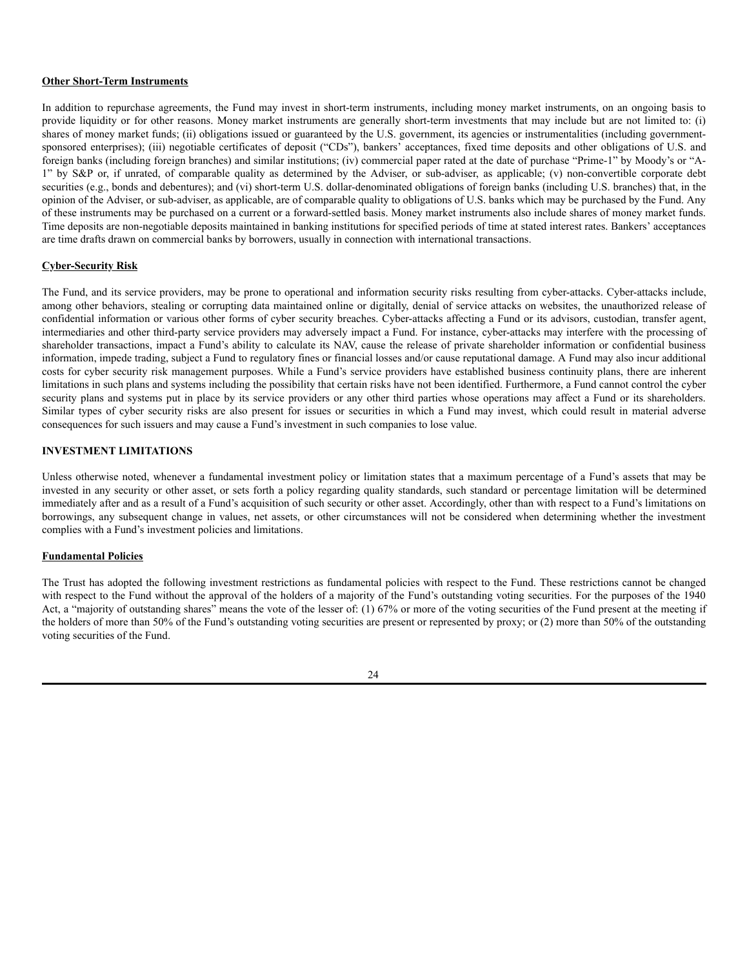## **Other Short-Term Instruments**

In addition to repurchase agreements, the Fund may invest in short-term instruments, including money market instruments, on an ongoing basis to provide liquidity or for other reasons. Money market instruments are generally short-term investments that may include but are not limited to: (i) shares of money market funds; (ii) obligations issued or guaranteed by the U.S. government, its agencies or instrumentalities (including governmentsponsored enterprises); (iii) negotiable certificates of deposit ("CDs"), bankers' acceptances, fixed time deposits and other obligations of U.S. and foreign banks (including foreign branches) and similar institutions; (iv) commercial paper rated at the date of purchase "Prime-1" by Moody's or "A-1" by S&P or, if unrated, of comparable quality as determined by the Adviser, or sub-adviser, as applicable; (v) non-convertible corporate debt securities (e.g., bonds and debentures); and (vi) short-term U.S. dollar-denominated obligations of foreign banks (including U.S. branches) that, in the opinion of the Adviser, or sub-adviser, as applicable, are of comparable quality to obligations of U.S. banks which may be purchased by the Fund. Any of these instruments may be purchased on a current or a forward-settled basis. Money market instruments also include shares of money market funds. Time deposits are non-negotiable deposits maintained in banking institutions for specified periods of time at stated interest rates. Bankers' acceptances are time drafts drawn on commercial banks by borrowers, usually in connection with international transactions.

#### **Cyber-Security Risk**

The Fund, and its service providers, may be prone to operational and information security risks resulting from cyber-attacks. Cyber-attacks include, among other behaviors, stealing or corrupting data maintained online or digitally, denial of service attacks on websites, the unauthorized release of confidential information or various other forms of cyber security breaches. Cyber-attacks affecting a Fund or its advisors, custodian, transfer agent, intermediaries and other third-party service providers may adversely impact a Fund. For instance, cyber-attacks may interfere with the processing of shareholder transactions, impact a Fund's ability to calculate its NAV, cause the release of private shareholder information or confidential business information, impede trading, subject a Fund to regulatory fines or financial losses and/or cause reputational damage. A Fund may also incur additional costs for cyber security risk management purposes. While a Fund's service providers have established business continuity plans, there are inherent limitations in such plans and systems including the possibility that certain risks have not been identified. Furthermore, a Fund cannot control the cyber security plans and systems put in place by its service providers or any other third parties whose operations may affect a Fund or its shareholders. Similar types of cyber security risks are also present for issues or securities in which a Fund may invest, which could result in material adverse consequences for such issuers and may cause a Fund's investment in such companies to lose value.

# <span id="page-25-0"></span>**INVESTMENT LIMITATIONS**

Unless otherwise noted, whenever a fundamental investment policy or limitation states that a maximum percentage of a Fund's assets that may be invested in any security or other asset, or sets forth a policy regarding quality standards, such standard or percentage limitation will be determined immediately after and as a result of a Fund's acquisition of such security or other asset. Accordingly, other than with respect to a Fund's limitations on borrowings, any subsequent change in values, net assets, or other circumstances will not be considered when determining whether the investment complies with a Fund's investment policies and limitations.

#### **Fundamental Policies**

The Trust has adopted the following investment restrictions as fundamental policies with respect to the Fund. These restrictions cannot be changed with respect to the Fund without the approval of the holders of a majority of the Fund's outstanding voting securities. For the purposes of the 1940 Act, a "majority of outstanding shares" means the vote of the lesser of: (1) 67% or more of the voting securities of the Fund present at the meeting if the holders of more than 50% of the Fund's outstanding voting securities are present or represented by proxy; or (2) more than 50% of the outstanding voting securities of the Fund.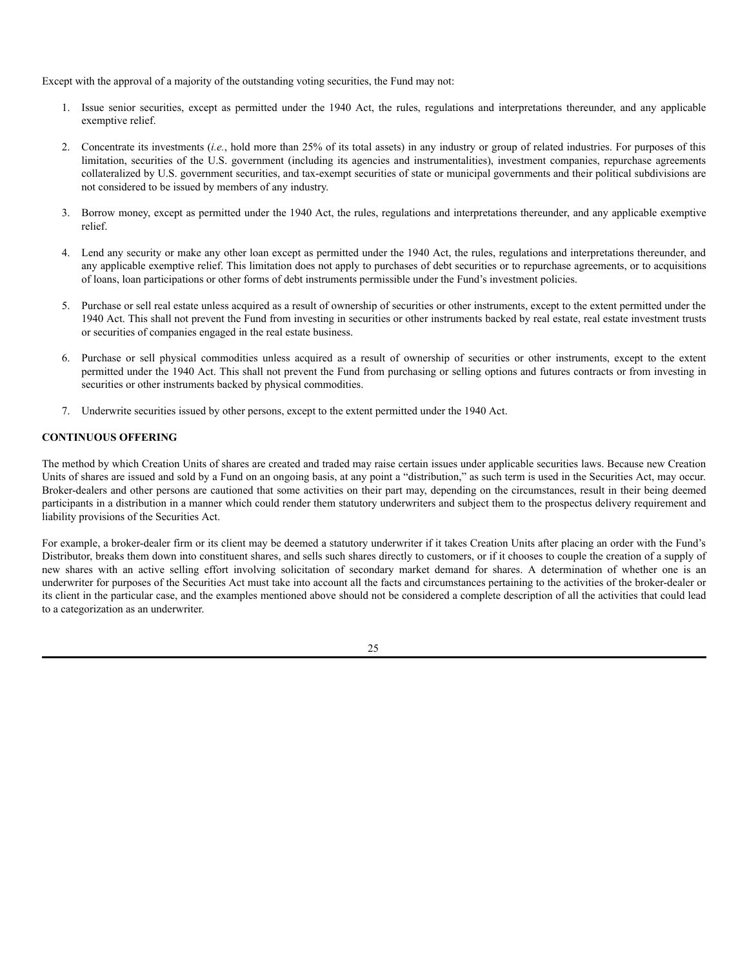Except with the approval of a majority of the outstanding voting securities, the Fund may not:

- 1. Issue senior securities, except as permitted under the 1940 Act, the rules, regulations and interpretations thereunder, and any applicable exemptive relief.
- 2. Concentrate its investments (*i.e.*, hold more than 25% of its total assets) in any industry or group of related industries. For purposes of this limitation, securities of the U.S. government (including its agencies and instrumentalities), investment companies, repurchase agreements collateralized by U.S. government securities, and tax-exempt securities of state or municipal governments and their political subdivisions are not considered to be issued by members of any industry.
- 3. Borrow money, except as permitted under the 1940 Act, the rules, regulations and interpretations thereunder, and any applicable exemptive relief.
- 4. Lend any security or make any other loan except as permitted under the 1940 Act, the rules, regulations and interpretations thereunder, and any applicable exemptive relief. This limitation does not apply to purchases of debt securities or to repurchase agreements, or to acquisitions of loans, loan participations or other forms of debt instruments permissible under the Fund's investment policies.
- 5. Purchase or sell real estate unless acquired as a result of ownership of securities or other instruments, except to the extent permitted under the 1940 Act. This shall not prevent the Fund from investing in securities or other instruments backed by real estate, real estate investment trusts or securities of companies engaged in the real estate business.
- 6. Purchase or sell physical commodities unless acquired as a result of ownership of securities or other instruments, except to the extent permitted under the 1940 Act. This shall not prevent the Fund from purchasing or selling options and futures contracts or from investing in securities or other instruments backed by physical commodities.
- 7. Underwrite securities issued by other persons, except to the extent permitted under the 1940 Act.

# <span id="page-26-0"></span>**CONTINUOUS OFFERING**

The method by which Creation Units of shares are created and traded may raise certain issues under applicable securities laws. Because new Creation Units of shares are issued and sold by a Fund on an ongoing basis, at any point a "distribution," as such term is used in the Securities Act, may occur. Broker-dealers and other persons are cautioned that some activities on their part may, depending on the circumstances, result in their being deemed participants in a distribution in a manner which could render them statutory underwriters and subject them to the prospectus delivery requirement and liability provisions of the Securities Act.

For example, a broker-dealer firm or its client may be deemed a statutory underwriter if it takes Creation Units after placing an order with the Fund's Distributor, breaks them down into constituent shares, and sells such shares directly to customers, or if it chooses to couple the creation of a supply of new shares with an active selling effort involving solicitation of secondary market demand for shares. A determination of whether one is an underwriter for purposes of the Securities Act must take into account all the facts and circumstances pertaining to the activities of the broker-dealer or its client in the particular case, and the examples mentioned above should not be considered a complete description of all the activities that could lead to a categorization as an underwriter.

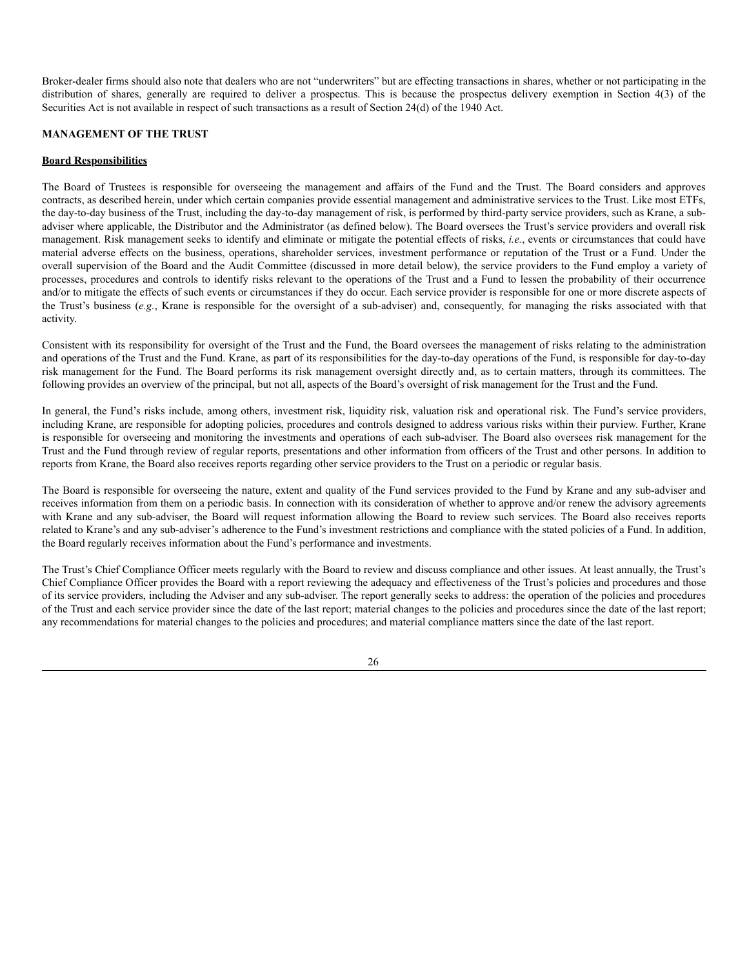Broker-dealer firms should also note that dealers who are not "underwriters" but are effecting transactions in shares, whether or not participating in the distribution of shares, generally are required to deliver a prospectus. This is because the prospectus delivery exemption in Section 4(3) of the Securities Act is not available in respect of such transactions as a result of Section 24(d) of the 1940 Act.

## <span id="page-27-0"></span>**MANAGEMENT OF THE TRUST**

## **Board Responsibilities**

The Board of Trustees is responsible for overseeing the management and affairs of the Fund and the Trust. The Board considers and approves contracts, as described herein, under which certain companies provide essential management and administrative services to the Trust. Like most ETFs, the day-to-day business of the Trust, including the day-to-day management of risk, is performed by third-party service providers, such as Krane, a subadviser where applicable, the Distributor and the Administrator (as defined below). The Board oversees the Trust's service providers and overall risk management. Risk management seeks to identify and eliminate or mitigate the potential effects of risks, *i.e.*, events or circumstances that could have material adverse effects on the business, operations, shareholder services, investment performance or reputation of the Trust or a Fund. Under the overall supervision of the Board and the Audit Committee (discussed in more detail below), the service providers to the Fund employ a variety of processes, procedures and controls to identify risks relevant to the operations of the Trust and a Fund to lessen the probability of their occurrence and/or to mitigate the effects of such events or circumstances if they do occur. Each service provider is responsible for one or more discrete aspects of the Trust's business (*e.g.*, Krane is responsible for the oversight of a sub-adviser) and, consequently, for managing the risks associated with that activity.

Consistent with its responsibility for oversight of the Trust and the Fund, the Board oversees the management of risks relating to the administration and operations of the Trust and the Fund. Krane, as part of its responsibilities for the day-to-day operations of the Fund, is responsible for day-to-day risk management for the Fund. The Board performs its risk management oversight directly and, as to certain matters, through its committees. The following provides an overview of the principal, but not all, aspects of the Board's oversight of risk management for the Trust and the Fund.

In general, the Fund's risks include, among others, investment risk, liquidity risk, valuation risk and operational risk. The Fund's service providers, including Krane, are responsible for adopting policies, procedures and controls designed to address various risks within their purview. Further, Krane is responsible for overseeing and monitoring the investments and operations of each sub-adviser. The Board also oversees risk management for the Trust and the Fund through review of regular reports, presentations and other information from officers of the Trust and other persons. In addition to reports from Krane, the Board also receives reports regarding other service providers to the Trust on a periodic or regular basis.

The Board is responsible for overseeing the nature, extent and quality of the Fund services provided to the Fund by Krane and any sub-adviser and receives information from them on a periodic basis. In connection with its consideration of whether to approve and/or renew the advisory agreements with Krane and any sub-adviser, the Board will request information allowing the Board to review such services. The Board also receives reports related to Krane's and any sub-adviser's adherence to the Fund's investment restrictions and compliance with the stated policies of a Fund. In addition, the Board regularly receives information about the Fund's performance and investments.

The Trust's Chief Compliance Officer meets regularly with the Board to review and discuss compliance and other issues. At least annually, the Trust's Chief Compliance Officer provides the Board with a report reviewing the adequacy and effectiveness of the Trust's policies and procedures and those of its service providers, including the Adviser and any sub-adviser. The report generally seeks to address: the operation of the policies and procedures of the Trust and each service provider since the date of the last report; material changes to the policies and procedures since the date of the last report; any recommendations for material changes to the policies and procedures; and material compliance matters since the date of the last report.

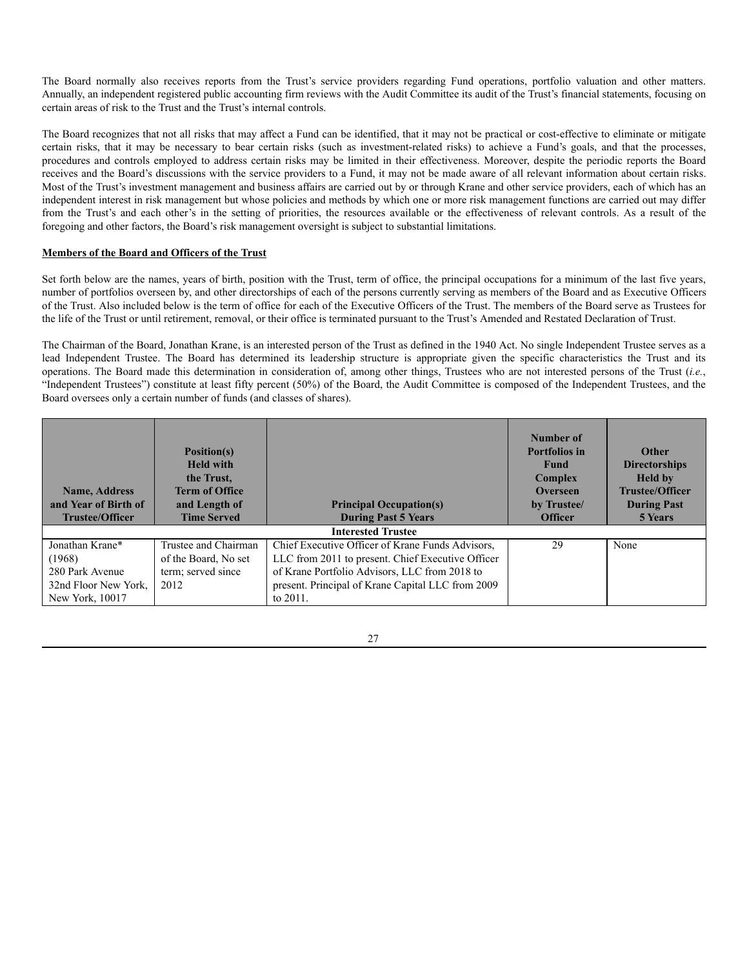The Board normally also receives reports from the Trust's service providers regarding Fund operations, portfolio valuation and other matters. Annually, an independent registered public accounting firm reviews with the Audit Committee its audit of the Trust's financial statements, focusing on certain areas of risk to the Trust and the Trust's internal controls.

The Board recognizes that not all risks that may affect a Fund can be identified, that it may not be practical or cost-effective to eliminate or mitigate certain risks, that it may be necessary to bear certain risks (such as investment-related risks) to achieve a Fund's goals, and that the processes, procedures and controls employed to address certain risks may be limited in their effectiveness. Moreover, despite the periodic reports the Board receives and the Board's discussions with the service providers to a Fund, it may not be made aware of all relevant information about certain risks. Most of the Trust's investment management and business affairs are carried out by or through Krane and other service providers, each of which has an independent interest in risk management but whose policies and methods by which one or more risk management functions are carried out may differ from the Trust's and each other's in the setting of priorities, the resources available or the effectiveness of relevant controls. As a result of the foregoing and other factors, the Board's risk management oversight is subject to substantial limitations.

# **Members of the Board and Officers of the Trust**

Set forth below are the names, years of birth, position with the Trust, term of office, the principal occupations for a minimum of the last five years, number of portfolios overseen by, and other directorships of each of the persons currently serving as members of the Board and as Executive Officers of the Trust. Also included below is the term of office for each of the Executive Officers of the Trust. The members of the Board serve as Trustees for the life of the Trust or until retirement, removal, or their office is terminated pursuant to the Trust's Amended and Restated Declaration of Trust.

The Chairman of the Board, Jonathan Krane, is an interested person of the Trust as defined in the 1940 Act. No single Independent Trustee serves as a lead Independent Trustee. The Board has determined its leadership structure is appropriate given the specific characteristics the Trust and its operations. The Board made this determination in consideration of, among other things, Trustees who are not interested persons of the Trust (*i.e.*, "Independent Trustees") constitute at least fifty percent (50%) of the Board, the Audit Committee is composed of the Independent Trustees, and the Board oversees only a certain number of funds (and classes of shares).

| <b>Name, Address</b><br>and Year of Birth of<br><b>Trustee/Officer</b> | Position(s)<br><b>Held with</b><br>the Trust,<br><b>Term of Office</b><br>and Length of<br><b>Time Served</b> | <b>Principal Occupation(s)</b><br><b>During Past 5 Years</b> | Number of<br><b>Portfolios in</b><br><b>Fund</b><br><b>Complex</b><br>Overseen<br>by Trustee/<br><b>Officer</b> | <b>Other</b><br><b>Directorships</b><br><b>Held by</b><br><b>Trustee/Officer</b><br><b>During Past</b><br><b>5 Years</b> |
|------------------------------------------------------------------------|---------------------------------------------------------------------------------------------------------------|--------------------------------------------------------------|-----------------------------------------------------------------------------------------------------------------|--------------------------------------------------------------------------------------------------------------------------|
| <b>Interested Trustee</b>                                              |                                                                                                               |                                                              |                                                                                                                 |                                                                                                                          |
| Jonathan Krane*                                                        | Trustee and Chairman                                                                                          | Chief Executive Officer of Krane Funds Advisors,             | 29                                                                                                              | None                                                                                                                     |
| (1968)                                                                 | of the Board, No set                                                                                          | LLC from 2011 to present. Chief Executive Officer            |                                                                                                                 |                                                                                                                          |
| 280 Park Avenue                                                        | term: served since                                                                                            | of Krane Portfolio Advisors, LLC from 2018 to                |                                                                                                                 |                                                                                                                          |
| 32nd Floor New York.                                                   | 2012                                                                                                          | present. Principal of Krane Capital LLC from 2009            |                                                                                                                 |                                                                                                                          |
| New York, 10017                                                        |                                                                                                               | to 2011.                                                     |                                                                                                                 |                                                                                                                          |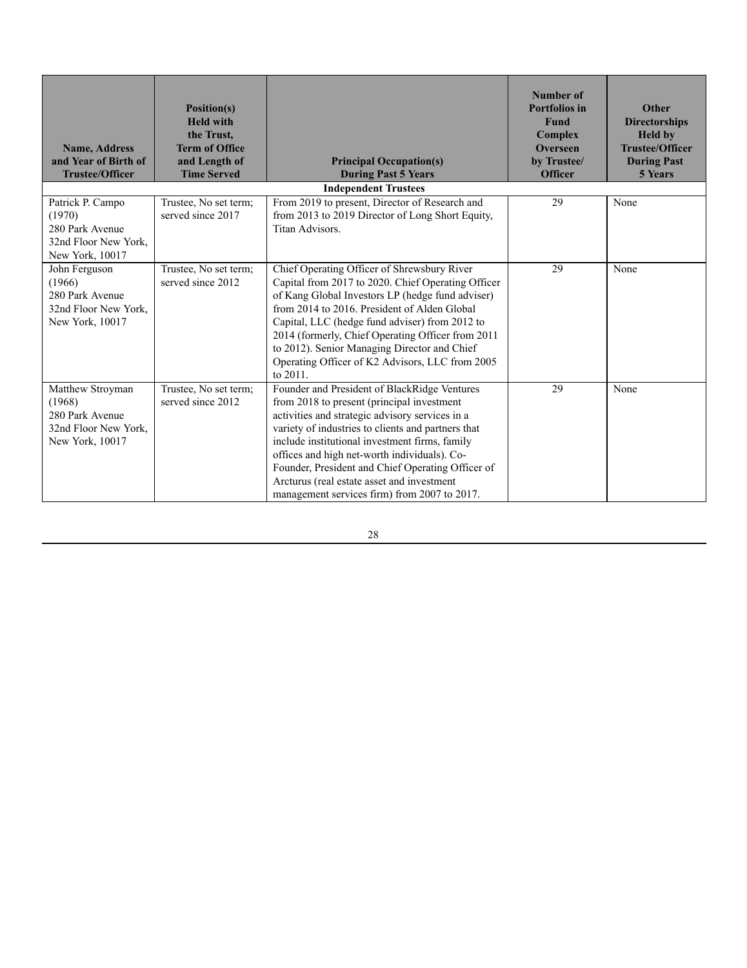| <b>Name, Address</b><br>and Year of Birth of<br><b>Trustee/Officer</b>                   | Position(s)<br><b>Held with</b><br>the Trust,<br><b>Term of Office</b><br>and Length of<br><b>Time Served</b> | <b>Principal Occupation(s)</b><br><b>During Past 5 Years</b>                                                                                                                                                                                                                                                                                                                                                                                             | Number of<br><b>Portfolios</b> in<br><b>Fund</b><br><b>Complex</b><br><b>Overseen</b><br>by Trustee/<br><b>Officer</b> | <b>Other</b><br><b>Directorships</b><br><b>Held by</b><br><b>Trustee/Officer</b><br><b>During Past</b><br>5 Years |
|------------------------------------------------------------------------------------------|---------------------------------------------------------------------------------------------------------------|----------------------------------------------------------------------------------------------------------------------------------------------------------------------------------------------------------------------------------------------------------------------------------------------------------------------------------------------------------------------------------------------------------------------------------------------------------|------------------------------------------------------------------------------------------------------------------------|-------------------------------------------------------------------------------------------------------------------|
|                                                                                          |                                                                                                               | <b>Independent Trustees</b>                                                                                                                                                                                                                                                                                                                                                                                                                              |                                                                                                                        |                                                                                                                   |
| Patrick P. Campo<br>(1970)<br>280 Park Avenue<br>32nd Floor New York.<br>New York, 10017 | Trustee, No set term;<br>served since 2017                                                                    | From 2019 to present, Director of Research and<br>from 2013 to 2019 Director of Long Short Equity,<br>Titan Advisors.                                                                                                                                                                                                                                                                                                                                    | 29                                                                                                                     | None                                                                                                              |
| John Ferguson<br>(1966)<br>280 Park Avenue<br>32nd Floor New York.<br>New York, 10017    | Trustee, No set term;<br>served since 2012                                                                    | Chief Operating Officer of Shrewsbury River<br>Capital from 2017 to 2020. Chief Operating Officer<br>of Kang Global Investors LP (hedge fund adviser)<br>from 2014 to 2016. President of Alden Global<br>Capital, LLC (hedge fund adviser) from 2012 to<br>2014 (formerly, Chief Operating Officer from 2011<br>to 2012). Senior Managing Director and Chief<br>Operating Officer of K2 Advisors, LLC from 2005<br>to 2011.                              | 29                                                                                                                     | None                                                                                                              |
| Matthew Stroyman<br>(1968)<br>280 Park Avenue<br>32nd Floor New York,<br>New York, 10017 | Trustee, No set term;<br>served since 2012                                                                    | Founder and President of BlackRidge Ventures<br>from 2018 to present (principal investment<br>activities and strategic advisory services in a<br>variety of industries to clients and partners that<br>include institutional investment firms, family<br>offices and high net-worth individuals). Co-<br>Founder, President and Chief Operating Officer of<br>Arcturus (real estate asset and investment<br>management services firm) from 2007 to 2017. | 29                                                                                                                     | None                                                                                                              |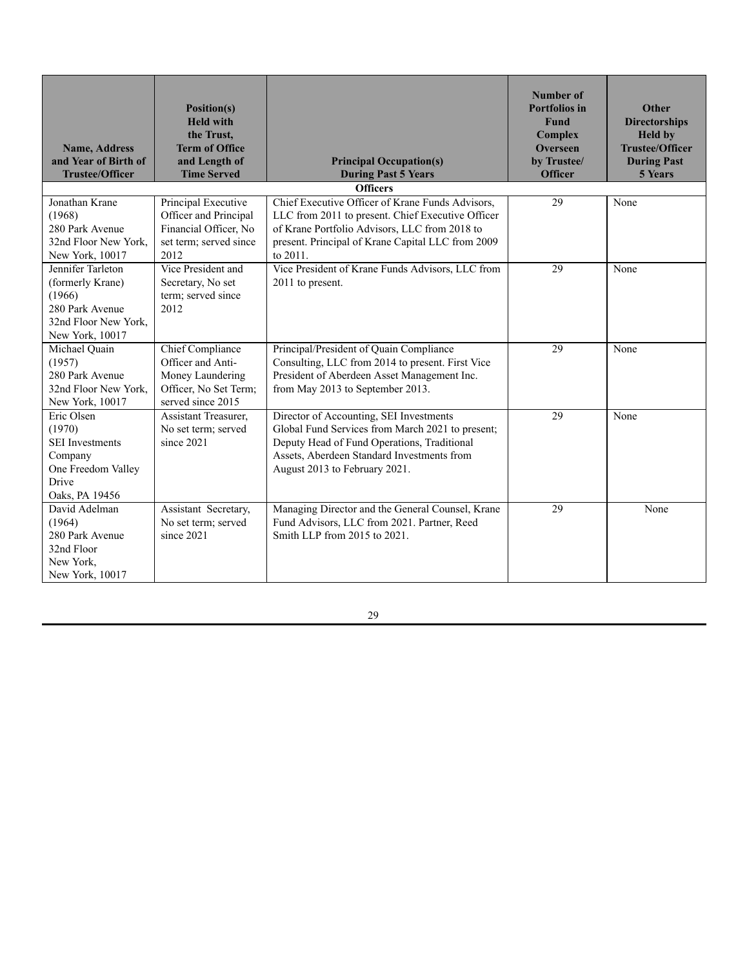| <b>Name, Address</b><br>and Year of Birth of<br><b>Trustee/Officer</b>                                        | Position(s)<br><b>Held with</b><br>the Trust.<br><b>Term of Office</b><br>and Length of<br><b>Time Served</b> | <b>Principal Occupation(s)</b><br><b>During Past 5 Years</b>                                                                                                                                                              | Number of<br><b>Portfolios in</b><br><b>Fund</b><br><b>Complex</b><br>Overseen<br>by Trustee/<br><b>Officer</b> | <b>Other</b><br><b>Directorships</b><br><b>Held by</b><br><b>Trustee/Officer</b><br><b>During Past</b><br>5 Years |
|---------------------------------------------------------------------------------------------------------------|---------------------------------------------------------------------------------------------------------------|---------------------------------------------------------------------------------------------------------------------------------------------------------------------------------------------------------------------------|-----------------------------------------------------------------------------------------------------------------|-------------------------------------------------------------------------------------------------------------------|
|                                                                                                               |                                                                                                               | <b>Officers</b>                                                                                                                                                                                                           |                                                                                                                 |                                                                                                                   |
| Jonathan Krane<br>(1968)<br>280 Park Avenue<br>32nd Floor New York.<br>New York, 10017                        | Principal Executive<br>Officer and Principal<br>Financial Officer, No<br>set term: served since<br>2012       | Chief Executive Officer of Krane Funds Advisors,<br>LLC from 2011 to present. Chief Executive Officer<br>of Krane Portfolio Advisors, LLC from 2018 to<br>present. Principal of Krane Capital LLC from 2009<br>to 2011.   | 29                                                                                                              | None                                                                                                              |
| Jennifer Tarleton<br>(formerly Krane)<br>(1966)<br>280 Park Avenue<br>32nd Floor New York,<br>New York, 10017 | Vice President and<br>Secretary, No set<br>term; served since<br>2012                                         | Vice President of Krane Funds Advisors, LLC from<br>2011 to present.                                                                                                                                                      | 29                                                                                                              | None                                                                                                              |
| Michael Quain<br>(1957)<br>280 Park Avenue<br>32nd Floor New York.<br>New York, 10017                         | Chief Compliance<br>Officer and Anti-<br>Money Laundering<br>Officer, No Set Term;<br>served since 2015       | Principal/President of Quain Compliance<br>Consulting, LLC from 2014 to present. First Vice<br>President of Aberdeen Asset Management Inc.<br>from May 2013 to September 2013.                                            | 29                                                                                                              | None                                                                                                              |
| Eric Olsen<br>(1970)<br><b>SEI</b> Investments<br>Company<br>One Freedom Valley<br>Drive<br>Oaks, PA 19456    | Assistant Treasurer,<br>No set term; served<br>since 2021                                                     | Director of Accounting, SEI Investments<br>Global Fund Services from March 2021 to present;<br>Deputy Head of Fund Operations, Traditional<br>Assets, Aberdeen Standard Investments from<br>August 2013 to February 2021. | 29                                                                                                              | None                                                                                                              |
| David Adelman<br>(1964)<br>280 Park Avenue<br>32nd Floor<br>New York,<br>New York, 10017                      | Assistant Secretary,<br>No set term; served<br>since 2021                                                     | Managing Director and the General Counsel, Krane<br>Fund Advisors, LLC from 2021. Partner, Reed<br>Smith LLP from 2015 to 2021.                                                                                           | $\overline{29}$                                                                                                 | None                                                                                                              |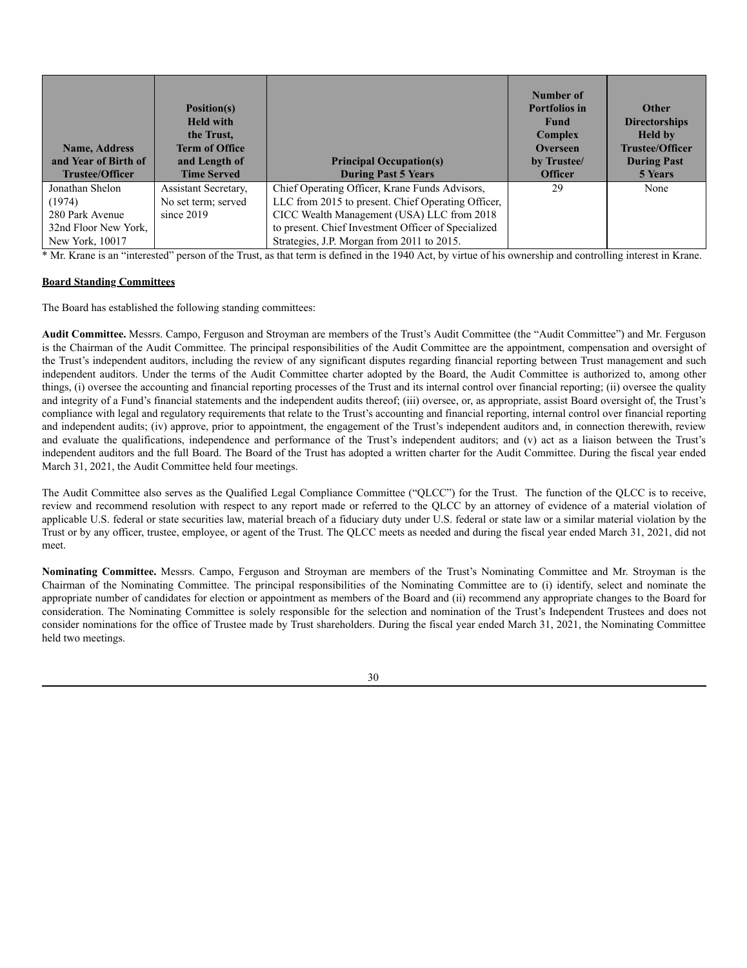| <b>Name, Address</b><br>and Year of Birth of<br><b>Trustee/Officer</b> | Position(s)<br><b>Held with</b><br>the Trust.<br><b>Term of Office</b><br>and Length of<br><b>Time Served</b> | <b>Principal Occupation(s)</b><br><b>During Past 5 Years</b> | Number of<br><b>Portfolios in</b><br>Fund<br><b>Complex</b><br>Overseen<br>by Trustee/<br><b>Officer</b> | <b>Other</b><br><b>Directorships</b><br><b>Held by</b><br><b>Trustee/Officer</b><br><b>During Past</b><br>5 Years |
|------------------------------------------------------------------------|---------------------------------------------------------------------------------------------------------------|--------------------------------------------------------------|----------------------------------------------------------------------------------------------------------|-------------------------------------------------------------------------------------------------------------------|
| Jonathan Shelon                                                        | Assistant Secretary,                                                                                          | Chief Operating Officer, Krane Funds Advisors,               | 29                                                                                                       | None                                                                                                              |
| (1974)                                                                 | No set term; served                                                                                           | LLC from 2015 to present. Chief Operating Officer,           |                                                                                                          |                                                                                                                   |
| 280 Park Avenue                                                        | since $2019$                                                                                                  | CICC Wealth Management (USA) LLC from 2018                   |                                                                                                          |                                                                                                                   |
| 32nd Floor New York,                                                   |                                                                                                               | to present. Chief Investment Officer of Specialized          |                                                                                                          |                                                                                                                   |
| New York, 10017                                                        |                                                                                                               | Strategies, J.P. Morgan from 2011 to 2015.                   |                                                                                                          |                                                                                                                   |

\* Mr. Krane is an "interested" person of the Trust, as that term is defined in the 1940 Act, by virtue of his ownership and controlling interest in Krane.

## **Board Standing Committees**

The Board has established the following standing committees:

**Audit Committee.** Messrs. Campo, Ferguson and Stroyman are members of the Trust's Audit Committee (the "Audit Committee") and Mr. Ferguson is the Chairman of the Audit Committee. The principal responsibilities of the Audit Committee are the appointment, compensation and oversight of the Trust's independent auditors, including the review of any significant disputes regarding financial reporting between Trust management and such independent auditors. Under the terms of the Audit Committee charter adopted by the Board, the Audit Committee is authorized to, among other things, (i) oversee the accounting and financial reporting processes of the Trust and its internal control over financial reporting; (ii) oversee the quality and integrity of a Fund's financial statements and the independent audits thereof; (iii) oversee, or, as appropriate, assist Board oversight of, the Trust's compliance with legal and regulatory requirements that relate to the Trust's accounting and financial reporting, internal control over financial reporting and independent audits; (iv) approve, prior to appointment, the engagement of the Trust's independent auditors and, in connection therewith, review and evaluate the qualifications, independence and performance of the Trust's independent auditors; and (v) act as a liaison between the Trust's independent auditors and the full Board. The Board of the Trust has adopted a written charter for the Audit Committee. During the fiscal year ended March 31, 2021, the Audit Committee held four meetings.

The Audit Committee also serves as the Qualified Legal Compliance Committee ("QLCC") for the Trust. The function of the QLCC is to receive, review and recommend resolution with respect to any report made or referred to the QLCC by an attorney of evidence of a material violation of applicable U.S. federal or state securities law, material breach of a fiduciary duty under U.S. federal or state law or a similar material violation by the Trust or by any officer, trustee, employee, or agent of the Trust. The QLCC meets as needed and during the fiscal year ended March 31, 2021, did not meet.

**Nominating Committee.** Messrs. Campo, Ferguson and Stroyman are members of the Trust's Nominating Committee and Mr. Stroyman is the Chairman of the Nominating Committee. The principal responsibilities of the Nominating Committee are to (i) identify, select and nominate the appropriate number of candidates for election or appointment as members of the Board and (ii) recommend any appropriate changes to the Board for consideration. The Nominating Committee is solely responsible for the selection and nomination of the Trust's Independent Trustees and does not consider nominations for the office of Trustee made by Trust shareholders. During the fiscal year ended March 31, 2021, the Nominating Committee held two meetings.

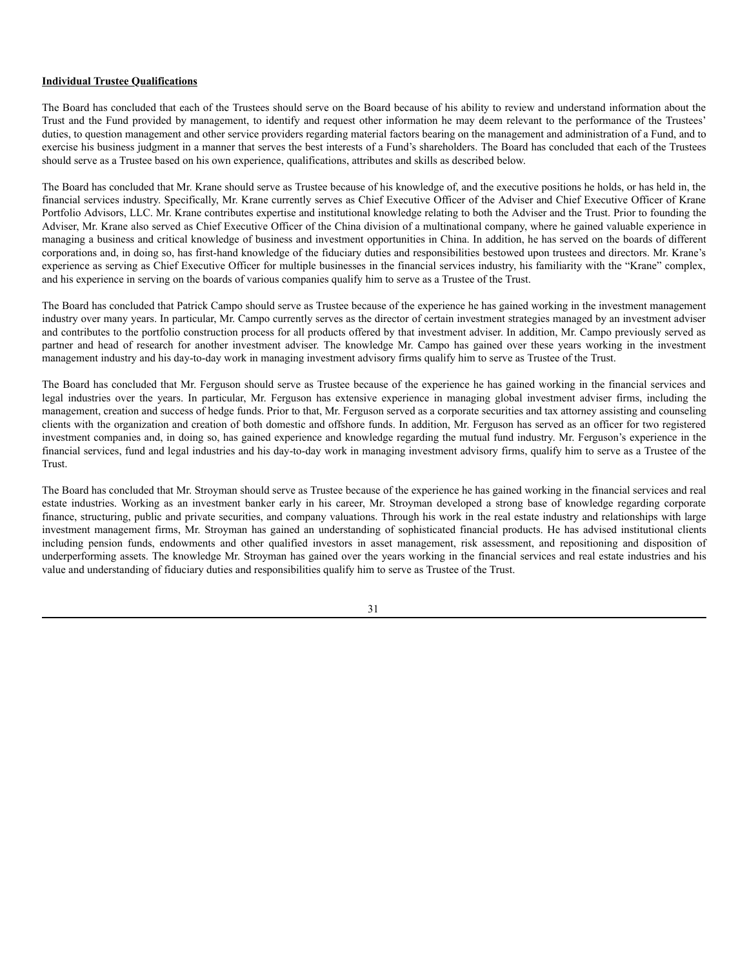## **Individual Trustee Qualifications**

The Board has concluded that each of the Trustees should serve on the Board because of his ability to review and understand information about the Trust and the Fund provided by management, to identify and request other information he may deem relevant to the performance of the Trustees' duties, to question management and other service providers regarding material factors bearing on the management and administration of a Fund, and to exercise his business judgment in a manner that serves the best interests of a Fund's shareholders. The Board has concluded that each of the Trustees should serve as a Trustee based on his own experience, qualifications, attributes and skills as described below.

The Board has concluded that Mr. Krane should serve as Trustee because of his knowledge of, and the executive positions he holds, or has held in, the financial services industry. Specifically, Mr. Krane currently serves as Chief Executive Officer of the Adviser and Chief Executive Officer of Krane Portfolio Advisors, LLC. Mr. Krane contributes expertise and institutional knowledge relating to both the Adviser and the Trust. Prior to founding the Adviser, Mr. Krane also served as Chief Executive Officer of the China division of a multinational company, where he gained valuable experience in managing a business and critical knowledge of business and investment opportunities in China. In addition, he has served on the boards of different corporations and, in doing so, has first-hand knowledge of the fiduciary duties and responsibilities bestowed upon trustees and directors. Mr. Krane's experience as serving as Chief Executive Officer for multiple businesses in the financial services industry, his familiarity with the "Krane" complex, and his experience in serving on the boards of various companies qualify him to serve as a Trustee of the Trust.

The Board has concluded that Patrick Campo should serve as Trustee because of the experience he has gained working in the investment management industry over many years. In particular, Mr. Campo currently serves as the director of certain investment strategies managed by an investment adviser and contributes to the portfolio construction process for all products offered by that investment adviser. In addition, Mr. Campo previously served as partner and head of research for another investment adviser. The knowledge Mr. Campo has gained over these years working in the investment management industry and his day-to-day work in managing investment advisory firms qualify him to serve as Trustee of the Trust.

The Board has concluded that Mr. Ferguson should serve as Trustee because of the experience he has gained working in the financial services and legal industries over the years. In particular, Mr. Ferguson has extensive experience in managing global investment adviser firms, including the management, creation and success of hedge funds. Prior to that, Mr. Ferguson served as a corporate securities and tax attorney assisting and counseling clients with the organization and creation of both domestic and offshore funds. In addition, Mr. Ferguson has served as an officer for two registered investment companies and, in doing so, has gained experience and knowledge regarding the mutual fund industry. Mr. Ferguson's experience in the financial services, fund and legal industries and his day-to-day work in managing investment advisory firms, qualify him to serve as a Trustee of the Trust.

The Board has concluded that Mr. Stroyman should serve as Trustee because of the experience he has gained working in the financial services and real estate industries. Working as an investment banker early in his career, Mr. Stroyman developed a strong base of knowledge regarding corporate finance, structuring, public and private securities, and company valuations. Through his work in the real estate industry and relationships with large investment management firms, Mr. Stroyman has gained an understanding of sophisticated financial products. He has advised institutional clients including pension funds, endowments and other qualified investors in asset management, risk assessment, and repositioning and disposition of underperforming assets. The knowledge Mr. Stroyman has gained over the years working in the financial services and real estate industries and his value and understanding of fiduciary duties and responsibilities qualify him to serve as Trustee of the Trust.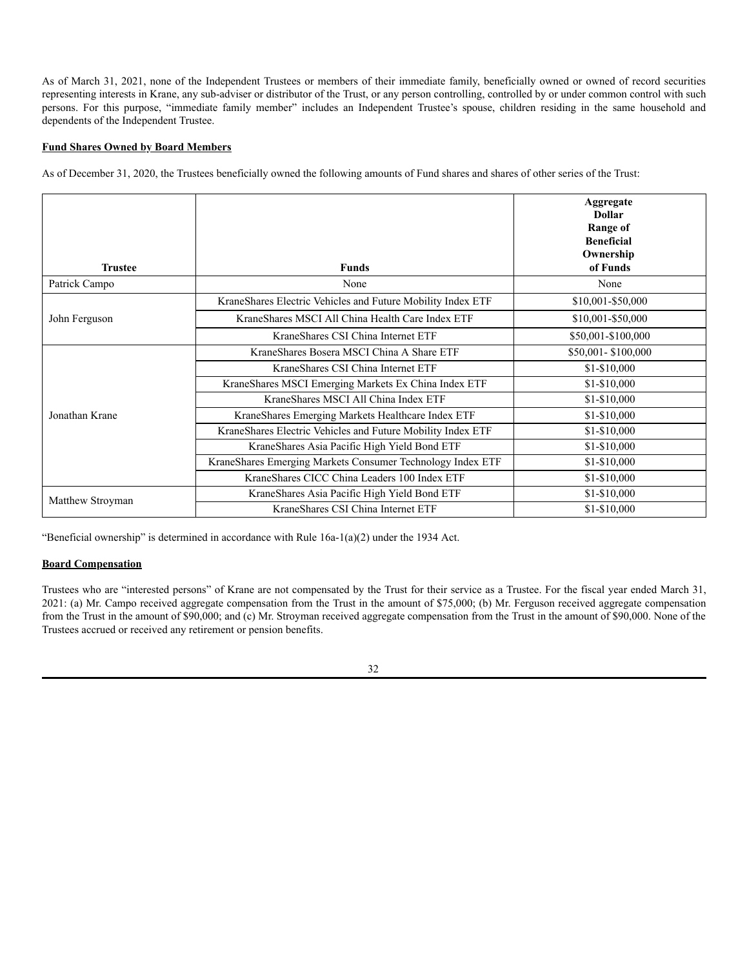As of March 31, 2021, none of the Independent Trustees or members of their immediate family, beneficially owned or owned of record securities representing interests in Krane, any sub-adviser or distributor of the Trust, or any person controlling, controlled by or under common control with such persons. For this purpose, "immediate family member" includes an Independent Trustee's spouse, children residing in the same household and dependents of the Independent Trustee.

# **Fund Shares Owned by Board Members**

As of December 31, 2020, the Trustees beneficially owned the following amounts of Fund shares and shares of other series of the Trust:

| <b>Trustee</b>   | <b>Funds</b>                                                | Aggregate<br><b>Dollar</b><br><b>Range of</b><br><b>Beneficial</b><br>Ownership<br>of Funds |
|------------------|-------------------------------------------------------------|---------------------------------------------------------------------------------------------|
| Patrick Campo    | None                                                        | None                                                                                        |
|                  | KraneShares Electric Vehicles and Future Mobility Index ETF | \$10,001-\$50,000                                                                           |
| John Ferguson    | KraneShares MSCI All China Health Care Index ETF            | $$10,001 - $50,000$                                                                         |
|                  | KraneShares CSI China Internet ETF                          | \$50,001-\$100,000                                                                          |
|                  | KraneShares Bosera MSCI China A Share ETF                   | \$50,001-\$100,000                                                                          |
|                  | KraneShares CSI China Internet ETF                          | \$1-\$10,000                                                                                |
|                  | KraneShares MSCI Emerging Markets Ex China Index ETF        | $$1-$10,000$                                                                                |
|                  | KraneShares MSCI All China Index ETF                        | \$1-\$10,000                                                                                |
| Jonathan Krane   | KraneShares Emerging Markets Healthcare Index ETF           | \$1-\$10,000                                                                                |
|                  | KraneShares Electric Vehicles and Future Mobility Index ETF | \$1-\$10,000                                                                                |
|                  | KraneShares Asia Pacific High Yield Bond ETF                | $$1-$10,000$                                                                                |
|                  | KraneShares Emerging Markets Consumer Technology Index ETF  | $$1-$10,000$                                                                                |
|                  | KraneShares CICC China Leaders 100 Index ETF                | $$1-$10,000$                                                                                |
|                  | KraneShares Asia Pacific High Yield Bond ETF                | $$1-$10,000$                                                                                |
| Matthew Stroyman | KraneShares CSI China Internet ETF                          | \$1-\$10,000                                                                                |

"Beneficial ownership" is determined in accordance with Rule 16a-1(a)(2) under the 1934 Act.

# **Board Compensation**

Trustees who are "interested persons" of Krane are not compensated by the Trust for their service as a Trustee. For the fiscal year ended March 31, 2021: (a) Mr. Campo received aggregate compensation from the Trust in the amount of \$75,000; (b) Mr. Ferguson received aggregate compensation from the Trust in the amount of \$90,000; and (c) Mr. Stroyman received aggregate compensation from the Trust in the amount of \$90,000. None of the Trustees accrued or received any retirement or pension benefits.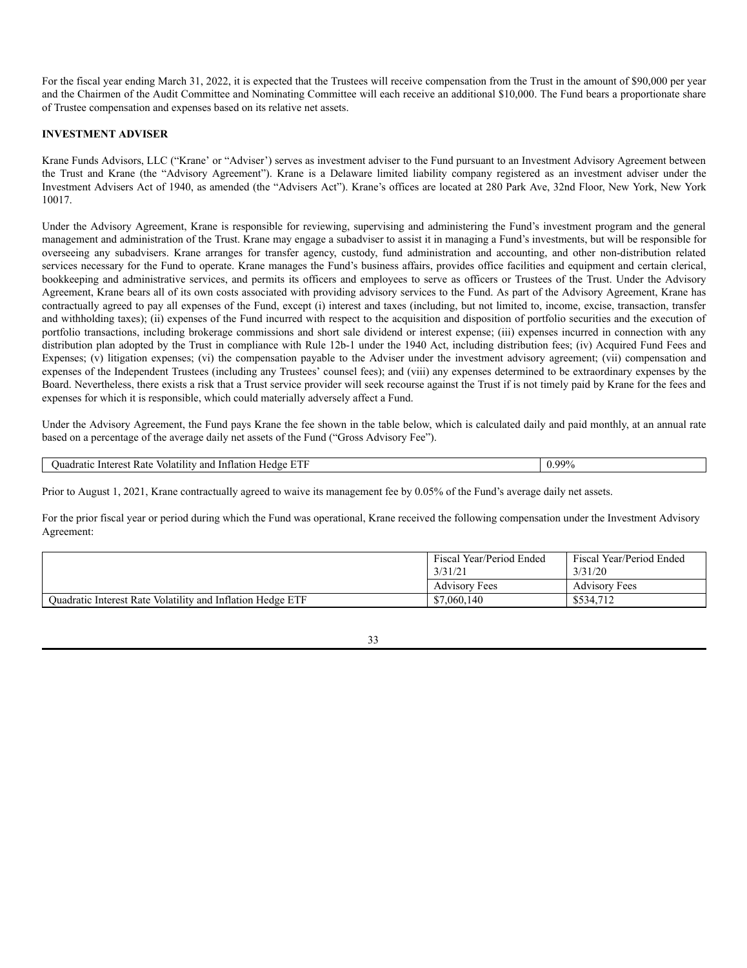For the fiscal year ending March 31, 2022, it is expected that the Trustees will receive compensation from the Trust in the amount of \$90,000 per year and the Chairmen of the Audit Committee and Nominating Committee will each receive an additional \$10,000. The Fund bears a proportionate share of Trustee compensation and expenses based on its relative net assets.

## <span id="page-34-0"></span>**INVESTMENT ADVISER**

Krane Funds Advisors, LLC ("Krane' or "Adviser') serves as investment adviser to the Fund pursuant to an Investment Advisory Agreement between the Trust and Krane (the "Advisory Agreement"). Krane is a Delaware limited liability company registered as an investment adviser under the Investment Advisers Act of 1940, as amended (the "Advisers Act"). Krane's offices are located at 280 Park Ave, 32nd Floor, New York, New York 10017.

Under the Advisory Agreement, Krane is responsible for reviewing, supervising and administering the Fund's investment program and the general management and administration of the Trust. Krane may engage a subadviser to assist it in managing a Fund's investments, but will be responsible for overseeing any subadvisers. Krane arranges for transfer agency, custody, fund administration and accounting, and other non-distribution related services necessary for the Fund to operate. Krane manages the Fund's business affairs, provides office facilities and equipment and certain clerical, bookkeeping and administrative services, and permits its officers and employees to serve as officers or Trustees of the Trust. Under the Advisory Agreement, Krane bears all of its own costs associated with providing advisory services to the Fund. As part of the Advisory Agreement, Krane has contractually agreed to pay all expenses of the Fund, except (i) interest and taxes (including, but not limited to, income, excise, transaction, transfer and withholding taxes); (ii) expenses of the Fund incurred with respect to the acquisition and disposition of portfolio securities and the execution of portfolio transactions, including brokerage commissions and short sale dividend or interest expense; (iii) expenses incurred in connection with any distribution plan adopted by the Trust in compliance with Rule 12b-1 under the 1940 Act, including distribution fees; (iv) Acquired Fund Fees and Expenses; (v) litigation expenses; (vi) the compensation payable to the Adviser under the investment advisory agreement; (vii) compensation and expenses of the Independent Trustees (including any Trustees' counsel fees); and (viii) any expenses determined to be extraordinary expenses by the Board. Nevertheless, there exists a risk that a Trust service provider will seek recourse against the Trust if is not timely paid by Krane for the fees and expenses for which it is responsible, which could materially adversely affect a Fund.

Under the Advisory Agreement, the Fund pays Krane the fee shown in the table below, which is calculated daily and paid monthly, at an annual rate based on a percentage of the average daily net assets of the Fund ("Gross Advisory Fee").

| ---<br>Inflation<br>and<br>Volatility<br>Juadratic<br>Rate<br>Hedge<br>Interest<br>. | $\sqrt{00}$<br>$\mathbf{U} \cdot \mathbf{V}$ |
|--------------------------------------------------------------------------------------|----------------------------------------------|

Prior to August 1, 2021, Krane contractually agreed to waive its management fee by 0.05% of the Fund's average daily net assets.

For the prior fiscal year or period during which the Fund was operational, Krane received the following compensation under the Investment Advisory Agreement:

|                                                            | Fiscal Year/Period Ended<br>3/31/21 | Fiscal Year/Period Ended<br>3/31/20 |
|------------------------------------------------------------|-------------------------------------|-------------------------------------|
|                                                            | <b>Advisory Fees</b>                | <b>Advisory Fees</b>                |
| Quadratic Interest Rate Volatility and Inflation Hedge ETF | \$7,060,140                         | \$534,712                           |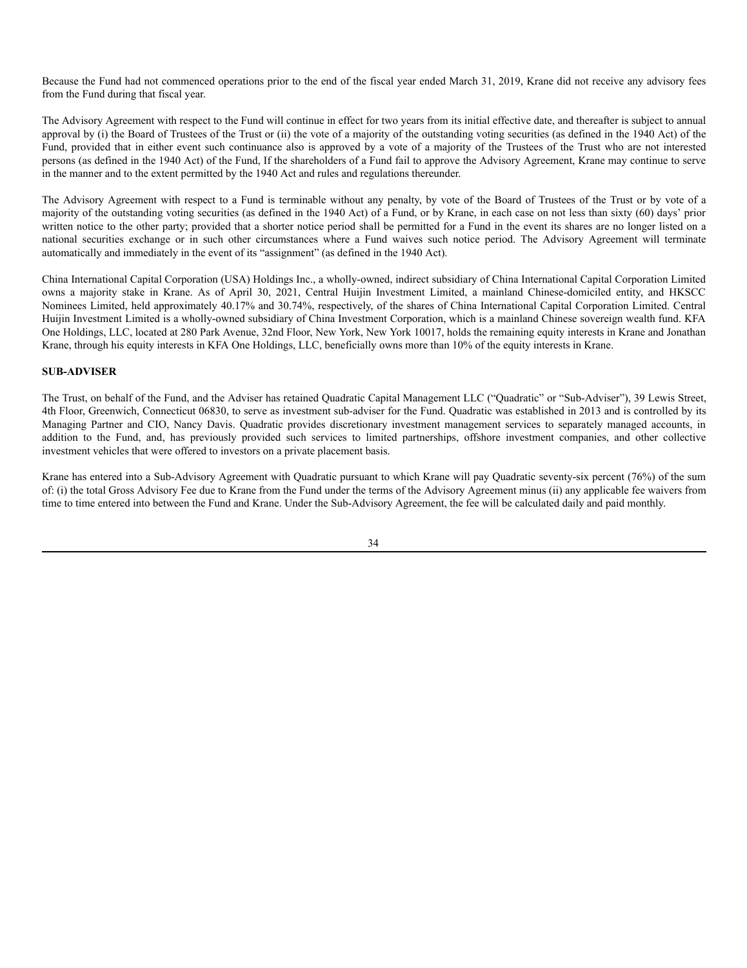Because the Fund had not commenced operations prior to the end of the fiscal year ended March 31, 2019, Krane did not receive any advisory fees from the Fund during that fiscal year.

The Advisory Agreement with respect to the Fund will continue in effect for two years from its initial effective date, and thereafter is subject to annual approval by (i) the Board of Trustees of the Trust or (ii) the vote of a majority of the outstanding voting securities (as defined in the 1940 Act) of the Fund, provided that in either event such continuance also is approved by a vote of a majority of the Trustees of the Trust who are not interested persons (as defined in the 1940 Act) of the Fund, If the shareholders of a Fund fail to approve the Advisory Agreement, Krane may continue to serve in the manner and to the extent permitted by the 1940 Act and rules and regulations thereunder.

The Advisory Agreement with respect to a Fund is terminable without any penalty, by vote of the Board of Trustees of the Trust or by vote of a majority of the outstanding voting securities (as defined in the 1940 Act) of a Fund, or by Krane, in each case on not less than sixty (60) days' prior written notice to the other party; provided that a shorter notice period shall be permitted for a Fund in the event its shares are no longer listed on a national securities exchange or in such other circumstances where a Fund waives such notice period. The Advisory Agreement will terminate automatically and immediately in the event of its "assignment" (as defined in the 1940 Act).

China International Capital Corporation (USA) Holdings Inc., a wholly-owned, indirect subsidiary of China International Capital Corporation Limited owns a majority stake in Krane. As of April 30, 2021, Central Huijin Investment Limited, a mainland Chinese-domiciled entity, and HKSCC Nominees Limited, held approximately 40.17% and 30.74%, respectively, of the shares of China International Capital Corporation Limited. Central Huijin Investment Limited is a wholly-owned subsidiary of China Investment Corporation, which is a mainland Chinese sovereign wealth fund. KFA One Holdings, LLC, located at 280 Park Avenue, 32nd Floor, New York, New York 10017, holds the remaining equity interests in Krane and Jonathan Krane, through his equity interests in KFA One Holdings, LLC, beneficially owns more than 10% of the equity interests in Krane.

## <span id="page-35-0"></span>**SUB-ADVISER**

The Trust, on behalf of the Fund, and the Adviser has retained Quadratic Capital Management LLC ("Quadratic" or "Sub-Adviser"), 39 Lewis Street, 4th Floor, Greenwich, Connecticut 06830, to serve as investment sub-adviser for the Fund. Quadratic was established in 2013 and is controlled by its Managing Partner and CIO, Nancy Davis. Quadratic provides discretionary investment management services to separately managed accounts, in addition to the Fund, and, has previously provided such services to limited partnerships, offshore investment companies, and other collective investment vehicles that were offered to investors on a private placement basis.

Krane has entered into a Sub-Advisory Agreement with Quadratic pursuant to which Krane will pay Quadratic seventy-six percent (76%) of the sum of: (i) the total Gross Advisory Fee due to Krane from the Fund under the terms of the Advisory Agreement minus (ii) any applicable fee waivers from time to time entered into between the Fund and Krane. Under the Sub-Advisory Agreement, the fee will be calculated daily and paid monthly.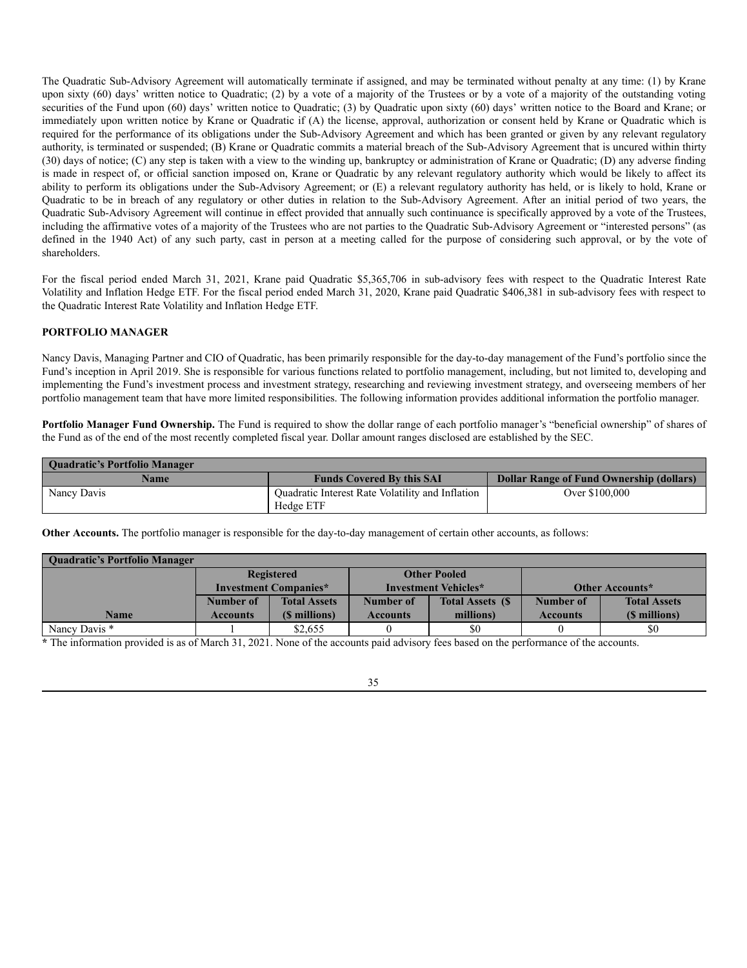The Quadratic Sub-Advisory Agreement will automatically terminate if assigned, and may be terminated without penalty at any time: (1) by Krane upon sixty (60) days' written notice to Quadratic; (2) by a vote of a majority of the Trustees or by a vote of a majority of the outstanding voting securities of the Fund upon (60) days' written notice to Quadratic; (3) by Quadratic upon sixty (60) days' written notice to the Board and Krane; or immediately upon written notice by Krane or Quadratic if (A) the license, approval, authorization or consent held by Krane or Quadratic which is required for the performance of its obligations under the Sub-Advisory Agreement and which has been granted or given by any relevant regulatory authority, is terminated or suspended; (B) Krane or Quadratic commits a material breach of the Sub-Advisory Agreement that is uncured within thirty (30) days of notice; (C) any step is taken with a view to the winding up, bankruptcy or administration of Krane or Quadratic; (D) any adverse finding is made in respect of, or official sanction imposed on, Krane or Quadratic by any relevant regulatory authority which would be likely to affect its ability to perform its obligations under the Sub-Advisory Agreement; or (E) a relevant regulatory authority has held, or is likely to hold, Krane or Quadratic to be in breach of any regulatory or other duties in relation to the Sub-Advisory Agreement. After an initial period of two years, the Quadratic Sub-Advisory Agreement will continue in effect provided that annually such continuance is specifically approved by a vote of the Trustees, including the affirmative votes of a majority of the Trustees who are not parties to the Quadratic Sub-Advisory Agreement or "interested persons" (as defined in the 1940 Act) of any such party, cast in person at a meeting called for the purpose of considering such approval, or by the vote of shareholders.

For the fiscal period ended March 31, 2021, Krane paid Quadratic \$5,365,706 in sub-advisory fees with respect to the Quadratic Interest Rate Volatility and Inflation Hedge ETF. For the fiscal period ended March 31, 2020, Krane paid Quadratic \$406,381 in sub-advisory fees with respect to the Quadratic Interest Rate Volatility and Inflation Hedge ETF.

## **PORTFOLIO MANAGER**

Nancy Davis, Managing Partner and CIO of Quadratic, has been primarily responsible for the day-to-day management of the Fund's portfolio since the Fund's inception in April 2019. She is responsible for various functions related to portfolio management, including, but not limited to, developing and implementing the Fund's investment process and investment strategy, researching and reviewing investment strategy, and overseeing members of her portfolio management team that have more limited responsibilities. The following information provides additional information the portfolio manager.

**Portfolio Manager Fund Ownership.** The Fund is required to show the dollar range of each portfolio manager's "beneficial ownership" of shares of the Fund as of the end of the most recently completed fiscal year. Dollar amount ranges disclosed are established by the SEC.

| <b>Ouadratic's Portfolio Manager</b> |                                                  |                                          |
|--------------------------------------|--------------------------------------------------|------------------------------------------|
| Name                                 | <b>Funds Covered By this SAI</b>                 | Dollar Range of Fund Ownership (dollars) |
| Nancy Davis                          | Quadratic Interest Rate Volatility and Inflation | Over \$100,000                           |
|                                      | Hedge ETF                                        |                                          |

**Other Accounts.** The portfolio manager is responsible for the day-to-day management of certain other accounts, as follows:

| <b>Quadratic's Portfolio Manager</b> |                 |                              |                 |                             |                 |                     |
|--------------------------------------|-----------------|------------------------------|-----------------|-----------------------------|-----------------|---------------------|
|                                      |                 | <b>Registered</b>            |                 | <b>Other Pooled</b>         |                 |                     |
|                                      |                 | <b>Investment Companies*</b> |                 | <b>Investment Vehicles*</b> |                 | Other Accounts*     |
|                                      | Number of       | <b>Total Assets</b>          | Number of       | <b>Total Assets (\$</b>     | Number of       | <b>Total Assets</b> |
| <b>Name</b>                          | <b>Accounts</b> | (\$ millions)                | <b>Accounts</b> | millions)                   | <b>Accounts</b> | (\$ millions)       |
| Nancy Davis <sup>*</sup>             |                 | \$2,655                      |                 | \$0                         |                 | \$0                 |

**\*** The information provided is as of March 31, 2021. None of the accounts paid advisory fees based on the performance of the accounts.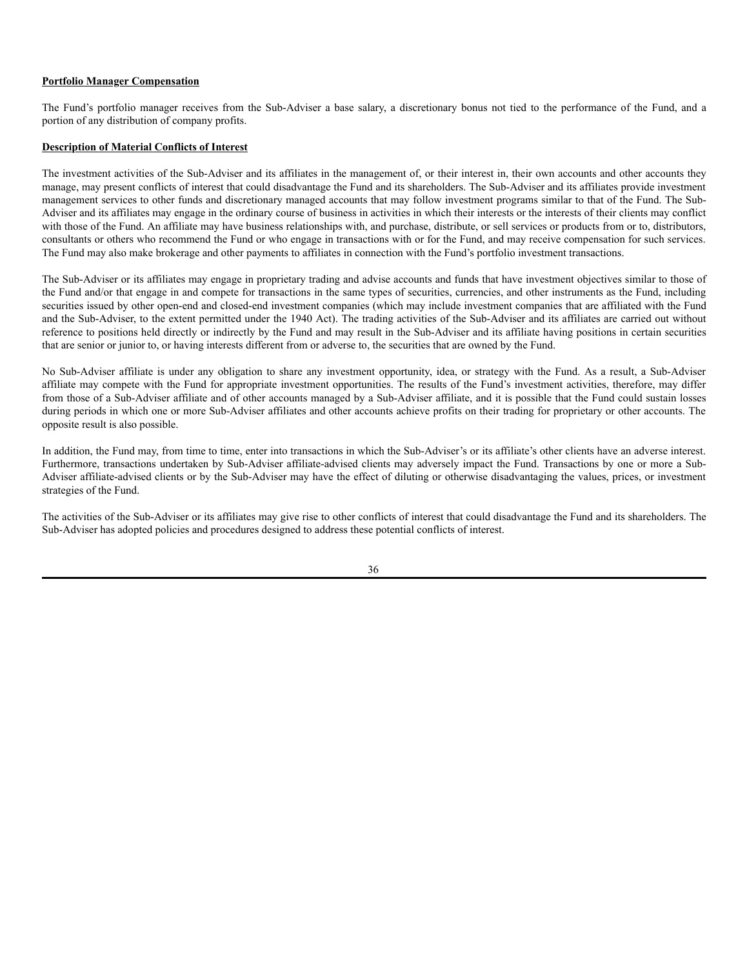## **Portfolio Manager Compensation**

The Fund's portfolio manager receives from the Sub-Adviser a base salary, a discretionary bonus not tied to the performance of the Fund, and a portion of any distribution of company profits.

#### **Description of Material Conflicts of Interest**

The investment activities of the Sub-Adviser and its affiliates in the management of, or their interest in, their own accounts and other accounts they manage, may present conflicts of interest that could disadvantage the Fund and its shareholders. The Sub-Adviser and its affiliates provide investment management services to other funds and discretionary managed accounts that may follow investment programs similar to that of the Fund. The Sub-Adviser and its affiliates may engage in the ordinary course of business in activities in which their interests or the interests of their clients may conflict with those of the Fund. An affiliate may have business relationships with, and purchase, distribute, or sell services or products from or to, distributors, consultants or others who recommend the Fund or who engage in transactions with or for the Fund, and may receive compensation for such services. The Fund may also make brokerage and other payments to affiliates in connection with the Fund's portfolio investment transactions.

The Sub-Adviser or its affiliates may engage in proprietary trading and advise accounts and funds that have investment objectives similar to those of the Fund and/or that engage in and compete for transactions in the same types of securities, currencies, and other instruments as the Fund, including securities issued by other open-end and closed-end investment companies (which may include investment companies that are affiliated with the Fund and the Sub-Adviser, to the extent permitted under the 1940 Act). The trading activities of the Sub-Adviser and its affiliates are carried out without reference to positions held directly or indirectly by the Fund and may result in the Sub-Adviser and its affiliate having positions in certain securities that are senior or junior to, or having interests different from or adverse to, the securities that are owned by the Fund.

No Sub-Adviser affiliate is under any obligation to share any investment opportunity, idea, or strategy with the Fund. As a result, a Sub-Adviser affiliate may compete with the Fund for appropriate investment opportunities. The results of the Fund's investment activities, therefore, may differ from those of a Sub-Adviser affiliate and of other accounts managed by a Sub-Adviser affiliate, and it is possible that the Fund could sustain losses during periods in which one or more Sub-Adviser affiliates and other accounts achieve profits on their trading for proprietary or other accounts. The opposite result is also possible.

In addition, the Fund may, from time to time, enter into transactions in which the Sub-Adviser's or its affiliate's other clients have an adverse interest. Furthermore, transactions undertaken by Sub-Adviser affiliate-advised clients may adversely impact the Fund. Transactions by one or more a Sub-Adviser affiliate-advised clients or by the Sub-Adviser may have the effect of diluting or otherwise disadvantaging the values, prices, or investment strategies of the Fund.

The activities of the Sub-Adviser or its affiliates may give rise to other conflicts of interest that could disadvantage the Fund and its shareholders. The Sub-Adviser has adopted policies and procedures designed to address these potential conflicts of interest.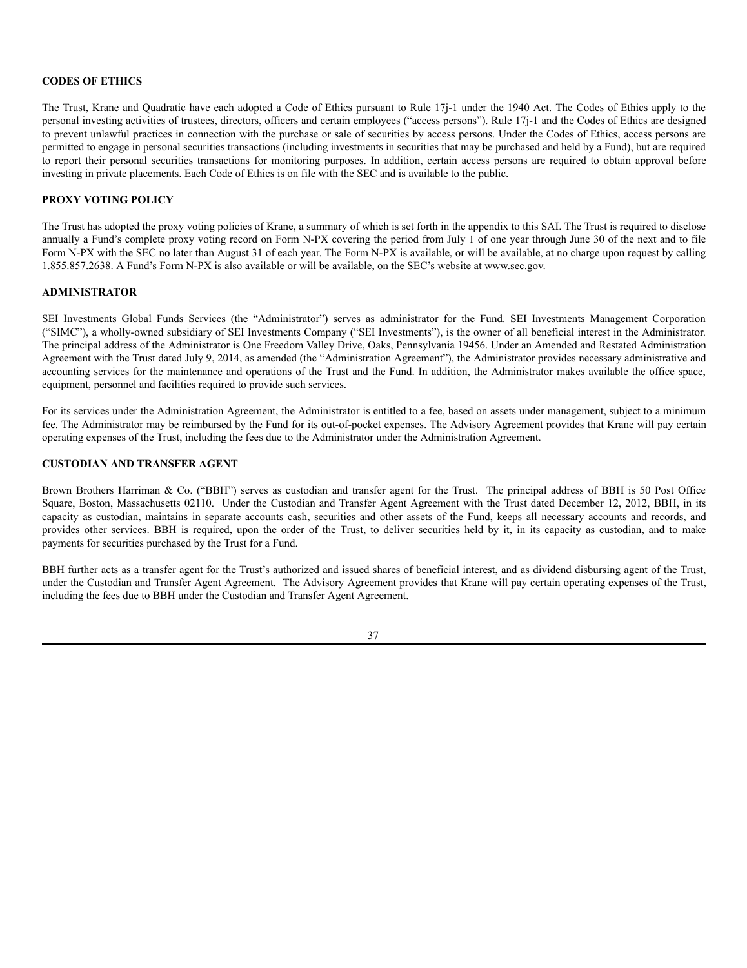# **CODES OF ETHICS**

The Trust, Krane and Quadratic have each adopted a Code of Ethics pursuant to Rule 17j-1 under the 1940 Act. The Codes of Ethics apply to the personal investing activities of trustees, directors, officers and certain employees ("access persons"). Rule 17j-1 and the Codes of Ethics are designed to prevent unlawful practices in connection with the purchase or sale of securities by access persons. Under the Codes of Ethics, access persons are permitted to engage in personal securities transactions (including investments in securities that may be purchased and held by a Fund), but are required to report their personal securities transactions for monitoring purposes. In addition, certain access persons are required to obtain approval before investing in private placements. Each Code of Ethics is on file with the SEC and is available to the public.

## **PROXY VOTING POLICY**

The Trust has adopted the proxy voting policies of Krane, a summary of which is set forth in the appendix to this SAI. The Trust is required to disclose annually a Fund's complete proxy voting record on Form N-PX covering the period from July 1 of one year through June 30 of the next and to file Form N-PX with the SEC no later than August 31 of each year. The Form N-PX is available, or will be available, at no charge upon request by calling 1.855.857.2638. A Fund's Form N-PX is also available or will be available, on the SEC's website at www.sec.gov.

#### **ADMINISTRATOR**

SEI Investments Global Funds Services (the "Administrator") serves as administrator for the Fund. SEI Investments Management Corporation ("SIMC"), a wholly-owned subsidiary of SEI Investments Company ("SEI Investments"), is the owner of all beneficial interest in the Administrator. The principal address of the Administrator is One Freedom Valley Drive, Oaks, Pennsylvania 19456. Under an Amended and Restated Administration Agreement with the Trust dated July 9, 2014, as amended (the "Administration Agreement"), the Administrator provides necessary administrative and accounting services for the maintenance and operations of the Trust and the Fund. In addition, the Administrator makes available the office space, equipment, personnel and facilities required to provide such services.

For its services under the Administration Agreement, the Administrator is entitled to a fee, based on assets under management, subject to a minimum fee. The Administrator may be reimbursed by the Fund for its out-of-pocket expenses. The Advisory Agreement provides that Krane will pay certain operating expenses of the Trust, including the fees due to the Administrator under the Administration Agreement.

## **CUSTODIAN AND TRANSFER AGENT**

Brown Brothers Harriman & Co. ("BBH") serves as custodian and transfer agent for the Trust. The principal address of BBH is 50 Post Office Square, Boston, Massachusetts 02110. Under the Custodian and Transfer Agent Agreement with the Trust dated December 12, 2012, BBH, in its capacity as custodian, maintains in separate accounts cash, securities and other assets of the Fund, keeps all necessary accounts and records, and provides other services. BBH is required, upon the order of the Trust, to deliver securities held by it, in its capacity as custodian, and to make payments for securities purchased by the Trust for a Fund.

BBH further acts as a transfer agent for the Trust's authorized and issued shares of beneficial interest, and as dividend disbursing agent of the Trust, under the Custodian and Transfer Agent Agreement. The Advisory Agreement provides that Krane will pay certain operating expenses of the Trust, including the fees due to BBH under the Custodian and Transfer Agent Agreement.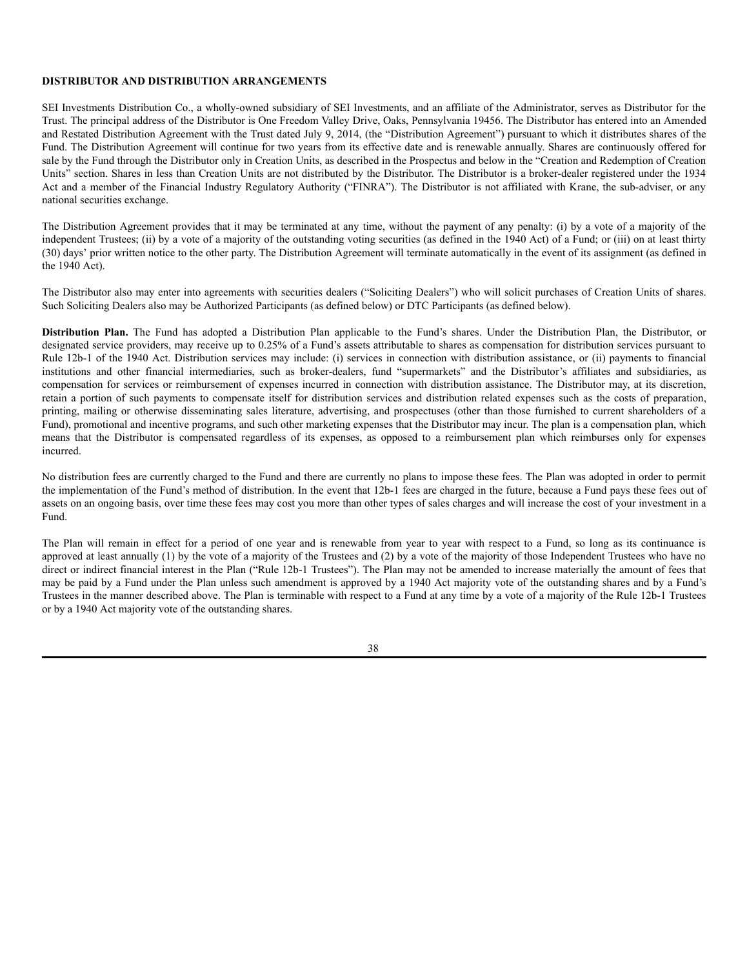## **DISTRIBUTOR AND DISTRIBUTION ARRANGEMENTS**

SEI Investments Distribution Co., a wholly-owned subsidiary of SEI Investments, and an affiliate of the Administrator, serves as Distributor for the Trust. The principal address of the Distributor is One Freedom Valley Drive, Oaks, Pennsylvania 19456. The Distributor has entered into an Amended and Restated Distribution Agreement with the Trust dated July 9, 2014, (the "Distribution Agreement") pursuant to which it distributes shares of the Fund. The Distribution Agreement will continue for two years from its effective date and is renewable annually. Shares are continuously offered for sale by the Fund through the Distributor only in Creation Units, as described in the Prospectus and below in the "Creation and Redemption of Creation Units" section. Shares in less than Creation Units are not distributed by the Distributor. The Distributor is a broker-dealer registered under the 1934 Act and a member of the Financial Industry Regulatory Authority ("FINRA"). The Distributor is not affiliated with Krane, the sub-adviser, or any national securities exchange.

The Distribution Agreement provides that it may be terminated at any time, without the payment of any penalty: (i) by a vote of a majority of the independent Trustees; (ii) by a vote of a majority of the outstanding voting securities (as defined in the 1940 Act) of a Fund; or (iii) on at least thirty (30) days' prior written notice to the other party. The Distribution Agreement will terminate automatically in the event of its assignment (as defined in the 1940 Act).

The Distributor also may enter into agreements with securities dealers ("Soliciting Dealers") who will solicit purchases of Creation Units of shares. Such Soliciting Dealers also may be Authorized Participants (as defined below) or DTC Participants (as defined below).

**Distribution Plan.** The Fund has adopted a Distribution Plan applicable to the Fund's shares. Under the Distribution Plan, the Distributor, or designated service providers, may receive up to 0.25% of a Fund's assets attributable to shares as compensation for distribution services pursuant to Rule 12b-1 of the 1940 Act. Distribution services may include: (i) services in connection with distribution assistance, or (ii) payments to financial institutions and other financial intermediaries, such as broker-dealers, fund "supermarkets" and the Distributor's affiliates and subsidiaries, as compensation for services or reimbursement of expenses incurred in connection with distribution assistance. The Distributor may, at its discretion, retain a portion of such payments to compensate itself for distribution services and distribution related expenses such as the costs of preparation, printing, mailing or otherwise disseminating sales literature, advertising, and prospectuses (other than those furnished to current shareholders of a Fund), promotional and incentive programs, and such other marketing expenses that the Distributor may incur. The plan is a compensation plan, which means that the Distributor is compensated regardless of its expenses, as opposed to a reimbursement plan which reimburses only for expenses incurred.

No distribution fees are currently charged to the Fund and there are currently no plans to impose these fees. The Plan was adopted in order to permit the implementation of the Fund's method of distribution. In the event that 12b-1 fees are charged in the future, because a Fund pays these fees out of assets on an ongoing basis, over time these fees may cost you more than other types of sales charges and will increase the cost of your investment in a Fund.

The Plan will remain in effect for a period of one year and is renewable from year to year with respect to a Fund, so long as its continuance is approved at least annually (1) by the vote of a majority of the Trustees and (2) by a vote of the majority of those Independent Trustees who have no direct or indirect financial interest in the Plan ("Rule 12b-1 Trustees"). The Plan may not be amended to increase materially the amount of fees that may be paid by a Fund under the Plan unless such amendment is approved by a 1940 Act majority vote of the outstanding shares and by a Fund's Trustees in the manner described above. The Plan is terminable with respect to a Fund at any time by a vote of a majority of the Rule 12b-1 Trustees or by a 1940 Act majority vote of the outstanding shares.

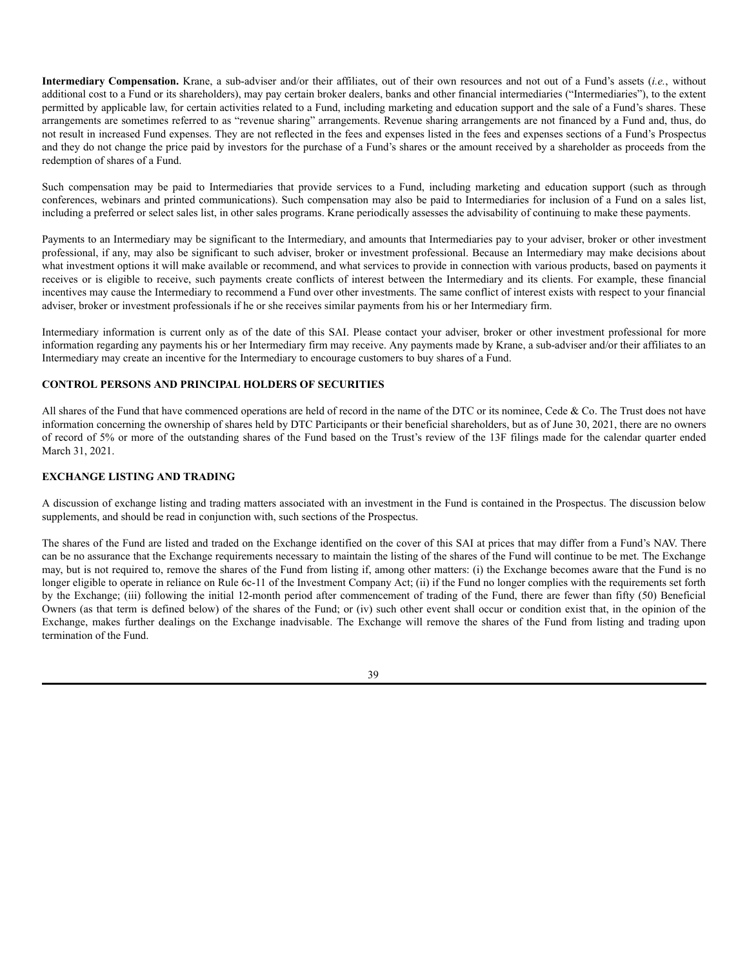**Intermediary Compensation.** Krane, a sub-adviser and/or their affiliates, out of their own resources and not out of a Fund's assets (*i.e.*, without additional cost to a Fund or its shareholders), may pay certain broker dealers, banks and other financial intermediaries ("Intermediaries"), to the extent permitted by applicable law, for certain activities related to a Fund, including marketing and education support and the sale of a Fund's shares. These arrangements are sometimes referred to as "revenue sharing" arrangements. Revenue sharing arrangements are not financed by a Fund and, thus, do not result in increased Fund expenses. They are not reflected in the fees and expenses listed in the fees and expenses sections of a Fund's Prospectus and they do not change the price paid by investors for the purchase of a Fund's shares or the amount received by a shareholder as proceeds from the redemption of shares of a Fund.

Such compensation may be paid to Intermediaries that provide services to a Fund, including marketing and education support (such as through conferences, webinars and printed communications). Such compensation may also be paid to Intermediaries for inclusion of a Fund on a sales list, including a preferred or select sales list, in other sales programs. Krane periodically assesses the advisability of continuing to make these payments.

Payments to an Intermediary may be significant to the Intermediary, and amounts that Intermediaries pay to your adviser, broker or other investment professional, if any, may also be significant to such adviser, broker or investment professional. Because an Intermediary may make decisions about what investment options it will make available or recommend, and what services to provide in connection with various products, based on payments it receives or is eligible to receive, such payments create conflicts of interest between the Intermediary and its clients. For example, these financial incentives may cause the Intermediary to recommend a Fund over other investments. The same conflict of interest exists with respect to your financial adviser, broker or investment professionals if he or she receives similar payments from his or her Intermediary firm.

Intermediary information is current only as of the date of this SAI. Please contact your adviser, broker or other investment professional for more information regarding any payments his or her Intermediary firm may receive. Any payments made by Krane, a sub-adviser and/or their affiliates to an Intermediary may create an incentive for the Intermediary to encourage customers to buy shares of a Fund.

## **CONTROL PERSONS AND PRINCIPAL HOLDERS OF SECURITIES**

All shares of the Fund that have commenced operations are held of record in the name of the DTC or its nominee, Cede & Co. The Trust does not have information concerning the ownership of shares held by DTC Participants or their beneficial shareholders, but as of June 30, 2021, there are no owners of record of 5% or more of the outstanding shares of the Fund based on the Trust's review of the 13F filings made for the calendar quarter ended March 31, 2021.

# **EXCHANGE LISTING AND TRADING**

A discussion of exchange listing and trading matters associated with an investment in the Fund is contained in the Prospectus. The discussion below supplements, and should be read in conjunction with, such sections of the Prospectus.

The shares of the Fund are listed and traded on the Exchange identified on the cover of this SAI at prices that may differ from a Fund's NAV. There can be no assurance that the Exchange requirements necessary to maintain the listing of the shares of the Fund will continue to be met. The Exchange may, but is not required to, remove the shares of the Fund from listing if, among other matters: (i) the Exchange becomes aware that the Fund is no longer eligible to operate in reliance on Rule 6c-11 of the Investment Company Act; (ii) if the Fund no longer complies with the requirements set forth by the Exchange; (iii) following the initial 12-month period after commencement of trading of the Fund, there are fewer than fifty (50) Beneficial Owners (as that term is defined below) of the shares of the Fund; or (iv) such other event shall occur or condition exist that, in the opinion of the Exchange, makes further dealings on the Exchange inadvisable. The Exchange will remove the shares of the Fund from listing and trading upon termination of the Fund.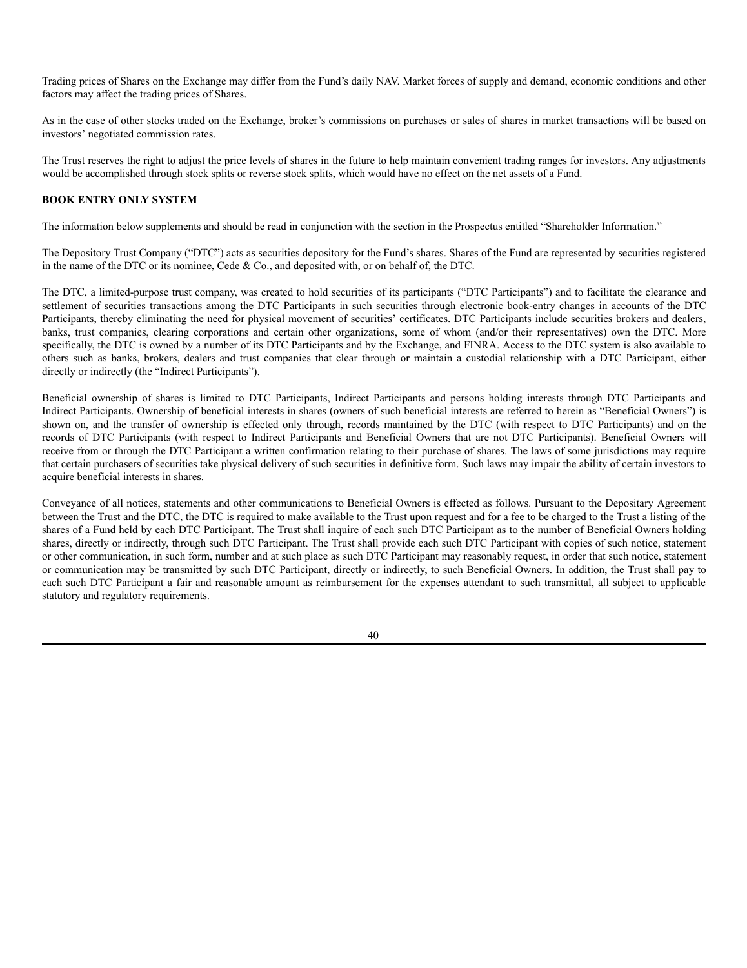Trading prices of Shares on the Exchange may differ from the Fund's daily NAV. Market forces of supply and demand, economic conditions and other factors may affect the trading prices of Shares.

As in the case of other stocks traded on the Exchange, broker's commissions on purchases or sales of shares in market transactions will be based on investors' negotiated commission rates.

The Trust reserves the right to adjust the price levels of shares in the future to help maintain convenient trading ranges for investors. Any adjustments would be accomplished through stock splits or reverse stock splits, which would have no effect on the net assets of a Fund.

## **BOOK ENTRY ONLY SYSTEM**

The information below supplements and should be read in conjunction with the section in the Prospectus entitled "Shareholder Information."

The Depository Trust Company ("DTC") acts as securities depository for the Fund's shares. Shares of the Fund are represented by securities registered in the name of the DTC or its nominee, Cede & Co., and deposited with, or on behalf of, the DTC.

The DTC, a limited-purpose trust company, was created to hold securities of its participants ("DTC Participants") and to facilitate the clearance and settlement of securities transactions among the DTC Participants in such securities through electronic book-entry changes in accounts of the DTC Participants, thereby eliminating the need for physical movement of securities' certificates. DTC Participants include securities brokers and dealers, banks, trust companies, clearing corporations and certain other organizations, some of whom (and/or their representatives) own the DTC. More specifically, the DTC is owned by a number of its DTC Participants and by the Exchange, and FINRA. Access to the DTC system is also available to others such as banks, brokers, dealers and trust companies that clear through or maintain a custodial relationship with a DTC Participant, either directly or indirectly (the "Indirect Participants").

Beneficial ownership of shares is limited to DTC Participants, Indirect Participants and persons holding interests through DTC Participants and Indirect Participants. Ownership of beneficial interests in shares (owners of such beneficial interests are referred to herein as "Beneficial Owners") is shown on, and the transfer of ownership is effected only through, records maintained by the DTC (with respect to DTC Participants) and on the records of DTC Participants (with respect to Indirect Participants and Beneficial Owners that are not DTC Participants). Beneficial Owners will receive from or through the DTC Participant a written confirmation relating to their purchase of shares. The laws of some jurisdictions may require that certain purchasers of securities take physical delivery of such securities in definitive form. Such laws may impair the ability of certain investors to acquire beneficial interests in shares.

Conveyance of all notices, statements and other communications to Beneficial Owners is effected as follows. Pursuant to the Depositary Agreement between the Trust and the DTC, the DTC is required to make available to the Trust upon request and for a fee to be charged to the Trust a listing of the shares of a Fund held by each DTC Participant. The Trust shall inquire of each such DTC Participant as to the number of Beneficial Owners holding shares, directly or indirectly, through such DTC Participant. The Trust shall provide each such DTC Participant with copies of such notice, statement or other communication, in such form, number and at such place as such DTC Participant may reasonably request, in order that such notice, statement or communication may be transmitted by such DTC Participant, directly or indirectly, to such Beneficial Owners. In addition, the Trust shall pay to each such DTC Participant a fair and reasonable amount as reimbursement for the expenses attendant to such transmittal, all subject to applicable statutory and regulatory requirements.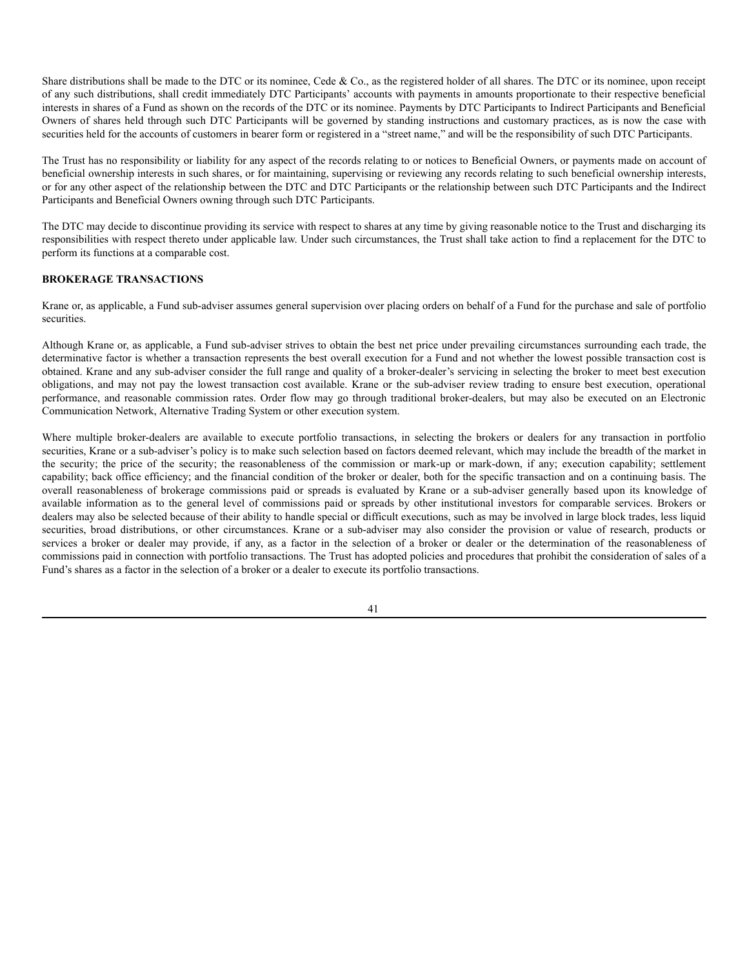Share distributions shall be made to the DTC or its nominee, Cede  $\&$  Co., as the registered holder of all shares. The DTC or its nominee, upon receipt of any such distributions, shall credit immediately DTC Participants' accounts with payments in amounts proportionate to their respective beneficial interests in shares of a Fund as shown on the records of the DTC or its nominee. Payments by DTC Participants to Indirect Participants and Beneficial Owners of shares held through such DTC Participants will be governed by standing instructions and customary practices, as is now the case with securities held for the accounts of customers in bearer form or registered in a "street name," and will be the responsibility of such DTC Participants.

The Trust has no responsibility or liability for any aspect of the records relating to or notices to Beneficial Owners, or payments made on account of beneficial ownership interests in such shares, or for maintaining, supervising or reviewing any records relating to such beneficial ownership interests, or for any other aspect of the relationship between the DTC and DTC Participants or the relationship between such DTC Participants and the Indirect Participants and Beneficial Owners owning through such DTC Participants.

The DTC may decide to discontinue providing its service with respect to shares at any time by giving reasonable notice to the Trust and discharging its responsibilities with respect thereto under applicable law. Under such circumstances, the Trust shall take action to find a replacement for the DTC to perform its functions at a comparable cost.

# **BROKERAGE TRANSACTIONS**

Krane or, as applicable, a Fund sub-adviser assumes general supervision over placing orders on behalf of a Fund for the purchase and sale of portfolio securities.

Although Krane or, as applicable, a Fund sub-adviser strives to obtain the best net price under prevailing circumstances surrounding each trade, the determinative factor is whether a transaction represents the best overall execution for a Fund and not whether the lowest possible transaction cost is obtained. Krane and any sub-adviser consider the full range and quality of a broker-dealer's servicing in selecting the broker to meet best execution obligations, and may not pay the lowest transaction cost available. Krane or the sub-adviser review trading to ensure best execution, operational performance, and reasonable commission rates. Order flow may go through traditional broker-dealers, but may also be executed on an Electronic Communication Network, Alternative Trading System or other execution system.

Where multiple broker-dealers are available to execute portfolio transactions, in selecting the brokers or dealers for any transaction in portfolio securities, Krane or a sub-adviser's policy is to make such selection based on factors deemed relevant, which may include the breadth of the market in the security; the price of the security; the reasonableness of the commission or mark-up or mark-down, if any; execution capability; settlement capability; back office efficiency; and the financial condition of the broker or dealer, both for the specific transaction and on a continuing basis. The overall reasonableness of brokerage commissions paid or spreads is evaluated by Krane or a sub-adviser generally based upon its knowledge of available information as to the general level of commissions paid or spreads by other institutional investors for comparable services. Brokers or dealers may also be selected because of their ability to handle special or difficult executions, such as may be involved in large block trades, less liquid securities, broad distributions, or other circumstances. Krane or a sub-adviser may also consider the provision or value of research, products or services a broker or dealer may provide, if any, as a factor in the selection of a broker or dealer or the determination of the reasonableness of commissions paid in connection with portfolio transactions. The Trust has adopted policies and procedures that prohibit the consideration of sales of a Fund's shares as a factor in the selection of a broker or a dealer to execute its portfolio transactions.

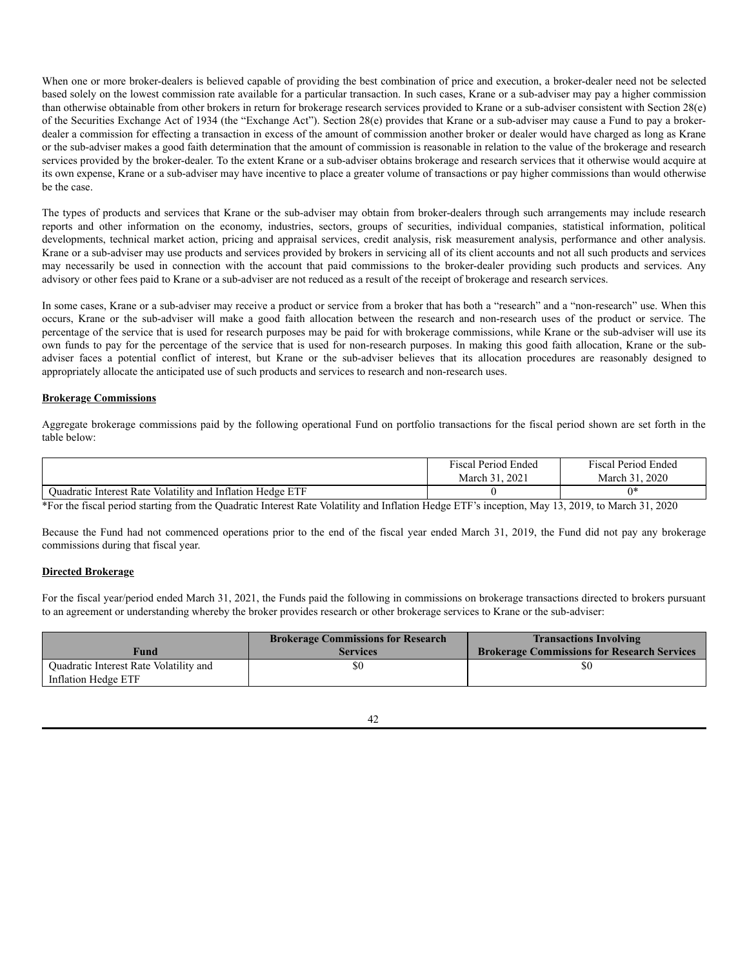When one or more broker-dealers is believed capable of providing the best combination of price and execution, a broker-dealer need not be selected based solely on the lowest commission rate available for a particular transaction. In such cases, Krane or a sub-adviser may pay a higher commission than otherwise obtainable from other brokers in return for brokerage research services provided to Krane or a sub-adviser consistent with Section 28(e) of the Securities Exchange Act of 1934 (the "Exchange Act"). Section 28(e) provides that Krane or a sub-adviser may cause a Fund to pay a brokerdealer a commission for effecting a transaction in excess of the amount of commission another broker or dealer would have charged as long as Krane or the sub-adviser makes a good faith determination that the amount of commission is reasonable in relation to the value of the brokerage and research services provided by the broker-dealer. To the extent Krane or a sub-adviser obtains brokerage and research services that it otherwise would acquire at its own expense, Krane or a sub-adviser may have incentive to place a greater volume of transactions or pay higher commissions than would otherwise be the case.

The types of products and services that Krane or the sub-adviser may obtain from broker-dealers through such arrangements may include research reports and other information on the economy, industries, sectors, groups of securities, individual companies, statistical information, political developments, technical market action, pricing and appraisal services, credit analysis, risk measurement analysis, performance and other analysis. Krane or a sub-adviser may use products and services provided by brokers in servicing all of its client accounts and not all such products and services may necessarily be used in connection with the account that paid commissions to the broker-dealer providing such products and services. Any advisory or other fees paid to Krane or a sub-adviser are not reduced as a result of the receipt of brokerage and research services.

In some cases, Krane or a sub-adviser may receive a product or service from a broker that has both a "research" and a "non-research" use. When this occurs, Krane or the sub-adviser will make a good faith allocation between the research and non-research uses of the product or service. The percentage of the service that is used for research purposes may be paid for with brokerage commissions, while Krane or the sub-adviser will use its own funds to pay for the percentage of the service that is used for non-research purposes. In making this good faith allocation, Krane or the subadviser faces a potential conflict of interest, but Krane or the sub-adviser believes that its allocation procedures are reasonably designed to appropriately allocate the anticipated use of such products and services to research and non-research uses.

## **Brokerage Commissions**

Aggregate brokerage commissions paid by the following operational Fund on portfolio transactions for the fiscal period shown are set forth in the table below:

|                                                               | Fiscal Period Ended | Fiscal Period Ended |
|---------------------------------------------------------------|---------------------|---------------------|
|                                                               | 2021<br>March 31.   | 2020<br>March 31.   |
| Volatility and Inflation Hedge ETF<br>Ouadratic Interest Rate |                     | ∩d                  |

\*For the fiscal period starting from the Quadratic Interest Rate Volatility and Inflation Hedge ETF's inception, May 13, 2019, to March 31, 2020

Because the Fund had not commenced operations prior to the end of the fiscal year ended March 31, 2019, the Fund did not pay any brokerage commissions during that fiscal year.

## **Directed Brokerage**

For the fiscal year/period ended March 31, 2021, the Funds paid the following in commissions on brokerage transactions directed to brokers pursuant to an agreement or understanding whereby the broker provides research or other brokerage services to Krane or the sub-adviser:

|                                        | <b>Brokerage Commissions for Research</b> | <b>Transactions Involving</b>                      |
|----------------------------------------|-------------------------------------------|----------------------------------------------------|
| Fund                                   | <b>Services</b>                           | <b>Brokerage Commissions for Research Services</b> |
| Quadratic Interest Rate Volatility and |                                           | S0                                                 |
| Inflation Hedge ETF                    |                                           |                                                    |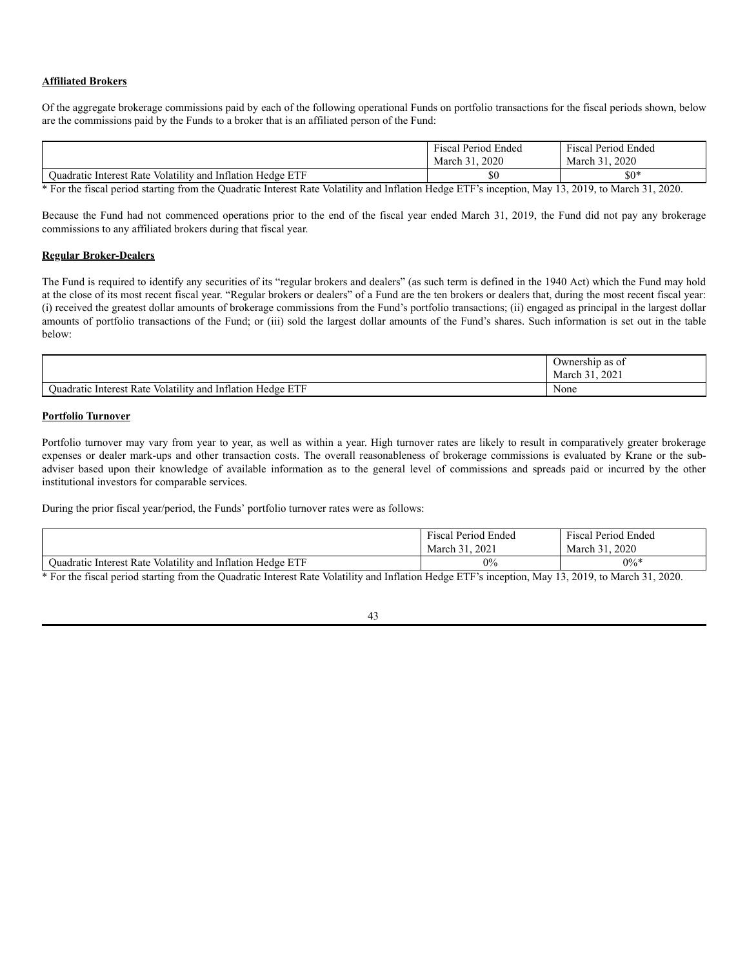## **Affiliated Brokers**

Of the aggregate brokerage commissions paid by each of the following operational Funds on portfolio transactions for the fiscal periods shown, below are the commissions paid by the Funds to a broker that is an affiliated person of the Fund:

|                                                                     | <b>Fiscal Period Ended</b> | Fiscal Period Ended |
|---------------------------------------------------------------------|----------------------------|---------------------|
|                                                                     | March 31, 2020             | 2020<br>March 31.   |
| Inflation<br>Hedge ETF<br>Quadratic Interest Rate<br>Volatility and | ΦU                         | $$0*$               |

\* For the fiscal period starting from the Quadratic Interest Rate Volatility and Inflation Hedge ETF's inception, May 13, 2019, to March 31, 2020.

Because the Fund had not commenced operations prior to the end of the fiscal year ended March 31, 2019, the Fund did not pay any brokerage commissions to any affiliated brokers during that fiscal year.

#### **Regular Broker-Dealers**

The Fund is required to identify any securities of its "regular brokers and dealers" (as such term is defined in the 1940 Act) which the Fund may hold at the close of its most recent fiscal year. "Regular brokers or dealers" of a Fund are the ten brokers or dealers that, during the most recent fiscal year: (i) received the greatest dollar amounts of brokerage commissions from the Fund's portfolio transactions; (ii) engaged as principal in the largest dollar amounts of portfolio transactions of the Fund; or (iii) sold the largest dollar amounts of the Fund's shares. Such information is set out in the table below:

|                                                               | Ownership as of<br>2021<br>March |
|---------------------------------------------------------------|----------------------------------|
| Volatility and Inflation Hedge ETF<br>Ouadratic Interest Rate | None                             |

### **Portfolio Turnover**

Portfolio turnover may vary from year to year, as well as within a year. High turnover rates are likely to result in comparatively greater brokerage expenses or dealer mark-ups and other transaction costs. The overall reasonableness of brokerage commissions is evaluated by Krane or the subadviser based upon their knowledge of available information as to the general level of commissions and spreads paid or incurred by the other institutional investors for comparable services.

During the prior fiscal year/period, the Funds' portfolio turnover rates were as follows:

|                                                                                     | $\overline{\phantom{a}}$<br>$\mathbf{r}$<br>Period Ended<br>$F_{1}$ scal 1 | $\sim$<br><b>Fiscal Period Ended</b> |
|-------------------------------------------------------------------------------------|----------------------------------------------------------------------------|--------------------------------------|
|                                                                                     | 2021<br>March 31                                                           | 2020<br>March 31.                    |
| ETF<br>Rate<br>Volatility<br>Hedge<br>' Inflation<br>Interest<br>and :<br>Duadratic | $0\%$                                                                      | $0\%$ *                              |

\* For the fiscal period starting from the Quadratic Interest Rate Volatility and Inflation Hedge ETF's inception, May 13, 2019, to March 31, 2020.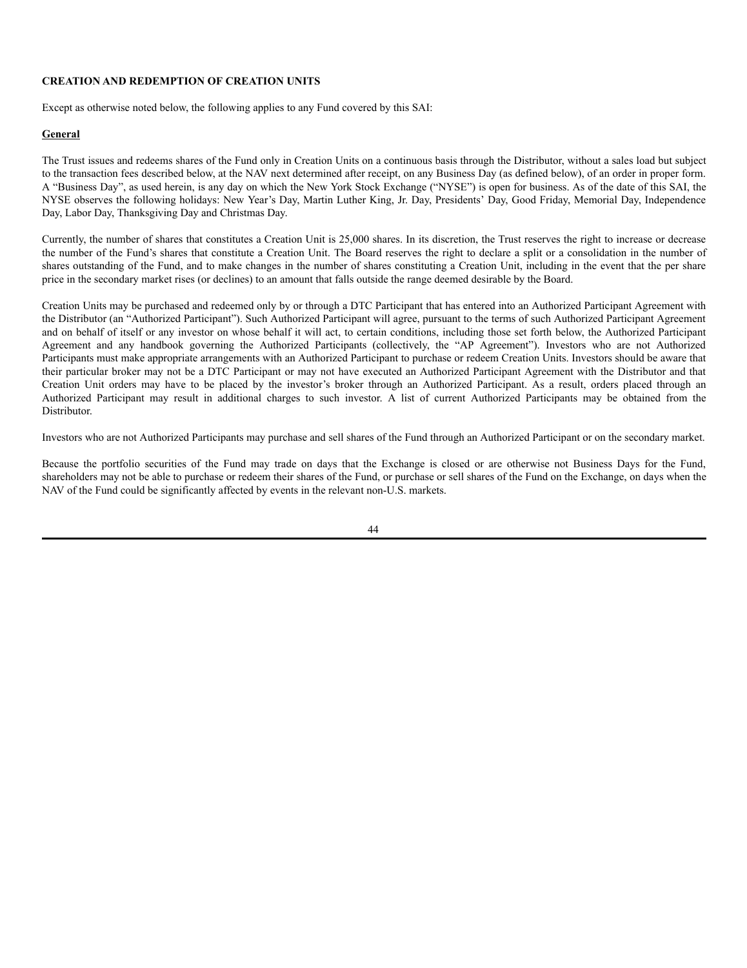# **CREATION AND REDEMPTION OF CREATION UNITS**

Except as otherwise noted below, the following applies to any Fund covered by this SAI:

#### **General**

The Trust issues and redeems shares of the Fund only in Creation Units on a continuous basis through the Distributor, without a sales load but subject to the transaction fees described below, at the NAV next determined after receipt, on any Business Day (as defined below), of an order in proper form. A "Business Day", as used herein, is any day on which the New York Stock Exchange ("NYSE") is open for business. As of the date of this SAI, the NYSE observes the following holidays: New Year's Day, Martin Luther King, Jr. Day, Presidents' Day, Good Friday, Memorial Day, Independence Day, Labor Day, Thanksgiving Day and Christmas Day.

Currently, the number of shares that constitutes a Creation Unit is 25,000 shares. In its discretion, the Trust reserves the right to increase or decrease the number of the Fund's shares that constitute a Creation Unit. The Board reserves the right to declare a split or a consolidation in the number of shares outstanding of the Fund, and to make changes in the number of shares constituting a Creation Unit, including in the event that the per share price in the secondary market rises (or declines) to an amount that falls outside the range deemed desirable by the Board.

Creation Units may be purchased and redeemed only by or through a DTC Participant that has entered into an Authorized Participant Agreement with the Distributor (an "Authorized Participant"). Such Authorized Participant will agree, pursuant to the terms of such Authorized Participant Agreement and on behalf of itself or any investor on whose behalf it will act, to certain conditions, including those set forth below, the Authorized Participant Agreement and any handbook governing the Authorized Participants (collectively, the "AP Agreement"). Investors who are not Authorized Participants must make appropriate arrangements with an Authorized Participant to purchase or redeem Creation Units. Investors should be aware that their particular broker may not be a DTC Participant or may not have executed an Authorized Participant Agreement with the Distributor and that Creation Unit orders may have to be placed by the investor's broker through an Authorized Participant. As a result, orders placed through an Authorized Participant may result in additional charges to such investor. A list of current Authorized Participants may be obtained from the Distributor.

Investors who are not Authorized Participants may purchase and sell shares of the Fund through an Authorized Participant or on the secondary market.

Because the portfolio securities of the Fund may trade on days that the Exchange is closed or are otherwise not Business Days for the Fund, shareholders may not be able to purchase or redeem their shares of the Fund, or purchase or sell shares of the Fund on the Exchange, on days when the NAV of the Fund could be significantly affected by events in the relevant non-U.S. markets.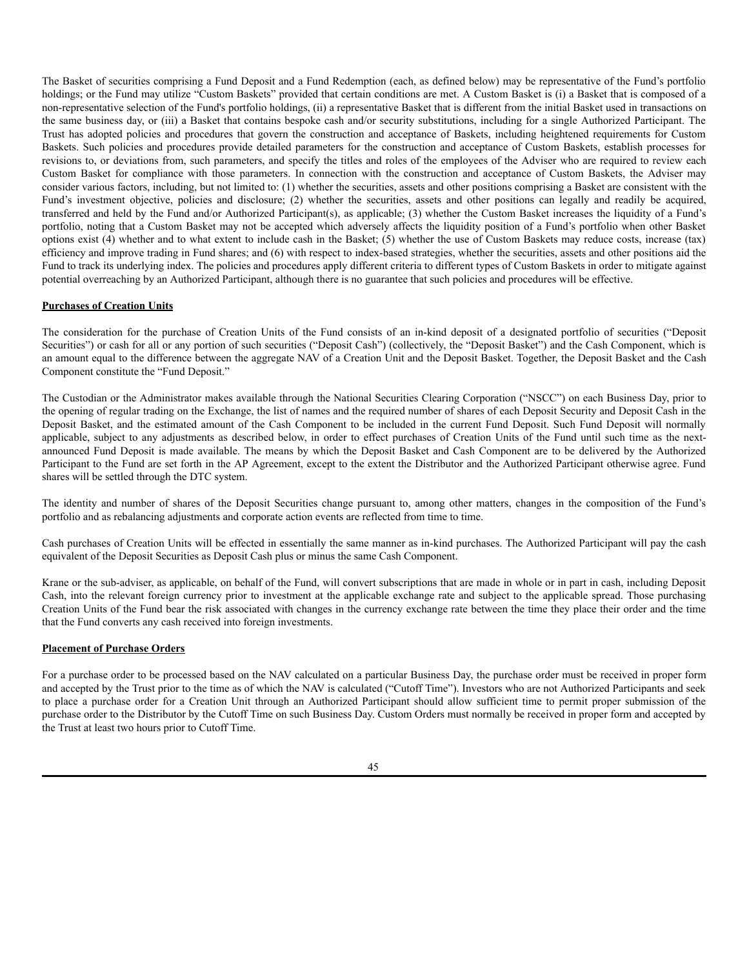The Basket of securities comprising a Fund Deposit and a Fund Redemption (each, as defined below) may be representative of the Fund's portfolio holdings; or the Fund may utilize "Custom Baskets" provided that certain conditions are met. A Custom Basket is (i) a Basket that is composed of a non-representative selection of the Fund's portfolio holdings, (ii) a representative Basket that is different from the initial Basket used in transactions on the same business day, or (iii) a Basket that contains bespoke cash and/or security substitutions, including for a single Authorized Participant. The Trust has adopted policies and procedures that govern the construction and acceptance of Baskets, including heightened requirements for Custom Baskets. Such policies and procedures provide detailed parameters for the construction and acceptance of Custom Baskets, establish processes for revisions to, or deviations from, such parameters, and specify the titles and roles of the employees of the Adviser who are required to review each Custom Basket for compliance with those parameters. In connection with the construction and acceptance of Custom Baskets, the Adviser may consider various factors, including, but not limited to: (1) whether the securities, assets and other positions comprising a Basket are consistent with the Fund's investment objective, policies and disclosure; (2) whether the securities, assets and other positions can legally and readily be acquired, transferred and held by the Fund and/or Authorized Participant(s), as applicable; (3) whether the Custom Basket increases the liquidity of a Fund's portfolio, noting that a Custom Basket may not be accepted which adversely affects the liquidity position of a Fund's portfolio when other Basket options exist (4) whether and to what extent to include cash in the Basket; (5) whether the use of Custom Baskets may reduce costs, increase (tax) efficiency and improve trading in Fund shares; and (6) with respect to index-based strategies, whether the securities, assets and other positions aid the Fund to track its underlying index. The policies and procedures apply different criteria to different types of Custom Baskets in order to mitigate against potential overreaching by an Authorized Participant, although there is no guarantee that such policies and procedures will be effective.

## **Purchases of Creation Units**

The consideration for the purchase of Creation Units of the Fund consists of an in-kind deposit of a designated portfolio of securities ("Deposit Securities") or cash for all or any portion of such securities ("Deposit Cash") (collectively, the "Deposit Basket") and the Cash Component, which is an amount equal to the difference between the aggregate NAV of a Creation Unit and the Deposit Basket. Together, the Deposit Basket and the Cash Component constitute the "Fund Deposit."

The Custodian or the Administrator makes available through the National Securities Clearing Corporation ("NSCC") on each Business Day, prior to the opening of regular trading on the Exchange, the list of names and the required number of shares of each Deposit Security and Deposit Cash in the Deposit Basket, and the estimated amount of the Cash Component to be included in the current Fund Deposit. Such Fund Deposit will normally applicable, subject to any adjustments as described below, in order to effect purchases of Creation Units of the Fund until such time as the nextannounced Fund Deposit is made available. The means by which the Deposit Basket and Cash Component are to be delivered by the Authorized Participant to the Fund are set forth in the AP Agreement, except to the extent the Distributor and the Authorized Participant otherwise agree. Fund shares will be settled through the DTC system.

The identity and number of shares of the Deposit Securities change pursuant to, among other matters, changes in the composition of the Fund's portfolio and as rebalancing adjustments and corporate action events are reflected from time to time.

Cash purchases of Creation Units will be effected in essentially the same manner as in-kind purchases. The Authorized Participant will pay the cash equivalent of the Deposit Securities as Deposit Cash plus or minus the same Cash Component.

Krane or the sub-adviser, as applicable, on behalf of the Fund, will convert subscriptions that are made in whole or in part in cash, including Deposit Cash, into the relevant foreign currency prior to investment at the applicable exchange rate and subject to the applicable spread. Those purchasing Creation Units of the Fund bear the risk associated with changes in the currency exchange rate between the time they place their order and the time that the Fund converts any cash received into foreign investments.

## **Placement of Purchase Orders**

For a purchase order to be processed based on the NAV calculated on a particular Business Day, the purchase order must be received in proper form and accepted by the Trust prior to the time as of which the NAV is calculated ("Cutoff Time"). Investors who are not Authorized Participants and seek to place a purchase order for a Creation Unit through an Authorized Participant should allow sufficient time to permit proper submission of the purchase order to the Distributor by the Cutoff Time on such Business Day. Custom Orders must normally be received in proper form and accepted by the Trust at least two hours prior to Cutoff Time.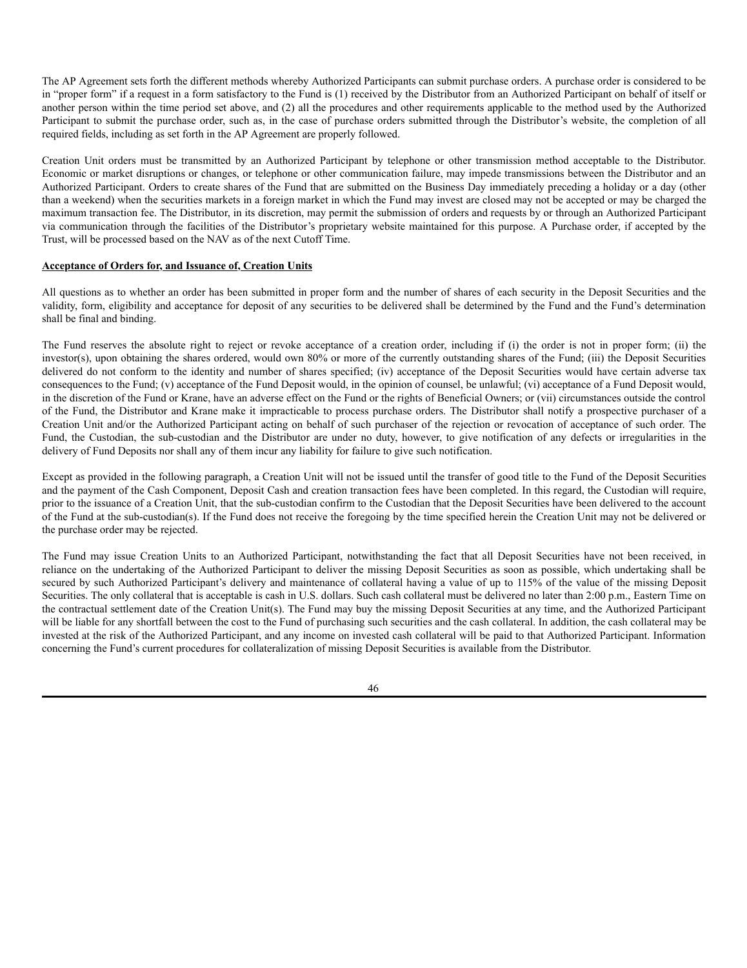The AP Agreement sets forth the different methods whereby Authorized Participants can submit purchase orders. A purchase order is considered to be in "proper form" if a request in a form satisfactory to the Fund is (1) received by the Distributor from an Authorized Participant on behalf of itself or another person within the time period set above, and (2) all the procedures and other requirements applicable to the method used by the Authorized Participant to submit the purchase order, such as, in the case of purchase orders submitted through the Distributor's website, the completion of all required fields, including as set forth in the AP Agreement are properly followed.

Creation Unit orders must be transmitted by an Authorized Participant by telephone or other transmission method acceptable to the Distributor. Economic or market disruptions or changes, or telephone or other communication failure, may impede transmissions between the Distributor and an Authorized Participant. Orders to create shares of the Fund that are submitted on the Business Day immediately preceding a holiday or a day (other than a weekend) when the securities markets in a foreign market in which the Fund may invest are closed may not be accepted or may be charged the maximum transaction fee. The Distributor, in its discretion, may permit the submission of orders and requests by or through an Authorized Participant via communication through the facilities of the Distributor's proprietary website maintained for this purpose. A Purchase order, if accepted by the Trust, will be processed based on the NAV as of the next Cutoff Time.

#### **Acceptance of Orders for, and Issuance of, Creation Units**

All questions as to whether an order has been submitted in proper form and the number of shares of each security in the Deposit Securities and the validity, form, eligibility and acceptance for deposit of any securities to be delivered shall be determined by the Fund and the Fund's determination shall be final and binding.

The Fund reserves the absolute right to reject or revoke acceptance of a creation order, including if (i) the order is not in proper form; (ii) the investor(s), upon obtaining the shares ordered, would own 80% or more of the currently outstanding shares of the Fund; (iii) the Deposit Securities delivered do not conform to the identity and number of shares specified; (iv) acceptance of the Deposit Securities would have certain adverse tax consequences to the Fund; (v) acceptance of the Fund Deposit would, in the opinion of counsel, be unlawful; (vi) acceptance of a Fund Deposit would, in the discretion of the Fund or Krane, have an adverse effect on the Fund or the rights of Beneficial Owners; or (vii) circumstances outside the control of the Fund, the Distributor and Krane make it impracticable to process purchase orders. The Distributor shall notify a prospective purchaser of a Creation Unit and/or the Authorized Participant acting on behalf of such purchaser of the rejection or revocation of acceptance of such order. The Fund, the Custodian, the sub-custodian and the Distributor are under no duty, however, to give notification of any defects or irregularities in the delivery of Fund Deposits nor shall any of them incur any liability for failure to give such notification.

Except as provided in the following paragraph, a Creation Unit will not be issued until the transfer of good title to the Fund of the Deposit Securities and the payment of the Cash Component, Deposit Cash and creation transaction fees have been completed. In this regard, the Custodian will require, prior to the issuance of a Creation Unit, that the sub-custodian confirm to the Custodian that the Deposit Securities have been delivered to the account of the Fund at the sub-custodian(s). If the Fund does not receive the foregoing by the time specified herein the Creation Unit may not be delivered or the purchase order may be rejected.

The Fund may issue Creation Units to an Authorized Participant, notwithstanding the fact that all Deposit Securities have not been received, in reliance on the undertaking of the Authorized Participant to deliver the missing Deposit Securities as soon as possible, which undertaking shall be secured by such Authorized Participant's delivery and maintenance of collateral having a value of up to 115% of the value of the missing Deposit Securities. The only collateral that is acceptable is cash in U.S. dollars. Such cash collateral must be delivered no later than 2:00 p.m., Eastern Time on the contractual settlement date of the Creation Unit(s). The Fund may buy the missing Deposit Securities at any time, and the Authorized Participant will be liable for any shortfall between the cost to the Fund of purchasing such securities and the cash collateral. In addition, the cash collateral may be invested at the risk of the Authorized Participant, and any income on invested cash collateral will be paid to that Authorized Participant. Information concerning the Fund's current procedures for collateralization of missing Deposit Securities is available from the Distributor.

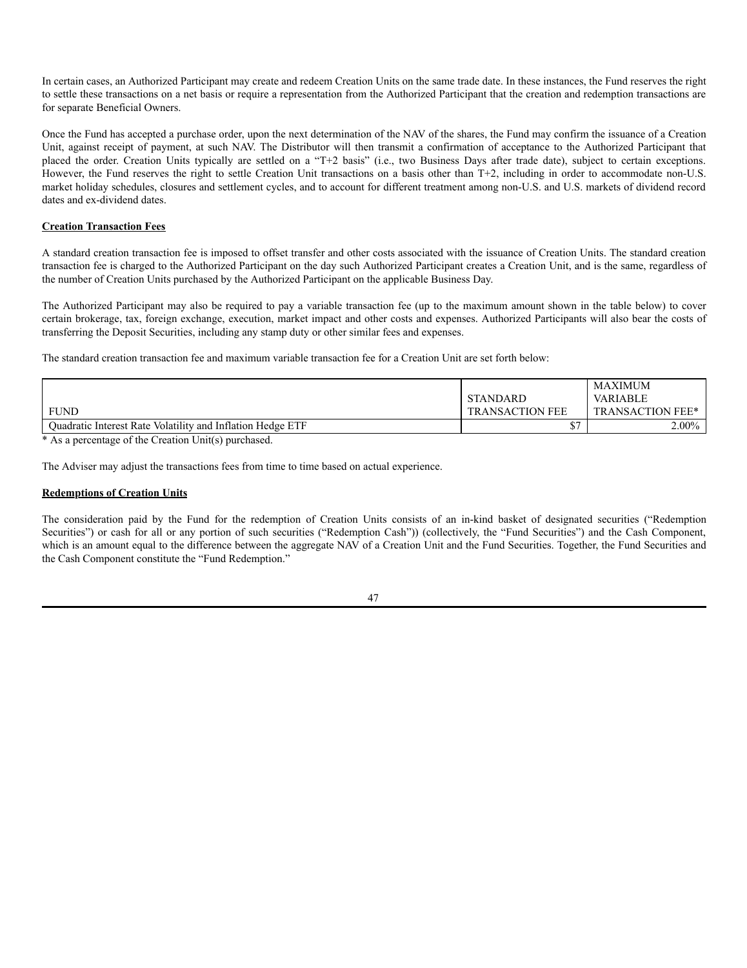In certain cases, an Authorized Participant may create and redeem Creation Units on the same trade date. In these instances, the Fund reserves the right to settle these transactions on a net basis or require a representation from the Authorized Participant that the creation and redemption transactions are for separate Beneficial Owners.

Once the Fund has accepted a purchase order, upon the next determination of the NAV of the shares, the Fund may confirm the issuance of a Creation Unit, against receipt of payment, at such NAV. The Distributor will then transmit a confirmation of acceptance to the Authorized Participant that placed the order. Creation Units typically are settled on a "T+2 basis" (i.e., two Business Days after trade date), subject to certain exceptions. However, the Fund reserves the right to settle Creation Unit transactions on a basis other than T+2, including in order to accommodate non-U.S. market holiday schedules, closures and settlement cycles, and to account for different treatment among non-U.S. and U.S. markets of dividend record dates and ex-dividend dates.

# **Creation Transaction Fees**

A standard creation transaction fee is imposed to offset transfer and other costs associated with the issuance of Creation Units. The standard creation transaction fee is charged to the Authorized Participant on the day such Authorized Participant creates a Creation Unit, and is the same, regardless of the number of Creation Units purchased by the Authorized Participant on the applicable Business Day.

The Authorized Participant may also be required to pay a variable transaction fee (up to the maximum amount shown in the table below) to cover certain brokerage, tax, foreign exchange, execution, market impact and other costs and expenses. Authorized Participants will also bear the costs of transferring the Deposit Securities, including any stamp duty or other similar fees and expenses.

The standard creation transaction fee and maximum variable transaction fee for a Creation Unit are set forth below:

|                                                            |                        | <b>MAXIMUM</b>   |
|------------------------------------------------------------|------------------------|------------------|
|                                                            | <b>STANDARD</b>        | VARIABLE         |
| <b>FUND</b>                                                | <b>TRANSACTION FEE</b> | TRANSACTION FEE* |
| Quadratic Interest Rate Volatility and Inflation Hedge ETF | ሰጣ                     | 2.00%            |
| $\sim$ $\sim$<br>.<br>$\sim$<br>$\sim$                     |                        |                  |

\* As a percentage of the Creation Unit(s) purchased.

The Adviser may adjust the transactions fees from time to time based on actual experience.

## **Redemptions of Creation Units**

The consideration paid by the Fund for the redemption of Creation Units consists of an in-kind basket of designated securities ("Redemption Securities") or cash for all or any portion of such securities ("Redemption Cash")) (collectively, the "Fund Securities") and the Cash Component, which is an amount equal to the difference between the aggregate NAV of a Creation Unit and the Fund Securities. Together, the Fund Securities and the Cash Component constitute the "Fund Redemption."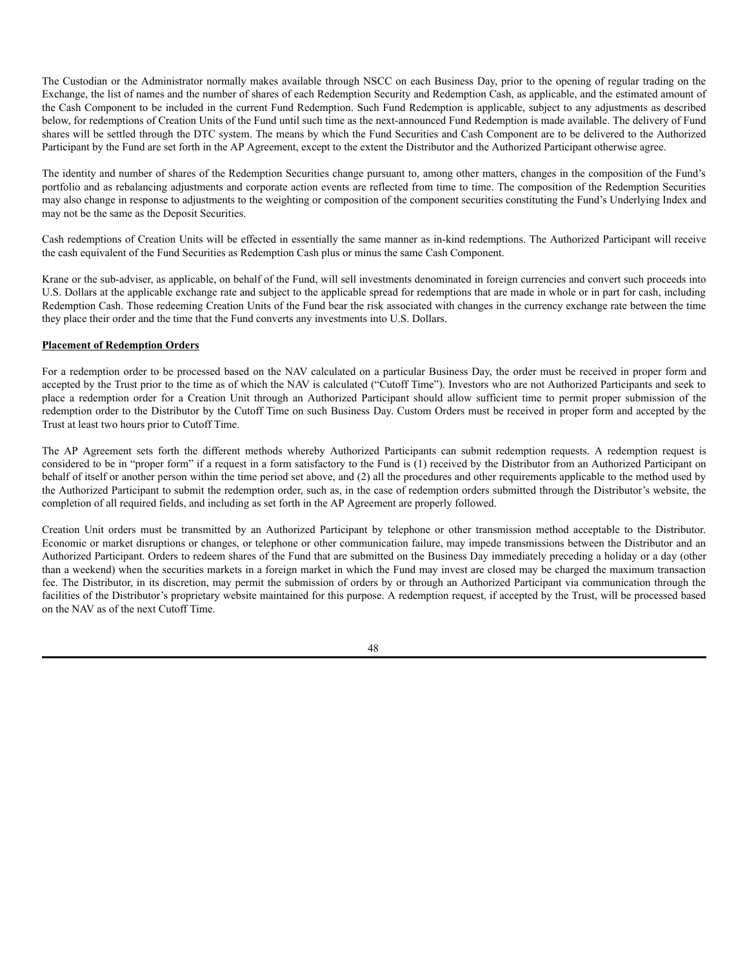The Custodian or the Administrator normally makes available through NSCC on each Business Day, prior to the opening of regular trading on the Exchange, the list of names and the number of shares of each Redemption Security and Redemption Cash, as applicable, and the estimated amount of the Cash Component to be included in the current Fund Redemption. Such Fund Redemption is applicable, subject to any adjustments as described below, for redemptions of Creation Units of the Fund until such time as the next-announced Fund Redemption is made available. The delivery of Fund shares will be settled through the DTC system. The means by which the Fund Securities and Cash Component are to be delivered to the Authorized Participant by the Fund are set forth in the AP Agreement, except to the extent the Distributor and the Authorized Participant otherwise agree.

The identity and number of shares of the Redemption Securities change pursuant to, among other matters, changes in the composition of the Fund's portfolio and as rebalancing adjustments and corporate action events are reflected from time to time. The composition of the Redemption Securities may also change in response to adjustments to the weighting or composition of the component securities constituting the Fund's Underlying Index and may not be the same as the Deposit Securities.

Cash redemptions of Creation Units will be effected in essentially the same manner as in-kind redemptions. The Authorized Participant will receive the cash equivalent of the Fund Securities as Redemption Cash plus or minus the same Cash Component.

Krane or the sub-adviser, as applicable, on behalf of the Fund, will sell investments denominated in foreign currencies and convert such proceeds into U.S. Dollars at the applicable exchange rate and subject to the applicable spread for redemptions that are made in whole or in part for cash, including Redemption Cash. Those redeeming Creation Units of the Fund bear the risk associated with changes in the currency exchange rate between the time they place their order and the time that the Fund converts any investments into U.S. Dollars.

## **Placement of Redemption Orders**

For a redemption order to be processed based on the NAV calculated on a particular Business Day, the order must be received in proper form and accepted by the Trust prior to the time as of which the NAV is calculated ("Cutoff Time"). Investors who are not Authorized Participants and seek to place a redemption order for a Creation Unit through an Authorized Participant should allow sufficient time to permit proper submission of the redemption order to the Distributor by the Cutoff Time on such Business Day. Custom Orders must be received in proper form and accepted by the Trust at least two hours prior to Cutoff Time.

The AP Agreement sets forth the different methods whereby Authorized Participants can submit redemption requests. A redemption request is considered to be in "proper form" if a request in a form satisfactory to the Fund is (1) received by the Distributor from an Authorized Participant on behalf of itself or another person within the time period set above, and (2) all the procedures and other requirements applicable to the method used by the Authorized Participant to submit the redemption order, such as, in the case of redemption orders submitted through the Distributor's website, the completion of all required fields, and including as set forth in the AP Agreement are properly followed.

Creation Unit orders must be transmitted by an Authorized Participant by telephone or other transmission method acceptable to the Distributor. Economic or market disruptions or changes, or telephone or other communication failure, may impede transmissions between the Distributor and an Authorized Participant. Orders to redeem shares of the Fund that are submitted on the Business Day immediately preceding a holiday or a day (other than a weekend) when the securities markets in a foreign market in which the Fund may invest are closed may be charged the maximum transaction fee. The Distributor, in its discretion, may permit the submission of orders by or through an Authorized Participant via communication through the facilities of the Distributor's proprietary website maintained for this purpose. A redemption request, if accepted by the Trust, will be processed based on the NAV as of the next Cutoff Time.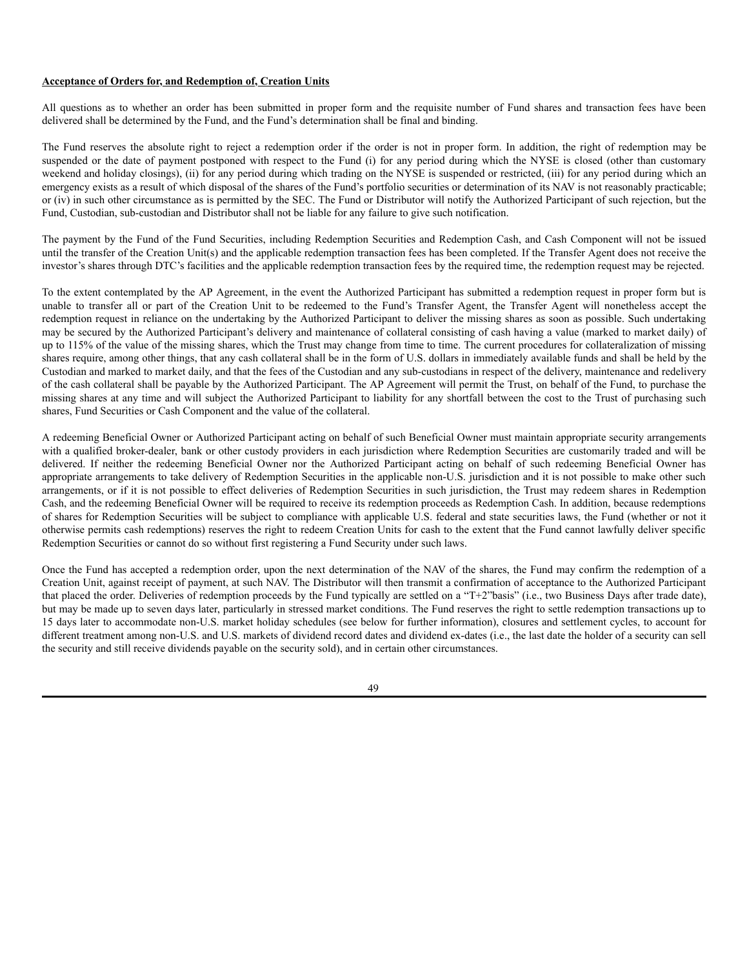## **Acceptance of Orders for, and Redemption of, Creation Units**

All questions as to whether an order has been submitted in proper form and the requisite number of Fund shares and transaction fees have been delivered shall be determined by the Fund, and the Fund's determination shall be final and binding.

The Fund reserves the absolute right to reject a redemption order if the order is not in proper form. In addition, the right of redemption may be suspended or the date of payment postponed with respect to the Fund (i) for any period during which the NYSE is closed (other than customary weekend and holiday closings), (ii) for any period during which trading on the NYSE is suspended or restricted, (iii) for any period during which an emergency exists as a result of which disposal of the shares of the Fund's portfolio securities or determination of its NAV is not reasonably practicable; or (iv) in such other circumstance as is permitted by the SEC. The Fund or Distributor will notify the Authorized Participant of such rejection, but the Fund, Custodian, sub-custodian and Distributor shall not be liable for any failure to give such notification.

The payment by the Fund of the Fund Securities, including Redemption Securities and Redemption Cash, and Cash Component will not be issued until the transfer of the Creation Unit(s) and the applicable redemption transaction fees has been completed. If the Transfer Agent does not receive the investor's shares through DTC's facilities and the applicable redemption transaction fees by the required time, the redemption request may be rejected.

To the extent contemplated by the AP Agreement, in the event the Authorized Participant has submitted a redemption request in proper form but is unable to transfer all or part of the Creation Unit to be redeemed to the Fund's Transfer Agent, the Transfer Agent will nonetheless accept the redemption request in reliance on the undertaking by the Authorized Participant to deliver the missing shares as soon as possible. Such undertaking may be secured by the Authorized Participant's delivery and maintenance of collateral consisting of cash having a value (marked to market daily) of up to 115% of the value of the missing shares, which the Trust may change from time to time. The current procedures for collateralization of missing shares require, among other things, that any cash collateral shall be in the form of U.S. dollars in immediately available funds and shall be held by the Custodian and marked to market daily, and that the fees of the Custodian and any sub-custodians in respect of the delivery, maintenance and redelivery of the cash collateral shall be payable by the Authorized Participant. The AP Agreement will permit the Trust, on behalf of the Fund, to purchase the missing shares at any time and will subject the Authorized Participant to liability for any shortfall between the cost to the Trust of purchasing such shares, Fund Securities or Cash Component and the value of the collateral.

A redeeming Beneficial Owner or Authorized Participant acting on behalf of such Beneficial Owner must maintain appropriate security arrangements with a qualified broker-dealer, bank or other custody providers in each jurisdiction where Redemption Securities are customarily traded and will be delivered. If neither the redeeming Beneficial Owner nor the Authorized Participant acting on behalf of such redeeming Beneficial Owner has appropriate arrangements to take delivery of Redemption Securities in the applicable non-U.S. jurisdiction and it is not possible to make other such arrangements, or if it is not possible to effect deliveries of Redemption Securities in such jurisdiction, the Trust may redeem shares in Redemption Cash, and the redeeming Beneficial Owner will be required to receive its redemption proceeds as Redemption Cash. In addition, because redemptions of shares for Redemption Securities will be subject to compliance with applicable U.S. federal and state securities laws, the Fund (whether or not it otherwise permits cash redemptions) reserves the right to redeem Creation Units for cash to the extent that the Fund cannot lawfully deliver specific Redemption Securities or cannot do so without first registering a Fund Security under such laws.

Once the Fund has accepted a redemption order, upon the next determination of the NAV of the shares, the Fund may confirm the redemption of a Creation Unit, against receipt of payment, at such NAV. The Distributor will then transmit a confirmation of acceptance to the Authorized Participant that placed the order. Deliveries of redemption proceeds by the Fund typically are settled on a "T+2"basis" (i.e., two Business Days after trade date), but may be made up to seven days later, particularly in stressed market conditions. The Fund reserves the right to settle redemption transactions up to 15 days later to accommodate non-U.S. market holiday schedules (see below for further information), closures and settlement cycles, to account for different treatment among non-U.S. and U.S. markets of dividend record dates and dividend ex-dates (i.e., the last date the holder of a security can sell the security and still receive dividends payable on the security sold), and in certain other circumstances.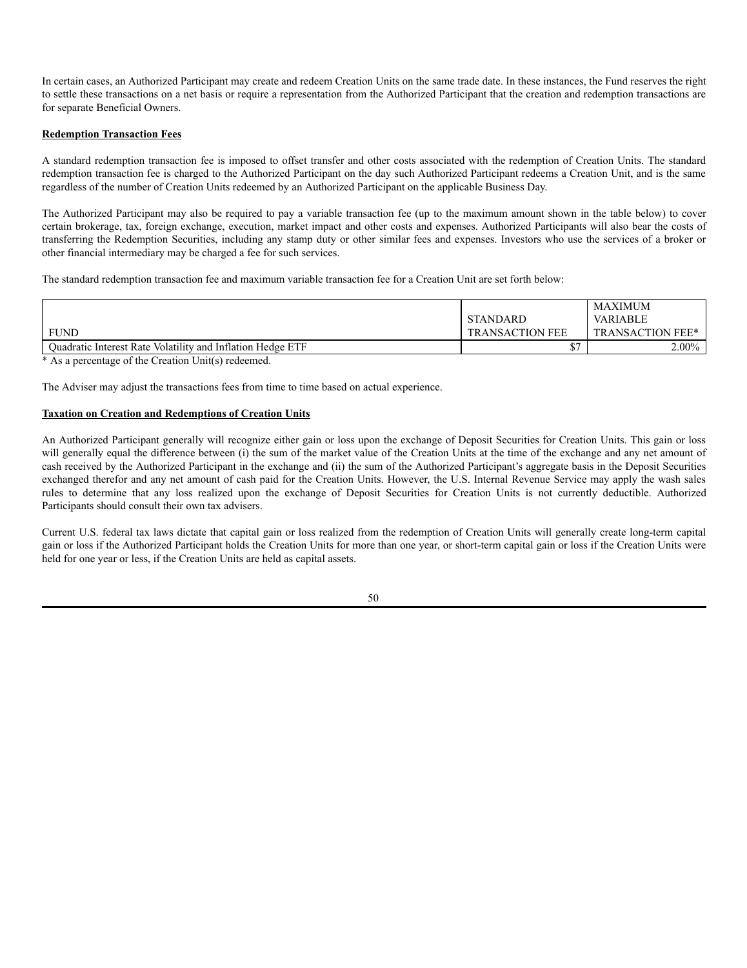In certain cases, an Authorized Participant may create and redeem Creation Units on the same trade date. In these instances, the Fund reserves the right to settle these transactions on a net basis or require a representation from the Authorized Participant that the creation and redemption transactions are for separate Beneficial Owners.

## **Redemption Transaction Fees**

A standard redemption transaction fee is imposed to offset transfer and other costs associated with the redemption of Creation Units. The standard redemption transaction fee is charged to the Authorized Participant on the day such Authorized Participant redeems a Creation Unit, and is the same regardless of the number of Creation Units redeemed by an Authorized Participant on the applicable Business Day.

The Authorized Participant may also be required to pay a variable transaction fee (up to the maximum amount shown in the table below) to cover certain brokerage, tax, foreign exchange, execution, market impact and other costs and expenses. Authorized Participants will also bear the costs of transferring the Redemption Securities, including any stamp duty or other similar fees and expenses. Investors who use the services of a broker or other financial intermediary may be charged a fee for such services.

The standard redemption transaction fee and maximum variable transaction fee for a Creation Unit are set forth below:

|                                                            |                        | <b>MAXIMUM</b>          |
|------------------------------------------------------------|------------------------|-------------------------|
|                                                            | <b>STANDARD</b>        | <b>VARIABLE</b>         |
| <b>FUND</b>                                                | <b>TRANSACTION FEE</b> | <b>TRANSACTION FEE*</b> |
| Quadratic Interest Rate Volatility and Inflation Hedge ETF | υ                      | 2.00%                   |
| .<br>$\sim$ $\sim$<br>$\sim$                               |                        |                         |

\* As a percentage of the Creation Unit(s) redeemed.

The Adviser may adjust the transactions fees from time to time based on actual experience.

## **Taxation on Creation and Redemptions of Creation Units**

An Authorized Participant generally will recognize either gain or loss upon the exchange of Deposit Securities for Creation Units. This gain or loss will generally equal the difference between (i) the sum of the market value of the Creation Units at the time of the exchange and any net amount of cash received by the Authorized Participant in the exchange and (ii) the sum of the Authorized Participant's aggregate basis in the Deposit Securities exchanged therefor and any net amount of cash paid for the Creation Units. However, the U.S. Internal Revenue Service may apply the wash sales rules to determine that any loss realized upon the exchange of Deposit Securities for Creation Units is not currently deductible. Authorized Participants should consult their own tax advisers.

Current U.S. federal tax laws dictate that capital gain or loss realized from the redemption of Creation Units will generally create long-term capital gain or loss if the Authorized Participant holds the Creation Units for more than one year, or short-term capital gain or loss if the Creation Units were held for one year or less, if the Creation Units are held as capital assets.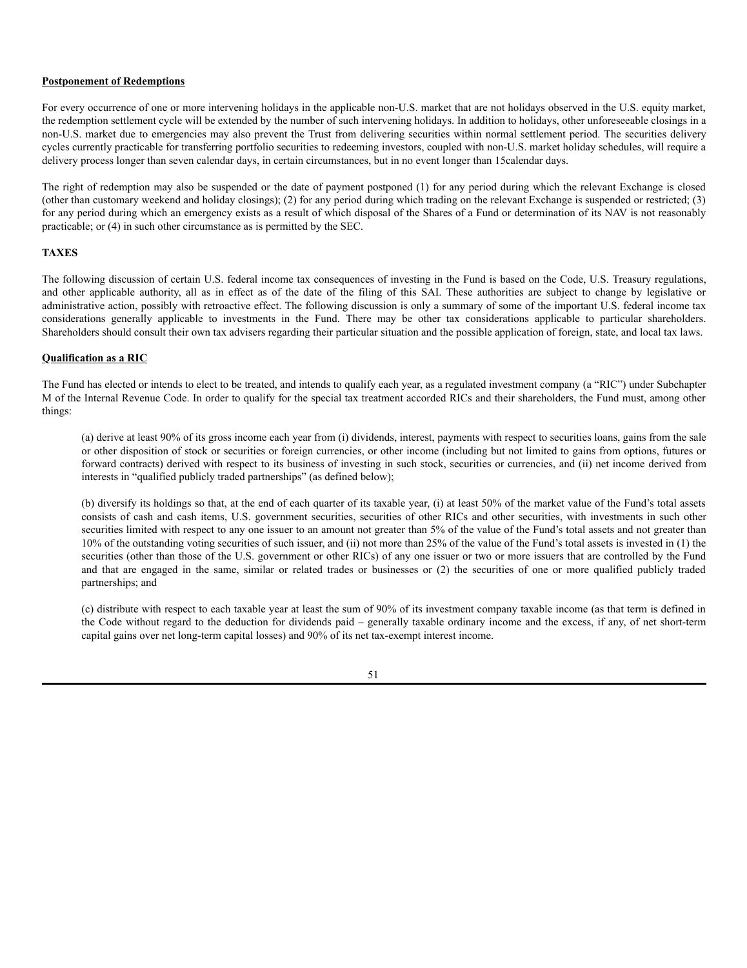## **Postponement of Redemptions**

For every occurrence of one or more intervening holidays in the applicable non-U.S. market that are not holidays observed in the U.S. equity market, the redemption settlement cycle will be extended by the number of such intervening holidays. In addition to holidays, other unforeseeable closings in a non-U.S. market due to emergencies may also prevent the Trust from delivering securities within normal settlement period. The securities delivery cycles currently practicable for transferring portfolio securities to redeeming investors, coupled with non-U.S. market holiday schedules, will require a delivery process longer than seven calendar days, in certain circumstances, but in no event longer than 15calendar days.

The right of redemption may also be suspended or the date of payment postponed (1) for any period during which the relevant Exchange is closed (other than customary weekend and holiday closings); (2) for any period during which trading on the relevant Exchange is suspended or restricted; (3) for any period during which an emergency exists as a result of which disposal of the Shares of a Fund or determination of its NAV is not reasonably practicable; or (4) in such other circumstance as is permitted by the SEC.

## **TAXES**

The following discussion of certain U.S. federal income tax consequences of investing in the Fund is based on the Code, U.S. Treasury regulations, and other applicable authority, all as in effect as of the date of the filing of this SAI. These authorities are subject to change by legislative or administrative action, possibly with retroactive effect. The following discussion is only a summary of some of the important U.S. federal income tax considerations generally applicable to investments in the Fund. There may be other tax considerations applicable to particular shareholders. Shareholders should consult their own tax advisers regarding their particular situation and the possible application of foreign, state, and local tax laws.

#### **Qualification as a RIC**

The Fund has elected or intends to elect to be treated, and intends to qualify each year, as a regulated investment company (a "RIC") under Subchapter M of the Internal Revenue Code. In order to qualify for the special tax treatment accorded RICs and their shareholders, the Fund must, among other things:

(a) derive at least 90% of its gross income each year from (i) dividends, interest, payments with respect to securities loans, gains from the sale or other disposition of stock or securities or foreign currencies, or other income (including but not limited to gains from options, futures or forward contracts) derived with respect to its business of investing in such stock, securities or currencies, and (ii) net income derived from interests in "qualified publicly traded partnerships" (as defined below);

(b) diversify its holdings so that, at the end of each quarter of its taxable year, (i) at least 50% of the market value of the Fund's total assets consists of cash and cash items, U.S. government securities, securities of other RICs and other securities, with investments in such other securities limited with respect to any one issuer to an amount not greater than 5% of the value of the Fund's total assets and not greater than 10% of the outstanding voting securities of such issuer, and (ii) not more than 25% of the value of the Fund's total assets is invested in (1) the securities (other than those of the U.S. government or other RICs) of any one issuer or two or more issuers that are controlled by the Fund and that are engaged in the same, similar or related trades or businesses or (2) the securities of one or more qualified publicly traded partnerships; and

(c) distribute with respect to each taxable year at least the sum of 90% of its investment company taxable income (as that term is defined in the Code without regard to the deduction for dividends paid – generally taxable ordinary income and the excess, if any, of net short-term capital gains over net long-term capital losses) and 90% of its net tax-exempt interest income.

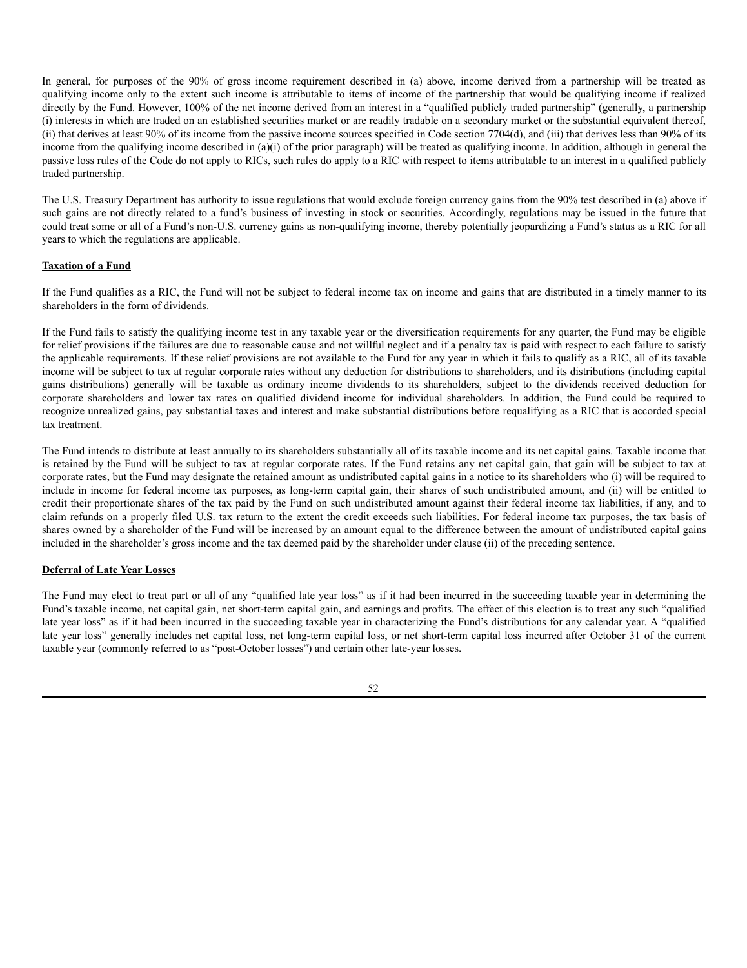In general, for purposes of the 90% of gross income requirement described in (a) above, income derived from a partnership will be treated as qualifying income only to the extent such income is attributable to items of income of the partnership that would be qualifying income if realized directly by the Fund. However, 100% of the net income derived from an interest in a "qualified publicly traded partnership" (generally, a partnership (i) interests in which are traded on an established securities market or are readily tradable on a secondary market or the substantial equivalent thereof, (ii) that derives at least 90% of its income from the passive income sources specified in Code section 7704(d), and (iii) that derives less than 90% of its income from the qualifying income described in (a)(i) of the prior paragraph) will be treated as qualifying income. In addition, although in general the passive loss rules of the Code do not apply to RICs, such rules do apply to a RIC with respect to items attributable to an interest in a qualified publicly traded partnership.

The U.S. Treasury Department has authority to issue regulations that would exclude foreign currency gains from the 90% test described in (a) above if such gains are not directly related to a fund's business of investing in stock or securities. Accordingly, regulations may be issued in the future that could treat some or all of a Fund's non-U.S. currency gains as non-qualifying income, thereby potentially jeopardizing a Fund's status as a RIC for all years to which the regulations are applicable.

# **Taxation of a Fund**

If the Fund qualifies as a RIC, the Fund will not be subject to federal income tax on income and gains that are distributed in a timely manner to its shareholders in the form of dividends.

If the Fund fails to satisfy the qualifying income test in any taxable year or the diversification requirements for any quarter, the Fund may be eligible for relief provisions if the failures are due to reasonable cause and not willful neglect and if a penalty tax is paid with respect to each failure to satisfy the applicable requirements. If these relief provisions are not available to the Fund for any year in which it fails to qualify as a RIC, all of its taxable income will be subject to tax at regular corporate rates without any deduction for distributions to shareholders, and its distributions (including capital gains distributions) generally will be taxable as ordinary income dividends to its shareholders, subject to the dividends received deduction for corporate shareholders and lower tax rates on qualified dividend income for individual shareholders. In addition, the Fund could be required to recognize unrealized gains, pay substantial taxes and interest and make substantial distributions before requalifying as a RIC that is accorded special tax treatment.

The Fund intends to distribute at least annually to its shareholders substantially all of its taxable income and its net capital gains. Taxable income that is retained by the Fund will be subject to tax at regular corporate rates. If the Fund retains any net capital gain, that gain will be subject to tax at corporate rates, but the Fund may designate the retained amount as undistributed capital gains in a notice to its shareholders who (i) will be required to include in income for federal income tax purposes, as long-term capital gain, their shares of such undistributed amount, and (ii) will be entitled to credit their proportionate shares of the tax paid by the Fund on such undistributed amount against their federal income tax liabilities, if any, and to claim refunds on a properly filed U.S. tax return to the extent the credit exceeds such liabilities. For federal income tax purposes, the tax basis of shares owned by a shareholder of the Fund will be increased by an amount equal to the difference between the amount of undistributed capital gains included in the shareholder's gross income and the tax deemed paid by the shareholder under clause (ii) of the preceding sentence.

#### **Deferral of Late Year Losses**

The Fund may elect to treat part or all of any "qualified late year loss" as if it had been incurred in the succeeding taxable year in determining the Fund's taxable income, net capital gain, net short-term capital gain, and earnings and profits. The effect of this election is to treat any such "qualified late year loss" as if it had been incurred in the succeeding taxable year in characterizing the Fund's distributions for any calendar year. A "qualified late year loss" generally includes net capital loss, net long-term capital loss, or net short-term capital loss incurred after October 31 of the current taxable year (commonly referred to as "post-October losses") and certain other late-year losses.

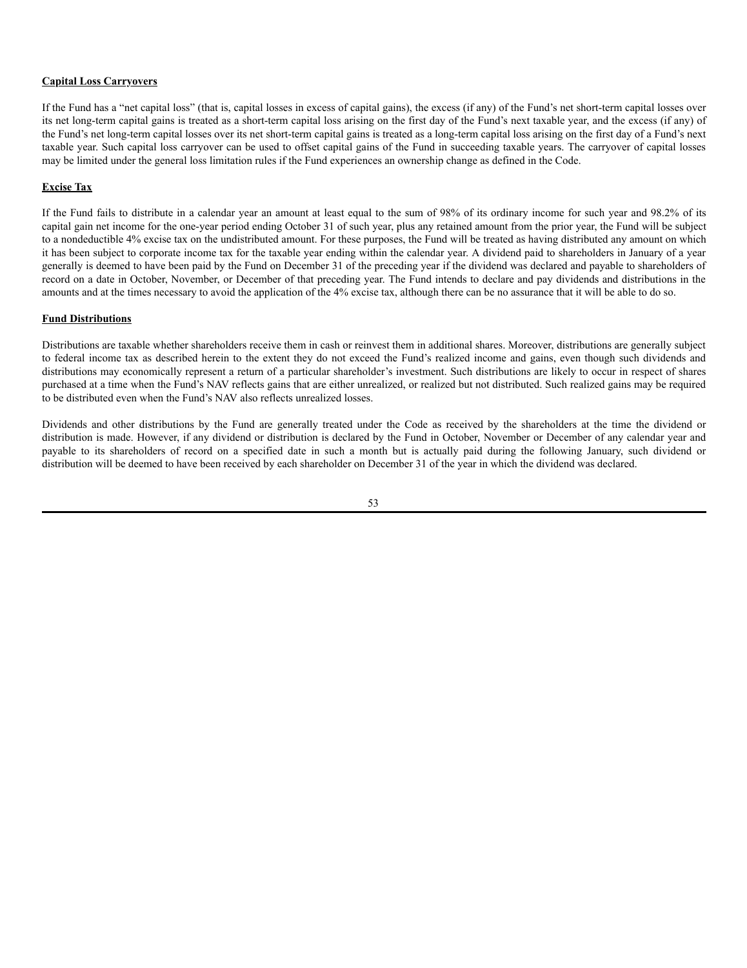# **Capital Loss Carryovers**

If the Fund has a "net capital loss" (that is, capital losses in excess of capital gains), the excess (if any) of the Fund's net short-term capital losses over its net long-term capital gains is treated as a short-term capital loss arising on the first day of the Fund's next taxable year, and the excess (if any) of the Fund's net long-term capital losses over its net short-term capital gains is treated as a long-term capital loss arising on the first day of a Fund's next taxable year. Such capital loss carryover can be used to offset capital gains of the Fund in succeeding taxable years. The carryover of capital losses may be limited under the general loss limitation rules if the Fund experiences an ownership change as defined in the Code.

#### **Excise Tax**

If the Fund fails to distribute in a calendar year an amount at least equal to the sum of 98% of its ordinary income for such year and 98.2% of its capital gain net income for the one-year period ending October 31 of such year, plus any retained amount from the prior year, the Fund will be subject to a nondeductible 4% excise tax on the undistributed amount. For these purposes, the Fund will be treated as having distributed any amount on which it has been subject to corporate income tax for the taxable year ending within the calendar year. A dividend paid to shareholders in January of a year generally is deemed to have been paid by the Fund on December 31 of the preceding year if the dividend was declared and payable to shareholders of record on a date in October, November, or December of that preceding year. The Fund intends to declare and pay dividends and distributions in the amounts and at the times necessary to avoid the application of the 4% excise tax, although there can be no assurance that it will be able to do so.

## **Fund Distributions**

Distributions are taxable whether shareholders receive them in cash or reinvest them in additional shares. Moreover, distributions are generally subject to federal income tax as described herein to the extent they do not exceed the Fund's realized income and gains, even though such dividends and distributions may economically represent a return of a particular shareholder's investment. Such distributions are likely to occur in respect of shares purchased at a time when the Fund's NAV reflects gains that are either unrealized, or realized but not distributed. Such realized gains may be required to be distributed even when the Fund's NAV also reflects unrealized losses.

Dividends and other distributions by the Fund are generally treated under the Code as received by the shareholders at the time the dividend or distribution is made. However, if any dividend or distribution is declared by the Fund in October, November or December of any calendar year and payable to its shareholders of record on a specified date in such a month but is actually paid during the following January, such dividend or distribution will be deemed to have been received by each shareholder on December 31 of the year in which the dividend was declared.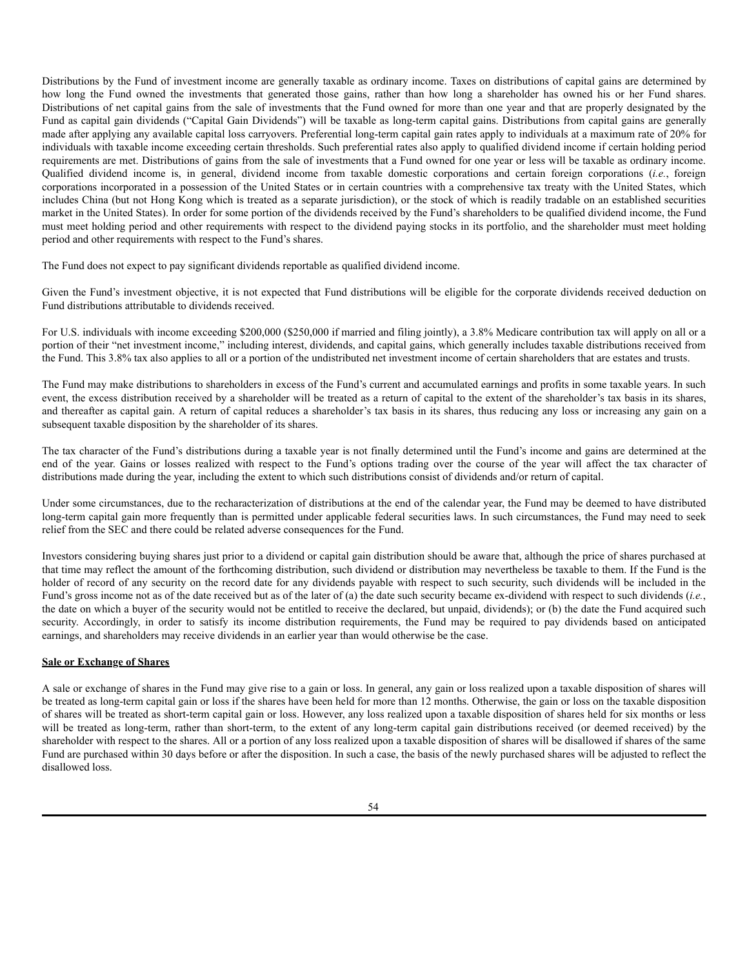Distributions by the Fund of investment income are generally taxable as ordinary income. Taxes on distributions of capital gains are determined by how long the Fund owned the investments that generated those gains, rather than how long a shareholder has owned his or her Fund shares. Distributions of net capital gains from the sale of investments that the Fund owned for more than one year and that are properly designated by the Fund as capital gain dividends ("Capital Gain Dividends") will be taxable as long-term capital gains. Distributions from capital gains are generally made after applying any available capital loss carryovers. Preferential long-term capital gain rates apply to individuals at a maximum rate of 20% for individuals with taxable income exceeding certain thresholds. Such preferential rates also apply to qualified dividend income if certain holding period requirements are met. Distributions of gains from the sale of investments that a Fund owned for one year or less will be taxable as ordinary income. Qualified dividend income is, in general, dividend income from taxable domestic corporations and certain foreign corporations (*i.e.*, foreign corporations incorporated in a possession of the United States or in certain countries with a comprehensive tax treaty with the United States, which includes China (but not Hong Kong which is treated as a separate jurisdiction), or the stock of which is readily tradable on an established securities market in the United States). In order for some portion of the dividends received by the Fund's shareholders to be qualified dividend income, the Fund must meet holding period and other requirements with respect to the dividend paying stocks in its portfolio, and the shareholder must meet holding period and other requirements with respect to the Fund's shares.

The Fund does not expect to pay significant dividends reportable as qualified dividend income.

Given the Fund's investment objective, it is not expected that Fund distributions will be eligible for the corporate dividends received deduction on Fund distributions attributable to dividends received.

For U.S. individuals with income exceeding \$200,000 (\$250,000 if married and filing jointly), a 3.8% Medicare contribution tax will apply on all or a portion of their "net investment income," including interest, dividends, and capital gains, which generally includes taxable distributions received from the Fund. This 3.8% tax also applies to all or a portion of the undistributed net investment income of certain shareholders that are estates and trusts.

The Fund may make distributions to shareholders in excess of the Fund's current and accumulated earnings and profits in some taxable years. In such event, the excess distribution received by a shareholder will be treated as a return of capital to the extent of the shareholder's tax basis in its shares, and thereafter as capital gain. A return of capital reduces a shareholder's tax basis in its shares, thus reducing any loss or increasing any gain on a subsequent taxable disposition by the shareholder of its shares.

The tax character of the Fund's distributions during a taxable year is not finally determined until the Fund's income and gains are determined at the end of the year. Gains or losses realized with respect to the Fund's options trading over the course of the year will affect the tax character of distributions made during the year, including the extent to which such distributions consist of dividends and/or return of capital.

Under some circumstances, due to the recharacterization of distributions at the end of the calendar year, the Fund may be deemed to have distributed long-term capital gain more frequently than is permitted under applicable federal securities laws. In such circumstances, the Fund may need to seek relief from the SEC and there could be related adverse consequences for the Fund.

Investors considering buying shares just prior to a dividend or capital gain distribution should be aware that, although the price of shares purchased at that time may reflect the amount of the forthcoming distribution, such dividend or distribution may nevertheless be taxable to them. If the Fund is the holder of record of any security on the record date for any dividends payable with respect to such security, such dividends will be included in the Fund's gross income not as of the date received but as of the later of (a) the date such security became ex-dividend with respect to such dividends (*i.e.*, the date on which a buyer of the security would not be entitled to receive the declared, but unpaid, dividends); or (b) the date the Fund acquired such security. Accordingly, in order to satisfy its income distribution requirements, the Fund may be required to pay dividends based on anticipated earnings, and shareholders may receive dividends in an earlier year than would otherwise be the case.

## **Sale or Exchange of Shares**

A sale or exchange of shares in the Fund may give rise to a gain or loss. In general, any gain or loss realized upon a taxable disposition of shares will be treated as long-term capital gain or loss if the shares have been held for more than 12 months. Otherwise, the gain or loss on the taxable disposition of shares will be treated as short-term capital gain or loss. However, any loss realized upon a taxable disposition of shares held for six months or less will be treated as long-term, rather than short-term, to the extent of any long-term capital gain distributions received (or deemed received) by the shareholder with respect to the shares. All or a portion of any loss realized upon a taxable disposition of shares will be disallowed if shares of the same Fund are purchased within 30 days before or after the disposition. In such a case, the basis of the newly purchased shares will be adjusted to reflect the disallowed loss.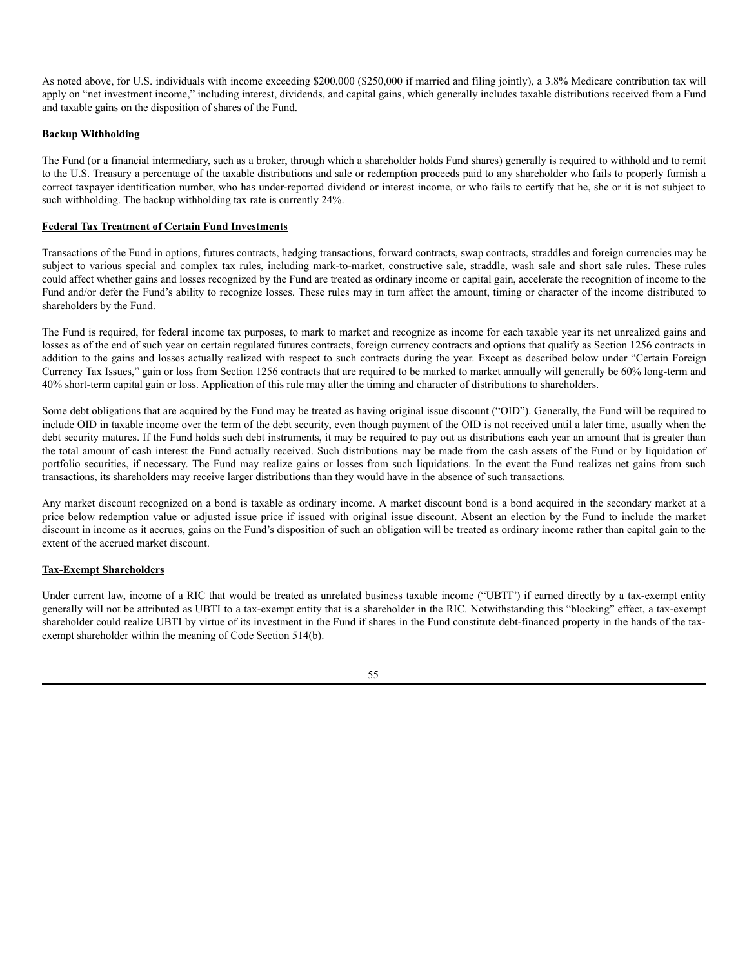As noted above, for U.S. individuals with income exceeding \$200,000 (\$250,000 if married and filing jointly), a 3.8% Medicare contribution tax will apply on "net investment income," including interest, dividends, and capital gains, which generally includes taxable distributions received from a Fund and taxable gains on the disposition of shares of the Fund.

## **Backup Withholding**

The Fund (or a financial intermediary, such as a broker, through which a shareholder holds Fund shares) generally is required to withhold and to remit to the U.S. Treasury a percentage of the taxable distributions and sale or redemption proceeds paid to any shareholder who fails to properly furnish a correct taxpayer identification number, who has under-reported dividend or interest income, or who fails to certify that he, she or it is not subject to such withholding. The backup withholding tax rate is currently 24%.

## **Federal Tax Treatment of Certain Fund Investments**

Transactions of the Fund in options, futures contracts, hedging transactions, forward contracts, swap contracts, straddles and foreign currencies may be subject to various special and complex tax rules, including mark-to-market, constructive sale, straddle, wash sale and short sale rules. These rules could affect whether gains and losses recognized by the Fund are treated as ordinary income or capital gain, accelerate the recognition of income to the Fund and/or defer the Fund's ability to recognize losses. These rules may in turn affect the amount, timing or character of the income distributed to shareholders by the Fund.

The Fund is required, for federal income tax purposes, to mark to market and recognize as income for each taxable year its net unrealized gains and losses as of the end of such year on certain regulated futures contracts, foreign currency contracts and options that qualify as Section 1256 contracts in addition to the gains and losses actually realized with respect to such contracts during the year. Except as described below under "Certain Foreign Currency Tax Issues," gain or loss from Section 1256 contracts that are required to be marked to market annually will generally be 60% long-term and 40% short-term capital gain or loss. Application of this rule may alter the timing and character of distributions to shareholders.

Some debt obligations that are acquired by the Fund may be treated as having original issue discount ("OID"). Generally, the Fund will be required to include OID in taxable income over the term of the debt security, even though payment of the OID is not received until a later time, usually when the debt security matures. If the Fund holds such debt instruments, it may be required to pay out as distributions each year an amount that is greater than the total amount of cash interest the Fund actually received. Such distributions may be made from the cash assets of the Fund or by liquidation of portfolio securities, if necessary. The Fund may realize gains or losses from such liquidations. In the event the Fund realizes net gains from such transactions, its shareholders may receive larger distributions than they would have in the absence of such transactions.

Any market discount recognized on a bond is taxable as ordinary income. A market discount bond is a bond acquired in the secondary market at a price below redemption value or adjusted issue price if issued with original issue discount. Absent an election by the Fund to include the market discount in income as it accrues, gains on the Fund's disposition of such an obligation will be treated as ordinary income rather than capital gain to the extent of the accrued market discount.

#### **Tax-Exempt Shareholders**

Under current law, income of a RIC that would be treated as unrelated business taxable income ("UBTI") if earned directly by a tax-exempt entity generally will not be attributed as UBTI to a tax-exempt entity that is a shareholder in the RIC. Notwithstanding this "blocking" effect, a tax-exempt shareholder could realize UBTI by virtue of its investment in the Fund if shares in the Fund constitute debt-financed property in the hands of the taxexempt shareholder within the meaning of Code Section 514(b).

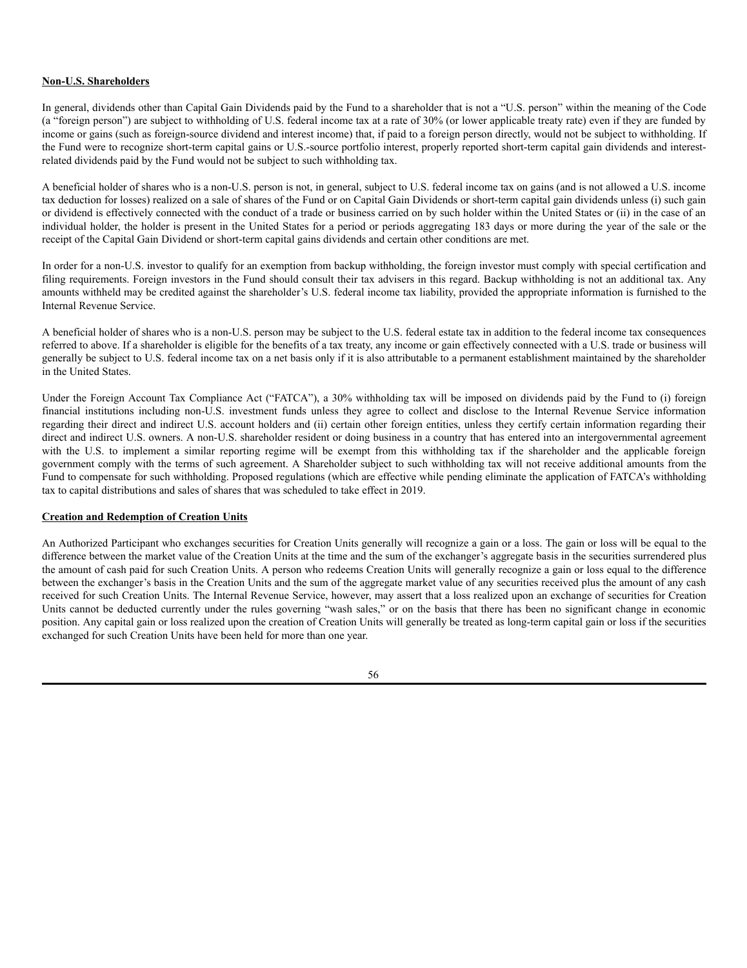## **Non-U.S. Shareholders**

In general, dividends other than Capital Gain Dividends paid by the Fund to a shareholder that is not a "U.S. person" within the meaning of the Code (a "foreign person") are subject to withholding of U.S. federal income tax at a rate of 30% (or lower applicable treaty rate) even if they are funded by income or gains (such as foreign-source dividend and interest income) that, if paid to a foreign person directly, would not be subject to withholding. If the Fund were to recognize short-term capital gains or U.S.-source portfolio interest, properly reported short-term capital gain dividends and interestrelated dividends paid by the Fund would not be subject to such withholding tax.

A beneficial holder of shares who is a non-U.S. person is not, in general, subject to U.S. federal income tax on gains (and is not allowed a U.S. income tax deduction for losses) realized on a sale of shares of the Fund or on Capital Gain Dividends or short-term capital gain dividends unless (i) such gain or dividend is effectively connected with the conduct of a trade or business carried on by such holder within the United States or (ii) in the case of an individual holder, the holder is present in the United States for a period or periods aggregating 183 days or more during the year of the sale or the receipt of the Capital Gain Dividend or short-term capital gains dividends and certain other conditions are met.

In order for a non-U.S. investor to qualify for an exemption from backup withholding, the foreign investor must comply with special certification and filing requirements. Foreign investors in the Fund should consult their tax advisers in this regard. Backup withholding is not an additional tax. Any amounts withheld may be credited against the shareholder's U.S. federal income tax liability, provided the appropriate information is furnished to the Internal Revenue Service.

A beneficial holder of shares who is a non-U.S. person may be subject to the U.S. federal estate tax in addition to the federal income tax consequences referred to above. If a shareholder is eligible for the benefits of a tax treaty, any income or gain effectively connected with a U.S. trade or business will generally be subject to U.S. federal income tax on a net basis only if it is also attributable to a permanent establishment maintained by the shareholder in the United States.

Under the Foreign Account Tax Compliance Act ("FATCA"), a 30% withholding tax will be imposed on dividends paid by the Fund to (i) foreign financial institutions including non-U.S. investment funds unless they agree to collect and disclose to the Internal Revenue Service information regarding their direct and indirect U.S. account holders and (ii) certain other foreign entities, unless they certify certain information regarding their direct and indirect U.S. owners. A non-U.S. shareholder resident or doing business in a country that has entered into an intergovernmental agreement with the U.S. to implement a similar reporting regime will be exempt from this withholding tax if the shareholder and the applicable foreign government comply with the terms of such agreement. A Shareholder subject to such withholding tax will not receive additional amounts from the Fund to compensate for such withholding. Proposed regulations (which are effective while pending eliminate the application of FATCA's withholding tax to capital distributions and sales of shares that was scheduled to take effect in 2019.

## **Creation and Redemption of Creation Units**

An Authorized Participant who exchanges securities for Creation Units generally will recognize a gain or a loss. The gain or loss will be equal to the difference between the market value of the Creation Units at the time and the sum of the exchanger's aggregate basis in the securities surrendered plus the amount of cash paid for such Creation Units. A person who redeems Creation Units will generally recognize a gain or loss equal to the difference between the exchanger's basis in the Creation Units and the sum of the aggregate market value of any securities received plus the amount of any cash received for such Creation Units. The Internal Revenue Service, however, may assert that a loss realized upon an exchange of securities for Creation Units cannot be deducted currently under the rules governing "wash sales," or on the basis that there has been no significant change in economic position. Any capital gain or loss realized upon the creation of Creation Units will generally be treated as long-term capital gain or loss if the securities exchanged for such Creation Units have been held for more than one year.

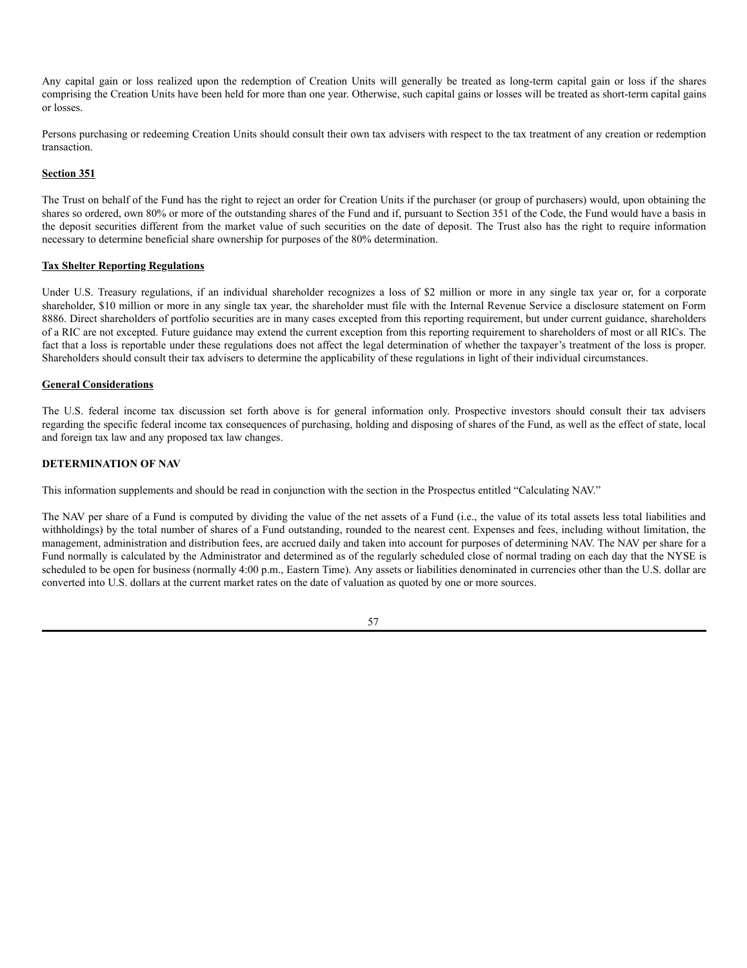Any capital gain or loss realized upon the redemption of Creation Units will generally be treated as long-term capital gain or loss if the shares comprising the Creation Units have been held for more than one year. Otherwise, such capital gains or losses will be treated as short-term capital gains or losses.

Persons purchasing or redeeming Creation Units should consult their own tax advisers with respect to the tax treatment of any creation or redemption transaction.

## **Section 351**

The Trust on behalf of the Fund has the right to reject an order for Creation Units if the purchaser (or group of purchasers) would, upon obtaining the shares so ordered, own 80% or more of the outstanding shares of the Fund and if, pursuant to Section 351 of the Code, the Fund would have a basis in the deposit securities different from the market value of such securities on the date of deposit. The Trust also has the right to require information necessary to determine beneficial share ownership for purposes of the 80% determination.

## **Tax Shelter Reporting Regulations**

Under U.S. Treasury regulations, if an individual shareholder recognizes a loss of \$2 million or more in any single tax year or, for a corporate shareholder, \$10 million or more in any single tax year, the shareholder must file with the Internal Revenue Service a disclosure statement on Form 8886. Direct shareholders of portfolio securities are in many cases excepted from this reporting requirement, but under current guidance, shareholders of a RIC are not excepted. Future guidance may extend the current exception from this reporting requirement to shareholders of most or all RICs. The fact that a loss is reportable under these regulations does not affect the legal determination of whether the taxpayer's treatment of the loss is proper. Shareholders should consult their tax advisers to determine the applicability of these regulations in light of their individual circumstances.

#### **General Considerations**

The U.S. federal income tax discussion set forth above is for general information only. Prospective investors should consult their tax advisers regarding the specific federal income tax consequences of purchasing, holding and disposing of shares of the Fund, as well as the effect of state, local and foreign tax law and any proposed tax law changes.

## **DETERMINATION OF NAV**

This information supplements and should be read in conjunction with the section in the Prospectus entitled "Calculating NAV."

The NAV per share of a Fund is computed by dividing the value of the net assets of a Fund (i.e., the value of its total assets less total liabilities and withholdings) by the total number of shares of a Fund outstanding, rounded to the nearest cent. Expenses and fees, including without limitation, the management, administration and distribution fees, are accrued daily and taken into account for purposes of determining NAV. The NAV per share for a Fund normally is calculated by the Administrator and determined as of the regularly scheduled close of normal trading on each day that the NYSE is scheduled to be open for business (normally 4:00 p.m., Eastern Time). Any assets or liabilities denominated in currencies other than the U.S. dollar are converted into U.S. dollars at the current market rates on the date of valuation as quoted by one or more sources.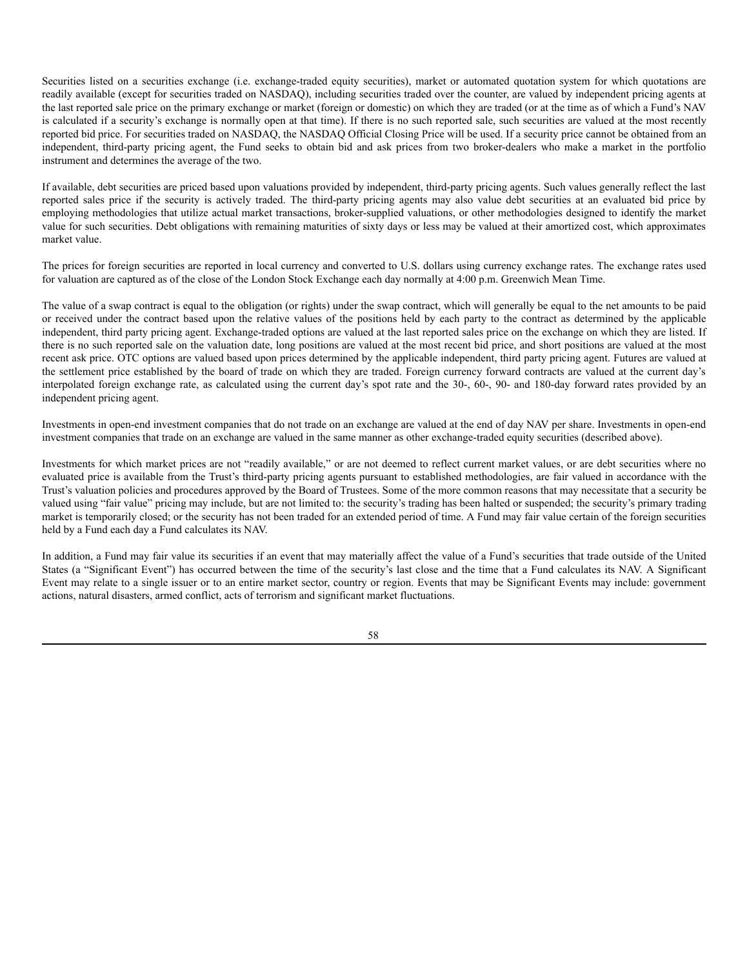Securities listed on a securities exchange (i.e. exchange-traded equity securities), market or automated quotation system for which quotations are readily available (except for securities traded on NASDAQ), including securities traded over the counter, are valued by independent pricing agents at the last reported sale price on the primary exchange or market (foreign or domestic) on which they are traded (or at the time as of which a Fund's NAV is calculated if a security's exchange is normally open at that time). If there is no such reported sale, such securities are valued at the most recently reported bid price. For securities traded on NASDAQ, the NASDAQ Official Closing Price will be used. If a security price cannot be obtained from an independent, third-party pricing agent, the Fund seeks to obtain bid and ask prices from two broker-dealers who make a market in the portfolio instrument and determines the average of the two.

If available, debt securities are priced based upon valuations provided by independent, third-party pricing agents. Such values generally reflect the last reported sales price if the security is actively traded. The third-party pricing agents may also value debt securities at an evaluated bid price by employing methodologies that utilize actual market transactions, broker-supplied valuations, or other methodologies designed to identify the market value for such securities. Debt obligations with remaining maturities of sixty days or less may be valued at their amortized cost, which approximates market value.

The prices for foreign securities are reported in local currency and converted to U.S. dollars using currency exchange rates. The exchange rates used for valuation are captured as of the close of the London Stock Exchange each day normally at 4:00 p.m. Greenwich Mean Time.

The value of a swap contract is equal to the obligation (or rights) under the swap contract, which will generally be equal to the net amounts to be paid or received under the contract based upon the relative values of the positions held by each party to the contract as determined by the applicable independent, third party pricing agent. Exchange-traded options are valued at the last reported sales price on the exchange on which they are listed. If there is no such reported sale on the valuation date, long positions are valued at the most recent bid price, and short positions are valued at the most recent ask price. OTC options are valued based upon prices determined by the applicable independent, third party pricing agent. Futures are valued at the settlement price established by the board of trade on which they are traded. Foreign currency forward contracts are valued at the current day's interpolated foreign exchange rate, as calculated using the current day's spot rate and the 30-, 60-, 90- and 180-day forward rates provided by an independent pricing agent.

Investments in open-end investment companies that do not trade on an exchange are valued at the end of day NAV per share. Investments in open-end investment companies that trade on an exchange are valued in the same manner as other exchange-traded equity securities (described above).

Investments for which market prices are not "readily available," or are not deemed to reflect current market values, or are debt securities where no evaluated price is available from the Trust's third-party pricing agents pursuant to established methodologies, are fair valued in accordance with the Trust's valuation policies and procedures approved by the Board of Trustees. Some of the more common reasons that may necessitate that a security be valued using "fair value" pricing may include, but are not limited to: the security's trading has been halted or suspended; the security's primary trading market is temporarily closed; or the security has not been traded for an extended period of time. A Fund may fair value certain of the foreign securities held by a Fund each day a Fund calculates its NAV.

In addition, a Fund may fair value its securities if an event that may materially affect the value of a Fund's securities that trade outside of the United States (a "Significant Event") has occurred between the time of the security's last close and the time that a Fund calculates its NAV. A Significant Event may relate to a single issuer or to an entire market sector, country or region. Events that may be Significant Events may include: government actions, natural disasters, armed conflict, acts of terrorism and significant market fluctuations.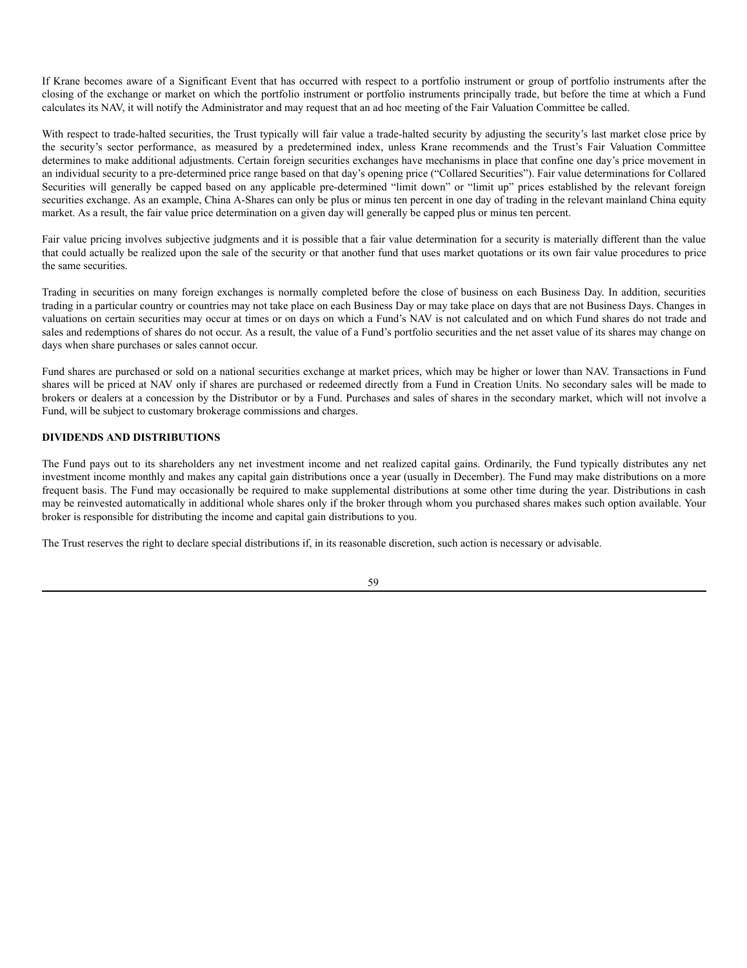If Krane becomes aware of a Significant Event that has occurred with respect to a portfolio instrument or group of portfolio instruments after the closing of the exchange or market on which the portfolio instrument or portfolio instruments principally trade, but before the time at which a Fund calculates its NAV, it will notify the Administrator and may request that an ad hoc meeting of the Fair Valuation Committee be called.

With respect to trade-halted securities, the Trust typically will fair value a trade-halted security by adjusting the security's last market close price by the security's sector performance, as measured by a predetermined index, unless Krane recommends and the Trust's Fair Valuation Committee determines to make additional adjustments. Certain foreign securities exchanges have mechanisms in place that confine one day's price movement in an individual security to a pre-determined price range based on that day's opening price ("Collared Securities"). Fair value determinations for Collared Securities will generally be capped based on any applicable pre-determined "limit down" or "limit up" prices established by the relevant foreign securities exchange. As an example, China A-Shares can only be plus or minus ten percent in one day of trading in the relevant mainland China equity market. As a result, the fair value price determination on a given day will generally be capped plus or minus ten percent.

Fair value pricing involves subjective judgments and it is possible that a fair value determination for a security is materially different than the value that could actually be realized upon the sale of the security or that another fund that uses market quotations or its own fair value procedures to price the same securities.

Trading in securities on many foreign exchanges is normally completed before the close of business on each Business Day. In addition, securities trading in a particular country or countries may not take place on each Business Day or may take place on days that are not Business Days. Changes in valuations on certain securities may occur at times or on days on which a Fund's NAV is not calculated and on which Fund shares do not trade and sales and redemptions of shares do not occur. As a result, the value of a Fund's portfolio securities and the net asset value of its shares may change on days when share purchases or sales cannot occur.

Fund shares are purchased or sold on a national securities exchange at market prices, which may be higher or lower than NAV. Transactions in Fund shares will be priced at NAV only if shares are purchased or redeemed directly from a Fund in Creation Units. No secondary sales will be made to brokers or dealers at a concession by the Distributor or by a Fund. Purchases and sales of shares in the secondary market, which will not involve a Fund, will be subject to customary brokerage commissions and charges.

# **DIVIDENDS AND DISTRIBUTIONS**

The Fund pays out to its shareholders any net investment income and net realized capital gains. Ordinarily, the Fund typically distributes any net investment income monthly and makes any capital gain distributions once a year (usually in December). The Fund may make distributions on a more frequent basis. The Fund may occasionally be required to make supplemental distributions at some other time during the year. Distributions in cash may be reinvested automatically in additional whole shares only if the broker through whom you purchased shares makes such option available. Your broker is responsible for distributing the income and capital gain distributions to you.

The Trust reserves the right to declare special distributions if, in its reasonable discretion, such action is necessary or advisable.

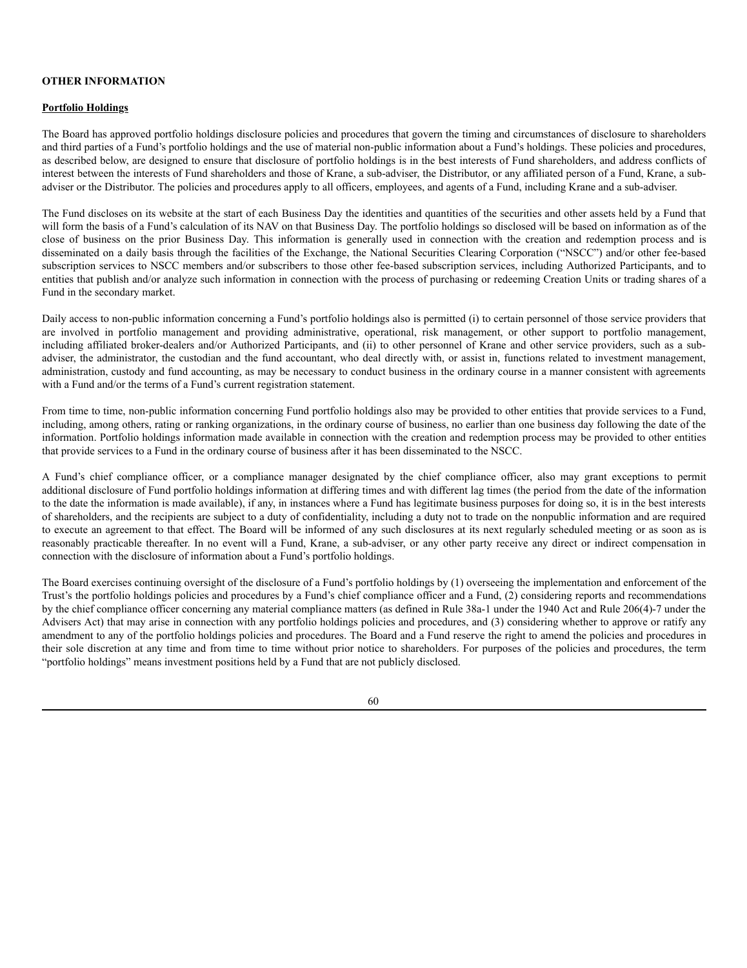# **OTHER INFORMATION**

## **Portfolio Holdings**

The Board has approved portfolio holdings disclosure policies and procedures that govern the timing and circumstances of disclosure to shareholders and third parties of a Fund's portfolio holdings and the use of material non-public information about a Fund's holdings. These policies and procedures, as described below, are designed to ensure that disclosure of portfolio holdings is in the best interests of Fund shareholders, and address conflicts of interest between the interests of Fund shareholders and those of Krane, a sub-adviser, the Distributor, or any affiliated person of a Fund, Krane, a subadviser or the Distributor. The policies and procedures apply to all officers, employees, and agents of a Fund, including Krane and a sub-adviser.

The Fund discloses on its website at the start of each Business Day the identities and quantities of the securities and other assets held by a Fund that will form the basis of a Fund's calculation of its NAV on that Business Day. The portfolio holdings so disclosed will be based on information as of the close of business on the prior Business Day. This information is generally used in connection with the creation and redemption process and is disseminated on a daily basis through the facilities of the Exchange, the National Securities Clearing Corporation ("NSCC") and/or other fee-based subscription services to NSCC members and/or subscribers to those other fee-based subscription services, including Authorized Participants, and to entities that publish and/or analyze such information in connection with the process of purchasing or redeeming Creation Units or trading shares of a Fund in the secondary market.

Daily access to non-public information concerning a Fund's portfolio holdings also is permitted (i) to certain personnel of those service providers that are involved in portfolio management and providing administrative, operational, risk management, or other support to portfolio management, including affiliated broker-dealers and/or Authorized Participants, and (ii) to other personnel of Krane and other service providers, such as a subadviser, the administrator, the custodian and the fund accountant, who deal directly with, or assist in, functions related to investment management, administration, custody and fund accounting, as may be necessary to conduct business in the ordinary course in a manner consistent with agreements with a Fund and/or the terms of a Fund's current registration statement.

From time to time, non-public information concerning Fund portfolio holdings also may be provided to other entities that provide services to a Fund, including, among others, rating or ranking organizations, in the ordinary course of business, no earlier than one business day following the date of the information. Portfolio holdings information made available in connection with the creation and redemption process may be provided to other entities that provide services to a Fund in the ordinary course of business after it has been disseminated to the NSCC.

A Fund's chief compliance officer, or a compliance manager designated by the chief compliance officer, also may grant exceptions to permit additional disclosure of Fund portfolio holdings information at differing times and with different lag times (the period from the date of the information to the date the information is made available), if any, in instances where a Fund has legitimate business purposes for doing so, it is in the best interests of shareholders, and the recipients are subject to a duty of confidentiality, including a duty not to trade on the nonpublic information and are required to execute an agreement to that effect. The Board will be informed of any such disclosures at its next regularly scheduled meeting or as soon as is reasonably practicable thereafter. In no event will a Fund, Krane, a sub-adviser, or any other party receive any direct or indirect compensation in connection with the disclosure of information about a Fund's portfolio holdings.

The Board exercises continuing oversight of the disclosure of a Fund's portfolio holdings by (1) overseeing the implementation and enforcement of the Trust's the portfolio holdings policies and procedures by a Fund's chief compliance officer and a Fund, (2) considering reports and recommendations by the chief compliance officer concerning any material compliance matters (as defined in Rule 38a-1 under the 1940 Act and Rule 206(4)-7 under the Advisers Act) that may arise in connection with any portfolio holdings policies and procedures, and (3) considering whether to approve or ratify any amendment to any of the portfolio holdings policies and procedures. The Board and a Fund reserve the right to amend the policies and procedures in their sole discretion at any time and from time to time without prior notice to shareholders. For purposes of the policies and procedures, the term "portfolio holdings" means investment positions held by a Fund that are not publicly disclosed.

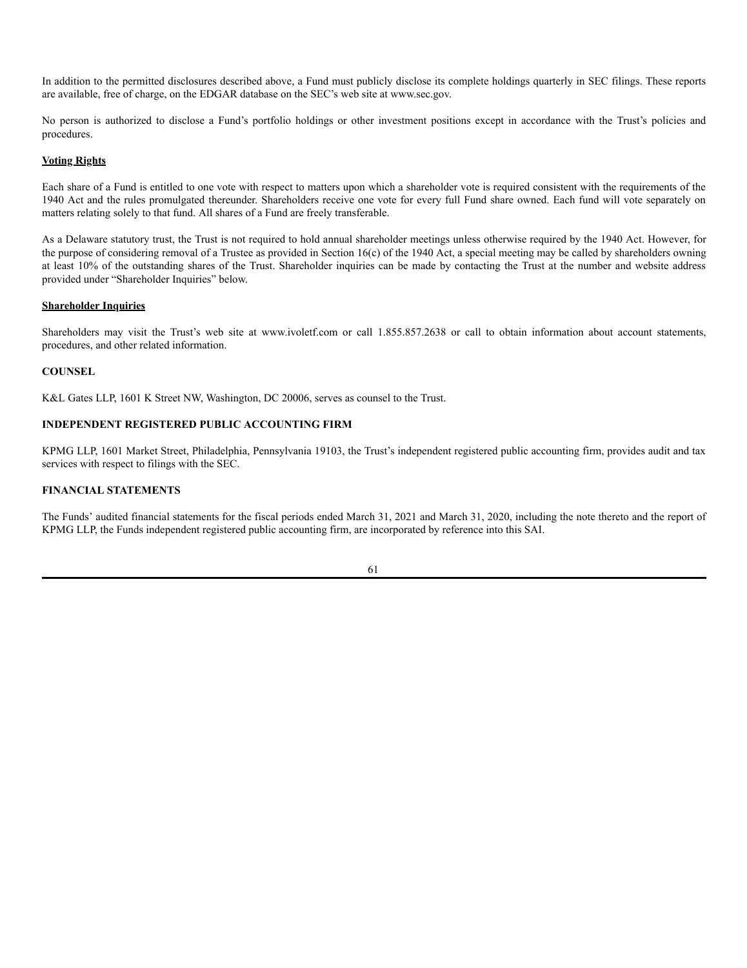In addition to the permitted disclosures described above, a Fund must publicly disclose its complete holdings quarterly in SEC filings. These reports are available, free of charge, on the EDGAR database on the SEC's web site at www.sec.gov.

No person is authorized to disclose a Fund's portfolio holdings or other investment positions except in accordance with the Trust's policies and procedures.

## **Voting Rights**

Each share of a Fund is entitled to one vote with respect to matters upon which a shareholder vote is required consistent with the requirements of the 1940 Act and the rules promulgated thereunder. Shareholders receive one vote for every full Fund share owned. Each fund will vote separately on matters relating solely to that fund. All shares of a Fund are freely transferable.

As a Delaware statutory trust, the Trust is not required to hold annual shareholder meetings unless otherwise required by the 1940 Act. However, for the purpose of considering removal of a Trustee as provided in Section 16(c) of the 1940 Act, a special meeting may be called by shareholders owning at least 10% of the outstanding shares of the Trust. Shareholder inquiries can be made by contacting the Trust at the number and website address provided under "Shareholder Inquiries" below.

## **Shareholder Inquiries**

Shareholders may visit the Trust's web site at www.ivoletf.com or call 1.855.857.2638 or call to obtain information about account statements, procedures, and other related information.

## **COUNSEL**

K&L Gates LLP, 1601 K Street NW, Washington, DC 20006, serves as counsel to the Trust.

# **INDEPENDENT REGISTERED PUBLIC ACCOUNTING FIRM**

KPMG LLP, 1601 Market Street, Philadelphia, Pennsylvania 19103, the Trust's independent registered public accounting firm, provides audit and tax services with respect to filings with the SEC.

## **FINANCIAL STATEMENTS**

The Funds' audited financial statements for the fiscal periods ended March 31, 2021 and March 31, 2020, including the note thereto and the report of KPMG LLP, the Funds independent registered public accounting firm, are incorporated by reference into this SAI.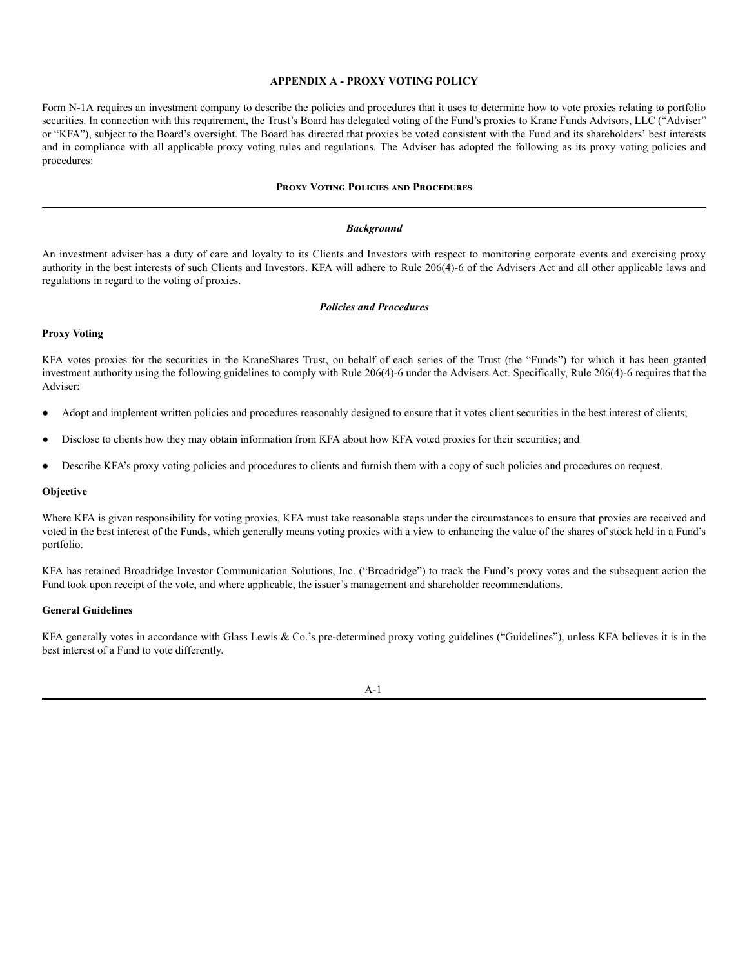## **APPENDIX A - PROXY VOTING POLICY**

Form N-1A requires an investment company to describe the policies and procedures that it uses to determine how to vote proxies relating to portfolio securities. In connection with this requirement, the Trust's Board has delegated voting of the Fund's proxies to Krane Funds Advisors, LLC ("Adviser" or "KFA"), subject to the Board's oversight. The Board has directed that proxies be voted consistent with the Fund and its shareholders' best interests and in compliance with all applicable proxy voting rules and regulations. The Adviser has adopted the following as its proxy voting policies and procedures:

#### **Proxy Voting Policies and Procedures**

#### *Background*

An investment adviser has a duty of care and loyalty to its Clients and Investors with respect to monitoring corporate events and exercising proxy authority in the best interests of such Clients and Investors. KFA will adhere to Rule 206(4)-6 of the Advisers Act and all other applicable laws and regulations in regard to the voting of proxies.

#### *Policies and Procedures*

#### **Proxy Voting**

KFA votes proxies for the securities in the KraneShares Trust, on behalf of each series of the Trust (the "Funds") for which it has been granted investment authority using the following guidelines to comply with Rule 206(4)-6 under the Advisers Act. Specifically, Rule 206(4)-6 requires that the Adviser:

- Adopt and implement written policies and procedures reasonably designed to ensure that it votes client securities in the best interest of clients;
- Disclose to clients how they may obtain information from KFA about how KFA voted proxies for their securities; and
- Describe KFA's proxy voting policies and procedures to clients and furnish them with a copy of such policies and procedures on request.

#### **Objective**

Where KFA is given responsibility for voting proxies, KFA must take reasonable steps under the circumstances to ensure that proxies are received and voted in the best interest of the Funds, which generally means voting proxies with a view to enhancing the value of the shares of stock held in a Fund's portfolio.

KFA has retained Broadridge Investor Communication Solutions, Inc. ("Broadridge") to track the Fund's proxy votes and the subsequent action the Fund took upon receipt of the vote, and where applicable, the issuer's management and shareholder recommendations.

#### **General Guidelines**

KFA generally votes in accordance with Glass Lewis & Co.'s pre-determined proxy voting guidelines ("Guidelines"), unless KFA believes it is in the best interest of a Fund to vote differently.

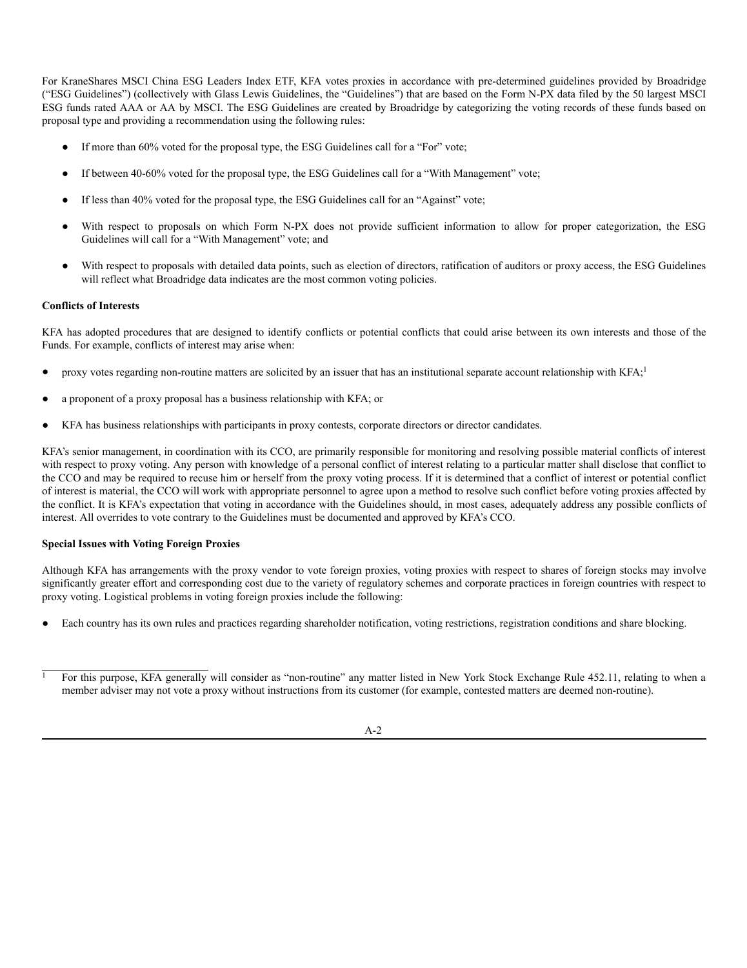For KraneShares MSCI China ESG Leaders Index ETF, KFA votes proxies in accordance with pre-determined guidelines provided by Broadridge ("ESG Guidelines") (collectively with Glass Lewis Guidelines, the "Guidelines") that are based on the Form N-PX data filed by the 50 largest MSCI ESG funds rated AAA or AA by MSCI. The ESG Guidelines are created by Broadridge by categorizing the voting records of these funds based on proposal type and providing a recommendation using the following rules:

- If more than  $60\%$  voted for the proposal type, the ESG Guidelines call for a "For" vote;
- If between 40-60% voted for the proposal type, the ESG Guidelines call for a "With Management" vote;
- If less than 40% voted for the proposal type, the ESG Guidelines call for an "Against" vote;
- With respect to proposals on which Form N-PX does not provide sufficient information to allow for proper categorization, the ESG Guidelines will call for a "With Management" vote; and
- With respect to proposals with detailed data points, such as election of directors, ratification of auditors or proxy access, the ESG Guidelines will reflect what Broadridge data indicates are the most common voting policies.

#### **Conflicts of Interests**

KFA has adopted procedures that are designed to identify conflicts or potential conflicts that could arise between its own interests and those of the Funds. For example, conflicts of interest may arise when:

- $\bullet$  proxy votes regarding non-routine matters are solicited by an issuer that has an institutional separate account relationship with KFA;
- a proponent of a proxy proposal has a business relationship with KFA; or
- KFA has business relationships with participants in proxy contests, corporate directors or director candidates.

KFA's senior management, in coordination with its CCO, are primarily responsible for monitoring and resolving possible material conflicts of interest with respect to proxy voting. Any person with knowledge of a personal conflict of interest relating to a particular matter shall disclose that conflict to the CCO and may be required to recuse him or herself from the proxy voting process. If it is determined that a conflict of interest or potential conflict of interest is material, the CCO will work with appropriate personnel to agree upon a method to resolve such conflict before voting proxies affected by the conflict. It is KFA's expectation that voting in accordance with the Guidelines should, in most cases, adequately address any possible conflicts of interest. All overrides to vote contrary to the Guidelines must be documented and approved by KFA's CCO.

## **Special Issues with Voting Foreign Proxies**

Although KFA has arrangements with the proxy vendor to vote foreign proxies, voting proxies with respect to shares of foreign stocks may involve significantly greater effort and corresponding cost due to the variety of regulatory schemes and corporate practices in foreign countries with respect to proxy voting. Logistical problems in voting foreign proxies include the following:

Each country has its own rules and practices regarding shareholder notification, voting restrictions, registration conditions and share blocking.

<sup>1</sup> For this purpose, KFA generally will consider as "non-routine" any matter listed in New York Stock Exchange Rule 452.11, relating to when a member adviser may not vote a proxy without instructions from its customer (for example, contested matters are deemed non-routine).

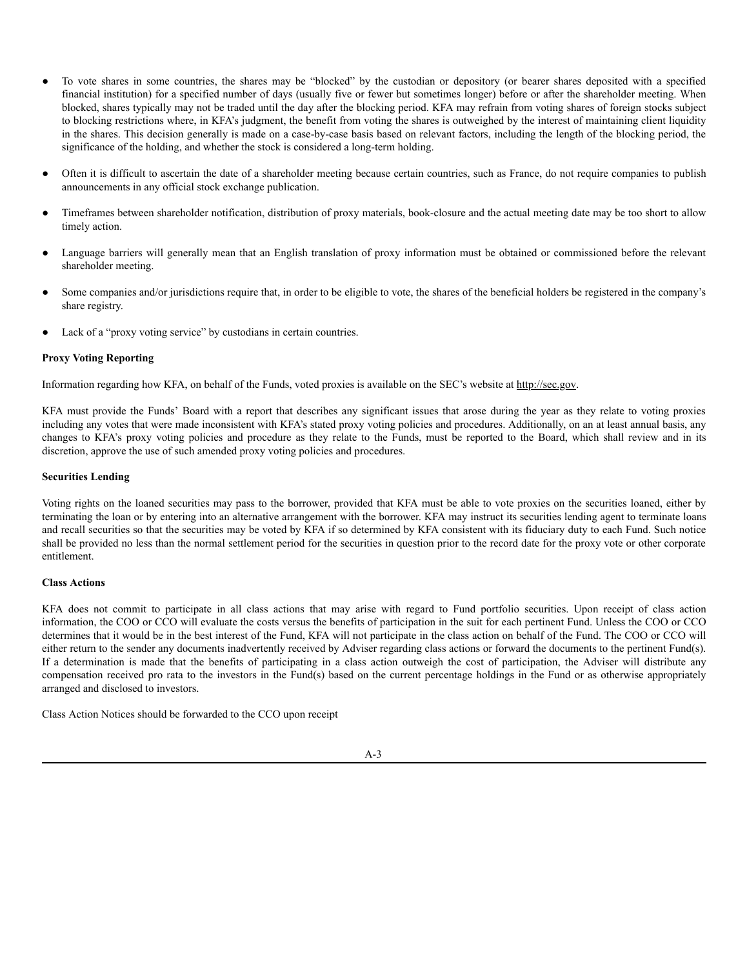- To vote shares in some countries, the shares may be "blocked" by the custodian or depository (or bearer shares deposited with a specified financial institution) for a specified number of days (usually five or fewer but sometimes longer) before or after the shareholder meeting. When blocked, shares typically may not be traded until the day after the blocking period. KFA may refrain from voting shares of foreign stocks subject to blocking restrictions where, in KFA's judgment, the benefit from voting the shares is outweighed by the interest of maintaining client liquidity in the shares. This decision generally is made on a case-by-case basis based on relevant factors, including the length of the blocking period, the significance of the holding, and whether the stock is considered a long-term holding.
- Often it is difficult to ascertain the date of a shareholder meeting because certain countries, such as France, do not require companies to publish announcements in any official stock exchange publication.
- Timeframes between shareholder notification, distribution of proxy materials, book-closure and the actual meeting date may be too short to allow timely action.
- Language barriers will generally mean that an English translation of proxy information must be obtained or commissioned before the relevant shareholder meeting.
- Some companies and/or jurisdictions require that, in order to be eligible to vote, the shares of the beneficial holders be registered in the company's share registry.
- Lack of a "proxy voting service" by custodians in certain countries.

#### **Proxy Voting Reporting**

Information regarding how KFA, on behalf of the Funds, voted proxies is available on the SEC's website at http://sec.gov.

KFA must provide the Funds' Board with a report that describes any significant issues that arose during the year as they relate to voting proxies including any votes that were made inconsistent with KFA's stated proxy voting policies and procedures. Additionally, on an at least annual basis, any changes to KFA's proxy voting policies and procedure as they relate to the Funds, must be reported to the Board, which shall review and in its discretion, approve the use of such amended proxy voting policies and procedures.

#### **Securities Lending**

Voting rights on the loaned securities may pass to the borrower, provided that KFA must be able to vote proxies on the securities loaned, either by terminating the loan or by entering into an alternative arrangement with the borrower. KFA may instruct its securities lending agent to terminate loans and recall securities so that the securities may be voted by KFA if so determined by KFA consistent with its fiduciary duty to each Fund. Such notice shall be provided no less than the normal settlement period for the securities in question prior to the record date for the proxy vote or other corporate entitlement.

## **Class Actions**

KFA does not commit to participate in all class actions that may arise with regard to Fund portfolio securities. Upon receipt of class action information, the COO or CCO will evaluate the costs versus the benefits of participation in the suit for each pertinent Fund. Unless the COO or CCO determines that it would be in the best interest of the Fund, KFA will not participate in the class action on behalf of the Fund. The COO or CCO will either return to the sender any documents inadvertently received by Adviser regarding class actions or forward the documents to the pertinent Fund(s). If a determination is made that the benefits of participating in a class action outweigh the cost of participation, the Adviser will distribute any compensation received pro rata to the investors in the Fund(s) based on the current percentage holdings in the Fund or as otherwise appropriately arranged and disclosed to investors.

Class Action Notices should be forwarded to the CCO upon receipt

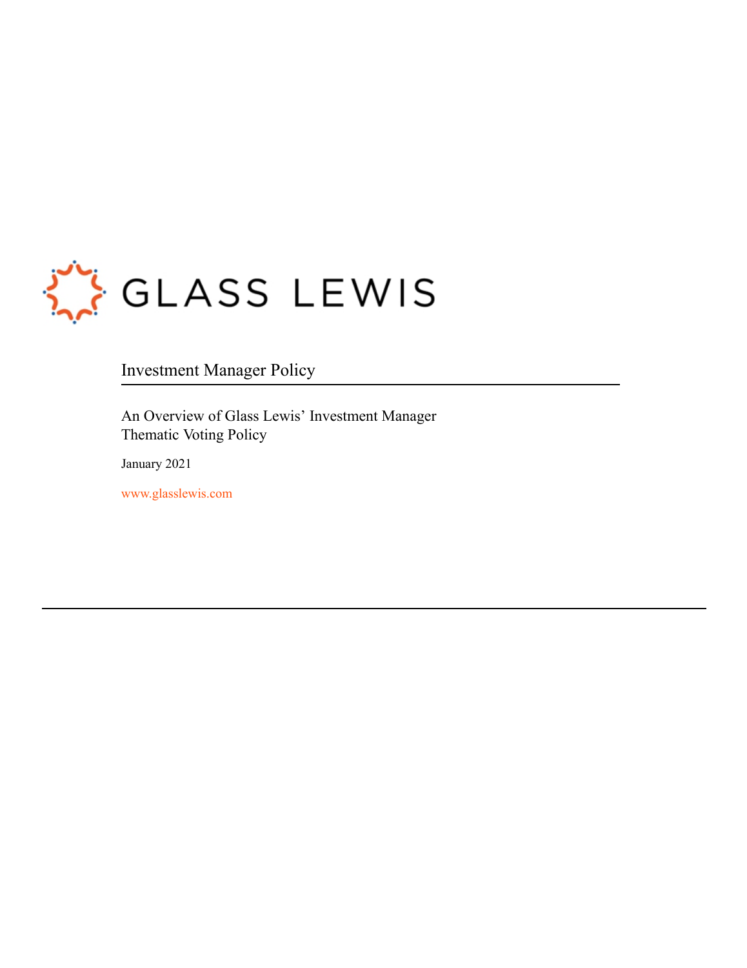

# Investment Manager Policy

An Overview of Glass Lewis' Investment Manager Thematic Voting Policy

January 2021

www.glasslewis.com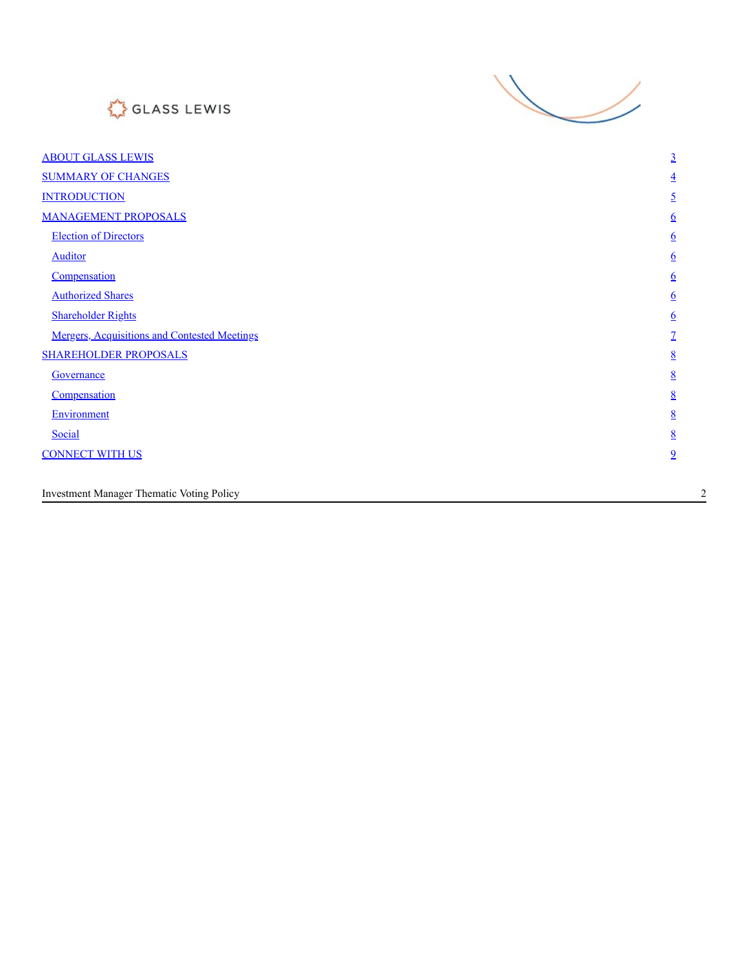



| <b>ABOUT GLASS LEWIS</b>                            | $\overline{3}$  |
|-----------------------------------------------------|-----------------|
| <b>SUMMARY OF CHANGES</b>                           | $\overline{4}$  |
| <b>INTRODUCTION</b>                                 | <u>5</u>        |
| <b>MANAGEMENT PROPOSALS</b>                         | $6\overline{6}$ |
| <b>Election of Directors</b>                        | $6\overline{6}$ |
| <b>Auditor</b>                                      | $6\overline{6}$ |
| Compensation                                        | <u>6</u>        |
| <b>Authorized Shares</b>                            | $6\overline{6}$ |
| <b>Shareholder Rights</b>                           | $6\overline{6}$ |
| <b>Mergers, Acquisitions and Contested Meetings</b> | $\overline{1}$  |
| <b>SHAREHOLDER PROPOSALS</b>                        | 8               |
| Governance                                          | 8               |
| Compensation                                        | 8               |
| Environment                                         | 8               |
| Social                                              | 8               |
| <b>CONNECT WITH US</b>                              | $\overline{9}$  |
|                                                     |                 |
| Investment Manager Thematic Voting Policy           |                 |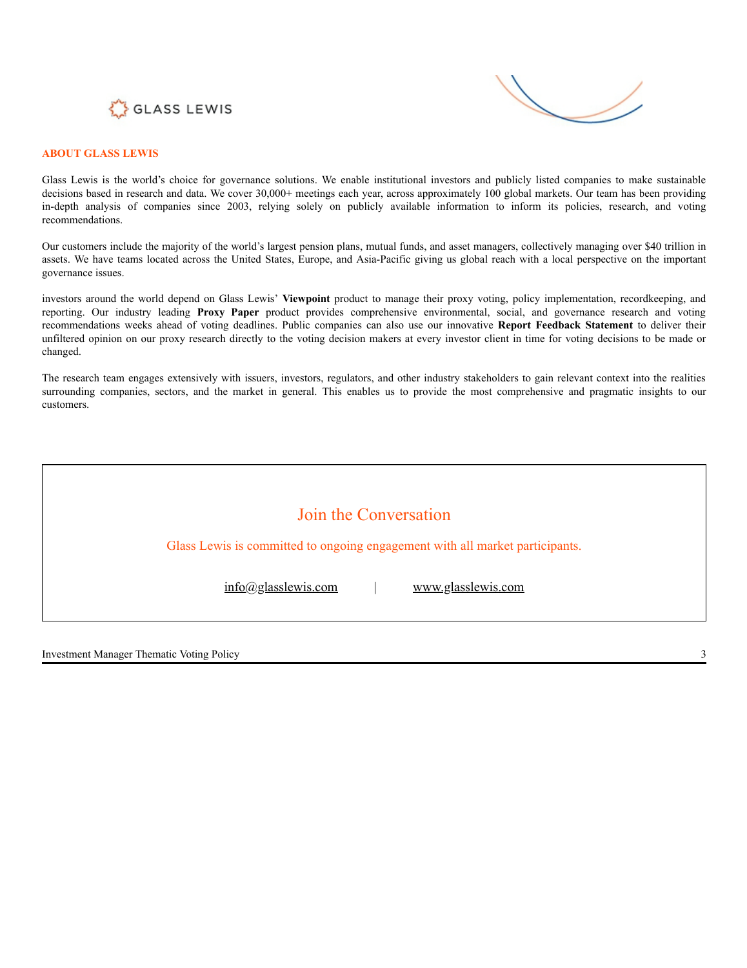



## **ABOUT GLASS LEWIS**

Glass Lewis is the world's choice for governance solutions. We enable institutional investors and publicly listed companies to make sustainable decisions based in research and data. We cover 30,000+ meetings each year, across approximately 100 global markets. Our team has been providing in-depth analysis of companies since 2003, relying solely on publicly available information to inform its policies, research, and voting recommendations.

Our customers include the majority of the world's largest pension plans, mutual funds, and asset managers, collectively managing over \$40 trillion in assets. We have teams located across the United States, Europe, and Asia-Pacific giving us global reach with a local perspective on the important governance issues.

investors around the world depend on Glass Lewis' **Viewpoint** product to manage their proxy voting, policy implementation, recordkeeping, and reporting. Our industry leading **Proxy Paper** product provides comprehensive environmental, social, and governance research and voting recommendations weeks ahead of voting deadlines. Public companies can also use our innovative **Report Feedback Statement** to deliver their unfiltered opinion on our proxy research directly to the voting decision makers at every investor client in time for voting decisions to be made or changed.

The research team engages extensively with issuers, investors, regulators, and other industry stakeholders to gain relevant context into the realities surrounding companies, sectors, and the market in general. This enables us to provide the most comprehensive and pragmatic insights to our customers.

|                                                                              | Join the Conversation |  |
|------------------------------------------------------------------------------|-----------------------|--|
| Glass Lewis is committed to ongoing engagement with all market participants. |                       |  |
| info@glasslewis.com                                                          | www.glasslewis.com    |  |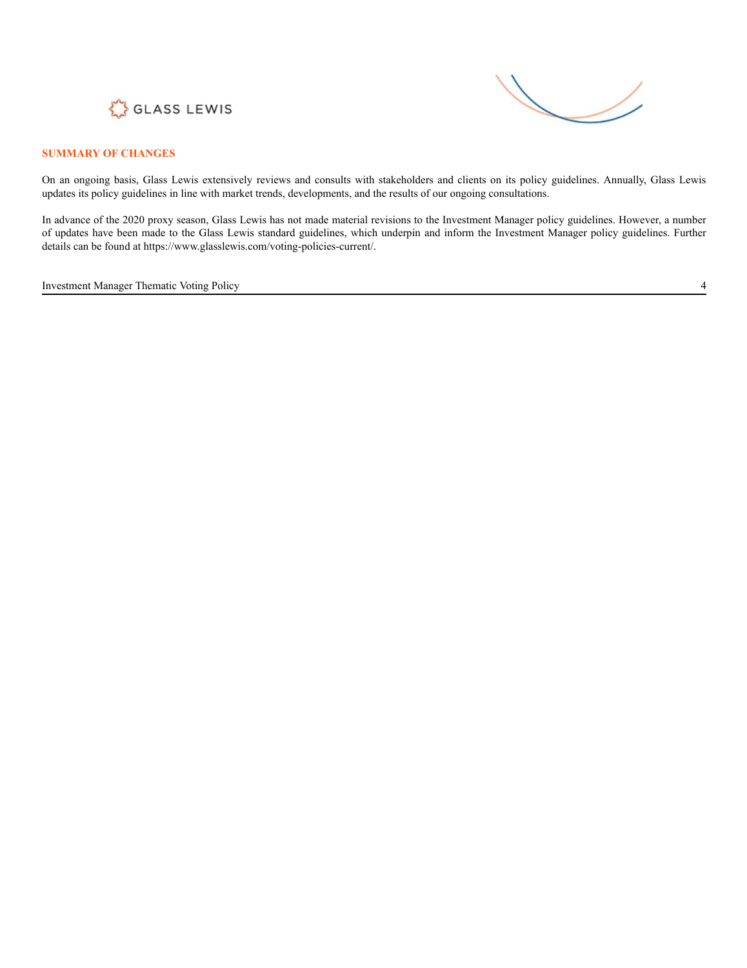





# **SUMMARY OF CHANGES**

On an ongoing basis, Glass Lewis extensively reviews and consults with stakeholders and clients on its policy guidelines. Annually, Glass Lewis updates its policy guidelines in line with market trends, developments, and the results of our ongoing consultations.

In advance of the 2020 proxy season, Glass Lewis has not made material revisions to the Investment Manager policy guidelines. However, a number of updates have been made to the Glass Lewis standard guidelines, which underpin and inform the Investment Manager policy guidelines. Further details can be found at https://www.glasslewis.com/voting-policies-current/.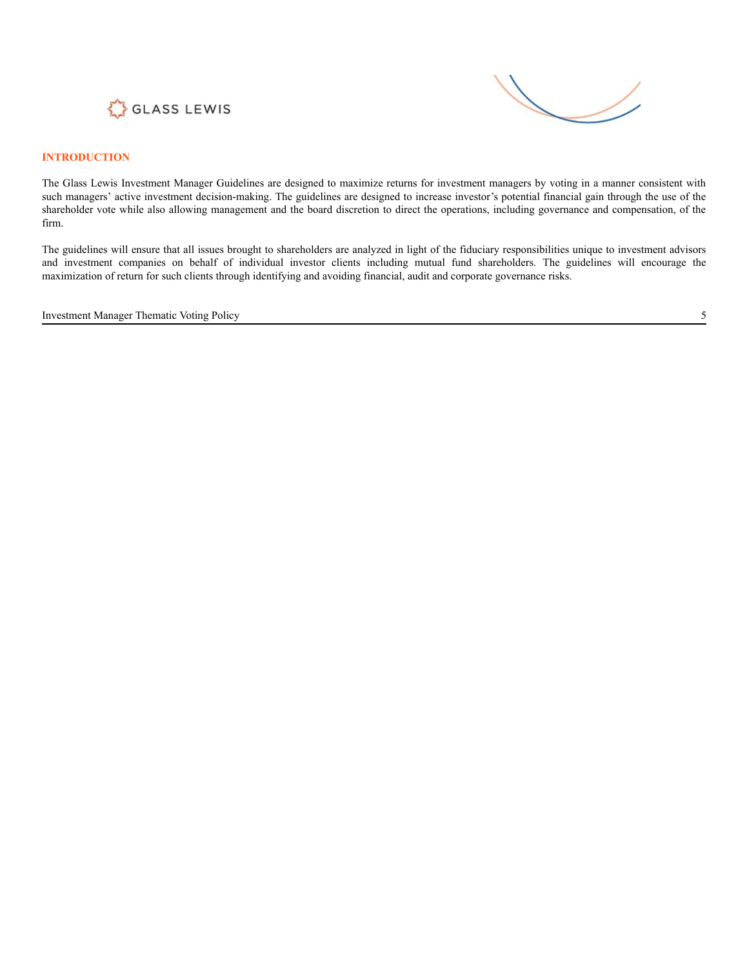



# **INTRODUCTION**

The Glass Lewis Investment Manager Guidelines are designed to maximize returns for investment managers by voting in a manner consistent with such managers' active investment decision-making. The guidelines are designed to increase investor's potential financial gain through the use of the shareholder vote while also allowing management and the board discretion to direct the operations, including governance and compensation, of the firm.

The guidelines will ensure that all issues brought to shareholders are analyzed in light of the fiduciary responsibilities unique to investment advisors and investment companies on behalf of individual investor clients including mutual fund shareholders. The guidelines will encourage the maximization of return for such clients through identifying and avoiding financial, audit and corporate governance risks.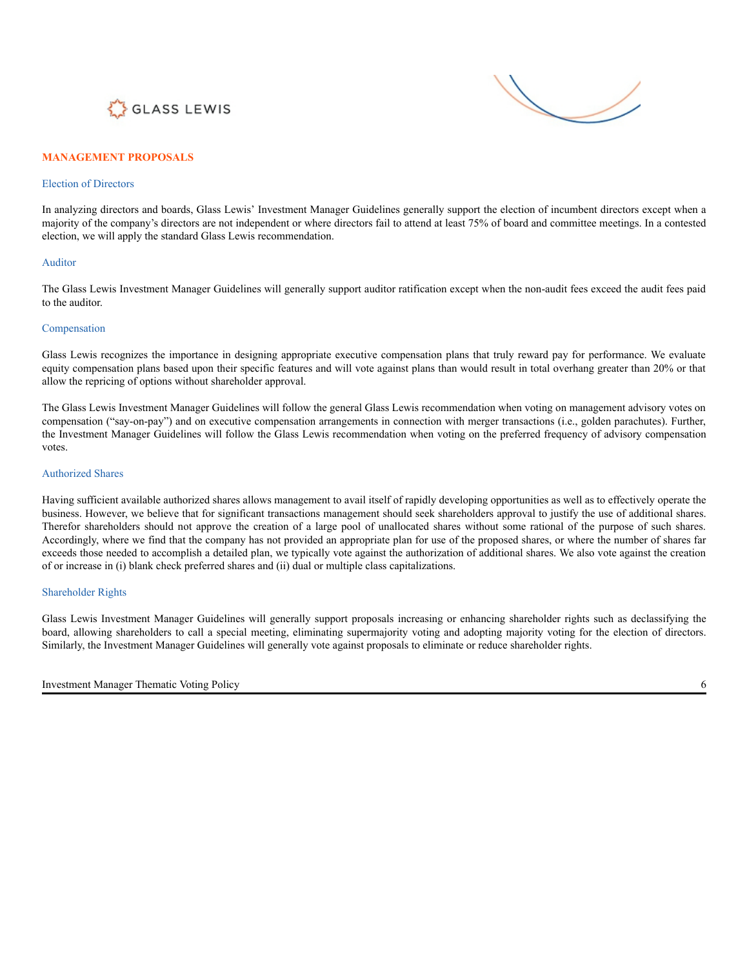<span id="page-71-0"></span>



## <span id="page-71-1"></span>**MANAGEMENT PROPOSALS**

## Election of Directors

<span id="page-71-2"></span>In analyzing directors and boards, Glass Lewis' Investment Manager Guidelines generally support the election of incumbent directors except when a majority of the company's directors are not independent or where directors fail to attend at least 75% of board and committee meetings. In a contested election, we will apply the standard Glass Lewis recommendation.

#### <span id="page-71-3"></span>Auditor

The Glass Lewis Investment Manager Guidelines will generally support auditor ratification except when the non-audit fees exceed the audit fees paid to the auditor.

#### Compensation

Glass Lewis recognizes the importance in designing appropriate executive compensation plans that truly reward pay for performance. We evaluate equity compensation plans based upon their specific features and will vote against plans than would result in total overhang greater than 20% or that allow the repricing of options without shareholder approval.

<span id="page-71-4"></span>The Glass Lewis Investment Manager Guidelines will follow the general Glass Lewis recommendation when voting on management advisory votes on compensation ("say-on-pay") and on executive compensation arrangements in connection with merger transactions (i.e., golden parachutes). Further, the Investment Manager Guidelines will follow the Glass Lewis recommendation when voting on the preferred frequency of advisory compensation votes.

#### Authorized Shares

<span id="page-71-5"></span>Having sufficient available authorized shares allows management to avail itself of rapidly developing opportunities as well as to effectively operate the business. However, we believe that for significant transactions management should seek shareholders approval to justify the use of additional shares. Therefor shareholders should not approve the creation of a large pool of unallocated shares without some rational of the purpose of such shares. Accordingly, where we find that the company has not provided an appropriate plan for use of the proposed shares, or where the number of shares far exceeds those needed to accomplish a detailed plan, we typically vote against the authorization of additional shares. We also vote against the creation of or increase in (i) blank check preferred shares and (ii) dual or multiple class capitalizations.

#### Shareholder Rights

Glass Lewis Investment Manager Guidelines will generally support proposals increasing or enhancing shareholder rights such as declassifying the board, allowing shareholders to call a special meeting, eliminating supermajority voting and adopting majority voting for the election of directors. Similarly, the Investment Manager Guidelines will generally vote against proposals to eliminate or reduce shareholder rights.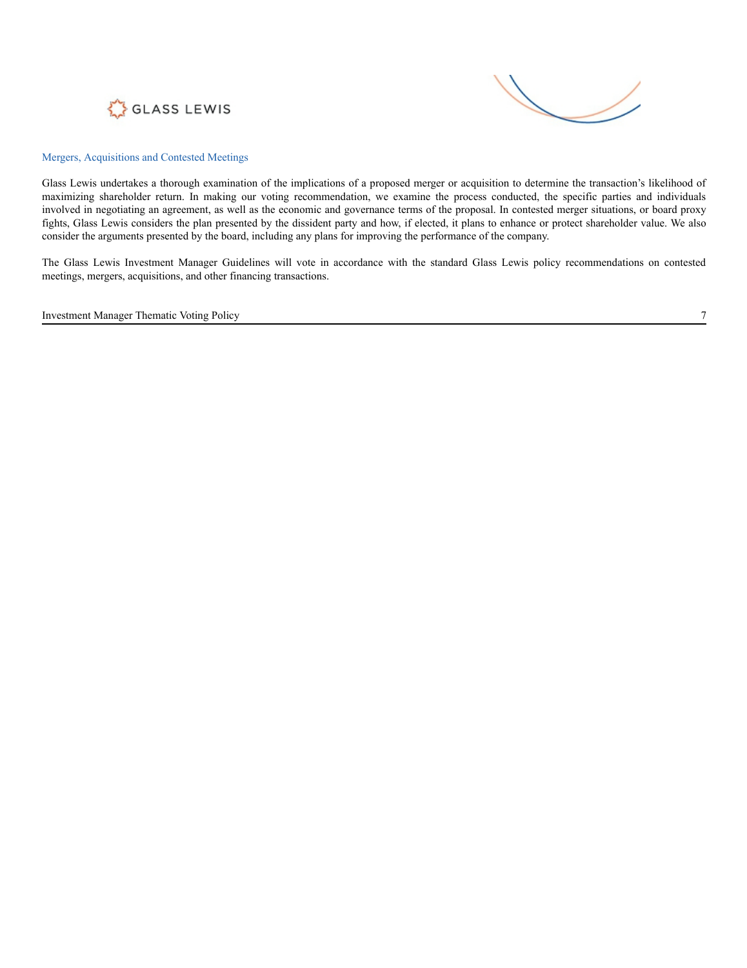



# Mergers, Acquisitions and Contested Meetings

Glass Lewis undertakes a thorough examination of the implications of a proposed merger or acquisition to determine the transaction's likelihood of maximizing shareholder return. In making our voting recommendation, we examine the process conducted, the specific parties and individuals involved in negotiating an agreement, as well as the economic and governance terms of the proposal. In contested merger situations, or board proxy fights, Glass Lewis considers the plan presented by the dissident party and how, if elected, it plans to enhance or protect shareholder value. We also consider the arguments presented by the board, including any plans for improving the performance of the company.

The Glass Lewis Investment Manager Guidelines will vote in accordance with the standard Glass Lewis policy recommendations on contested meetings, mergers, acquisitions, and other financing transactions.

Investment Manager Thematic Voting Policy 7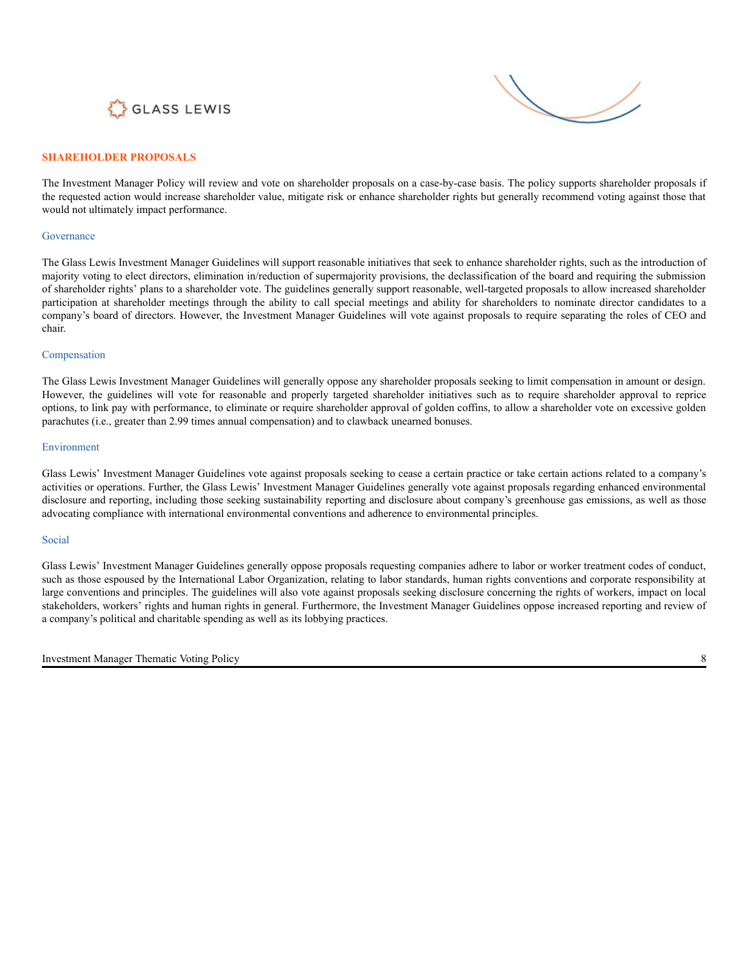



### **SHAREHOLDER PROPOSALS**

The Investment Manager Policy will review and vote on shareholder proposals on a case-by-case basis. The policy supports shareholder proposals if the requested action would increase shareholder value, mitigate risk or enhance shareholder rights but generally recommend voting against those that would not ultimately impact performance.

#### Governance

The Glass Lewis Investment Manager Guidelines will support reasonable initiatives that seek to enhance shareholder rights, such as the introduction of majority voting to elect directors, elimination in/reduction of supermajority provisions, the declassification of the board and requiring the submission of shareholder rights' plans to a shareholder vote. The guidelines generally support reasonable, well-targeted proposals to allow increased shareholder participation at shareholder meetings through the ability to call special meetings and ability for shareholders to nominate director candidates to a company's board of directors. However, the Investment Manager Guidelines will vote against proposals to require separating the roles of CEO and chair.

#### Compensation

The Glass Lewis Investment Manager Guidelines will generally oppose any shareholder proposals seeking to limit compensation in amount or design. However, the guidelines will vote for reasonable and properly targeted shareholder initiatives such as to require shareholder approval to reprice options, to link pay with performance, to eliminate or require shareholder approval of golden coffins, to allow a shareholder vote on excessive golden parachutes (i.e., greater than 2.99 times annual compensation) and to clawback unearned bonuses.

#### Environment

Glass Lewis' Investment Manager Guidelines vote against proposals seeking to cease a certain practice or take certain actions related to a company's activities or operations. Further, the Glass Lewis' Investment Manager Guidelines generally vote against proposals regarding enhanced environmental disclosure and reporting, including those seeking sustainability reporting and disclosure about company's greenhouse gas emissions, as well as those advocating compliance with international environmental conventions and adherence to environmental principles.

#### Social

Glass Lewis' Investment Manager Guidelines generally oppose proposals requesting companies adhere to labor or worker treatment codes of conduct, such as those espoused by the International Labor Organization, relating to labor standards, human rights conventions and corporate responsibility at large conventions and principles. The guidelines will also vote against proposals seeking disclosure concerning the rights of workers, impact on local stakeholders, workers' rights and human rights in general. Furthermore, the Investment Manager Guidelines oppose increased reporting and review of a company's political and charitable spending as well as its lobbying practices.

Investment Manager Thematic Voting Policy 8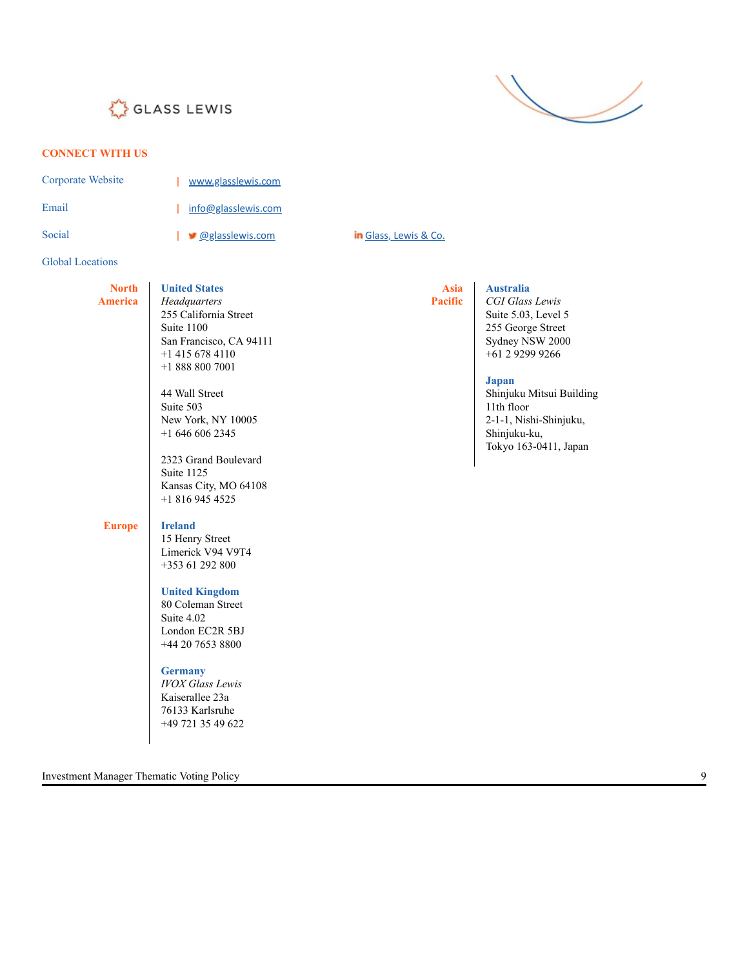



# **CONNECT WITH US**

Corporate Website | www.glasslewis.com

Email | info@glasslewis.com

Social | <u>geglasslewis.com</u> | Glass, Lewis & Co.

Global Locations

# **North United** States<br> **America Australia Australia**<br> **America** *Headauarters* **CGI Glass America** *Headquarters* 255 California Street<br>Suite 1100

San Francisco, CA 94111 Sydney NSW 2000<br>+1 415 678 4110  $+61292999266$ +1 888 800 7001

Suite 503 11th floor +1 646 606 2345 Shinjuku-ku,

2323 Grand Boulevard Suite 1125 Kansas City, MO 64108 +1 816 945 4525

# **Europe Ireland**

15 Henry Street Limerick V94 V9T4 +353 61 292 800

# **United Kingdom**

80 Coleman Street Suite 4.02 London EC2R 5BJ +44 20 7653 8800

#### **Germany**

*IVOX Glass Lewis* Kaiserallee 23a 76133 Karlsruhe +49 721 35 49 622

# Investment Manager Thematic Voting Policy 9

**Pacific** *CGI Glass Lewis* Suite 5.03, Level 5 255 George Street  $+61$  2 9299 9266

# **Japan**

44 Wall Street Shinjuku Mitsui Building New York, NY 10005 2-1-1, Nishi-Shinjuku, Tokyo 163-0411, Japan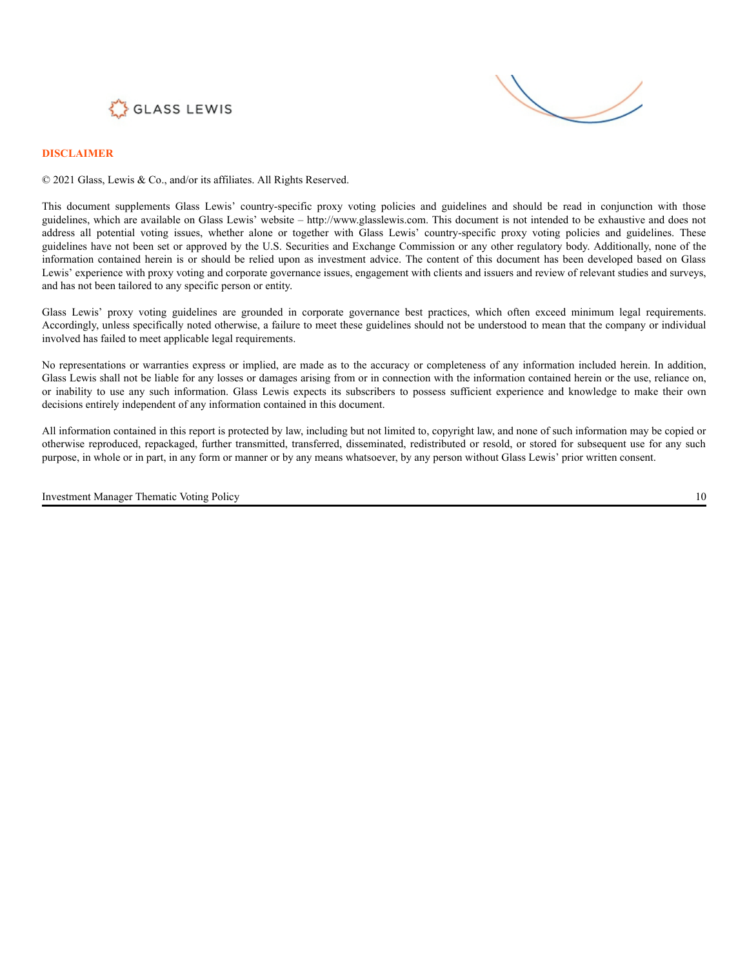



#### **DISCLAIMER**

© 2021 Glass, Lewis & Co., and/or its affiliates. All Rights Reserved.

This document supplements Glass Lewis' country-specific proxy voting policies and guidelines and should be read in conjunction with those guidelines, which are available on Glass Lewis' website – http://www.glasslewis.com. This document is not intended to be exhaustive and does not address all potential voting issues, whether alone or together with Glass Lewis' country-specific proxy voting policies and guidelines. These guidelines have not been set or approved by the U.S. Securities and Exchange Commission or any other regulatory body. Additionally, none of the information contained herein is or should be relied upon as investment advice. The content of this document has been developed based on Glass Lewis' experience with proxy voting and corporate governance issues, engagement with clients and issuers and review of relevant studies and surveys, and has not been tailored to any specific person or entity.

Glass Lewis' proxy voting guidelines are grounded in corporate governance best practices, which often exceed minimum legal requirements. Accordingly, unless specifically noted otherwise, a failure to meet these guidelines should not be understood to mean that the company or individual involved has failed to meet applicable legal requirements.

No representations or warranties express or implied, are made as to the accuracy or completeness of any information included herein. In addition, Glass Lewis shall not be liable for any losses or damages arising from or in connection with the information contained herein or the use, reliance on, or inability to use any such information. Glass Lewis expects its subscribers to possess sufficient experience and knowledge to make their own decisions entirely independent of any information contained in this document.

All information contained in this report is protected by law, including but not limited to, copyright law, and none of such information may be copied or otherwise reproduced, repackaged, further transmitted, transferred, disseminated, redistributed or resold, or stored for subsequent use for any such purpose, in whole or in part, in any form or manner or by any means whatsoever, by any person without Glass Lewis' prior written consent.

Investment Manager Thematic Voting Policy 10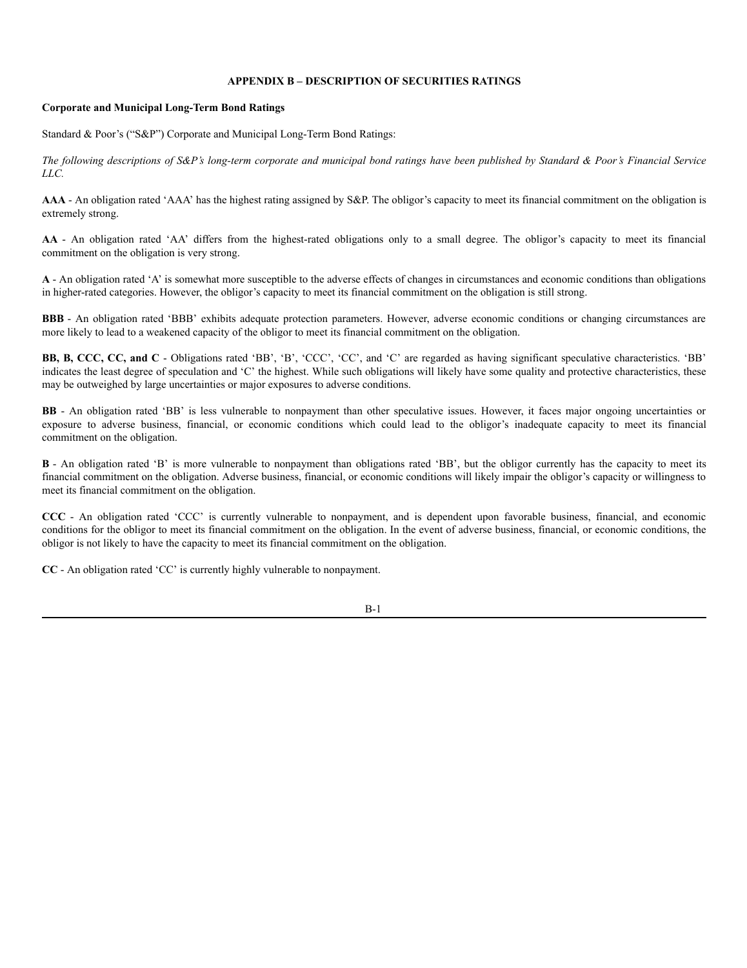# **APPENDIX B – DESCRIPTION OF SECURITIES RATINGS**

#### **Corporate and Municipal Long-Term Bond Ratings**

Standard & Poor's ("S&P") Corporate and Municipal Long-Term Bond Ratings:

The following descriptions of S&P's long-term corporate and municipal bond ratings have been published by Standard & Poor's Financial Service *LLC.*

AAA - An obligation rated 'AAA' has the highest rating assigned by S&P. The obligor's capacity to meet its financial commitment on the obligation is extremely strong.

**AA** - An obligation rated 'AA' differs from the highest-rated obligations only to a small degree. The obligor's capacity to meet its financial commitment on the obligation is very strong.

**A** - An obligation rated 'A' is somewhat more susceptible to the adverse effects of changes in circumstances and economic conditions than obligations in higher-rated categories. However, the obligor's capacity to meet its financial commitment on the obligation is still strong.

**BBB** - An obligation rated 'BBB' exhibits adequate protection parameters. However, adverse economic conditions or changing circumstances are more likely to lead to a weakened capacity of the obligor to meet its financial commitment on the obligation.

**BB, B, CCC, CC, and C** - Obligations rated 'BB', 'B', 'CCC', 'CC', and 'C' are regarded as having significant speculative characteristics. 'BB' indicates the least degree of speculation and 'C' the highest. While such obligations will likely have some quality and protective characteristics, these may be outweighed by large uncertainties or major exposures to adverse conditions.

**BB** - An obligation rated 'BB' is less vulnerable to nonpayment than other speculative issues. However, it faces major ongoing uncertainties or exposure to adverse business, financial, or economic conditions which could lead to the obligor's inadequate capacity to meet its financial commitment on the obligation.

**B** - An obligation rated 'B' is more vulnerable to nonpayment than obligations rated 'BB', but the obligor currently has the capacity to meet its financial commitment on the obligation. Adverse business, financial, or economic conditions will likely impair the obligor's capacity or willingness to meet its financial commitment on the obligation.

**CCC** - An obligation rated 'CCC' is currently vulnerable to nonpayment, and is dependent upon favorable business, financial, and economic conditions for the obligor to meet its financial commitment on the obligation. In the event of adverse business, financial, or economic conditions, the obligor is not likely to have the capacity to meet its financial commitment on the obligation.

**CC** - An obligation rated 'CC' is currently highly vulnerable to nonpayment.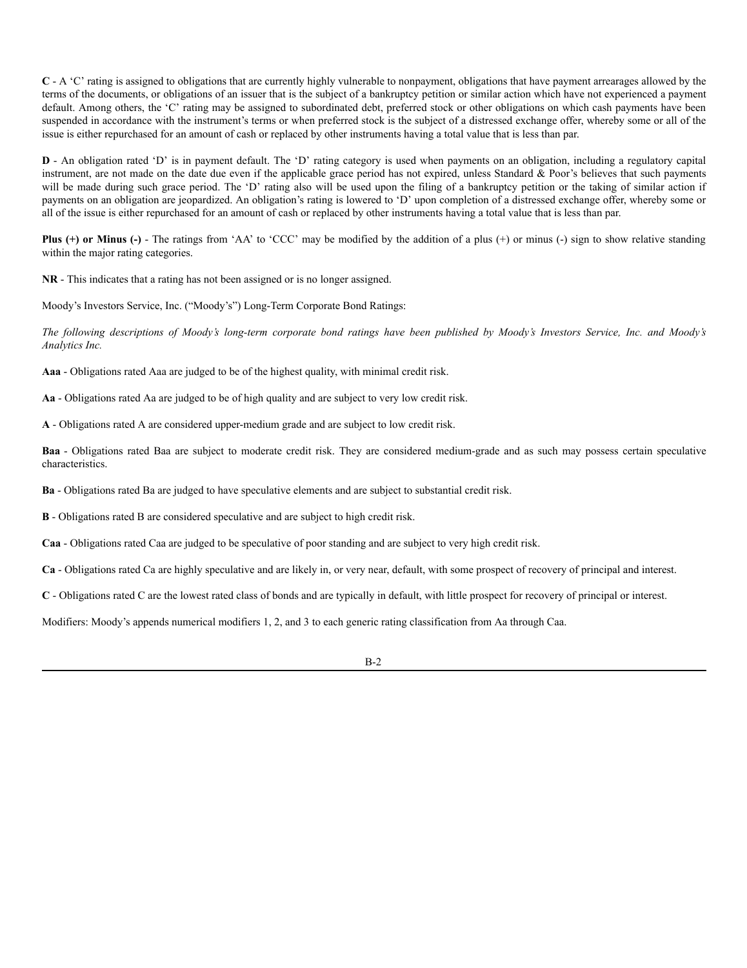**C** - A 'C' rating is assigned to obligations that are currently highly vulnerable to nonpayment, obligations that have payment arrearages allowed by the terms of the documents, or obligations of an issuer that is the subject of a bankruptcy petition or similar action which have not experienced a payment default. Among others, the 'C' rating may be assigned to subordinated debt, preferred stock or other obligations on which cash payments have been suspended in accordance with the instrument's terms or when preferred stock is the subject of a distressed exchange offer, whereby some or all of the issue is either repurchased for an amount of cash or replaced by other instruments having a total value that is less than par.

**D** - An obligation rated 'D' is in payment default. The 'D' rating category is used when payments on an obligation, including a regulatory capital instrument, are not made on the date due even if the applicable grace period has not expired, unless Standard & Poor's believes that such payments will be made during such grace period. The 'D' rating also will be used upon the filing of a bankruptcy petition or the taking of similar action if payments on an obligation are jeopardized. An obligation's rating is lowered to 'D' upon completion of a distressed exchange offer, whereby some or all of the issue is either repurchased for an amount of cash or replaced by other instruments having a total value that is less than par.

**Plus (+) or Minus (-)** - The ratings from 'AA' to 'CCC' may be modified by the addition of a plus (+) or minus (-) sign to show relative standing within the major rating categories.

**NR** - This indicates that a rating has not been assigned or is no longer assigned.

Moody's Investors Service, Inc. ("Moody's") Long-Term Corporate Bond Ratings:

The following descriptions of Moody's long-term corporate bond ratings have been published by Moody's Investors Service, Inc. and Moody's *Analytics Inc.*

**Aaa** - Obligations rated Aaa are judged to be of the highest quality, with minimal credit risk.

**Aa** - Obligations rated Aa are judged to be of high quality and are subject to very low credit risk.

**A** - Obligations rated A are considered upper-medium grade and are subject to low credit risk.

**Baa** - Obligations rated Baa are subject to moderate credit risk. They are considered medium-grade and as such may possess certain speculative characteristics.

**Ba** - Obligations rated Ba are judged to have speculative elements and are subject to substantial credit risk.

**B** - Obligations rated B are considered speculative and are subject to high credit risk.

**Caa** - Obligations rated Caa are judged to be speculative of poor standing and are subject to very high credit risk.

**Ca** - Obligations rated Ca are highly speculative and are likely in, or very near, default, with some prospect of recovery of principal and interest.

**C** - Obligations rated C are the lowest rated class of bonds and are typically in default, with little prospect for recovery of principal or interest.

Modifiers: Moody's appends numerical modifiers 1, 2, and 3 to each generic rating classification from Aa through Caa.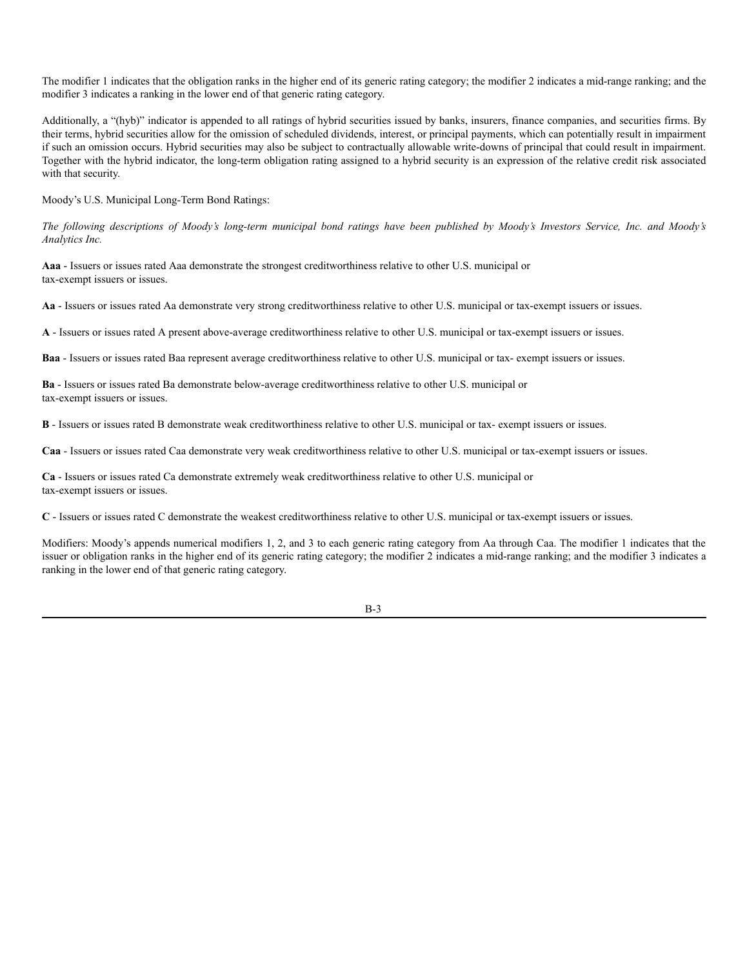The modifier 1 indicates that the obligation ranks in the higher end of its generic rating category; the modifier 2 indicates a mid-range ranking; and the modifier 3 indicates a ranking in the lower end of that generic rating category.

Additionally, a "(hyb)" indicator is appended to all ratings of hybrid securities issued by banks, insurers, finance companies, and securities firms. By their terms, hybrid securities allow for the omission of scheduled dividends, interest, or principal payments, which can potentially result in impairment if such an omission occurs. Hybrid securities may also be subject to contractually allowable write-downs of principal that could result in impairment. Together with the hybrid indicator, the long-term obligation rating assigned to a hybrid security is an expression of the relative credit risk associated with that security.

Moody's U.S. Municipal Long-Term Bond Ratings:

The following descriptions of Moody's long-term municipal bond ratings have been published by Moody's Investors Service. Inc. and Moody's *Analytics Inc.*

**Aaa** - Issuers or issues rated Aaa demonstrate the strongest creditworthiness relative to other U.S. municipal or tax-exempt issuers or issues.

**Aa** - Issuers or issues rated Aa demonstrate very strong creditworthiness relative to other U.S. municipal or tax-exempt issuers or issues.

**A** - Issuers or issues rated A present above-average creditworthiness relative to other U.S. municipal or tax-exempt issuers or issues.

**Baa** - Issuers or issues rated Baa represent average creditworthiness relative to other U.S. municipal or tax- exempt issuers or issues.

**Ba** - Issuers or issues rated Ba demonstrate below-average creditworthiness relative to other U.S. municipal or tax-exempt issuers or issues.

**B** - Issuers or issues rated B demonstrate weak creditworthiness relative to other U.S. municipal or tax- exempt issuers or issues.

**Caa** - Issuers or issues rated Caa demonstrate very weak creditworthiness relative to other U.S. municipal or tax-exempt issuers or issues.

**Ca** - Issuers or issues rated Ca demonstrate extremely weak creditworthiness relative to other U.S. municipal or tax-exempt issuers or issues.

**C** - Issuers or issues rated C demonstrate the weakest creditworthiness relative to other U.S. municipal or tax-exempt issuers or issues.

Modifiers: Moody's appends numerical modifiers 1, 2, and 3 to each generic rating category from Aa through Caa. The modifier 1 indicates that the issuer or obligation ranks in the higher end of its generic rating category; the modifier 2 indicates a mid-range ranking; and the modifier 3 indicates a ranking in the lower end of that generic rating category.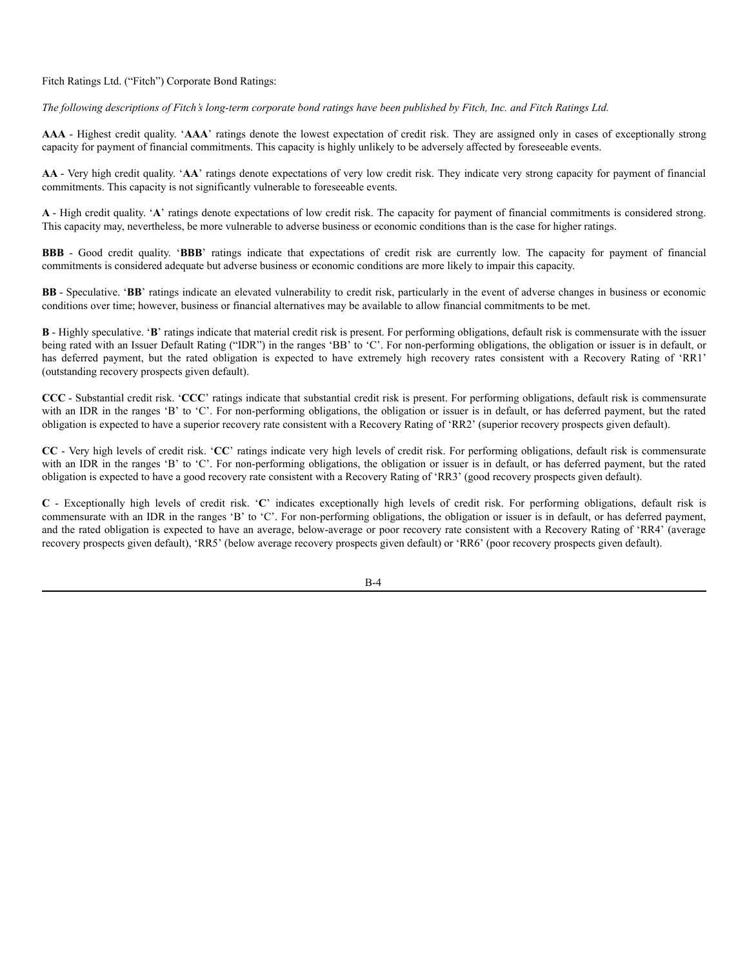Fitch Ratings Ltd. ("Fitch") Corporate Bond Ratings:

The following descriptions of Fitch's long-term corporate bond ratings have been published by Fitch, Inc. and Fitch Ratings Ltd.

**AAA** - Highest credit quality. '**AAA**' ratings denote the lowest expectation of credit risk. They are assigned only in cases of exceptionally strong capacity for payment of financial commitments. This capacity is highly unlikely to be adversely affected by foreseeable events.

**AA** - Very high credit quality. '**AA**' ratings denote expectations of very low credit risk. They indicate very strong capacity for payment of financial commitments. This capacity is not significantly vulnerable to foreseeable events.

**A** - High credit quality. '**A**' ratings denote expectations of low credit risk. The capacity for payment of financial commitments is considered strong. This capacity may, nevertheless, be more vulnerable to adverse business or economic conditions than is the case for higher ratings.

**BBB** - Good credit quality. '**BBB**' ratings indicate that expectations of credit risk are currently low. The capacity for payment of financial commitments is considered adequate but adverse business or economic conditions are more likely to impair this capacity.

**BB** - Speculative. '**BB**' ratings indicate an elevated vulnerability to credit risk, particularly in the event of adverse changes in business or economic conditions over time; however, business or financial alternatives may be available to allow financial commitments to be met.

**B** - Highly speculative. '**B**' ratings indicate that material credit risk is present. For performing obligations, default risk is commensurate with the issuer being rated with an Issuer Default Rating ("IDR") in the ranges 'BB' to 'C'. For non-performing obligations, the obligation or issuer is in default, or has deferred payment, but the rated obligation is expected to have extremely high recovery rates consistent with a Recovery Rating of 'RR1' (outstanding recovery prospects given default).

**CCC** - Substantial credit risk. '**CCC**' ratings indicate that substantial credit risk is present. For performing obligations, default risk is commensurate with an IDR in the ranges 'B' to 'C'. For non-performing obligations, the obligation or issuer is in default, or has deferred payment, but the rated obligation is expected to have a superior recovery rate consistent with a Recovery Rating of 'RR2' (superior recovery prospects given default).

**CC** - Very high levels of credit risk. '**CC**' ratings indicate very high levels of credit risk. For performing obligations, default risk is commensurate with an IDR in the ranges 'B' to 'C'. For non-performing obligations, the obligation or issuer is in default, or has deferred payment, but the rated obligation is expected to have a good recovery rate consistent with a Recovery Rating of 'RR3' (good recovery prospects given default).

**C** - Exceptionally high levels of credit risk. '**C**' indicates exceptionally high levels of credit risk. For performing obligations, default risk is commensurate with an IDR in the ranges 'B' to 'C'. For non-performing obligations, the obligation or issuer is in default, or has deferred payment, and the rated obligation is expected to have an average, below-average or poor recovery rate consistent with a Recovery Rating of 'RR4' (average recovery prospects given default), 'RR5' (below average recovery prospects given default) or 'RR6' (poor recovery prospects given default).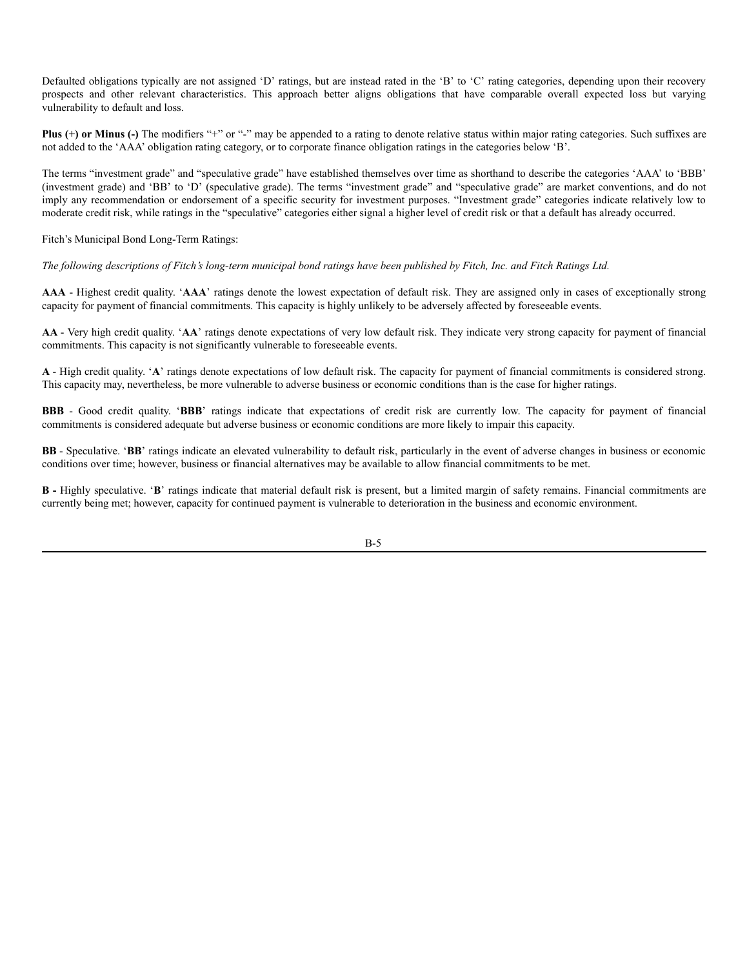Defaulted obligations typically are not assigned 'D' ratings, but are instead rated in the 'B' to 'C' rating categories, depending upon their recovery prospects and other relevant characteristics. This approach better aligns obligations that have comparable overall expected loss but varying vulnerability to default and loss.

**Plus (+) or Minus (-)** The modifiers "+" or "-" may be appended to a rating to denote relative status within major rating categories. Such suffixes are not added to the 'AAA' obligation rating category, or to corporate finance obligation ratings in the categories below 'B'.

The terms "investment grade" and "speculative grade" have established themselves over time as shorthand to describe the categories 'AAA' to 'BBB' (investment grade) and 'BB' to 'D' (speculative grade). The terms "investment grade" and "speculative grade" are market conventions, and do not imply any recommendation or endorsement of a specific security for investment purposes. "Investment grade" categories indicate relatively low to moderate credit risk, while ratings in the "speculative" categories either signal a higher level of credit risk or that a default has already occurred.

Fitch's Municipal Bond Long-Term Ratings:

The following descriptions of Fitch's long-term municipal bond ratings have been published by Fitch, Inc. and Fitch Ratings Ltd.

**AAA** - Highest credit quality. '**AAA**' ratings denote the lowest expectation of default risk. They are assigned only in cases of exceptionally strong capacity for payment of financial commitments. This capacity is highly unlikely to be adversely affected by foreseeable events.

**AA** - Very high credit quality. '**AA**' ratings denote expectations of very low default risk. They indicate very strong capacity for payment of financial commitments. This capacity is not significantly vulnerable to foreseeable events.

**A** - High credit quality. '**A**' ratings denote expectations of low default risk. The capacity for payment of financial commitments is considered strong. This capacity may, nevertheless, be more vulnerable to adverse business or economic conditions than is the case for higher ratings.

**BBB** - Good credit quality. '**BBB**' ratings indicate that expectations of credit risk are currently low. The capacity for payment of financial commitments is considered adequate but adverse business or economic conditions are more likely to impair this capacity.

**BB** - Speculative. '**BB**' ratings indicate an elevated vulnerability to default risk, particularly in the event of adverse changes in business or economic conditions over time; however, business or financial alternatives may be available to allow financial commitments to be met.

**B -** Highly speculative. '**B**' ratings indicate that material default risk is present, but a limited margin of safety remains. Financial commitments are currently being met; however, capacity for continued payment is vulnerable to deterioration in the business and economic environment.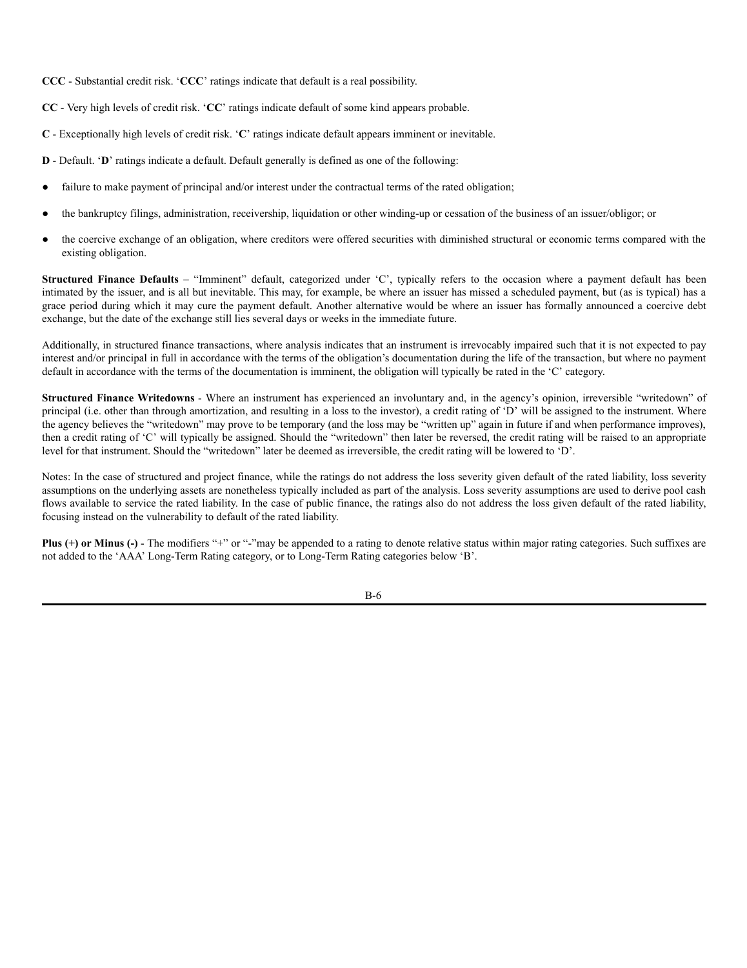**CCC** - Substantial credit risk. '**CCC**' ratings indicate that default is a real possibility.

**CC** - Very high levels of credit risk. '**CC**' ratings indicate default of some kind appears probable.

**C** - Exceptionally high levels of credit risk. '**C**' ratings indicate default appears imminent or inevitable.

**D** - Default. '**D**' ratings indicate a default. Default generally is defined as one of the following:

- failure to make payment of principal and/or interest under the contractual terms of the rated obligation;
- the bankruptcy filings, administration, receivership, liquidation or other winding-up or cessation of the business of an issuer/obligor; or
- the coercive exchange of an obligation, where creditors were offered securities with diminished structural or economic terms compared with the existing obligation.

**Structured Finance Defaults** – "Imminent" default, categorized under 'C', typically refers to the occasion where a payment default has been intimated by the issuer, and is all but inevitable. This may, for example, be where an issuer has missed a scheduled payment, but (as is typical) has a grace period during which it may cure the payment default. Another alternative would be where an issuer has formally announced a coercive debt exchange, but the date of the exchange still lies several days or weeks in the immediate future.

Additionally, in structured finance transactions, where analysis indicates that an instrument is irrevocably impaired such that it is not expected to pay interest and/or principal in full in accordance with the terms of the obligation's documentation during the life of the transaction, but where no payment default in accordance with the terms of the documentation is imminent, the obligation will typically be rated in the 'C' category.

**Structured Finance Writedowns** - Where an instrument has experienced an involuntary and, in the agency's opinion, irreversible "writedown" of principal (i.e. other than through amortization, and resulting in a loss to the investor), a credit rating of 'D' will be assigned to the instrument. Where the agency believes the "writedown" may prove to be temporary (and the loss may be "written up" again in future if and when performance improves), then a credit rating of 'C' will typically be assigned. Should the "writedown" then later be reversed, the credit rating will be raised to an appropriate level for that instrument. Should the "writedown" later be deemed as irreversible, the credit rating will be lowered to 'D'.

Notes: In the case of structured and project finance, while the ratings do not address the loss severity given default of the rated liability, loss severity assumptions on the underlying assets are nonetheless typically included as part of the analysis. Loss severity assumptions are used to derive pool cash flows available to service the rated liability. In the case of public finance, the ratings also do not address the loss given default of the rated liability, focusing instead on the vulnerability to default of the rated liability.

**Plus (+) or Minus (-)** - The modifiers "+" or "-"may be appended to a rating to denote relative status within major rating categories. Such suffixes are not added to the 'AAA' Long-Term Rating category, or to Long-Term Rating categories below 'B'.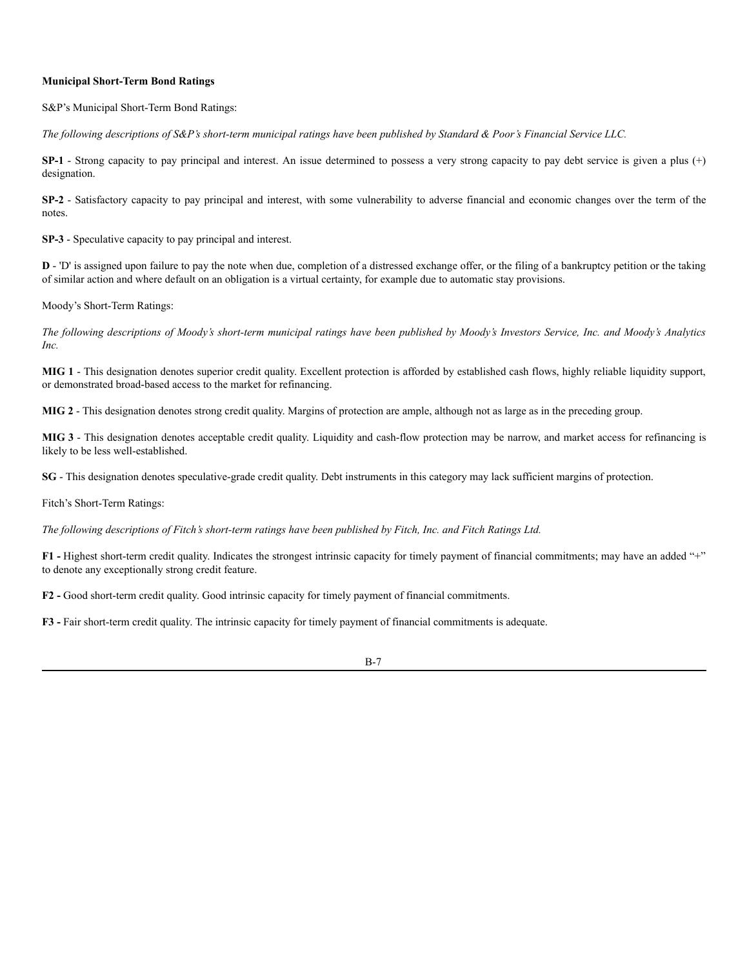# **Municipal Short-Term Bond Ratings**

S&P's Municipal Short-Term Bond Ratings:

The following descriptions of S&P's short-term municipal ratings have been published by Standard & Poor's Financial Service LLC.

**SP-1** - Strong capacity to pay principal and interest. An issue determined to possess a very strong capacity to pay debt service is given a plus (+) designation.

**SP-2** - Satisfactory capacity to pay principal and interest, with some vulnerability to adverse financial and economic changes over the term of the notes.

**SP-3** - Speculative capacity to pay principal and interest.

**D** - 'D' is assigned upon failure to pay the note when due, completion of a distressed exchange offer, or the filing of a bankruptcy petition or the taking of similar action and where default on an obligation is a virtual certainty, for example due to automatic stay provisions.

Moody's Short-Term Ratings:

The following descriptions of Moody's short-term municipal ratings have been published by Moody's Investors Service, Inc. and Moody's Analytics *Inc.*

**MIG 1** - This designation denotes superior credit quality. Excellent protection is afforded by established cash flows, highly reliable liquidity support, or demonstrated broad-based access to the market for refinancing.

**MIG 2** - This designation denotes strong credit quality. Margins of protection are ample, although not as large as in the preceding group.

**MIG 3** - This designation denotes acceptable credit quality. Liquidity and cash-flow protection may be narrow, and market access for refinancing is likely to be less well-established.

**SG** - This designation denotes speculative-grade credit quality. Debt instruments in this category may lack sufficient margins of protection.

Fitch's Short-Term Ratings:

The following descriptions of Fitch's short-term ratings have been published by Fitch, Inc. and Fitch Ratings Ltd.

**F1 -** Highest short-term credit quality. Indicates the strongest intrinsic capacity for timely payment of financial commitments; may have an added "+" to denote any exceptionally strong credit feature.

**F2 -** Good short-term credit quality. Good intrinsic capacity for timely payment of financial commitments.

**F3 -** Fair short-term credit quality. The intrinsic capacity for timely payment of financial commitments is adequate.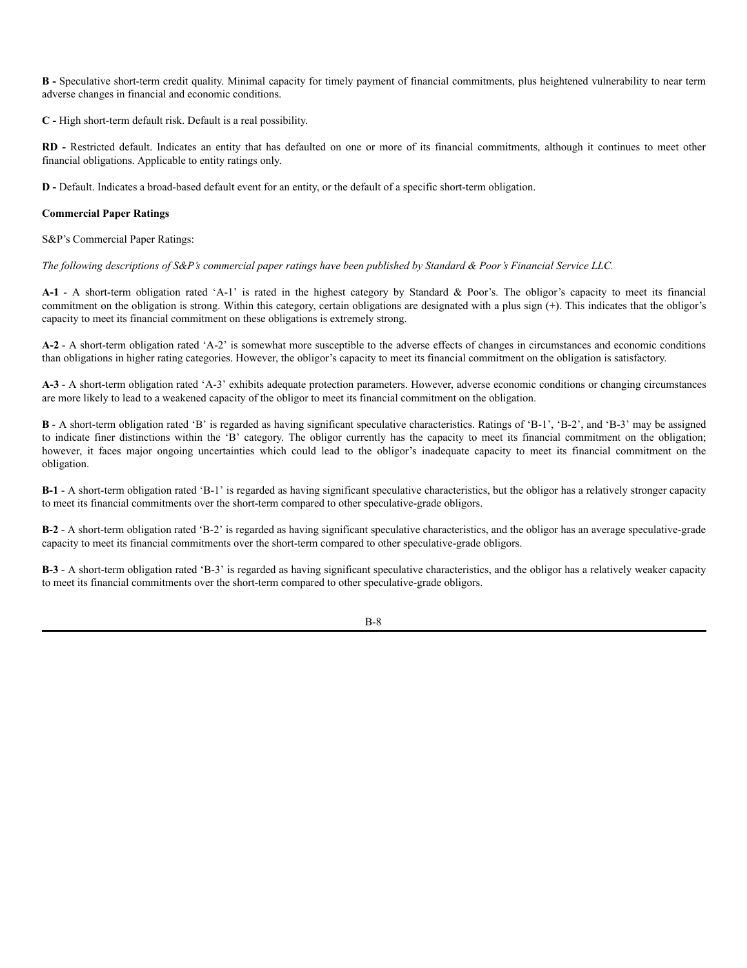**B -** Speculative short-term credit quality. Minimal capacity for timely payment of financial commitments, plus heightened vulnerability to near term adverse changes in financial and economic conditions.

**C -** High short-term default risk. Default is a real possibility.

**RD -** Restricted default. Indicates an entity that has defaulted on one or more of its financial commitments, although it continues to meet other financial obligations. Applicable to entity ratings only.

**D -** Default. Indicates a broad-based default event for an entity, or the default of a specific short-term obligation.

#### **Commercial Paper Ratings**

S&P's Commercial Paper Ratings:

The following descriptions of S&P's commercial paper ratings have been published by Standard & Poor's Financial Service LLC.

**A-1** - A short-term obligation rated 'A-1' is rated in the highest category by Standard & Poor's. The obligor's capacity to meet its financial commitment on the obligation is strong. Within this category, certain obligations are designated with a plus sign (+). This indicates that the obligor's capacity to meet its financial commitment on these obligations is extremely strong.

**A-2** - A short-term obligation rated 'A-2' is somewhat more susceptible to the adverse effects of changes in circumstances and economic conditions than obligations in higher rating categories. However, the obligor's capacity to meet its financial commitment on the obligation is satisfactory.

**A-3** - A short-term obligation rated 'A-3' exhibits adequate protection parameters. However, adverse economic conditions or changing circumstances are more likely to lead to a weakened capacity of the obligor to meet its financial commitment on the obligation.

**B** - A short-term obligation rated 'B' is regarded as having significant speculative characteristics. Ratings of 'B-1', 'B-2', and 'B-3' may be assigned to indicate finer distinctions within the 'B' category. The obligor currently has the capacity to meet its financial commitment on the obligation; however, it faces major ongoing uncertainties which could lead to the obligor's inadequate capacity to meet its financial commitment on the obligation.

**B-1** - A short-term obligation rated 'B-1' is regarded as having significant speculative characteristics, but the obligor has a relatively stronger capacity to meet its financial commitments over the short-term compared to other speculative-grade obligors.

**B-2** - A short-term obligation rated 'B-2' is regarded as having significant speculative characteristics, and the obligor has an average speculative-grade capacity to meet its financial commitments over the short-term compared to other speculative-grade obligors.

**B-3** - A short-term obligation rated 'B-3' is regarded as having significant speculative characteristics, and the obligor has a relatively weaker capacity to meet its financial commitments over the short-term compared to other speculative-grade obligors.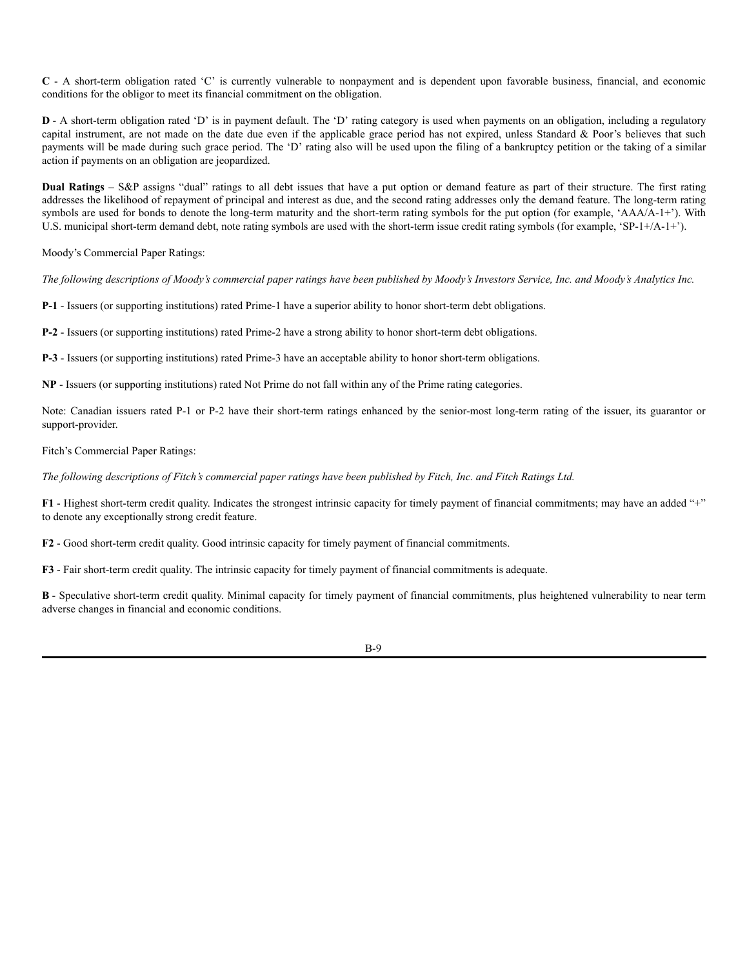**C** - A short-term obligation rated 'C' is currently vulnerable to nonpayment and is dependent upon favorable business, financial, and economic conditions for the obligor to meet its financial commitment on the obligation.

**D** - A short-term obligation rated 'D' is in payment default. The 'D' rating category is used when payments on an obligation, including a regulatory capital instrument, are not made on the date due even if the applicable grace period has not expired, unless Standard & Poor's believes that such payments will be made during such grace period. The 'D' rating also will be used upon the filing of a bankruptcy petition or the taking of a similar action if payments on an obligation are jeopardized.

**Dual Ratings** – S&P assigns "dual" ratings to all debt issues that have a put option or demand feature as part of their structure. The first rating addresses the likelihood of repayment of principal and interest as due, and the second rating addresses only the demand feature. The long-term rating symbols are used for bonds to denote the long-term maturity and the short-term rating symbols for the put option (for example, 'AAA/A-1+'). With U.S. municipal short-term demand debt, note rating symbols are used with the short-term issue credit rating symbols (for example, 'SP-1+/A-1+').

Moody's Commercial Paper Ratings:

The following descriptions of Moody's commercial paper ratings have been published by Moody's Investors Service, Inc. and Moody's Analytics Inc.

**P-1** - Issuers (or supporting institutions) rated Prime-1 have a superior ability to honor short-term debt obligations.

**P-2** - Issuers (or supporting institutions) rated Prime-2 have a strong ability to honor short-term debt obligations.

**P-3** - Issuers (or supporting institutions) rated Prime-3 have an acceptable ability to honor short-term obligations.

**NP** - Issuers (or supporting institutions) rated Not Prime do not fall within any of the Prime rating categories.

Note: Canadian issuers rated P-1 or P-2 have their short-term ratings enhanced by the senior-most long-term rating of the issuer, its guarantor or support-provider.

#### Fitch's Commercial Paper Ratings:

The following descriptions of Fitch's commercial paper ratings have been published by Fitch, Inc. and Fitch Ratings Ltd.

**F1** - Highest short-term credit quality. Indicates the strongest intrinsic capacity for timely payment of financial commitments; may have an added "+" to denote any exceptionally strong credit feature.

**F2** - Good short-term credit quality. Good intrinsic capacity for timely payment of financial commitments.

**F3** - Fair short-term credit quality. The intrinsic capacity for timely payment of financial commitments is adequate.

**B** - Speculative short-term credit quality. Minimal capacity for timely payment of financial commitments, plus heightened vulnerability to near term adverse changes in financial and economic conditions.